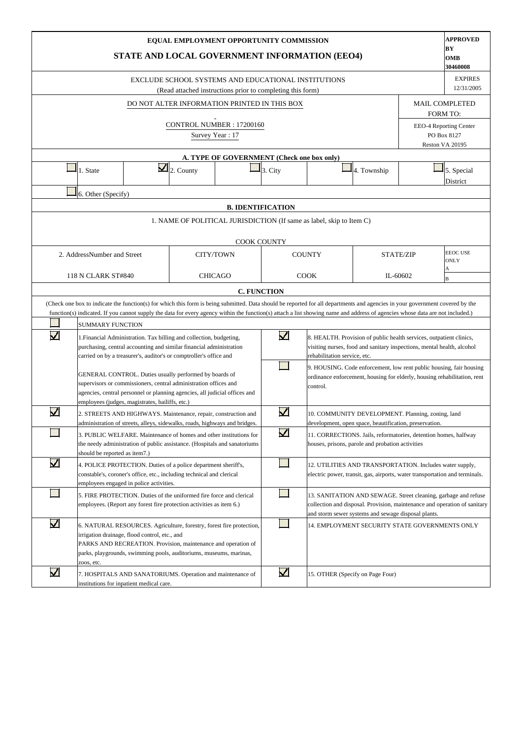|                       |                               | STATE AND LOCAL GOVERNMENT INFORMATION (EEO4)                                                                                                                                                                                                                |                        | EQUAL EMPLOYMENT OPPORTUNITY COMMISSION                                                                           |                          |                                                                      |                                                                                                                                                                                                    |                  | <b>APPROVED</b><br>BY<br>OMB<br>30460008 |
|-----------------------|-------------------------------|--------------------------------------------------------------------------------------------------------------------------------------------------------------------------------------------------------------------------------------------------------------|------------------------|-------------------------------------------------------------------------------------------------------------------|--------------------------|----------------------------------------------------------------------|----------------------------------------------------------------------------------------------------------------------------------------------------------------------------------------------------|------------------|------------------------------------------|
|                       |                               |                                                                                                                                                                                                                                                              |                        | EXCLUDE SCHOOL SYSTEMS AND EDUCATIONAL INSTITUTIONS<br>(Read attached instructions prior to completing this form) |                          |                                                                      |                                                                                                                                                                                                    |                  | <b>EXPIRES</b><br>12/31/2005             |
|                       |                               |                                                                                                                                                                                                                                                              |                        | DO NOT ALTER INFORMATION PRINTED IN THIS BOX                                                                      |                          |                                                                      |                                                                                                                                                                                                    |                  | <b>MAIL COMPLETED</b><br><b>FORM TO:</b> |
|                       |                               |                                                                                                                                                                                                                                                              |                        | CONTROL NUMBER: 17200160<br>Survey Year: 17                                                                       |                          |                                                                      |                                                                                                                                                                                                    |                  | EEO-4 Reporting Center<br>PO Box 8127    |
|                       |                               |                                                                                                                                                                                                                                                              |                        | A. TYPE OF GOVERNMENT (Check one box only)                                                                        |                          |                                                                      |                                                                                                                                                                                                    |                  | Reston VA 20195                          |
|                       | 1. State                      |                                                                                                                                                                                                                                                              | $\mathbf{Z}$ 2. County |                                                                                                                   | $3. \text{City}$         |                                                                      | 4. Township                                                                                                                                                                                        |                  | 5. Special<br>District                   |
|                       | 6. Other (Specify)            |                                                                                                                                                                                                                                                              |                        |                                                                                                                   |                          |                                                                      |                                                                                                                                                                                                    |                  |                                          |
|                       |                               |                                                                                                                                                                                                                                                              |                        |                                                                                                                   | <b>B. IDENTIFICATION</b> |                                                                      |                                                                                                                                                                                                    |                  |                                          |
|                       |                               |                                                                                                                                                                                                                                                              |                        |                                                                                                                   |                          | 1. NAME OF POLITICAL JURISDICTION (If same as label, skip to Item C) |                                                                                                                                                                                                    |                  |                                          |
|                       |                               |                                                                                                                                                                                                                                                              |                        |                                                                                                                   |                          |                                                                      |                                                                                                                                                                                                    |                  |                                          |
|                       | 2. AddressNumber and Street   |                                                                                                                                                                                                                                                              |                        | CITY/TOWN                                                                                                         |                          | <b>COUNTY</b>                                                        |                                                                                                                                                                                                    | <b>STATE/ZIP</b> | <b>EEOC USE</b><br><b>ONLY</b><br>Α      |
|                       | 118 N CLARK ST#840            |                                                                                                                                                                                                                                                              |                        | <b>CHICAGO</b>                                                                                                    |                          | <b>COOK</b>                                                          |                                                                                                                                                                                                    | IL-60602         | B                                        |
|                       |                               |                                                                                                                                                                                                                                                              |                        |                                                                                                                   | <b>C. FUNCTION</b>       |                                                                      |                                                                                                                                                                                                    |                  |                                          |
|                       |                               | (Check one box to indicate the function(s) for which this form is being submitted. Data should be reported for all departments and agencies in your government covered by the                                                                                |                        |                                                                                                                   |                          |                                                                      |                                                                                                                                                                                                    |                  |                                          |
|                       | <b>SUMMARY FUNCTION</b>       | function(s) indicated. If you cannot supply the data for every agency within the function(s) attach a list showing name and address of agencies whose data are not included.)                                                                                |                        |                                                                                                                   |                          |                                                                      |                                                                                                                                                                                                    |                  |                                          |
| $\blacktriangledown$  |                               | 1. Financial Administration. Tax billing and collection, budgeting,<br>purchasing, central accounting and similar financial administration<br>carried on by a treasurer's, auditor's or comptroller's office and                                             |                        |                                                                                                                   | $\overline{\mathbf{v}}$  | rehabilitation service, etc.                                         | 8. HEALTH. Provision of public health services, outpatient clinics,<br>visiting nurses, food and sanitary inspections, mental health, alcohol                                                      |                  |                                          |
|                       |                               | GENERAL CONTROL. Duties usually performed by boards of<br>supervisors or commissioners, central administration offices and<br>agencies, central personnel or planning agencies, all judicial offices and<br>employees (judges, magistrates, bailiffs, etc.)  |                        |                                                                                                                   |                          | control.                                                             | 9. HOUSING. Code enforcement, low rent public housing, fair housing<br>ordinance enforcement, housing for elderly, housing rehabilitation, rent                                                    |                  |                                          |
| $\blacktriangleright$ |                               | 2. STREETS AND HIGHWAYS. Maintenance, repair, construction and<br>administration of streets, alleys, sidewalks, roads, highways and bridges.                                                                                                                 |                        |                                                                                                                   | $\overline{\mathbf{v}}$  |                                                                      | 10. COMMUNITY DEVELOPMENT. Planning, zoning, land<br>development, open space, beautification, preservation.                                                                                        |                  |                                          |
|                       | should be reported as item7.) | 3. PUBLIC WELFARE. Maintenance of homes and other institutions for<br>the needy administration of public assistance. (Hospitals and sanatoriums                                                                                                              |                        |                                                                                                                   | $\blacktriangledown$     |                                                                      | 11. CORRECTIONS. Jails, reformatories, detention homes, halfway<br>houses, prisons, parole and probation activities                                                                                |                  |                                          |
| $\blacktriangledown$  |                               | 4. POLICE PROTECTION. Duties of a police department sheriff's,<br>constable's, coroner's office, etc., including technical and clerical<br>employees engaged in police activities.                                                                           |                        |                                                                                                                   |                          |                                                                      | 12. UTILITIES AND TRANSPORTATION. Includes water supply,<br>electric power, transit, gas, airports, water transportation and terminals.                                                            |                  |                                          |
|                       |                               | 5. FIRE PROTECTION. Duties of the uniformed fire force and clerical<br>employees. (Report any forest fire protection activities as item 6.)                                                                                                                  |                        |                                                                                                                   |                          |                                                                      | 13. SANITATION AND SEWAGE. Street cleaning, garbage and refuse<br>collection and disposal. Provision, maintenance and operation of sanitary<br>and storm sewer systems and sewage disposal plants. |                  |                                          |
| $\blacktriangledown$  | zoos, etc.                    | 6. NATURAL RESOURCES. Agriculture, forestry, forest fire protection,<br>irrigation drainage, flood control, etc., and<br>PARKS AND RECREATION. Provision, maintenance and operation of<br>parks, playgrounds, swimming pools, auditoriums, museums, marinas, |                        |                                                                                                                   |                          |                                                                      | 14. EMPLOYMENT SECURITY STATE GOVERNMENTS ONLY                                                                                                                                                     |                  |                                          |
| Μ                     |                               | 7. HOSPITALS AND SANATORIUMS. Operation and maintenance of<br>institutions for inpatient medical care.                                                                                                                                                       |                        |                                                                                                                   | $\overline{\mathbf{v}}$  |                                                                      | 15. OTHER (Specify on Page Four)                                                                                                                                                                   |                  |                                          |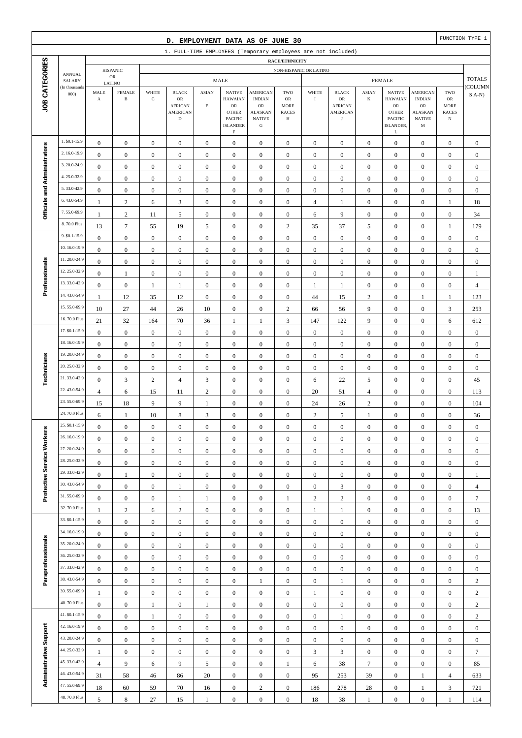|                              |                              |                                      |                                      |                                      | D. EMPLOYMENT DATA AS OF JUNE 30                              |                              |                                      |                                      |                                      |                                    |                                      |                                      |                                      |                                      |                                      | FUNCTION TYPE 1                    |
|------------------------------|------------------------------|--------------------------------------|--------------------------------------|--------------------------------------|---------------------------------------------------------------|------------------------------|--------------------------------------|--------------------------------------|--------------------------------------|------------------------------------|--------------------------------------|--------------------------------------|--------------------------------------|--------------------------------------|--------------------------------------|------------------------------------|
|                              |                              |                                      |                                      |                                      | 1. FULL-TIME EMPLOYEES (Temporary employees are not included) |                              |                                      |                                      |                                      |                                    |                                      |                                      |                                      |                                      |                                      |                                    |
| JOB CATEGORIES               |                              |                                      |                                      |                                      |                                                               |                              |                                      |                                      | RACE/ETHNICITY                       |                                    |                                      |                                      |                                      |                                      |                                      |                                    |
|                              | <b>ANNUAL</b>                |                                      | <b>HISPANIC</b><br>$_{\rm OR}$       |                                      |                                                               |                              | <b>MALE</b>                          |                                      | NON-HISPANIC OR LATINO               |                                    |                                      |                                      | <b>FEMALE</b>                        |                                      |                                      | <b>TOTALS</b>                      |
|                              | SALARY<br>(In thousands      | MALE                                 | LATINO<br><b>FEMALE</b>              | WHITE                                | <b>BLACK</b>                                                  | <b>ASIAN</b>                 | <b>NATIVE</b>                        | <b>AMERICAN</b>                      | TWO                                  | WHITE                              | <b>BLACK</b>                         | <b>ASIAN</b>                         | <b>NATIVE</b>                        | <b>AMERICAN</b>                      | TWO                                  | COLUMN                             |
|                              | 000                          | $\mathbf A$                          | $\, {\bf B}$                         | $\mathbf C$                          | OR                                                            |                              | <b>HAWAIAN</b>                       | <b>INDIAN</b>                        | OR                                   | $\mathbf I$                        | OR                                   | K                                    | <b>HAWAIAN</b>                       | <b>INDIAN</b>                        | ${\sf OR}$                           | $S(A-N)$                           |
|                              |                              |                                      |                                      |                                      | <b>AFRICAN</b><br><b>AMERICAN</b>                             | $\mathbf E$                  | $_{\rm OR}$<br><b>OTHER</b>          | $_{\rm OR}$<br><b>ALASKAN</b>        | <b>MORE</b><br><b>RACES</b>          |                                    | <b>AFRICAN</b><br><b>AMERICAN</b>    |                                      | ${\rm OR}$<br><b>OTHER</b>           | <b>OR</b><br><b>ALASKAN</b>          | <b>MORE</b><br><b>RACES</b>          |                                    |
|                              |                              |                                      |                                      |                                      | $\mathbf D$                                                   |                              | PACIFIC<br><b>ISLANDER</b>           | <b>NATIVE</b><br>${\bf G}$           | Н                                    |                                    | $_{\rm J}$                           |                                      | <b>PACIFIC</b><br>ISLANDER,          | <b>NATIVE</b><br>M                   | $_{\rm N}$                           |                                    |
|                              |                              |                                      |                                      |                                      |                                                               |                              | $\mathbf F$                          |                                      |                                      |                                    |                                      |                                      | L                                    |                                      |                                      |                                    |
|                              | 1. \$0.1-15.9                | $\boldsymbol{0}$                     | $\boldsymbol{0}$                     | $\boldsymbol{0}$                     | $\boldsymbol{0}$                                              | $\boldsymbol{0}$             | $\boldsymbol{0}$                     | $\mathbf{0}$                         | $\boldsymbol{0}$                     | $\boldsymbol{0}$                   | $\boldsymbol{0}$                     | $\boldsymbol{0}$                     | $\boldsymbol{0}$                     | $\boldsymbol{0}$                     | $\boldsymbol{0}$                     | $\mathbf{0}$                       |
|                              | 2.16.0-19.9                  | $\boldsymbol{0}$                     | $\boldsymbol{0}$                     | $\boldsymbol{0}$                     | $\boldsymbol{0}$                                              | $\boldsymbol{0}$             | $\mathbf{0}$                         | $\mathbf{0}$                         | $\boldsymbol{0}$                     | $\boldsymbol{0}$                   | $\boldsymbol{0}$                     | $\boldsymbol{0}$                     | $\boldsymbol{0}$                     | $\boldsymbol{0}$                     | $\boldsymbol{0}$                     | $\boldsymbol{0}$                   |
|                              | 3.20.0-24.9                  | $\boldsymbol{0}$                     | $\mathbf{0}$                         | $\boldsymbol{0}$                     | $\boldsymbol{0}$                                              | $\boldsymbol{0}$             | $\mathbf{0}$                         | $\boldsymbol{0}$                     | $\boldsymbol{0}$                     | $\boldsymbol{0}$                   | $\boldsymbol{0}$                     | $\boldsymbol{0}$                     | $\boldsymbol{0}$                     | $\boldsymbol{0}$                     | $\boldsymbol{0}$                     | $\boldsymbol{0}$                   |
|                              | 4.25.0-32.9                  | $\mathbf{0}$                         | $\mathbf{0}$                         | $\boldsymbol{0}$                     | $\boldsymbol{0}$                                              | $\boldsymbol{0}$             | $\mathbf{0}$                         | $\boldsymbol{0}$                     | $\mathbf{0}$                         | $\boldsymbol{0}$                   | $\boldsymbol{0}$                     | $\boldsymbol{0}$                     | $\boldsymbol{0}$                     | $\boldsymbol{0}$                     | $\boldsymbol{0}$                     | $\boldsymbol{0}$                   |
| Officials and Administrators | 5.33.0-42.9                  | $\boldsymbol{0}$                     | $\mathbf{0}$                         | $\boldsymbol{0}$                     | $\boldsymbol{0}$                                              | $\boldsymbol{0}$             | $\boldsymbol{0}$                     | $\boldsymbol{0}$                     | $\boldsymbol{0}$                     | $\boldsymbol{0}$                   | $\boldsymbol{0}$                     | $\boldsymbol{0}$                     | $\boldsymbol{0}$                     | $\boldsymbol{0}$                     | $\boldsymbol{0}$                     | $\boldsymbol{0}$                   |
|                              | 6.43.0-54.9                  | -1                                   | $\sqrt{2}$                           | 6                                    | $\mathfrak{Z}$                                                | $\boldsymbol{0}$             | $\boldsymbol{0}$                     | $\boldsymbol{0}$                     | $\boldsymbol{0}$                     | $\overline{4}$                     | 1                                    | $\boldsymbol{0}$                     | $\boldsymbol{0}$                     | $\boldsymbol{0}$                     | $\mathbf{1}$                         | 18                                 |
|                              | 7.55.0-69.9                  | $\mathbf{1}$                         | $\sqrt{2}$                           | 11                                   | 5                                                             | $\boldsymbol{0}$             | $\boldsymbol{0}$                     | $\boldsymbol{0}$                     | $\boldsymbol{0}$                     | 6                                  | 9                                    | $\boldsymbol{0}$                     | $\boldsymbol{0}$                     | $\boldsymbol{0}$                     | $\boldsymbol{0}$                     | 34                                 |
|                              | 8.70.0 Plus                  | 13                                   | $\overline{7}$                       | 55                                   | 19                                                            | 5                            | $\boldsymbol{0}$                     | $\boldsymbol{0}$                     | $\overline{c}$                       | 35                                 | 37                                   | 5                                    | $\boldsymbol{0}$                     | $\overline{0}$                       | $\mathbf{1}$                         | 179                                |
|                              | 9. \$0.1-15.9                | $\boldsymbol{0}$                     | $\mathbf{0}$                         | $\boldsymbol{0}$                     | $\boldsymbol{0}$                                              | $\boldsymbol{0}$             | $\boldsymbol{0}$                     | $\boldsymbol{0}$                     | $\boldsymbol{0}$                     | $\boldsymbol{0}$                   | $\boldsymbol{0}$                     | $\boldsymbol{0}$                     | $\boldsymbol{0}$                     | $\boldsymbol{0}$                     | $\boldsymbol{0}$                     | $\boldsymbol{0}$                   |
|                              | 10.16.0-19.9                 | $\boldsymbol{0}$                     | $\mathbf{0}$                         | $\boldsymbol{0}$                     | $\boldsymbol{0}$                                              | $\boldsymbol{0}$             | $\boldsymbol{0}$                     | $\boldsymbol{0}$                     | $\boldsymbol{0}$                     | $\mathbf{0}$                       | $\boldsymbol{0}$                     | $\boldsymbol{0}$                     | $\boldsymbol{0}$                     | $\boldsymbol{0}$                     | $\boldsymbol{0}$                     | $\boldsymbol{0}$                   |
| Professionals                | 11.20.0-24.9                 | $\boldsymbol{0}$                     | $\mathbf{0}$                         | $\boldsymbol{0}$                     | $\boldsymbol{0}$                                              | $\boldsymbol{0}$             | $\boldsymbol{0}$                     | $\boldsymbol{0}$                     | $\boldsymbol{0}$                     | $\boldsymbol{0}$                   | $\boldsymbol{0}$                     | $\boldsymbol{0}$                     | $\boldsymbol{0}$                     | $\boldsymbol{0}$                     | $\boldsymbol{0}$                     | $\boldsymbol{0}$                   |
|                              | 12.25.0-32.9                 | $\boldsymbol{0}$                     | 1                                    | $\boldsymbol{0}$                     | $\boldsymbol{0}$                                              | $\boldsymbol{0}$             | $\mathbf{0}$                         | $\boldsymbol{0}$                     | $\mathbf{0}$                         | $\boldsymbol{0}$                   | $\boldsymbol{0}$                     | $\boldsymbol{0}$                     | $\boldsymbol{0}$                     | $\boldsymbol{0}$                     | $\boldsymbol{0}$                     | -1                                 |
|                              | 13.33.0-42.9                 | $\boldsymbol{0}$                     | $\boldsymbol{0}$                     | $\mathbf{1}$                         | $\mathbf{1}$                                                  | $\boldsymbol{0}$             | $\mathbf{0}$                         | $\boldsymbol{0}$                     | $\boldsymbol{0}$                     | $\mathbf{1}$                       | $\mathbf{1}$                         | $\boldsymbol{0}$                     | $\boldsymbol{0}$                     | $\boldsymbol{0}$                     | $\boldsymbol{0}$                     | $\overline{4}$                     |
|                              | 14.43.0-54.9                 | $\mathbf{1}$                         | 12                                   | 35                                   | 12                                                            | $\boldsymbol{0}$             | $\mathbf{0}$                         | $\boldsymbol{0}$                     | $\boldsymbol{0}$                     | 44                                 | 15                                   | $\overline{c}$                       | $\boldsymbol{0}$                     | 1                                    | $\mathbf{1}$                         | 123                                |
|                              | 15.55.0-69.9                 | 10                                   | $27\,$                               | 44                                   | 26                                                            | 10                           | $\mathbf{0}$                         | $\boldsymbol{0}$                     | $\overline{c}$                       | 66                                 | 56                                   | 9                                    | $\boldsymbol{0}$                     | $\boldsymbol{0}$                     | 3                                    | 253                                |
|                              | 16.70.0 Plus                 | 21                                   | 32                                   | 164                                  | 70                                                            | 36                           | 1                                    | 1                                    | 3                                    | 147                                | 122                                  | 9                                    | $\boldsymbol{0}$                     | $\overline{0}$                       | 6                                    | 612                                |
|                              | 17. \$0.1-15.9               | $\boldsymbol{0}$                     | $\boldsymbol{0}$                     | $\boldsymbol{0}$                     | $\boldsymbol{0}$                                              | $\boldsymbol{0}$             | $\mathbf{0}$                         | $\boldsymbol{0}$                     | $\boldsymbol{0}$                     | $\boldsymbol{0}$                   | $\boldsymbol{0}$                     | $\boldsymbol{0}$                     | $\boldsymbol{0}$                     | $\boldsymbol{0}$                     | $\boldsymbol{0}$                     | $\boldsymbol{0}$                   |
|                              | 18.16.0-19.9                 | $\boldsymbol{0}$                     | $\boldsymbol{0}$                     | $\boldsymbol{0}$                     | $\boldsymbol{0}$                                              | $\boldsymbol{0}$             | $\mathbf{0}$                         | $\boldsymbol{0}$                     | $\boldsymbol{0}$                     | $\boldsymbol{0}$                   | $\boldsymbol{0}$                     | $\boldsymbol{0}$                     | $\boldsymbol{0}$                     | $\boldsymbol{0}$                     | $\boldsymbol{0}$                     | $\boldsymbol{0}$                   |
|                              | 19.20.0-24.9                 | $\boldsymbol{0}$                     | $\mathbf{0}$                         | $\boldsymbol{0}$                     | $\boldsymbol{0}$                                              | $\boldsymbol{0}$             | $\mathbf{0}$                         | $\boldsymbol{0}$                     | $\boldsymbol{0}$                     | $\mathbf{0}$                       | $\boldsymbol{0}$                     | $\boldsymbol{0}$                     | $\boldsymbol{0}$                     | $\boldsymbol{0}$                     | $\boldsymbol{0}$                     | $\boldsymbol{0}$                   |
| Technicians                  | 20.25.0-32.9                 | $\mathbf{0}$                         | $\boldsymbol{0}$                     | $\boldsymbol{0}$                     | $\boldsymbol{0}$                                              | $\boldsymbol{0}$             | $\mathbf{0}$                         | $\boldsymbol{0}$                     | $\mathbf{0}$                         | $\mathbf{0}$                       | $\boldsymbol{0}$                     | $\boldsymbol{0}$                     | $\boldsymbol{0}$                     | $\boldsymbol{0}$                     | $\boldsymbol{0}$                     | $\boldsymbol{0}$                   |
|                              | 21.33.0-42.9<br>22.43.0-54.9 | $\boldsymbol{0}$                     | 3                                    | $\sqrt{2}$                           | $\overline{4}$                                                | 3                            | $\mathbf{0}$                         | $\boldsymbol{0}$                     | $\boldsymbol{0}$                     | 6                                  | 22                                   | 5                                    | $\boldsymbol{0}$                     | $\boldsymbol{0}$                     | $\boldsymbol{0}$                     | 45                                 |
|                              | 23.55.0-69.9                 | $\overline{4}$                       | 6                                    | 15                                   | 11                                                            | $\sqrt{2}$                   | $\boldsymbol{0}$                     | $\boldsymbol{0}$                     | $\boldsymbol{0}$                     | 20                                 | 51                                   | $\overline{4}$                       | $\boldsymbol{0}$                     | $\boldsymbol{0}$                     | $\boldsymbol{0}$                     | 113                                |
|                              | 24.70.0 Plus                 | 15                                   | 18                                   | 9                                    | 9                                                             | 1                            | $\boldsymbol{0}$                     | $\boldsymbol{0}$                     | $\boldsymbol{0}$                     | 24                                 | 26                                   | $\sqrt{2}$                           | $\boldsymbol{0}$                     | $\boldsymbol{0}$                     | $\boldsymbol{0}$                     | 104                                |
|                              | 25. \$0.1-15.9               | 6                                    | 1                                    | 10                                   | $\,$ 8 $\,$                                                   | 3                            | $\boldsymbol{0}$                     | $\boldsymbol{0}$                     | $\mathbf{0}$                         | $\overline{c}$                     | 5                                    | 1                                    | $\boldsymbol{0}$                     | $\overline{0}$                       | $\boldsymbol{0}$                     | 36                                 |
|                              | 26.16.0-19.9                 | $\boldsymbol{0}$                     | $\boldsymbol{0}$                     | $\boldsymbol{0}$                     | $\boldsymbol{0}$                                              | $\boldsymbol{0}$             | $\boldsymbol{0}$                     | $\bf{0}$                             | $\boldsymbol{0}$                     | $\boldsymbol{0}$                   | $\boldsymbol{0}$                     | $\boldsymbol{0}$                     | $\boldsymbol{0}$                     | 0                                    | $\bf{0}$                             | $\boldsymbol{0}$                   |
|                              | 27.20.0-24.9                 | $\boldsymbol{0}$                     | $\boldsymbol{0}$                     | $\boldsymbol{0}$                     | $\boldsymbol{0}$                                              | $\boldsymbol{0}$             | $\boldsymbol{0}$                     | $\boldsymbol{0}$                     | $\boldsymbol{0}$                     | $\boldsymbol{0}$                   | $\boldsymbol{0}$                     | $\mathbf{0}$                         | $\boldsymbol{0}$                     | $\boldsymbol{0}$                     | $\boldsymbol{0}$                     | $\boldsymbol{0}$                   |
|                              | 28.25.0-32.9                 | $\boldsymbol{0}$<br>$\boldsymbol{0}$ | $\boldsymbol{0}$                     | $\boldsymbol{0}$                     | $\boldsymbol{0}$                                              | $\boldsymbol{0}$             | $\boldsymbol{0}$                     | $\boldsymbol{0}$                     | $\boldsymbol{0}$                     | $\boldsymbol{0}$                   | $\boldsymbol{0}$                     | $\boldsymbol{0}$                     | $\boldsymbol{0}$                     | $\boldsymbol{0}$                     | $\boldsymbol{0}$                     | $\boldsymbol{0}$                   |
|                              | 29.33.0-42.9                 | $\boldsymbol{0}$                     | $\boldsymbol{0}$                     | $\boldsymbol{0}$                     | $\boldsymbol{0}$                                              | $\mathbf{0}$<br>$\mathbf{0}$ | $\boldsymbol{0}$<br>$\boldsymbol{0}$ | $\boldsymbol{0}$<br>$\boldsymbol{0}$ | $\boldsymbol{0}$<br>$\boldsymbol{0}$ | $\overline{0}$<br>$\boldsymbol{0}$ | $\boldsymbol{0}$<br>$\boldsymbol{0}$ | $\boldsymbol{0}$<br>$\boldsymbol{0}$ | $\boldsymbol{0}$<br>$\boldsymbol{0}$ | $\boldsymbol{0}$<br>$\boldsymbol{0}$ | $\boldsymbol{0}$                     | $\boldsymbol{0}$                   |
|                              | 30.43.0-54.9                 | $\boldsymbol{0}$                     | $\mathbf{1}$                         | $\boldsymbol{0}$                     | $\boldsymbol{0}$                                              | $\boldsymbol{0}$             | $\boldsymbol{0}$                     |                                      |                                      |                                    |                                      | $\boldsymbol{0}$                     |                                      |                                      | $\boldsymbol{0}$                     | $\mathbf{1}$                       |
| Protective Service Workers   | 31.55.0-69.9                 | $\boldsymbol{0}$                     | $\boldsymbol{0}$<br>$\boldsymbol{0}$ | $\boldsymbol{0}$<br>$\boldsymbol{0}$ | $\mathbf{1}$<br>$\mathbf{1}$                                  | $\mathbf{1}$                 | $\boldsymbol{0}$                     | $\boldsymbol{0}$<br>$\boldsymbol{0}$ | $\boldsymbol{0}$<br>1                | $\boldsymbol{0}$<br>$\sqrt{2}$     | $\mathfrak{Z}$<br>$\sqrt{2}$         | $\boldsymbol{0}$                     | $\boldsymbol{0}$<br>$\boldsymbol{0}$ | $\boldsymbol{0}$<br>$\boldsymbol{0}$ | $\boldsymbol{0}$<br>$\boldsymbol{0}$ | $\overline{4}$<br>$\boldsymbol{7}$ |
|                              | 32.70.0 Plus                 | $\mathbf{1}$                         | $\sqrt{2}$                           | 6                                    | $\overline{c}$                                                | $\mathbf{0}$                 | $\boldsymbol{0}$                     | $\boldsymbol{0}$                     | $\boldsymbol{0}$                     | $\,1$                              | $\mathbf{1}$                         | $\boldsymbol{0}$                     | $\boldsymbol{0}$                     | $\boldsymbol{0}$                     | $\boldsymbol{0}$                     | 13                                 |
|                              | 33. \$0.1-15.9               | $\boldsymbol{0}$                     | $\boldsymbol{0}$                     | $\boldsymbol{0}$                     | $\boldsymbol{0}$                                              | $\mathbf{0}$                 | $\boldsymbol{0}$                     | $\boldsymbol{0}$                     | $\boldsymbol{0}$                     | $\boldsymbol{0}$                   | $\boldsymbol{0}$                     | $\boldsymbol{0}$                     | $\boldsymbol{0}$                     | $\boldsymbol{0}$                     | $\boldsymbol{0}$                     | $\boldsymbol{0}$                   |
|                              | 34.16.0-19.9                 | $\boldsymbol{0}$                     | $\boldsymbol{0}$                     | $\boldsymbol{0}$                     | $\boldsymbol{0}$                                              | $\boldsymbol{0}$             | $\boldsymbol{0}$                     | $\boldsymbol{0}$                     | $\boldsymbol{0}$                     | $\boldsymbol{0}$                   | $\boldsymbol{0}$                     | $\boldsymbol{0}$                     | $\boldsymbol{0}$                     | $\boldsymbol{0}$                     | $\boldsymbol{0}$                     | $\boldsymbol{0}$                   |
| Paraprofessionals            | 35.20.0-24.9                 | $\boldsymbol{0}$                     | $\boldsymbol{0}$                     | $\boldsymbol{0}$                     | $\boldsymbol{0}$                                              | $\boldsymbol{0}$             | $\boldsymbol{0}$                     | $\boldsymbol{0}$                     | $\boldsymbol{0}$                     | $\boldsymbol{0}$                   | $\boldsymbol{0}$                     | $\boldsymbol{0}$                     | $\boldsymbol{0}$                     | $\boldsymbol{0}$                     | $\boldsymbol{0}$                     | $\boldsymbol{0}$                   |
|                              | 36.25.0-32.9                 | $\boldsymbol{0}$                     | $\boldsymbol{0}$                     | $\boldsymbol{0}$                     | $\boldsymbol{0}$                                              | $\mathbf{0}$                 | $\boldsymbol{0}$                     | $\boldsymbol{0}$                     | $\boldsymbol{0}$                     | $\overline{0}$                     | $\boldsymbol{0}$                     | $\boldsymbol{0}$                     | $\boldsymbol{0}$                     | $\boldsymbol{0}$                     | $\boldsymbol{0}$                     | $\boldsymbol{0}$                   |
|                              | 37.33.0-42.9                 | $\boldsymbol{0}$                     | $\boldsymbol{0}$                     | $\boldsymbol{0}$                     | $\boldsymbol{0}$                                              | $\mathbf{0}$                 | $\boldsymbol{0}$                     | $\boldsymbol{0}$                     | $\boldsymbol{0}$                     | $\boldsymbol{0}$                   | $\boldsymbol{0}$                     | $\boldsymbol{0}$                     | $\boldsymbol{0}$                     | $\boldsymbol{0}$                     | $\boldsymbol{0}$                     | $\boldsymbol{0}$                   |
|                              | 38.43.0-54.9                 | $\boldsymbol{0}$                     | $\boldsymbol{0}$                     | $\boldsymbol{0}$                     | $\boldsymbol{0}$                                              | $\boldsymbol{0}$             | $\boldsymbol{0}$                     | 1                                    | $\boldsymbol{0}$                     | $\boldsymbol{0}$                   | $\mathbf{1}$                         | $\boldsymbol{0}$                     | $\boldsymbol{0}$                     | $\boldsymbol{0}$                     | $\boldsymbol{0}$                     | $\sqrt{2}$                         |
|                              | 39.55.0-69.9                 | $\mathbf{1}$                         | $\boldsymbol{0}$                     | $\boldsymbol{0}$                     | $\boldsymbol{0}$                                              | $\boldsymbol{0}$             | $\boldsymbol{0}$                     | $\boldsymbol{0}$                     | $\boldsymbol{0}$                     | $\mathbf{1}$                       | $\boldsymbol{0}$                     | $\boldsymbol{0}$                     | $\boldsymbol{0}$                     | $\boldsymbol{0}$                     | $\boldsymbol{0}$                     | $\overline{c}$                     |
|                              | 40.70.0 Plus                 | $\boldsymbol{0}$                     | $\boldsymbol{0}$                     | $\mathbf{1}$                         | $\boldsymbol{0}$                                              | $\mathbf{1}$                 | $\boldsymbol{0}$                     | $\boldsymbol{0}$                     | $\boldsymbol{0}$                     | $\mathbf{0}$                       | $\boldsymbol{0}$                     | $\boldsymbol{0}$                     | $\boldsymbol{0}$                     | $\boldsymbol{0}$                     | $\boldsymbol{0}$                     | $\mathbf{2}$                       |
|                              | 41. \$0.1-15.9               | $\boldsymbol{0}$                     | $\boldsymbol{0}$                     | $\mathbf{1}$                         | $\boldsymbol{0}$                                              | $\boldsymbol{0}$             | $\boldsymbol{0}$                     | $\boldsymbol{0}$                     | $\boldsymbol{0}$                     | $\boldsymbol{0}$                   | $\mathbf{1}$                         | $\boldsymbol{0}$                     | $\boldsymbol{0}$                     | $\boldsymbol{0}$                     | $\boldsymbol{0}$                     | $\sqrt{2}$                         |
|                              | 42.16.0-19.9                 | $\boldsymbol{0}$                     | $\boldsymbol{0}$                     | $\boldsymbol{0}$                     | $\boldsymbol{0}$                                              | $\boldsymbol{0}$             | $\boldsymbol{0}$                     | $\boldsymbol{0}$                     | $\boldsymbol{0}$                     | $\boldsymbol{0}$                   | $\boldsymbol{0}$                     | $\boldsymbol{0}$                     | $\boldsymbol{0}$                     | $\boldsymbol{0}$                     | $\boldsymbol{0}$                     | $\boldsymbol{0}$                   |
| Administrative Support       | 43.20.0-24.9                 | $\boldsymbol{0}$                     | $\boldsymbol{0}$                     | $\boldsymbol{0}$                     | $\boldsymbol{0}$                                              | $\boldsymbol{0}$             | $\boldsymbol{0}$                     | $\boldsymbol{0}$                     | $\boldsymbol{0}$                     | $\boldsymbol{0}$                   | $\boldsymbol{0}$                     | $\boldsymbol{0}$                     | $\boldsymbol{0}$                     | $\boldsymbol{0}$                     | $\boldsymbol{0}$                     | $\boldsymbol{0}$                   |
|                              | 44.25.0-32.9                 | $\mathbf{1}$                         | $\boldsymbol{0}$                     | $\boldsymbol{0}$                     | $\boldsymbol{0}$                                              | $\mathbf{0}$                 | $\boldsymbol{0}$                     | $\boldsymbol{0}$                     | $\boldsymbol{0}$                     | 3                                  | 3                                    | $\boldsymbol{0}$                     | $\boldsymbol{0}$                     | $\boldsymbol{0}$                     | $\boldsymbol{0}$                     | $\tau$                             |
|                              | 45.33.0-42.9                 | $\overline{4}$                       | 9                                    | 6                                    | 9                                                             | 5                            | $\boldsymbol{0}$                     | $\boldsymbol{0}$                     | $\mathbf{1}$                         | 6                                  | $38\,$                               | $\boldsymbol{7}$                     | $\boldsymbol{0}$                     | $\boldsymbol{0}$                     | $\boldsymbol{0}$                     | 85                                 |
|                              | 46.43.0-54.9                 | 31                                   | 58                                   | 46                                   | 86                                                            | 20                           | $\boldsymbol{0}$                     | $\boldsymbol{0}$                     | $\boldsymbol{0}$                     | 95                                 | 253                                  | 39                                   | $\boldsymbol{0}$                     | $\mathbf{1}$                         | $\overline{4}$                       | 633                                |
|                              | 47.55.0-69.9                 | 18                                   | 60                                   | 59                                   | 70                                                            | 16                           | $\boldsymbol{0}$                     | $\sqrt{2}$                           | $\boldsymbol{0}$                     | 186                                | 278                                  | 28                                   | $\boldsymbol{0}$                     | $\mathbf{1}$                         | $\mathfrak{Z}$                       | 721                                |
|                              | 48.70.0 Plus                 | 5                                    | $\,$ 8 $\,$                          | 27                                   | 15                                                            | 1                            | $\boldsymbol{0}$                     | $\boldsymbol{0}$                     | $\boldsymbol{0}$                     | 18                                 | 38                                   | $\mathbf{1}$                         | $\boldsymbol{0}$                     | $\boldsymbol{0}$                     | $\mathbf{1}$                         | 114                                |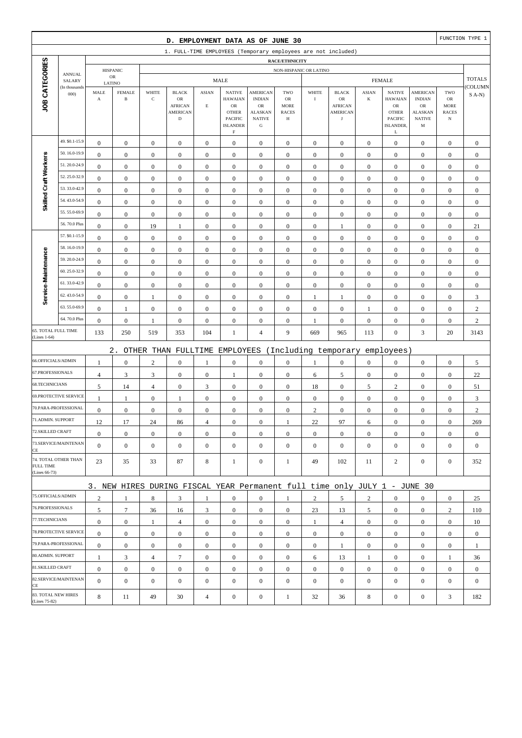|                                            |                         |                       |                               |                                  | D. EMPLOYMENT DATA AS OF JUNE 30                                          |                       |                                                                                           |                                                                     |                                        |                    |                                       |                                    |                                                                           |                                                      |                                                 | FUNCTION TYPE 1  |
|--------------------------------------------|-------------------------|-----------------------|-------------------------------|----------------------------------|---------------------------------------------------------------------------|-----------------------|-------------------------------------------------------------------------------------------|---------------------------------------------------------------------|----------------------------------------|--------------------|---------------------------------------|------------------------------------|---------------------------------------------------------------------------|------------------------------------------------------|-------------------------------------------------|------------------|
|                                            |                         |                       |                               |                                  | 1. FULL-TIME EMPLOYEES (Temporary employees are not included)             |                       |                                                                                           |                                                                     |                                        |                    |                                       |                                    |                                                                           |                                                      |                                                 |                  |
|                                            |                         |                       |                               |                                  |                                                                           |                       |                                                                                           |                                                                     | RACE/ETHNICITY                         |                    |                                       |                                    |                                                                           |                                                      |                                                 |                  |
|                                            | <b>ANNUAL</b><br>SALARY |                       | <b>HISPANIC</b><br>${\sf OR}$ |                                  |                                                                           |                       | <b>MALE</b>                                                                               |                                                                     | NON-HISPANIC OR LATINO                 |                    |                                       |                                    | <b>FEMALE</b>                                                             |                                                      |                                                 | <b>TOTALS</b>    |
|                                            | (In thousands           | LATINO<br>MALE        | <b>FEMALE</b>                 | WHITE                            | <b>BLACK</b>                                                              | <b>ASIAN</b>          | <b>NATIVE</b>                                                                             | <b>AMERICAN</b>                                                     | TWO                                    | WHITE              | <b>BLACK</b>                          | <b>ASIAN</b>                       | <b>NATIVE</b>                                                             | AMERICAN                                             | TWO                                             | COLUMN           |
| JOB CATEGORIES                             | 000                     | $\boldsymbol{\rm{A}}$ | $\, {\bf B}$                  | $\mathbf C$                      | OR<br><b>AFRICAN</b><br><b>AMERICAN</b><br>$\mathbf D$                    | $\mathbf E$           | <b>HAWAIAN</b><br>${\sf OR}$<br><b>OTHER</b><br>PACIFIC<br><b>ISLANDER</b><br>$\mathbf F$ | <b>INDIAN</b><br>OR<br><b>ALASKAN</b><br><b>NATIVE</b><br>${\bf G}$ | OR<br><b>MORE</b><br><b>RACES</b><br>Н | $\bf I$            | OR<br><b>AFRICAN</b><br>AMERICAN<br>J | $\bf K$                            | <b>HAWAIAN</b><br>${\sf OR}$<br><b>OTHER</b><br>PACIFIC<br>ISLANDER,<br>L | <b>INDIAN</b><br>OR<br>ALASKAN<br><b>NATIVE</b><br>M | OR<br><b>MORE</b><br><b>RACES</b><br>$_{\rm N}$ | $S(A-N)$         |
|                                            | 49. \$0.1-15.9          | $\boldsymbol{0}$      | $\boldsymbol{0}$              | $\boldsymbol{0}$                 | $\boldsymbol{0}$                                                          | $\boldsymbol{0}$      | $\boldsymbol{0}$                                                                          | $\boldsymbol{0}$                                                    | $\boldsymbol{0}$                       | $\boldsymbol{0}$   | $\boldsymbol{0}$                      | $\mathbf{0}$                       | $\boldsymbol{0}$                                                          | $\boldsymbol{0}$                                     | $\boldsymbol{0}$                                | $\boldsymbol{0}$ |
|                                            | 50.16.0-19.9            | $\boldsymbol{0}$      | $\boldsymbol{0}$              | $\boldsymbol{0}$                 | $\boldsymbol{0}$                                                          | $\boldsymbol{0}$      | $\boldsymbol{0}$                                                                          | $\boldsymbol{0}$                                                    | $\boldsymbol{0}$                       | $\boldsymbol{0}$   | $\boldsymbol{0}$                      | $\boldsymbol{0}$                   | $\boldsymbol{0}$                                                          | $\boldsymbol{0}$                                     | $\boldsymbol{0}$                                | $\boldsymbol{0}$ |
| Skilled Craft Workers                      | 51.20.0-24.9            | $\mathbf{0}$          | $\boldsymbol{0}$              | $\boldsymbol{0}$                 | $\boldsymbol{0}$                                                          | $\mathbf{0}$          | $\mathbf{0}$                                                                              | $\boldsymbol{0}$                                                    | $\boldsymbol{0}$                       | $\boldsymbol{0}$   | $\mathbf{0}$                          | $\boldsymbol{0}$                   | $\boldsymbol{0}$                                                          | $\boldsymbol{0}$                                     | $\boldsymbol{0}$                                | $\boldsymbol{0}$ |
|                                            | 52.25.0-32.9            | $\boldsymbol{0}$      | $\boldsymbol{0}$              | $\boldsymbol{0}$                 | $\boldsymbol{0}$                                                          | $\mathbf{0}$          | $\mathbf{0}$                                                                              | $\boldsymbol{0}$                                                    | $\boldsymbol{0}$                       | $\boldsymbol{0}$   | $\mathbf{0}$                          | $\boldsymbol{0}$                   | $\boldsymbol{0}$                                                          | $\boldsymbol{0}$                                     | $\boldsymbol{0}$                                | $\boldsymbol{0}$ |
|                                            | 53.33.0-42.9            | $\boldsymbol{0}$      | $\boldsymbol{0}$              | $\boldsymbol{0}$                 | $\boldsymbol{0}$                                                          | $\boldsymbol{0}$      | $\boldsymbol{0}$                                                                          | $\boldsymbol{0}$                                                    | $\boldsymbol{0}$                       | $\boldsymbol{0}$   | $\boldsymbol{0}$                      | $\boldsymbol{0}$                   | $\boldsymbol{0}$                                                          | $\boldsymbol{0}$                                     | $\boldsymbol{0}$                                | $\boldsymbol{0}$ |
|                                            | 54.43.0-54.9            | $\boldsymbol{0}$      | $\boldsymbol{0}$              | $\boldsymbol{0}$                 | $\boldsymbol{0}$                                                          | $\boldsymbol{0}$      | $\boldsymbol{0}$                                                                          | $\boldsymbol{0}$                                                    | $\boldsymbol{0}$                       | $\boldsymbol{0}$   | $\boldsymbol{0}$                      | $\boldsymbol{0}$                   | $\boldsymbol{0}$                                                          | $\boldsymbol{0}$                                     | $\boldsymbol{0}$                                | $\boldsymbol{0}$ |
|                                            | 55.55.0-69.9            | $\boldsymbol{0}$      | $\boldsymbol{0}$              | $\boldsymbol{0}$                 | $\boldsymbol{0}$                                                          | $\mathbf{0}$          | $\mathbf{0}$                                                                              | $\boldsymbol{0}$                                                    | $\boldsymbol{0}$                       | $\mathbf{0}$       | $\mathbf{0}$                          | $\boldsymbol{0}$                   | $\boldsymbol{0}$                                                          | $\boldsymbol{0}$                                     | $\boldsymbol{0}$                                | $\boldsymbol{0}$ |
|                                            | 56.70.0 Plus            | $\boldsymbol{0}$      | $\boldsymbol{0}$              | 19                               | 1                                                                         | $\mathbf{0}$          | $\mathbf{0}$                                                                              | $\boldsymbol{0}$                                                    | $\boldsymbol{0}$                       | $\boldsymbol{0}$   | 1                                     | $\boldsymbol{0}$                   | $\boldsymbol{0}$                                                          | $\boldsymbol{0}$                                     | $\boldsymbol{0}$                                | 21               |
|                                            | 57. \$0.1-15.9          | $\boldsymbol{0}$      | $\boldsymbol{0}$              | $\boldsymbol{0}$                 | $\boldsymbol{0}$                                                          | $\boldsymbol{0}$      | $\mathbf{0}$                                                                              | $\boldsymbol{0}$                                                    | $\boldsymbol{0}$                       | $\boldsymbol{0}$   | $\boldsymbol{0}$                      | $\boldsymbol{0}$                   | $\boldsymbol{0}$                                                          | $\boldsymbol{0}$                                     | $\boldsymbol{0}$                                | $\boldsymbol{0}$ |
|                                            | 58.16.0-19.9            | $\boldsymbol{0}$      | $\boldsymbol{0}$              | $\boldsymbol{0}$                 | $\boldsymbol{0}$                                                          | $\boldsymbol{0}$      | $\mathbf{0}$                                                                              | $\boldsymbol{0}$                                                    | $\boldsymbol{0}$                       | $\mathbf{0}$       | $\boldsymbol{0}$                      | $\boldsymbol{0}$                   | $\boldsymbol{0}$                                                          | $\boldsymbol{0}$                                     | $\boldsymbol{0}$                                | $\boldsymbol{0}$ |
| Service-Maintenance                        | 59.20.0-24.9            | $\mathbf{0}$          | $\boldsymbol{0}$              | $\boldsymbol{0}$                 | $\boldsymbol{0}$                                                          | $\boldsymbol{0}$      | $\mathbf{0}$                                                                              | $\boldsymbol{0}$                                                    | $\boldsymbol{0}$                       | $\mathbf{0}$       | $\mathbf{0}$                          | $\boldsymbol{0}$                   | $\boldsymbol{0}$                                                          | $\boldsymbol{0}$                                     | $\boldsymbol{0}$                                | $\boldsymbol{0}$ |
|                                            | 60.25.0-32.9            | $\boldsymbol{0}$      | $\boldsymbol{0}$              | $\boldsymbol{0}$                 | $\boldsymbol{0}$                                                          | $\boldsymbol{0}$      | $\boldsymbol{0}$                                                                          | $\boldsymbol{0}$                                                    | $\boldsymbol{0}$                       | $\boldsymbol{0}$   | $\mathbf{0}$                          | $\boldsymbol{0}$                   | $\boldsymbol{0}$                                                          | $\boldsymbol{0}$                                     | $\boldsymbol{0}$                                | $\boldsymbol{0}$ |
|                                            | 61.33.0-42.9            | $\boldsymbol{0}$      | $\boldsymbol{0}$              | $\boldsymbol{0}$                 | $\boldsymbol{0}$                                                          | $\boldsymbol{0}$      | $\boldsymbol{0}$                                                                          | $\boldsymbol{0}$                                                    | $\boldsymbol{0}$                       | $\boldsymbol{0}$   | $\boldsymbol{0}$                      | $\boldsymbol{0}$                   | $\boldsymbol{0}$                                                          | $\boldsymbol{0}$                                     | $\boldsymbol{0}$                                | $\boldsymbol{0}$ |
|                                            | 62.43.0-54.9            | $\boldsymbol{0}$      | $\boldsymbol{0}$              | 1                                | $\boldsymbol{0}$                                                          | $\boldsymbol{0}$      | $\mathbf{0}$                                                                              | $\boldsymbol{0}$                                                    | $\boldsymbol{0}$                       | $\mathbf{1}$       | 1                                     | $\boldsymbol{0}$                   | $\boldsymbol{0}$                                                          | $\boldsymbol{0}$                                     | $\boldsymbol{0}$                                | 3                |
|                                            | 63.55.0-69.9            | $\boldsymbol{0}$      | $\mathbf{1}$                  | $\boldsymbol{0}$                 | $\boldsymbol{0}$                                                          | $\mathbf{0}$          | $\mathbf{0}$                                                                              | $\boldsymbol{0}$                                                    | $\boldsymbol{0}$                       | $\mathbf{0}$       | $\mathbf{0}$                          | 1                                  | $\boldsymbol{0}$                                                          | $\boldsymbol{0}$                                     | $\boldsymbol{0}$                                | $\sqrt{2}$       |
|                                            | 64.70.0 Plus            | $\boldsymbol{0}$      | $\boldsymbol{0}$              | 1                                | $\boldsymbol{0}$                                                          | $\boldsymbol{0}$      | $\mathbf{0}$                                                                              | $\boldsymbol{0}$                                                    | $\boldsymbol{0}$                       | $\mathbf{1}$       | $\boldsymbol{0}$                      | $\boldsymbol{0}$                   | $\boldsymbol{0}$                                                          | $\boldsymbol{0}$                                     | $\boldsymbol{0}$                                | $\sqrt{2}$       |
| <b>65. TOTAL FULL TIME</b><br>(Lines 1-64) |                         | 133                   | 250                           | 519                              | 353                                                                       | 104                   | 1                                                                                         | $\overline{4}$                                                      | 9                                      | 669                | 965                                   | 113                                | $\boldsymbol{0}$                                                          | 3                                                    | 20                                              | 3143             |
|                                            |                         |                       |                               |                                  |                                                                           |                       |                                                                                           |                                                                     |                                        |                    |                                       |                                    |                                                                           |                                                      |                                                 |                  |
| 66.OFFICIALS/ADMIN                         |                         |                       | $2$ .                         |                                  | OTHER THAN FULLTIME EMPLOYEES                                             |                       |                                                                                           |                                                                     |                                        |                    | (Including temporary                  |                                    | employees)                                                                |                                                      |                                                 |                  |
| 67.PROFESSIONALS                           |                         | $\mathbf{1}$          | $\boldsymbol{0}$              | $\sqrt{2}$                       | $\boldsymbol{0}$                                                          | 1                     | $\boldsymbol{0}$                                                                          | $\boldsymbol{0}$<br>$\boldsymbol{0}$                                | $\boldsymbol{0}$                       | $\mathbf{1}$       | $\boldsymbol{0}$                      | $\boldsymbol{0}$<br>$\overline{0}$ | $\boldsymbol{0}$<br>$\boldsymbol{0}$                                      | $\boldsymbol{0}$                                     | $\boldsymbol{0}$                                | $\sqrt{5}$       |
| 68.TECHNICIANS                             |                         | $\overline{4}$<br>5   | $\mathfrak{Z}$                | $\mathfrak{Z}$<br>$\overline{4}$ | $\boldsymbol{0}$<br>$\boldsymbol{0}$                                      | $\boldsymbol{0}$<br>3 | 1<br>$\boldsymbol{0}$                                                                     | $\boldsymbol{0}$                                                    | $\boldsymbol{0}$                       | 6                  | 5<br>$\boldsymbol{0}$                 |                                    | $\sqrt{2}$                                                                | $\boldsymbol{0}$<br>$\boldsymbol{0}$                 | $\boldsymbol{0}$<br>$\boldsymbol{0}$            | 22               |
|                                            | 69.PROTECTIVE SERVICE   | $\mathbf{1}$          | 14<br>$\mathbf{1}$            | $\boldsymbol{0}$                 | 1                                                                         | $\mathbf{0}$          | $\boldsymbol{0}$                                                                          | $\boldsymbol{0}$                                                    | $\boldsymbol{0}$<br>$\boldsymbol{0}$   | 18<br>$\mathbf{0}$ | $\mathbf{0}$                          | 5<br>$\boldsymbol{0}$              | $\boldsymbol{0}$                                                          | $\boldsymbol{0}$                                     | $\boldsymbol{0}$                                | 51<br>3          |
|                                            | 70.PARA-PROFESSIONAL    | $\boldsymbol{0}$      | $\boldsymbol{0}$              | $\boldsymbol{0}$                 | $\boldsymbol{0}$                                                          | $\boldsymbol{0}$      | $\mathbf{0}$                                                                              | $\boldsymbol{0}$                                                    | $\boldsymbol{0}$                       | $\mathbf{2}$       | $\boldsymbol{0}$                      | $\boldsymbol{0}$                   | $\boldsymbol{0}$                                                          | $\boldsymbol{0}$                                     | $\boldsymbol{0}$                                | $\sqrt{2}$       |
| 71.ADMIN. SUPPORT                          |                         | 12                    | $17\,$                        | 24                               | 86                                                                        | $\overline{4}$        | $\boldsymbol{0}$                                                                          | $\boldsymbol{0}$                                                    | 1                                      | 22                 | 97                                    | 6                                  | $\boldsymbol{0}$                                                          | $\Omega$                                             | $\boldsymbol{0}$                                | 269              |
| 72.SKILLED CRAFT                           |                         | $\boldsymbol{0}$      | $\boldsymbol{0}$              | $\boldsymbol{0}$                 | $\mathbf{0}$                                                              | $\boldsymbol{0}$      | $\boldsymbol{0}$                                                                          | $\mathbf{0}$                                                        | $\mathbf{0}$                           | $\mathbf{0}$       | $\mathbf{0}$                          | $\mathbf{0}$                       | $\boldsymbol{0}$                                                          | $\boldsymbol{0}$                                     | $\mathbf{0}$                                    | $\mathbf{0}$     |
| CE                                         | 73.SERVICE/MAINTENAN    | $\mathbf{0}$          | $\boldsymbol{0}$              | $\boldsymbol{0}$                 | $\mathbf{0}$                                                              | $\mathbf{0}$          | $\overline{0}$                                                                            | $\boldsymbol{0}$                                                    | $\mathbf{0}$                           | $\mathbf{0}$       | $\mathbf{0}$                          | $\mathbf{0}$                       | $\boldsymbol{0}$                                                          | $\boldsymbol{0}$                                     | $\boldsymbol{0}$                                | $\mathbf{0}$     |
| <b>FULL TIME</b><br>(Lines 66-73)          | 74. TOTAL OTHER THAN    | 23                    | 35                            | 33                               | 87                                                                        | $\,8\,$               | 1                                                                                         | $\boldsymbol{0}$                                                    | 1                                      | 49                 | 102                                   | 11                                 | 2                                                                         | $\mathbf{0}$                                         | $\boldsymbol{0}$                                | 352              |
|                                            |                         |                       |                               |                                  | 3. NEW HIRES DURING FISCAL YEAR Permanent full time only JULY 1 - JUNE 30 |                       |                                                                                           |                                                                     |                                        |                    |                                       |                                    |                                                                           |                                                      |                                                 |                  |
| 75.OFFICIALS/ADMIN                         |                         | $\overline{2}$        | $\mathbf{1}$                  | 8                                | 3                                                                         | 1                     | $\mathbf{0}$                                                                              | $\mathbf{0}$                                                        | 1                                      | $\overline{2}$     | 5                                     | $\overline{2}$                     | $\boldsymbol{0}$                                                          | $\mathbf{0}$                                         | $\mathbf{0}$                                    | 25               |
| 76.PROFESSIONALS                           |                         | 5                     | $\tau$                        | 36                               | 16                                                                        | 3                     | $\overline{0}$                                                                            | $\boldsymbol{0}$                                                    | $\boldsymbol{0}$                       | 23                 | 13                                    | 5                                  | $\mathbf{0}$                                                              | $\boldsymbol{0}$                                     | $\overline{c}$                                  | 110              |
| 77.TECHNICIANS                             |                         | $\boldsymbol{0}$      | $\boldsymbol{0}$              | $\mathbf{1}$                     | $\overline{4}$                                                            | $\boldsymbol{0}$      | $\overline{0}$                                                                            | $\boldsymbol{0}$                                                    | $\boldsymbol{0}$                       | $\mathbf{1}$       | $\overline{4}$                        | $\overline{0}$                     | $\mathbf{0}$                                                              | $\boldsymbol{0}$                                     | $\boldsymbol{0}$                                | 10               |
|                                            | 78.PROTECTIVE SERVICE   | $\overline{0}$        | $\boldsymbol{0}$              | $\boldsymbol{0}$                 | $\boldsymbol{0}$                                                          | $\boldsymbol{0}$      | $\overline{0}$                                                                            | $\mathbf{0}$                                                        | $\mathbf{0}$                           | $\overline{0}$     | $\boldsymbol{0}$                      | $\overline{0}$                     | $\boldsymbol{0}$                                                          | $\mathbf{0}$                                         | $\mathbf{0}$                                    | $\mathbf{0}$     |
|                                            | 79.PARA-PROFESSIONAL    | $\boldsymbol{0}$      | $\boldsymbol{0}$              | $\mathbf{0}$                     | $\mathbf{0}$                                                              | $\overline{0}$        | $\boldsymbol{0}$                                                                          | $\mathbf{0}$                                                        | $\boldsymbol{0}$                       | $\mathbf{0}$       | 1                                     | $\overline{0}$                     | $\mathbf{0}$                                                              | $\mathbf{0}$                                         | $\mathbf{0}$                                    | 1                |
| 80.ADMIN. SUPPORT                          |                         | $\mathbf{1}$          | 3                             | 4                                | $\tau$                                                                    | $\boldsymbol{0}$      | $\boldsymbol{0}$                                                                          | $\mathbf{0}$                                                        | $\boldsymbol{0}$                       | 6                  | 13                                    | $\mathbf{1}$                       | $\mathbf{0}$                                                              | $\boldsymbol{0}$                                     | 1                                               | 36               |
| 81.SKILLED CRAFT                           |                         | $\boldsymbol{0}$      | $\boldsymbol{0}$              | $\boldsymbol{0}$                 | $\boldsymbol{0}$                                                          | $\boldsymbol{0}$      | $\overline{0}$                                                                            | $\boldsymbol{0}$                                                    | $\boldsymbol{0}$                       | $\boldsymbol{0}$   | $\boldsymbol{0}$                      | $\overline{0}$                     | $\mathbf{0}$                                                              | $\boldsymbol{0}$                                     | $\boldsymbol{0}$                                | $\boldsymbol{0}$ |
| CE                                         | 82.SERVICE/MAINTENAN    | $\overline{0}$        | $\boldsymbol{0}$              | $\boldsymbol{0}$                 | $\boldsymbol{0}$                                                          | $\mathbf{0}$          | $\overline{0}$                                                                            | $\boldsymbol{0}$                                                    | $\mathbf{0}$                           | $\mathbf{0}$       | $\mathbf{0}$                          | $\mathbf{0}$                       | $\boldsymbol{0}$                                                          | $\overline{0}$                                       | $\boldsymbol{0}$                                | $\mathbf{0}$     |
| 83. TOTAL NEW HIRES<br>(Lines 75-82)       |                         | 8                     | 11                            | 49                               | 30                                                                        | $\overline{4}$        | $\boldsymbol{0}$                                                                          | $\boldsymbol{0}$                                                    | $\mathbf{1}$                           | 32                 | 36                                    | 8                                  | $\boldsymbol{0}$                                                          | $\boldsymbol{0}$                                     | 3                                               | 182              |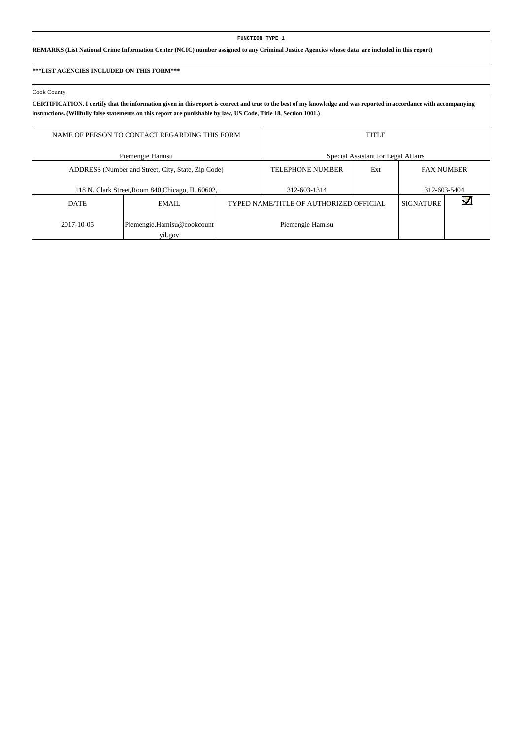|                                           |                                                                                                                                                                                    |  | FUNCTION TYPE 1                         |                                     |                   |  |  |  |  |  |  |  |  |  |  |
|-------------------------------------------|------------------------------------------------------------------------------------------------------------------------------------------------------------------------------------|--|-----------------------------------------|-------------------------------------|-------------------|--|--|--|--|--|--|--|--|--|--|
|                                           | REMARKS (List National Crime Information Center (NCIC) number assigned to any Criminal Justice Agencies whose data are included in this report)                                    |  |                                         |                                     |                   |  |  |  |  |  |  |  |  |  |  |
| ***LIST AGENCIES INCLUDED ON THIS FORM*** |                                                                                                                                                                                    |  |                                         |                                     |                   |  |  |  |  |  |  |  |  |  |  |
| Cook County                               |                                                                                                                                                                                    |  |                                         |                                     |                   |  |  |  |  |  |  |  |  |  |  |
|                                           | CERTIFICATION. I certify that the information given in this report is correct and true to the best of my knowledge and was reported in accordance with accompanying                |  |                                         |                                     |                   |  |  |  |  |  |  |  |  |  |  |
|                                           | instructions. (Willfully false statements on this report are punishable by law, US Code, Title 18, Section 1001.)<br>NAME OF PERSON TO CONTACT REGARDING THIS FORM<br><b>TITLE</b> |  |                                         |                                     |                   |  |  |  |  |  |  |  |  |  |  |
|                                           | Piemengie Hamisu                                                                                                                                                                   |  |                                         | Special Assistant for Legal Affairs |                   |  |  |  |  |  |  |  |  |  |  |
|                                           | ADDRESS (Number and Street, City, State, Zip Code)                                                                                                                                 |  | <b>TELEPHONE NUMBER</b>                 | Ext                                 | <b>FAX NUMBER</b> |  |  |  |  |  |  |  |  |  |  |
|                                           | 118 N. Clark Street, Room 840, Chicago, IL 60602,                                                                                                                                  |  | 312-603-1314                            |                                     | 312-603-5404      |  |  |  |  |  |  |  |  |  |  |
| <b>DATE</b>                               | EMAIL                                                                                                                                                                              |  | TYPED NAME/TITLE OF AUTHORIZED OFFICIAL |                                     | <b>SIGNATURE</b>  |  |  |  |  |  |  |  |  |  |  |
| 2017-10-05                                | Piemengie.Hamisu@cookcount<br>yil.gov                                                                                                                                              |  | Piemengie Hamisu                        |                                     |                   |  |  |  |  |  |  |  |  |  |  |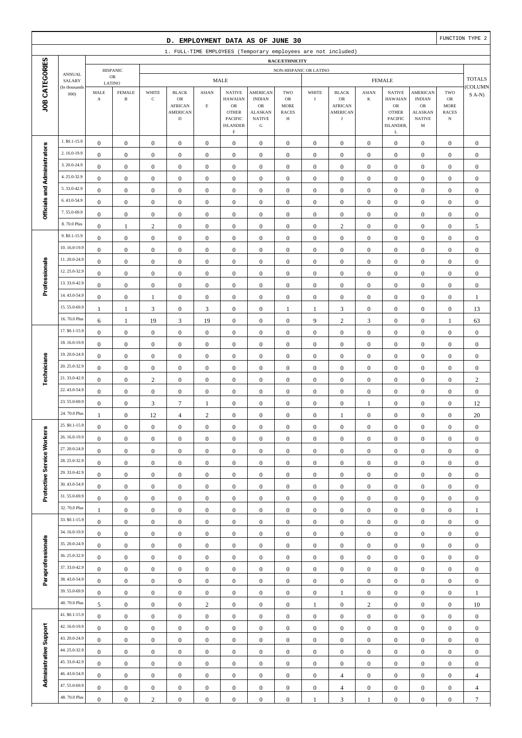|                              |                                |                                               |                                         |                                      | D. EMPLOYMENT DATA AS OF JUNE 30                                               |                                      |                                                                                                    |                                                                                                 |                                                                 |                                      |                                                                               |                                      |                                                                                              |                                                                                                  |                                                          | FUNCTION TYPE 2                      |
|------------------------------|--------------------------------|-----------------------------------------------|-----------------------------------------|--------------------------------------|--------------------------------------------------------------------------------|--------------------------------------|----------------------------------------------------------------------------------------------------|-------------------------------------------------------------------------------------------------|-----------------------------------------------------------------|--------------------------------------|-------------------------------------------------------------------------------|--------------------------------------|----------------------------------------------------------------------------------------------|--------------------------------------------------------------------------------------------------|----------------------------------------------------------|--------------------------------------|
|                              |                                |                                               |                                         |                                      |                                                                                |                                      |                                                                                                    |                                                                                                 |                                                                 |                                      | 1. FULL-TIME EMPLOYEES (Temporary employees are not included)                 |                                      |                                                                                              |                                                                                                  |                                                          |                                      |
|                              |                                |                                               | <b>HISPANIC</b>                         |                                      |                                                                                |                                      |                                                                                                    |                                                                                                 | RACE/ETHNICITY<br>NON-HISPANIC OR LATINO                        |                                      |                                                                               |                                      |                                                                                              |                                                                                                  |                                                          |                                      |
|                              | <b>ANNUAL</b><br>SALARY        |                                               | ${\sf OR}$                              |                                      |                                                                                |                                      | <b>MALE</b>                                                                                        |                                                                                                 |                                                                 |                                      |                                                                               |                                      | <b>FEMALE</b>                                                                                |                                                                                                  |                                                          | <b>TOTALS</b>                        |
| JOB CATEGORIES               | (In thousands<br>000           | $\operatorname{\mathsf{MALE}}$<br>$\mathbf A$ | LATINO<br><b>FEMALE</b><br>$\, {\bf B}$ | WHITE<br>$\mathbf C$                 | <b>BLACK</b><br>${\sf OR}$<br><b>AFRICAN</b><br><b>AMERICAN</b><br>$\mathbf D$ | <b>ASIAN</b><br>$\mathbf E$          | <b>NATIVE</b><br><b>HAWAIAN</b><br>${\sf OR}$<br><b>OTHER</b><br><b>PACIFIC</b><br><b>ISLANDER</b> | <b>AMERICAN</b><br><b>INDIAN</b><br>$_{\rm OR}$<br><b>ALASKAN</b><br><b>NATIVE</b><br>${\bf G}$ | TWO<br>$_{\rm OR}$<br><b>MORE</b><br><b>RACES</b><br>$_{\rm H}$ | WHITE<br>$\rm I$                     | <b>BLACK</b><br>${\sf OR}$<br><b>AFRICAN</b><br><b>AMERICAN</b><br>$_{\rm J}$ | <b>ASIAN</b><br>$\bf K$              | <b>NATIVE</b><br><b>HAWAIAN</b><br>${\sf OR}$<br><b>OTHER</b><br><b>PACIFIC</b><br>ISLANDER, | <b>AMERICAN</b><br><b>INDIAN</b><br>${\rm OR}$<br><b>ALASKAN</b><br><b>NATIVE</b><br>$\mathbf M$ | TWO<br>$_{\rm OR}$<br>MORE<br><b>RACES</b><br>$_{\rm N}$ | <b>COLUMN</b><br>$S$ A-N)            |
|                              | 1. \$0.1-15.9                  |                                               |                                         |                                      |                                                                                |                                      | $\rm F$                                                                                            |                                                                                                 |                                                                 |                                      | $\boldsymbol{0}$                                                              |                                      | $\mathbf L$                                                                                  |                                                                                                  |                                                          |                                      |
|                              | 2.16.0-19.9                    | $\boldsymbol{0}$<br>$\boldsymbol{0}$          | $\boldsymbol{0}$<br>$\boldsymbol{0}$    | $\boldsymbol{0}$<br>$\boldsymbol{0}$ | $\boldsymbol{0}$<br>$\boldsymbol{0}$                                           | $\boldsymbol{0}$<br>$\boldsymbol{0}$ | $\mathbf{0}$<br>$\boldsymbol{0}$                                                                   | $\boldsymbol{0}$<br>$\boldsymbol{0}$                                                            | $\boldsymbol{0}$<br>$\boldsymbol{0}$                            | $\boldsymbol{0}$<br>$\boldsymbol{0}$ | $\boldsymbol{0}$                                                              | $\boldsymbol{0}$<br>$\boldsymbol{0}$ | $\boldsymbol{0}$<br>$\boldsymbol{0}$                                                         | $\boldsymbol{0}$<br>$\boldsymbol{0}$                                                             | $\boldsymbol{0}$<br>$\boldsymbol{0}$                     | $\boldsymbol{0}$<br>$\boldsymbol{0}$ |
| Officials and Administrators | 3.20.0-24.9                    | $\boldsymbol{0}$                              | $\boldsymbol{0}$                        | $\boldsymbol{0}$                     | $\boldsymbol{0}$                                                               | $\boldsymbol{0}$                     | $\boldsymbol{0}$                                                                                   | $\boldsymbol{0}$                                                                                | $\boldsymbol{0}$                                                | $\boldsymbol{0}$                     | $\boldsymbol{0}$                                                              | $\boldsymbol{0}$                     | $\boldsymbol{0}$                                                                             | $\boldsymbol{0}$                                                                                 | $\boldsymbol{0}$                                         | $\boldsymbol{0}$                     |
|                              | 4.25.0-32.9                    | $\boldsymbol{0}$                              | $\boldsymbol{0}$                        | $\boldsymbol{0}$                     | $\boldsymbol{0}$                                                               | $\boldsymbol{0}$                     | $\boldsymbol{0}$                                                                                   | $\boldsymbol{0}$                                                                                | $\boldsymbol{0}$                                                | $\boldsymbol{0}$                     | $\boldsymbol{0}$                                                              | $\boldsymbol{0}$                     | $\boldsymbol{0}$                                                                             | $\boldsymbol{0}$                                                                                 | $\boldsymbol{0}$                                         | $\boldsymbol{0}$                     |
|                              | 5.33.0-42.9                    | $\boldsymbol{0}$                              | $\boldsymbol{0}$                        | $\boldsymbol{0}$                     | $\boldsymbol{0}$                                                               | $\boldsymbol{0}$                     | $\boldsymbol{0}$                                                                                   | $\boldsymbol{0}$                                                                                | $\boldsymbol{0}$                                                | $\boldsymbol{0}$                     | $\boldsymbol{0}$                                                              | $\boldsymbol{0}$                     | $\boldsymbol{0}$                                                                             | $\boldsymbol{0}$                                                                                 | $\boldsymbol{0}$                                         | $\boldsymbol{0}$                     |
|                              | 6.43.0-54.9                    | $\boldsymbol{0}$                              | $\boldsymbol{0}$                        | $\boldsymbol{0}$                     | $\boldsymbol{0}$                                                               | $\boldsymbol{0}$                     | $\boldsymbol{0}$                                                                                   | $\boldsymbol{0}$                                                                                | $\boldsymbol{0}$                                                | $\boldsymbol{0}$                     | $\boldsymbol{0}$                                                              | $\boldsymbol{0}$                     | $\boldsymbol{0}$                                                                             | $\boldsymbol{0}$                                                                                 | $\boldsymbol{0}$                                         | $\boldsymbol{0}$                     |
|                              | 7.55.0-69.9                    | $\boldsymbol{0}$                              | $\boldsymbol{0}$                        | $\boldsymbol{0}$                     | $\boldsymbol{0}$                                                               | $\boldsymbol{0}$                     | $\boldsymbol{0}$                                                                                   | $\boldsymbol{0}$                                                                                | $\boldsymbol{0}$                                                | $\boldsymbol{0}$                     | $\boldsymbol{0}$                                                              | $\boldsymbol{0}$                     | $\boldsymbol{0}$                                                                             | $\boldsymbol{0}$                                                                                 | $\boldsymbol{0}$                                         | $\boldsymbol{0}$                     |
|                              | 8.70.0 Plus                    | $\boldsymbol{0}$                              | $\mathbf{1}$                            | $\mathbf{2}$                         | $\boldsymbol{0}$                                                               | $\boldsymbol{0}$                     | $\mathbf{0}$                                                                                       | $\boldsymbol{0}$                                                                                | $\boldsymbol{0}$                                                | $\boldsymbol{0}$                     | $\sqrt{2}$                                                                    | $\boldsymbol{0}$                     | $\boldsymbol{0}$                                                                             | $\boldsymbol{0}$                                                                                 | $\boldsymbol{0}$                                         | 5                                    |
|                              | 9. \$0.1-15.9                  | $\boldsymbol{0}$                              | $\boldsymbol{0}$                        | $\boldsymbol{0}$                     | $\boldsymbol{0}$                                                               | $\boldsymbol{0}$                     | $\mathbf{0}$                                                                                       | $\boldsymbol{0}$                                                                                | $\boldsymbol{0}$                                                | $\boldsymbol{0}$                     | $\boldsymbol{0}$                                                              | $\boldsymbol{0}$                     | $\boldsymbol{0}$                                                                             | $\boldsymbol{0}$                                                                                 | $\boldsymbol{0}$                                         | $\boldsymbol{0}$                     |
|                              | 10.16.0-19.9                   | $\boldsymbol{0}$                              | $\boldsymbol{0}$                        | $\boldsymbol{0}$                     | $\boldsymbol{0}$                                                               | $\boldsymbol{0}$                     | $\boldsymbol{0}$                                                                                   | $\boldsymbol{0}$                                                                                | $\boldsymbol{0}$                                                | $\boldsymbol{0}$                     | $\boldsymbol{0}$                                                              | $\boldsymbol{0}$                     | $\boldsymbol{0}$                                                                             | $\boldsymbol{0}$                                                                                 | $\boldsymbol{0}$                                         | $\boldsymbol{0}$                     |
|                              | 11.20.0-24.9                   | $\boldsymbol{0}$                              | $\boldsymbol{0}$                        | $\boldsymbol{0}$                     | $\boldsymbol{0}$                                                               | $\mathbf{0}$                         | $\boldsymbol{0}$                                                                                   | $\boldsymbol{0}$                                                                                | $\boldsymbol{0}$                                                | $\boldsymbol{0}$                     | $\boldsymbol{0}$                                                              | $\boldsymbol{0}$                     | $\boldsymbol{0}$                                                                             | $\boldsymbol{0}$                                                                                 | $\boldsymbol{0}$                                         | $\boldsymbol{0}$                     |
| Professionals                | 12.25.0-32.9                   | $\boldsymbol{0}$                              | $\boldsymbol{0}$                        | $\boldsymbol{0}$                     | $\boldsymbol{0}$                                                               | $\boldsymbol{0}$                     | $\boldsymbol{0}$                                                                                   | $\boldsymbol{0}$                                                                                | $\boldsymbol{0}$                                                | $\boldsymbol{0}$                     | $\boldsymbol{0}$                                                              | $\boldsymbol{0}$                     | $\boldsymbol{0}$                                                                             | $\boldsymbol{0}$                                                                                 | $\boldsymbol{0}$                                         | $\boldsymbol{0}$                     |
|                              | 13.33.0-42.9                   | $\boldsymbol{0}$                              | $\boldsymbol{0}$                        | $\boldsymbol{0}$                     | $\boldsymbol{0}$                                                               | $\boldsymbol{0}$                     | $\mathbf{0}$                                                                                       | $\boldsymbol{0}$                                                                                | $\boldsymbol{0}$                                                | $\boldsymbol{0}$                     | $\boldsymbol{0}$                                                              | $\boldsymbol{0}$                     | $\boldsymbol{0}$                                                                             | $\boldsymbol{0}$                                                                                 | $\boldsymbol{0}$                                         | $\boldsymbol{0}$                     |
|                              | 14.43.0-54.9                   | $\boldsymbol{0}$                              | $\boldsymbol{0}$                        | $\mathbf{1}$                         | $\boldsymbol{0}$                                                               | $\boldsymbol{0}$                     | $\boldsymbol{0}$                                                                                   | $\boldsymbol{0}$                                                                                | $\boldsymbol{0}$                                                | $\boldsymbol{0}$                     | $\boldsymbol{0}$                                                              | $\boldsymbol{0}$                     | $\boldsymbol{0}$                                                                             | $\boldsymbol{0}$                                                                                 | $\boldsymbol{0}$                                         | $\mathbf{1}$                         |
|                              | 15.55.0-69.9                   | $\mathbf{1}$                                  | $\mathbf{1}$                            | 3                                    | $\boldsymbol{0}$                                                               | 3                                    | $\mathbf{0}$                                                                                       | $\boldsymbol{0}$                                                                                | 1                                                               | $\mathbf{1}$                         | 3                                                                             | $\boldsymbol{0}$                     | $\boldsymbol{0}$                                                                             | $\boldsymbol{0}$                                                                                 | $\boldsymbol{0}$                                         | 13                                   |
|                              | 16.70.0 Plus<br>17. \$0.1-15.9 | 6                                             | 1                                       | 19                                   | $\mathfrak{Z}$                                                                 | 19                                   | $\boldsymbol{0}$                                                                                   | $\boldsymbol{0}$                                                                                | $\boldsymbol{0}$                                                | 9                                    | $\sqrt{2}$                                                                    | 3                                    | $\boldsymbol{0}$                                                                             | $\boldsymbol{0}$                                                                                 | $\mathbf{1}$                                             | 63                                   |
|                              | 18.16.0-19.9                   | $\boldsymbol{0}$                              | $\boldsymbol{0}$                        | $\boldsymbol{0}$                     | $\boldsymbol{0}$                                                               | $\boldsymbol{0}$                     | $\boldsymbol{0}$                                                                                   | $\boldsymbol{0}$                                                                                | $\boldsymbol{0}$                                                | $\boldsymbol{0}$                     | $\boldsymbol{0}$                                                              | $\boldsymbol{0}$                     | $\boldsymbol{0}$                                                                             | $\boldsymbol{0}$                                                                                 | $\boldsymbol{0}$                                         | $\boldsymbol{0}$                     |
|                              | 19.20.0-24.9                   | $\boldsymbol{0}$                              | $\boldsymbol{0}$                        | $\boldsymbol{0}$                     | $\boldsymbol{0}$                                                               | $\boldsymbol{0}$                     | $\boldsymbol{0}$                                                                                   | $\boldsymbol{0}$                                                                                | $\boldsymbol{0}$                                                | $\boldsymbol{0}$                     | $\boldsymbol{0}$                                                              | $\boldsymbol{0}$                     | $\boldsymbol{0}$                                                                             | $\boldsymbol{0}$                                                                                 | $\boldsymbol{0}$                                         | $\boldsymbol{0}$                     |
|                              | 20.25.0-32.9                   | $\boldsymbol{0}$                              | $\boldsymbol{0}$                        | $\boldsymbol{0}$                     | $\boldsymbol{0}$                                                               | $\boldsymbol{0}$                     | $\boldsymbol{0}$                                                                                   | $\boldsymbol{0}$                                                                                | $\boldsymbol{0}$                                                | $\boldsymbol{0}$                     | $\boldsymbol{0}$                                                              | $\boldsymbol{0}$                     | $\boldsymbol{0}$                                                                             | $\boldsymbol{0}$                                                                                 | $\boldsymbol{0}$                                         | $\boldsymbol{0}$                     |
| Technicians                  | 21.33.0-42.9                   | $\boldsymbol{0}$<br>$\boldsymbol{0}$          | $\boldsymbol{0}$<br>$\boldsymbol{0}$    | $\boldsymbol{0}$<br>$\mathbf{2}$     | $\boldsymbol{0}$<br>$\boldsymbol{0}$                                           | $\mathbf{0}$<br>$\boldsymbol{0}$     | $\boldsymbol{0}$<br>$\boldsymbol{0}$                                                               | $\boldsymbol{0}$<br>$\boldsymbol{0}$                                                            | $\boldsymbol{0}$<br>$\boldsymbol{0}$                            | $\boldsymbol{0}$<br>$\boldsymbol{0}$ | $\boldsymbol{0}$<br>$\boldsymbol{0}$                                          | $\boldsymbol{0}$<br>$\boldsymbol{0}$ | $\boldsymbol{0}$<br>$\boldsymbol{0}$                                                         | $\boldsymbol{0}$<br>$\boldsymbol{0}$                                                             | $\boldsymbol{0}$<br>$\boldsymbol{0}$                     | $\boldsymbol{0}$<br>$\sqrt{2}$       |
|                              | 22.43.0-54.9                   | $\boldsymbol{0}$                              | $\boldsymbol{0}$                        | $\boldsymbol{0}$                     | $\boldsymbol{0}$                                                               | $\boldsymbol{0}$                     | $\boldsymbol{0}$                                                                                   | $\boldsymbol{0}$                                                                                | $\boldsymbol{0}$                                                | $\boldsymbol{0}$                     | $\boldsymbol{0}$                                                              | $\boldsymbol{0}$                     | $\boldsymbol{0}$                                                                             | $\boldsymbol{0}$                                                                                 | $\boldsymbol{0}$                                         | $\boldsymbol{0}$                     |
|                              | 23.55.0-69.9                   | $\boldsymbol{0}$                              | $\boldsymbol{0}$                        | 3                                    | $\boldsymbol{7}$                                                               | 1                                    | $\boldsymbol{0}$                                                                                   | $\boldsymbol{0}$                                                                                | $\boldsymbol{0}$                                                | $\boldsymbol{0}$                     | $\boldsymbol{0}$                                                              | 1                                    | $\boldsymbol{0}$                                                                             | $\boldsymbol{0}$                                                                                 | $\boldsymbol{0}$                                         | 12                                   |
|                              | 24.70.0 Plus                   | $\mathbf{1}$                                  | $\boldsymbol{0}$                        | 12                                   | $\overline{4}$                                                                 | $\sqrt{2}$                           | $\boldsymbol{0}$                                                                                   | $\boldsymbol{0}$                                                                                | $\boldsymbol{0}$                                                | $\boldsymbol{0}$                     | 1                                                                             | $\boldsymbol{0}$                     | $\boldsymbol{0}$                                                                             | $\boldsymbol{0}$                                                                                 | $\boldsymbol{0}$                                         | 20                                   |
|                              | 25. \$0.1-15.9                 | $\boldsymbol{0}$                              | $\bf{0}$                                | $\boldsymbol{0}$                     | $\boldsymbol{0}$                                                               | $\boldsymbol{0}$                     | $\boldsymbol{0}$                                                                                   | $\boldsymbol{0}$                                                                                | $\boldsymbol{0}$                                                | 0                                    | $\boldsymbol{0}$                                                              | $\boldsymbol{0}$                     | $\boldsymbol{0}$                                                                             | 0                                                                                                | $\boldsymbol{0}$                                         | $\boldsymbol{0}$                     |
|                              | 26.16.0-19.9                   | $\boldsymbol{0}$                              | $\boldsymbol{0}$                        | $\boldsymbol{0}$                     | $\boldsymbol{0}$                                                               | $\boldsymbol{0}$                     | $\boldsymbol{0}$                                                                                   | $\boldsymbol{0}$                                                                                | $\boldsymbol{0}$                                                | $\boldsymbol{0}$                     | $\boldsymbol{0}$                                                              | $\boldsymbol{0}$                     | $\boldsymbol{0}$                                                                             | $\boldsymbol{0}$                                                                                 | $\boldsymbol{0}$                                         | $\boldsymbol{0}$                     |
|                              | 27.20.0-24.9                   | $\boldsymbol{0}$                              | $\boldsymbol{0}$                        | $\boldsymbol{0}$                     | $\boldsymbol{0}$                                                               | $\overline{0}$                       | $\boldsymbol{0}$                                                                                   | $\boldsymbol{0}$                                                                                | $\boldsymbol{0}$                                                | $\boldsymbol{0}$                     | $\boldsymbol{0}$                                                              | $\boldsymbol{0}$                     | $\boldsymbol{0}$                                                                             | $\boldsymbol{0}$                                                                                 | $\boldsymbol{0}$                                         | $\boldsymbol{0}$                     |
|                              | 28.25.0-32.9                   | $\boldsymbol{0}$                              | $\boldsymbol{0}$                        | $\boldsymbol{0}$                     | $\boldsymbol{0}$                                                               | $\mathbf{0}$                         | $\boldsymbol{0}$                                                                                   | $\boldsymbol{0}$                                                                                | $\boldsymbol{0}$                                                | $\boldsymbol{0}$                     | $\boldsymbol{0}$                                                              | $\boldsymbol{0}$                     | $\boldsymbol{0}$                                                                             | $\boldsymbol{0}$                                                                                 | $\boldsymbol{0}$                                         | $\boldsymbol{0}$                     |
|                              | 29.33.0-42.9                   | $\boldsymbol{0}$                              | $\boldsymbol{0}$                        | $\boldsymbol{0}$                     | $\boldsymbol{0}$                                                               | $\boldsymbol{0}$                     | $\boldsymbol{0}$                                                                                   | $\boldsymbol{0}$                                                                                | $\boldsymbol{0}$                                                | $\boldsymbol{0}$                     | $\boldsymbol{0}$                                                              | $\boldsymbol{0}$                     | $\boldsymbol{0}$                                                                             | $\boldsymbol{0}$                                                                                 | $\boldsymbol{0}$                                         | $\boldsymbol{0}$                     |
| Protective Service Workers   | 30.43.0-54.9                   | $\boldsymbol{0}$                              | $\boldsymbol{0}$                        | $\boldsymbol{0}$                     | $\boldsymbol{0}$                                                               | $\boldsymbol{0}$                     | $\boldsymbol{0}$                                                                                   | $\boldsymbol{0}$                                                                                | $\boldsymbol{0}$                                                | $\boldsymbol{0}$                     | $\boldsymbol{0}$                                                              | $\boldsymbol{0}$                     | $\boldsymbol{0}$                                                                             | $\boldsymbol{0}$                                                                                 | $\boldsymbol{0}$                                         | $\boldsymbol{0}$                     |
|                              | 31.55.0-69.9                   | $\boldsymbol{0}$                              | $\boldsymbol{0}$                        | $\boldsymbol{0}$                     | $\boldsymbol{0}$                                                               | $\boldsymbol{0}$                     | $\boldsymbol{0}$                                                                                   | $\boldsymbol{0}$                                                                                | $\boldsymbol{0}$                                                | $\boldsymbol{0}$                     | $\boldsymbol{0}$                                                              | $\boldsymbol{0}$                     | $\boldsymbol{0}$                                                                             | $\boldsymbol{0}$                                                                                 | $\boldsymbol{0}$                                         | $\boldsymbol{0}$                     |
|                              | 32.70.0 Plus                   | $\mathbf{1}$                                  | $\boldsymbol{0}$                        | $\boldsymbol{0}$                     | $\boldsymbol{0}$                                                               | $\boldsymbol{0}$                     | $\boldsymbol{0}$                                                                                   | $\boldsymbol{0}$                                                                                | $\boldsymbol{0}$                                                | $\boldsymbol{0}$                     | $\boldsymbol{0}$                                                              | $\boldsymbol{0}$                     | $\boldsymbol{0}$                                                                             | $\boldsymbol{0}$                                                                                 | $\boldsymbol{0}$                                         | $\mathbf{1}$                         |
|                              | 33. \$0.1-15.9                 | $\boldsymbol{0}$                              | $\boldsymbol{0}$                        | $\boldsymbol{0}$                     | $\boldsymbol{0}$                                                               | $\boldsymbol{0}$                     | $\boldsymbol{0}$                                                                                   | $\boldsymbol{0}$                                                                                | $\boldsymbol{0}$                                                | $\boldsymbol{0}$                     | $\boldsymbol{0}$                                                              | $\boldsymbol{0}$                     | $\boldsymbol{0}$                                                                             | $\boldsymbol{0}$                                                                                 | $\boldsymbol{0}$                                         | $\boldsymbol{0}$                     |
|                              | 34.16.0-19.9                   | $\boldsymbol{0}$                              | $\boldsymbol{0}$                        | $\boldsymbol{0}$                     | $\boldsymbol{0}$                                                               | $\boldsymbol{0}$                     | $\boldsymbol{0}$                                                                                   | $\boldsymbol{0}$                                                                                | $\boldsymbol{0}$                                                | $\boldsymbol{0}$                     | $\boldsymbol{0}$                                                              | $\boldsymbol{0}$                     | $\boldsymbol{0}$                                                                             | $\boldsymbol{0}$                                                                                 | $\boldsymbol{0}$                                         | $\boldsymbol{0}$                     |
| Paraprofessionals            | 35.20.0-24.9<br>36.25.0-32.9   | $\boldsymbol{0}$                              | $\boldsymbol{0}$                        | $\boldsymbol{0}$                     | $\boldsymbol{0}$                                                               | $\boldsymbol{0}$                     | $\boldsymbol{0}$                                                                                   | $\boldsymbol{0}$                                                                                | $\boldsymbol{0}$                                                | $\boldsymbol{0}$                     | $\boldsymbol{0}$                                                              | $\boldsymbol{0}$                     | $\boldsymbol{0}$                                                                             | $\boldsymbol{0}$                                                                                 | $\boldsymbol{0}$                                         | $\boldsymbol{0}$                     |
|                              | 37.33.0-42.9                   | $\boldsymbol{0}$                              | $\boldsymbol{0}$                        | $\boldsymbol{0}$                     | $\boldsymbol{0}$                                                               | $\mathbf{0}$                         | $\boldsymbol{0}$                                                                                   | $\boldsymbol{0}$                                                                                | $\boldsymbol{0}$                                                | $\boldsymbol{0}$                     | $\boldsymbol{0}$                                                              | $\boldsymbol{0}$                     | $\boldsymbol{0}$                                                                             | $\boldsymbol{0}$                                                                                 | $\boldsymbol{0}$                                         | $\boldsymbol{0}$                     |
|                              | 38.43.0-54.9                   | $\boldsymbol{0}$                              | $\boldsymbol{0}$                        | $\boldsymbol{0}$                     | $\boldsymbol{0}$                                                               | $\boldsymbol{0}$                     | $\mathbf{0}$                                                                                       | $\boldsymbol{0}$                                                                                | $\boldsymbol{0}$                                                | $\boldsymbol{0}$                     | $\boldsymbol{0}$                                                              | $\boldsymbol{0}$                     | $\boldsymbol{0}$                                                                             | $\boldsymbol{0}$                                                                                 | $\boldsymbol{0}$                                         | $\boldsymbol{0}$                     |
|                              | 39.55.0-69.9                   | $\boldsymbol{0}$<br>$\boldsymbol{0}$          | $\boldsymbol{0}$<br>$\boldsymbol{0}$    | $\boldsymbol{0}$<br>$\boldsymbol{0}$ | $\boldsymbol{0}$<br>$\boldsymbol{0}$                                           | $\boldsymbol{0}$<br>$\boldsymbol{0}$ | $\boldsymbol{0}$<br>$\boldsymbol{0}$                                                               | $\boldsymbol{0}$<br>$\boldsymbol{0}$                                                            | $\boldsymbol{0}$<br>$\boldsymbol{0}$                            | $\boldsymbol{0}$<br>$\boldsymbol{0}$ | $\boldsymbol{0}$                                                              | $\boldsymbol{0}$<br>$\boldsymbol{0}$ | $\boldsymbol{0}$<br>$\boldsymbol{0}$                                                         | $\boldsymbol{0}$<br>$\boldsymbol{0}$                                                             | $\boldsymbol{0}$                                         | $\boldsymbol{0}$                     |
|                              | 40.70.0 Plus                   | $\sqrt{5}$                                    | $\boldsymbol{0}$                        | $\boldsymbol{0}$                     | $\boldsymbol{0}$                                                               | $\mathbf{2}$                         | $\boldsymbol{0}$                                                                                   | $\boldsymbol{0}$                                                                                | $\boldsymbol{0}$                                                | $\mathbf{1}$                         | $\mathbf{1}$<br>$\boldsymbol{0}$                                              | $\sqrt{2}$                           | $\boldsymbol{0}$                                                                             | $\boldsymbol{0}$                                                                                 | $\boldsymbol{0}$<br>$\boldsymbol{0}$                     | $\mathbf{1}$<br>10                   |
|                              | 41. \$0.1-15.9                 | $\boldsymbol{0}$                              | $\boldsymbol{0}$                        | $\boldsymbol{0}$                     | $\boldsymbol{0}$                                                               | $\boldsymbol{0}$                     | $\boldsymbol{0}$                                                                                   | $\boldsymbol{0}$                                                                                | $\boldsymbol{0}$                                                | $\boldsymbol{0}$                     | $\boldsymbol{0}$                                                              | $\boldsymbol{0}$                     | $\boldsymbol{0}$                                                                             | $\boldsymbol{0}$                                                                                 | $\boldsymbol{0}$                                         | $\boldsymbol{0}$                     |
|                              | 42.16.0-19.9                   | $\boldsymbol{0}$                              | $\boldsymbol{0}$                        | $\boldsymbol{0}$                     | $\boldsymbol{0}$                                                               | $\boldsymbol{0}$                     | $\boldsymbol{0}$                                                                                   | $\boldsymbol{0}$                                                                                | $\boldsymbol{0}$                                                | $\boldsymbol{0}$                     | $\boldsymbol{0}$                                                              | $\boldsymbol{0}$                     | $\boldsymbol{0}$                                                                             | $\boldsymbol{0}$                                                                                 | $\boldsymbol{0}$                                         | $\boldsymbol{0}$                     |
|                              | 43.20.0-24.9                   | $\boldsymbol{0}$                              | $\boldsymbol{0}$                        | $\boldsymbol{0}$                     | $\boldsymbol{0}$                                                               | $\mathbf{0}$                         | $\boldsymbol{0}$                                                                                   | $\boldsymbol{0}$                                                                                | $\boldsymbol{0}$                                                | $\boldsymbol{0}$                     | $\boldsymbol{0}$                                                              | $\boldsymbol{0}$                     | $\boldsymbol{0}$                                                                             | $\boldsymbol{0}$                                                                                 | $\boldsymbol{0}$                                         | $\boldsymbol{0}$                     |
|                              | 44.25.0-32.9                   | $\boldsymbol{0}$                              | $\boldsymbol{0}$                        | $\boldsymbol{0}$                     | $\boldsymbol{0}$                                                               | $\mathbf{0}$                         | $\boldsymbol{0}$                                                                                   | $\boldsymbol{0}$                                                                                | $\boldsymbol{0}$                                                | $\boldsymbol{0}$                     | $\mathbf{0}$                                                                  | $\boldsymbol{0}$                     | $\boldsymbol{0}$                                                                             | $\boldsymbol{0}$                                                                                 | $\boldsymbol{0}$                                         | $\boldsymbol{0}$                     |
|                              | 45.33.0-42.9                   | $\boldsymbol{0}$                              | $\boldsymbol{0}$                        | $\boldsymbol{0}$                     | $\boldsymbol{0}$                                                               | $\boldsymbol{0}$                     | $\boldsymbol{0}$                                                                                   | $\boldsymbol{0}$                                                                                | $\boldsymbol{0}$                                                | $\boldsymbol{0}$                     | $\boldsymbol{0}$                                                              | $\boldsymbol{0}$                     | $\boldsymbol{0}$                                                                             | $\boldsymbol{0}$                                                                                 | $\boldsymbol{0}$                                         | $\boldsymbol{0}$                     |
| Administrative Support       | 46.43.0-54.9                   | $\boldsymbol{0}$                              | $\boldsymbol{0}$                        | $\boldsymbol{0}$                     | $\boldsymbol{0}$                                                               | $\boldsymbol{0}$                     | $\boldsymbol{0}$                                                                                   | $\boldsymbol{0}$                                                                                | $\boldsymbol{0}$                                                | $\boldsymbol{0}$                     | $\overline{4}$                                                                | $\boldsymbol{0}$                     | $\boldsymbol{0}$                                                                             | $\boldsymbol{0}$                                                                                 | $\boldsymbol{0}$                                         | $\overline{4}$                       |
|                              | 47.55.0-69.9                   | $\boldsymbol{0}$                              | $\boldsymbol{0}$                        | $\boldsymbol{0}$                     | $\boldsymbol{0}$                                                               | $\boldsymbol{0}$                     | $\boldsymbol{0}$                                                                                   | $\boldsymbol{0}$                                                                                | $\boldsymbol{0}$                                                | $\boldsymbol{0}$                     | $\overline{4}$                                                                | $\boldsymbol{0}$                     | $\boldsymbol{0}$                                                                             | $\boldsymbol{0}$                                                                                 | $\boldsymbol{0}$                                         | $\overline{4}$                       |
|                              | 48.70.0 Plus                   | $\boldsymbol{0}$                              | $\boldsymbol{0}$                        | $\sqrt{2}$                           | $\boldsymbol{0}$                                                               | $\boldsymbol{0}$                     | $\boldsymbol{0}$                                                                                   | $\boldsymbol{0}$                                                                                | $\boldsymbol{0}$                                                | $\,1$                                | $\mathfrak{Z}$                                                                | $\mathbf{1}$                         | $\boldsymbol{0}$                                                                             | $\boldsymbol{0}$                                                                                 | $\boldsymbol{0}$                                         | $7\phantom{.0}$                      |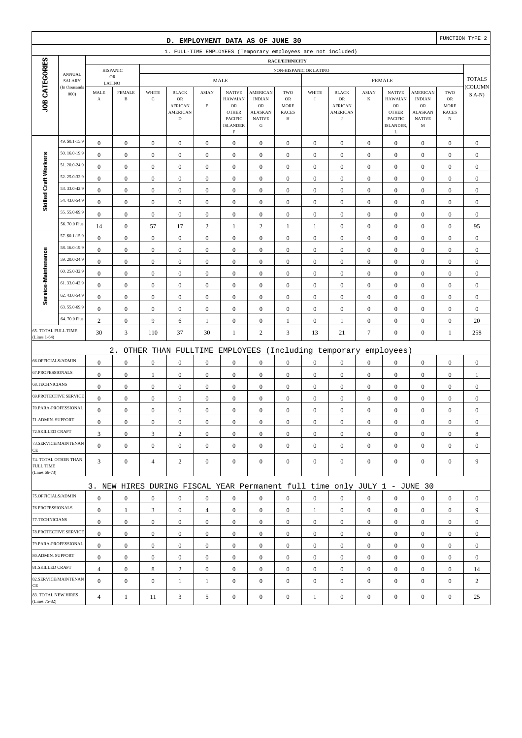|                                   |                         |                     |                                |                      | D. EMPLOYMENT DATA AS OF JUNE 30                                          |                             |                                                        |                                                |                          |                        |                                      |                         |                                                  |                                 |                            | FUNCTION TYPE 2  |
|-----------------------------------|-------------------------|---------------------|--------------------------------|----------------------|---------------------------------------------------------------------------|-----------------------------|--------------------------------------------------------|------------------------------------------------|--------------------------|------------------------|--------------------------------------|-------------------------|--------------------------------------------------|---------------------------------|----------------------------|------------------|
|                                   |                         |                     |                                |                      | 1. FULL-TIME EMPLOYEES (Temporary employees are not included)             |                             |                                                        |                                                |                          |                        |                                      |                         |                                                  |                                 |                            |                  |
|                                   |                         |                     |                                |                      |                                                                           |                             |                                                        |                                                | RACE/ETHNICITY           |                        |                                      |                         |                                                  |                                 |                            |                  |
|                                   | <b>ANNUAL</b>           |                     | <b>HISPANIC</b><br>$_{\rm OR}$ |                      |                                                                           |                             | <b>MALE</b>                                            |                                                |                          | NON-HISPANIC OR LATINO |                                      |                         | <b>FEMALE</b>                                    |                                 |                            | <b>TOTALS</b>    |
|                                   | SALARY<br>(In thousands | LATINO              |                                |                      |                                                                           |                             |                                                        |                                                |                          |                        |                                      |                         |                                                  |                                 |                            | <b>COLUMN</b>    |
| JOB CATEGORIES                    | 000)                    | MALE<br>$\mathbf A$ | <b>FEMALE</b><br>$\, {\bf B}$  | WHITE<br>$\mathbf C$ | <b>BLACK</b><br>$_{\rm OR}$<br><b>AFRICAN</b>                             | <b>ASIAN</b><br>$\mathbf E$ | <b>NATIVE</b><br><b>HAWAIAN</b><br>OR                  | <b>AMERICAN</b><br><b>INDIAN</b><br>${\rm OR}$ | TWO<br>OR<br><b>MORE</b> | WHITE<br>$\rm I$       | <b>BLACK</b><br>OR<br><b>AFRICAN</b> | <b>ASIAN</b><br>$\bf K$ | <b>NATIVE</b><br><b>HAWAIAN</b><br>${\sf OR}$    | AMERICAN<br><b>INDIAN</b><br>OR | TWO<br>OR<br><b>MORE</b>   | $S(A-N)$         |
|                                   |                         |                     |                                |                      | <b>AMERICAN</b><br>$\mathbf D$                                            |                             | <b>OTHER</b><br><b>PACIFIC</b><br><b>ISLANDER</b><br>F | <b>ALASKAN</b><br><b>NATIVE</b><br>G           | <b>RACES</b><br>Н        |                        | <b>AMERICAN</b><br>$_{\rm J}$        |                         | <b>OTHER</b><br><b>PACIFIC</b><br>ISLANDER,<br>L | ALASKAN<br><b>NATIVE</b><br>M   | <b>RACES</b><br>$_{\rm N}$ |                  |
|                                   | 49. \$0.1-15.9          | $\boldsymbol{0}$    | $\mathbf{0}$                   | $\boldsymbol{0}$     | $\boldsymbol{0}$                                                          | $\boldsymbol{0}$            | $\boldsymbol{0}$                                       | $\boldsymbol{0}$                               | $\boldsymbol{0}$         | $\boldsymbol{0}$       | $\boldsymbol{0}$                     | $\mathbf{0}$            | $\mathbf{0}$                                     | $\boldsymbol{0}$                | $\boldsymbol{0}$           | $\boldsymbol{0}$ |
|                                   | 50.16.0-19.9            | $\boldsymbol{0}$    | $\boldsymbol{0}$               | $\boldsymbol{0}$     | $\boldsymbol{0}$                                                          | $\boldsymbol{0}$            | $\boldsymbol{0}$                                       | $\boldsymbol{0}$                               | $\boldsymbol{0}$         | $\boldsymbol{0}$       | $\boldsymbol{0}$                     | $\boldsymbol{0}$        | $\boldsymbol{0}$                                 | $\boldsymbol{0}$                | $\boldsymbol{0}$           | $\boldsymbol{0}$ |
| Skilled Craft Workers             | 51.20.0-24.9            | $\boldsymbol{0}$    | $\mathbf{0}$                   | $\boldsymbol{0}$     | $\boldsymbol{0}$                                                          | $\boldsymbol{0}$            | $\boldsymbol{0}$                                       | $\boldsymbol{0}$                               | $\mathbf{0}$             | $\boldsymbol{0}$       | $\boldsymbol{0}$                     | $\boldsymbol{0}$        | $\boldsymbol{0}$                                 | $\boldsymbol{0}$                | $\boldsymbol{0}$           | $\boldsymbol{0}$ |
|                                   | 52.25.0-32.9            | $\boldsymbol{0}$    | $\boldsymbol{0}$               | $\boldsymbol{0}$     | $\boldsymbol{0}$                                                          | $\boldsymbol{0}$            | $\boldsymbol{0}$                                       | $\boldsymbol{0}$                               | $\boldsymbol{0}$         | $\boldsymbol{0}$       | $\boldsymbol{0}$                     | $\boldsymbol{0}$        | $\boldsymbol{0}$                                 | $\boldsymbol{0}$                | $\boldsymbol{0}$           | $\boldsymbol{0}$ |
|                                   | 53.33.0-42.9            | $\boldsymbol{0}$    | $\boldsymbol{0}$               | $\boldsymbol{0}$     | $\boldsymbol{0}$                                                          | $\boldsymbol{0}$            | $\boldsymbol{0}$                                       | $\boldsymbol{0}$                               | $\boldsymbol{0}$         | $\boldsymbol{0}$       | $\boldsymbol{0}$                     | $\boldsymbol{0}$        | $\boldsymbol{0}$                                 | $\boldsymbol{0}$                | $\boldsymbol{0}$           | $\boldsymbol{0}$ |
|                                   | 54.43.0-54.9            | $\boldsymbol{0}$    | $\mathbf{0}$                   | $\boldsymbol{0}$     | $\boldsymbol{0}$                                                          | $\boldsymbol{0}$            | $\boldsymbol{0}$                                       | $\boldsymbol{0}$                               | $\boldsymbol{0}$         | $\boldsymbol{0}$       | $\boldsymbol{0}$                     | $\boldsymbol{0}$        | $\boldsymbol{0}$                                 | $\boldsymbol{0}$                | $\boldsymbol{0}$           | $\boldsymbol{0}$ |
|                                   | 55.55.0-69.9            | $\mathbf{0}$        | $\mathbf{0}$                   | $\mathbf{0}$         | $\mathbf{0}$                                                              | $\boldsymbol{0}$            | $\boldsymbol{0}$                                       | $\mathbf{0}$                                   | $\mathbf{0}$             | $\boldsymbol{0}$       | $\boldsymbol{0}$                     | $\boldsymbol{0}$        | $\boldsymbol{0}$                                 | $\boldsymbol{0}$                | $\boldsymbol{0}$           | $\boldsymbol{0}$ |
|                                   | 56.70.0 Plus            | 14                  | $\mathbf{0}$                   | 57                   | 17                                                                        | $\sqrt{2}$                  | $\mathbf{1}$                                           | $\sqrt{2}$                                     | 1                        | $\mathbf{1}$           | $\boldsymbol{0}$                     | $\boldsymbol{0}$        | $\boldsymbol{0}$                                 | $\boldsymbol{0}$                | $\boldsymbol{0}$           | 95               |
|                                   | 57. \$0.1-15.9          | $\boldsymbol{0}$    | $\mathbf{0}$                   | $\boldsymbol{0}$     | $\boldsymbol{0}$                                                          | $\boldsymbol{0}$            | $\boldsymbol{0}$                                       | $\mathbf{0}$                                   | $\boldsymbol{0}$         | $\boldsymbol{0}$       | $\boldsymbol{0}$                     | $\boldsymbol{0}$        | $\boldsymbol{0}$                                 | $\boldsymbol{0}$                | $\boldsymbol{0}$           | $\boldsymbol{0}$ |
|                                   | 58.16.0-19.9            | $\boldsymbol{0}$    | $\mathbf{0}$                   | $\boldsymbol{0}$     | $\boldsymbol{0}$                                                          | $\boldsymbol{0}$            | $\boldsymbol{0}$                                       | $\boldsymbol{0}$                               | $\boldsymbol{0}$         | $\boldsymbol{0}$       | $\boldsymbol{0}$                     | $\boldsymbol{0}$        | $\boldsymbol{0}$                                 | $\boldsymbol{0}$                | $\boldsymbol{0}$           | $\boldsymbol{0}$ |
|                                   | 59.20.0-24.9            | $\boldsymbol{0}$    | $\mathbf{0}$                   | $\boldsymbol{0}$     | $\boldsymbol{0}$                                                          | $\boldsymbol{0}$            | $\boldsymbol{0}$                                       | $\mathbf{0}$                                   | $\mathbf{0}$             | $\boldsymbol{0}$       | $\boldsymbol{0}$                     | $\boldsymbol{0}$        | $\boldsymbol{0}$                                 | $\boldsymbol{0}$                | $\boldsymbol{0}$           | $\boldsymbol{0}$ |
|                                   | 60.25.0-32.9            | $\boldsymbol{0}$    | $\boldsymbol{0}$               | $\boldsymbol{0}$     | $\boldsymbol{0}$                                                          | $\boldsymbol{0}$            | $\boldsymbol{0}$                                       | $\boldsymbol{0}$                               | $\mathbf{0}$             | $\boldsymbol{0}$       | $\boldsymbol{0}$                     | $\boldsymbol{0}$        | $\boldsymbol{0}$                                 | $\boldsymbol{0}$                | $\boldsymbol{0}$           | $\boldsymbol{0}$ |
| Service-Maintenance               | 61.33.0-42.9            | $\boldsymbol{0}$    | $\mathbf{0}$                   | $\boldsymbol{0}$     | $\mathbf{0}$                                                              | $\boldsymbol{0}$            | $\boldsymbol{0}$                                       | $\boldsymbol{0}$                               | $\boldsymbol{0}$         | $\boldsymbol{0}$       | $\boldsymbol{0}$                     | $\boldsymbol{0}$        | $\boldsymbol{0}$                                 | $\boldsymbol{0}$                | $\boldsymbol{0}$           | $\boldsymbol{0}$ |
|                                   | 62.43.0-54.9            | $\boldsymbol{0}$    | $\mathbf{0}$                   | $\boldsymbol{0}$     | $\boldsymbol{0}$                                                          | $\boldsymbol{0}$            | $\boldsymbol{0}$                                       | $\boldsymbol{0}$                               | $\boldsymbol{0}$         | $\boldsymbol{0}$       | $\boldsymbol{0}$                     | $\boldsymbol{0}$        | $\boldsymbol{0}$                                 | $\boldsymbol{0}$                | $\boldsymbol{0}$           | $\boldsymbol{0}$ |
|                                   | 63.55.0-69.9            | $\boldsymbol{0}$    | $\mathbf{0}$                   | $\boldsymbol{0}$     | $\boldsymbol{0}$                                                          | $\boldsymbol{0}$            | $\boldsymbol{0}$                                       | $\mathbf{0}$                                   | $\mathbf{0}$             | $\boldsymbol{0}$       | $\boldsymbol{0}$                     | $\boldsymbol{0}$        | $\boldsymbol{0}$                                 | $\boldsymbol{0}$                | $\boldsymbol{0}$           | $\boldsymbol{0}$ |
|                                   | 64.70.0 Plus            | $\overline{c}$      | $\mathbf{0}$                   | 9                    | 6                                                                         | 1                           | $\boldsymbol{0}$                                       | $\boldsymbol{0}$                               | 1                        | $\boldsymbol{0}$       | 1                                    | $\boldsymbol{0}$        | $\boldsymbol{0}$                                 | $\boldsymbol{0}$                | $\boldsymbol{0}$           | 20               |
| 65. TOTAL FULL TIME               |                         | 30                  | $\mathfrak{Z}$                 | 110                  | 37                                                                        | 30                          | $\mathbf{1}$                                           | $\overline{c}$                                 | $\mathfrak{Z}$           | 13                     | 21                                   | $\boldsymbol{7}$        | $\boldsymbol{0}$                                 | $\boldsymbol{0}$                | $\mathbf{1}$               | 258              |
| (Lines 1-64)                      |                         |                     |                                |                      |                                                                           |                             |                                                        |                                                |                          |                        |                                      |                         |                                                  |                                 |                            |                  |
|                                   |                         |                     | $2$ .                          |                      | OTHER THAN FULLTIME                                                       |                             | EMPLOYEES                                              |                                                |                          |                        | (Including temporary                 |                         | employees)                                       |                                 |                            |                  |
| 66.OFFICIALS/ADMIN                |                         | $\boldsymbol{0}$    | $\boldsymbol{0}$               | $\boldsymbol{0}$     | $\boldsymbol{0}$                                                          | $\boldsymbol{0}$            | $\boldsymbol{0}$                                       | $\boldsymbol{0}$                               | $\mathbf{0}$             | $\boldsymbol{0}$       | $\boldsymbol{0}$                     | $\boldsymbol{0}$        | $\boldsymbol{0}$                                 | $\boldsymbol{0}$                | $\boldsymbol{0}$           | $\boldsymbol{0}$ |
| 67.PROFESSIONALS                  |                         | $\boldsymbol{0}$    | $\mathbf{0}$                   | 1                    | $\boldsymbol{0}$                                                          | $\boldsymbol{0}$            | $\boldsymbol{0}$                                       | $\boldsymbol{0}$                               | $\boldsymbol{0}$         | $\boldsymbol{0}$       | $\boldsymbol{0}$                     | $\boldsymbol{0}$        | $\boldsymbol{0}$                                 | $\boldsymbol{0}$                | $\boldsymbol{0}$           | 1                |
| 68.TECHNICIANS                    |                         | $\boldsymbol{0}$    | $\mathbf{0}$                   | $\boldsymbol{0}$     | $\boldsymbol{0}$                                                          | $\boldsymbol{0}$            | $\boldsymbol{0}$                                       | $\boldsymbol{0}$                               | $\boldsymbol{0}$         | $\boldsymbol{0}$       | $\boldsymbol{0}$                     | $\boldsymbol{0}$        | $\boldsymbol{0}$                                 | $\boldsymbol{0}$                | $\boldsymbol{0}$           | $\boldsymbol{0}$ |
|                                   | 69.PROTECTIVE SERVICE   | $\boldsymbol{0}$    | $\mathbf{0}$                   | $\boldsymbol{0}$     | $\boldsymbol{0}$                                                          | $\boldsymbol{0}$            | $\boldsymbol{0}$                                       | $\boldsymbol{0}$                               | $\boldsymbol{0}$         | $\boldsymbol{0}$       | $\boldsymbol{0}$                     | $\boldsymbol{0}$        | $\boldsymbol{0}$                                 | $\boldsymbol{0}$                | $\boldsymbol{0}$           | $\boldsymbol{0}$ |
|                                   | 70.PARA-PROFESSIONAL    | $\boldsymbol{0}$    | $\boldsymbol{0}$               | $\boldsymbol{0}$     | $\boldsymbol{0}$                                                          | $\boldsymbol{0}$            | $\boldsymbol{0}$                                       | $\boldsymbol{0}$                               | $\boldsymbol{0}$         | $\boldsymbol{0}$       | $\boldsymbol{0}$                     | $\boldsymbol{0}$        | $\boldsymbol{0}$                                 | $\boldsymbol{0}$                | $\boldsymbol{0}$           | $\boldsymbol{0}$ |
| 71.ADMIN. SUPPORT                 |                         | $\boldsymbol{0}$    | $\boldsymbol{0}$               | $\boldsymbol{0}$     | $\Omega$                                                                  | $\mathbf{0}$                | $\boldsymbol{0}$                                       | $\boldsymbol{0}$                               | $\mathbf{0}$             | $\boldsymbol{0}$       | $\boldsymbol{0}$                     | $\Omega$                | $\boldsymbol{0}$                                 | $\Omega$                        | $\boldsymbol{0}$           | $\boldsymbol{0}$ |
| 72.SKILLED CRAFT                  |                         | 3                   | $\mathbf{0}$                   | 3                    | $\sqrt{2}$                                                                | $\boldsymbol{0}$            | $\boldsymbol{0}$                                       | $\boldsymbol{0}$                               | $\boldsymbol{0}$         | $\boldsymbol{0}$       | $\mathbf{0}$                         | $\mathbf{0}$            | $\boldsymbol{0}$                                 | $\mathbf{0}$                    | $\mathbf{0}$               | 8                |
| CE                                | 73.SERVICE/MAINTENAN    | $\overline{0}$      | $\mathbf{0}$                   | $\boldsymbol{0}$     | $\mathbf{0}$                                                              | $\mathbf{0}$                | $\mathbf{0}$                                           | $\mathbf{0}$                                   | $\mathbf{0}$             | $\mathbf{0}$           | $\boldsymbol{0}$                     | $\overline{0}$          | $\mathbf{0}$                                     | $\boldsymbol{0}$                | $\boldsymbol{0}$           | $\mathbf{0}$     |
| <b>FULL TIME</b><br>(Lines 66-73) | 74. TOTAL OTHER THAN    | 3                   | $\boldsymbol{0}$               | 4                    | $\overline{c}$                                                            | $\mathbf{0}$                | $\boldsymbol{0}$                                       | $\boldsymbol{0}$                               | $\overline{0}$           | $\boldsymbol{0}$       | $\boldsymbol{0}$                     | $\mathbf{0}$            | $\mathbf{0}$                                     | $\boldsymbol{0}$                | $\boldsymbol{0}$           | 9                |
|                                   |                         |                     |                                |                      | 3. NEW HIRES DURING FISCAL YEAR Permanent full time only JULY 1 - JUNE 30 |                             |                                                        |                                                |                          |                        |                                      |                         |                                                  |                                 |                            |                  |
| 75.OFFICIALS/ADMIN                |                         | $\boldsymbol{0}$    | $\overline{0}$                 | $\boldsymbol{0}$     | $\overline{0}$                                                            | $\mathbf{0}$                | $\overline{0}$                                         | $\mathbf{0}$                                   | $\overline{0}$           | $\mathbf{0}$           | $\boldsymbol{0}$                     | $\overline{0}$          | $\mathbf{0}$                                     | $\mathbf{0}$                    | $\mathbf{0}$               | $\mathbf{0}$     |
| 76.PROFESSIONALS                  |                         | $\mathbf{0}$        | $\mathbf{1}$                   | 3                    | $\mathbf{0}$                                                              | $\overline{4}$              | $\mathbf{0}$                                           | $\boldsymbol{0}$                               | $\boldsymbol{0}$         | 1                      | $\mathbf{0}$                         | $\mathbf{0}$            | $\mathbf{0}$                                     | $\boldsymbol{0}$                | $\mathbf{0}$               | 9                |
| 77.TECHNICIANS                    |                         | $\mathbf{0}$        | $\mathbf{0}$                   | $\boldsymbol{0}$     | $\overline{0}$                                                            | $\boldsymbol{0}$            | $\mathbf{0}$                                           | $\boldsymbol{0}$                               | $\overline{0}$           | $\mathbf{0}$           | $\boldsymbol{0}$                     | $\mathbf{0}$            | $\mathbf{0}$                                     | $\boldsymbol{0}$                | $\boldsymbol{0}$           | $\mathbf{0}$     |
|                                   | 78.PROTECTIVE SERVICE   | $\overline{0}$      | $\mathbf{0}$                   | $\boldsymbol{0}$     | $\overline{0}$                                                            | $\boldsymbol{0}$            | $\mathbf{0}$                                           | $\boldsymbol{0}$                               | $\overline{0}$           | $\mathbf{0}$           | $\mathbf{0}$                         | $\overline{0}$          | $\mathbf{0}$                                     | $\overline{0}$                  | $\mathbf{0}$               | $\mathbf{0}$     |
|                                   | 79.PARA-PROFESSIONAL    | $\overline{0}$      | $\overline{0}$                 | $\mathbf{0}$         | $\overline{0}$                                                            | $\mathbf{0}$                | $\mathbf{0}$                                           | $\mathbf{0}$                                   | $\overline{0}$           | $\mathbf{0}$           | $\mathbf{0}$                         | $\overline{0}$          | $\mathbf{0}$                                     | $\overline{0}$                  | $\mathbf{0}$               | $\mathbf{0}$     |
| 80.ADMIN. SUPPORT                 |                         | $\boldsymbol{0}$    | $\mathbf{0}$                   | $\boldsymbol{0}$     | $\overline{0}$                                                            | $\boldsymbol{0}$            | $\boldsymbol{0}$                                       | $\boldsymbol{0}$                               | $\boldsymbol{0}$         | $\mathbf{0}$           | $\boldsymbol{0}$                     | $\mathbf{0}$            | $\mathbf{0}$                                     | $\boldsymbol{0}$                | $\mathbf{0}$               | $\mathbf{0}$     |
| 81.SKILLED CRAFT                  |                         | $\overline{4}$      | $\boldsymbol{0}$               | 8                    | $\overline{2}$                                                            | $\boldsymbol{0}$            | $\mathbf{0}$                                           | $\boldsymbol{0}$                               | $\boldsymbol{0}$         | $\mathbf{0}$           | $\boldsymbol{0}$                     | $\mathbf{0}$            | $\mathbf{0}$                                     | $\boldsymbol{0}$                | $\boldsymbol{0}$           | 14               |
|                                   | 82.SERVICE/MAINTENAN    | $\Omega$            | $\mathbf{0}$                   | $\boldsymbol{0}$     | $1\,$                                                                     | $\mathbf{1}$                | $\boldsymbol{0}$                                       | $\boldsymbol{0}$                               | $\mathbf{0}$             | $\boldsymbol{0}$       | $\boldsymbol{0}$                     | $\mathbf{0}$            | $\boldsymbol{0}$                                 | $\boldsymbol{0}$                | $\boldsymbol{0}$           | $\overline{c}$   |
| CE<br>83. TOTAL NEW HIRES         |                         |                     |                                |                      |                                                                           |                             |                                                        |                                                |                          |                        |                                      |                         |                                                  |                                 |                            |                  |
| (Lines 75-82)                     |                         | $\overline{4}$      | $\mathbf{1}$                   | 11                   | $\mathfrak{Z}$                                                            | 5                           | $\boldsymbol{0}$                                       | $\boldsymbol{0}$                               | $\boldsymbol{0}$         | $\mathbf{1}$           | $\boldsymbol{0}$                     | $\boldsymbol{0}$        | $\boldsymbol{0}$                                 | $\boldsymbol{0}$                | $\boldsymbol{0}$           | 25               |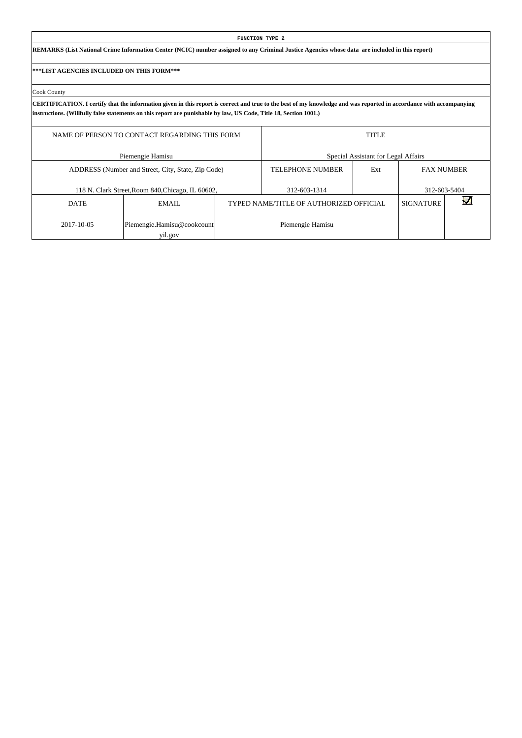|                                           |                                                                                                                                                                                    |  | <b>FUNCTION TYPE 2</b>                  |                                     |                  |                   |  |  |  |  |  |  |  |  |
|-------------------------------------------|------------------------------------------------------------------------------------------------------------------------------------------------------------------------------------|--|-----------------------------------------|-------------------------------------|------------------|-------------------|--|--|--|--|--|--|--|--|
|                                           | REMARKS (List National Crime Information Center (NCIC) number assigned to any Criminal Justice Agencies whose data are included in this report)                                    |  |                                         |                                     |                  |                   |  |  |  |  |  |  |  |  |
| ***LIST AGENCIES INCLUDED ON THIS FORM*** |                                                                                                                                                                                    |  |                                         |                                     |                  |                   |  |  |  |  |  |  |  |  |
| Cook County                               |                                                                                                                                                                                    |  |                                         |                                     |                  |                   |  |  |  |  |  |  |  |  |
|                                           | CERTIFICATION. I certify that the information given in this report is correct and true to the best of my knowledge and was reported in accordance with accompanying                |  |                                         |                                     |                  |                   |  |  |  |  |  |  |  |  |
|                                           | instructions. (Willfully false statements on this report are punishable by law, US Code, Title 18, Section 1001.)<br><b>TITLE</b><br>NAME OF PERSON TO CONTACT REGARDING THIS FORM |  |                                         |                                     |                  |                   |  |  |  |  |  |  |  |  |
|                                           | Piemengie Hamisu                                                                                                                                                                   |  |                                         | Special Assistant for Legal Affairs |                  |                   |  |  |  |  |  |  |  |  |
|                                           | ADDRESS (Number and Street, City, State, Zip Code)                                                                                                                                 |  | <b>TELEPHONE NUMBER</b>                 | Ext                                 |                  | <b>FAX NUMBER</b> |  |  |  |  |  |  |  |  |
|                                           | 118 N. Clark Street, Room 840, Chicago, IL 60602,                                                                                                                                  |  | 312-603-1314                            |                                     |                  | 312-603-5404      |  |  |  |  |  |  |  |  |
| <b>DATE</b>                               | EMAIL                                                                                                                                                                              |  | TYPED NAME/TITLE OF AUTHORIZED OFFICIAL |                                     | <b>SIGNATURE</b> |                   |  |  |  |  |  |  |  |  |
| 2017-10-05                                | Piemengie.Hamisu@cookcount                                                                                                                                                         |  | Piemengie Hamisu                        |                                     |                  |                   |  |  |  |  |  |  |  |  |

 $\overline{\phantom{a}}$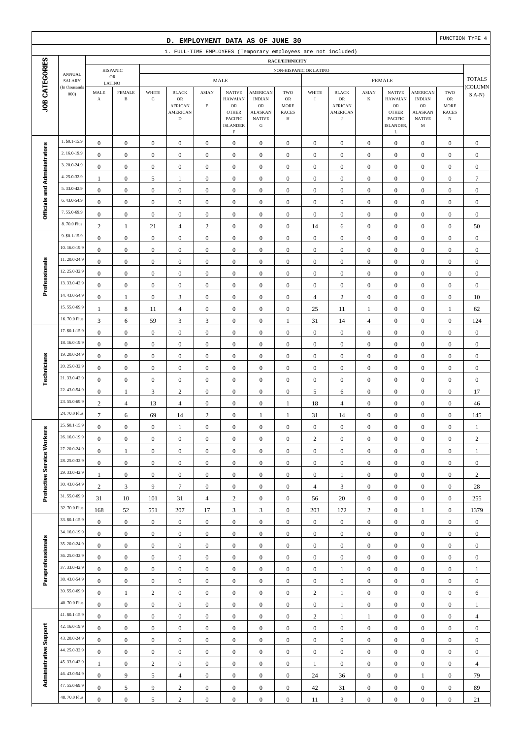|                              |                                |                                      |                                |                      | D. EMPLOYMENT DATA AS OF JUNE 30                                       |                                      |                                                                                                             |                                                                                                 |                                               |                   |                                                              |                                      |                                                                                                   |                                                                                       |                                                                | FUNCTION TYPE 4    |
|------------------------------|--------------------------------|--------------------------------------|--------------------------------|----------------------|------------------------------------------------------------------------|--------------------------------------|-------------------------------------------------------------------------------------------------------------|-------------------------------------------------------------------------------------------------|-----------------------------------------------|-------------------|--------------------------------------------------------------|--------------------------------------|---------------------------------------------------------------------------------------------------|---------------------------------------------------------------------------------------|----------------------------------------------------------------|--------------------|
|                              |                                |                                      |                                |                      | 1. FULL-TIME EMPLOYEES (Temporary employees are not included)          |                                      |                                                                                                             |                                                                                                 |                                               |                   |                                                              |                                      |                                                                                                   |                                                                                       |                                                                |                    |
|                              |                                |                                      |                                |                      |                                                                        |                                      |                                                                                                             |                                                                                                 | RACE/ETHNICITY                                |                   |                                                              |                                      |                                                                                                   |                                                                                       |                                                                |                    |
|                              | <b>ANNUAL</b><br>SALARY        |                                      | <b>HISPANIC</b><br>$_{\rm OR}$ |                      |                                                                        |                                      | <b>MALE</b>                                                                                                 |                                                                                                 | NON-HISPANIC OR LATINO                        |                   |                                                              |                                      | <b>FEMALE</b>                                                                                     |                                                                                       |                                                                | <b>TOTALS</b>      |
| JOB CATEGORIES               | (In thousands<br>000           | LATINO<br>MALE<br>$\mathbf A$        | <b>FEMALE</b><br>$\, {\bf B}$  | WHITE<br>$\mathbf C$ | <b>BLACK</b><br>OR<br><b>AFRICAN</b><br><b>AMERICAN</b><br>$\mathbf D$ | <b>ASIAN</b><br>$\mathbf E$          | <b>NATIVE</b><br><b>HAWAIAN</b><br>$_{\rm OR}$<br><b>OTHER</b><br>PACIFIC<br><b>ISLANDER</b><br>$\mathbf F$ | <b>AMERICAN</b><br><b>INDIAN</b><br>$_{\rm OR}$<br><b>ALASKAN</b><br><b>NATIVE</b><br>${\bf G}$ | TWO<br>OR<br><b>MORE</b><br><b>RACES</b><br>Н | WHITE<br>$\bf{I}$ | <b>BLACK</b><br>OR<br><b>AFRICAN</b><br><b>AMERICAN</b><br>J | <b>ASIAN</b><br>K                    | <b>NATIVE</b><br><b>HAWAIAN</b><br>${\rm OR}$<br><b>OTHER</b><br><b>PACIFIC</b><br>ISLANDER,<br>L | <b>AMERICAN</b><br><b>INDIAN</b><br><b>OR</b><br><b>ALASKAN</b><br><b>NATIVE</b><br>M | TWO<br>${\sf OR}$<br><b>MORE</b><br><b>RACES</b><br>$_{\rm N}$ | COLUMN<br>$S(A-N)$ |
|                              | 1. \$0.1-15.9                  | $\boldsymbol{0}$                     | $\boldsymbol{0}$               | $\boldsymbol{0}$     | $\boldsymbol{0}$                                                       | $\boldsymbol{0}$                     | $\boldsymbol{0}$                                                                                            | $\mathbf{0}$                                                                                    | $\boldsymbol{0}$                              | $\boldsymbol{0}$  | $\boldsymbol{0}$                                             | $\boldsymbol{0}$                     | $\boldsymbol{0}$                                                                                  | $\boldsymbol{0}$                                                                      | $\boldsymbol{0}$                                               | $\mathbf{0}$       |
|                              | 2.16.0-19.9                    | $\boldsymbol{0}$                     | $\boldsymbol{0}$               | $\boldsymbol{0}$     | $\boldsymbol{0}$                                                       | $\boldsymbol{0}$                     | $\mathbf{0}$                                                                                                | $\boldsymbol{0}$                                                                                | $\boldsymbol{0}$                              | $\boldsymbol{0}$  | $\boldsymbol{0}$                                             | $\boldsymbol{0}$                     | $\boldsymbol{0}$                                                                                  | $\boldsymbol{0}$                                                                      | $\boldsymbol{0}$                                               | $\boldsymbol{0}$   |
|                              | 3.20.0-24.9                    | $\boldsymbol{0}$                     | $\mathbf{0}$                   | $\boldsymbol{0}$     | $\boldsymbol{0}$                                                       | $\boldsymbol{0}$                     | $\mathbf{0}$                                                                                                | $\boldsymbol{0}$                                                                                | $\boldsymbol{0}$                              | $\boldsymbol{0}$  | $\boldsymbol{0}$                                             | $\boldsymbol{0}$                     | $\boldsymbol{0}$                                                                                  | $\boldsymbol{0}$                                                                      | $\boldsymbol{0}$                                               | $\boldsymbol{0}$   |
|                              | 4.25.0-32.9                    | -1                                   | $\mathbf{0}$                   | 5                    | 1                                                                      | $\boldsymbol{0}$                     | $\mathbf{0}$                                                                                                | $\boldsymbol{0}$                                                                                | $\mathbf{0}$                                  | $\boldsymbol{0}$  | $\boldsymbol{0}$                                             | $\boldsymbol{0}$                     | $\boldsymbol{0}$                                                                                  | $\boldsymbol{0}$                                                                      | $\boldsymbol{0}$                                               | $\overline{7}$     |
| Officials and Administrators | 5.33.0-42.9                    | $\boldsymbol{0}$                     | $\mathbf{0}$                   | $\boldsymbol{0}$     | $\boldsymbol{0}$                                                       | $\boldsymbol{0}$                     | $\mathbf{0}$                                                                                                | $\boldsymbol{0}$                                                                                | $\boldsymbol{0}$                              | $\boldsymbol{0}$  | $\boldsymbol{0}$                                             | $\boldsymbol{0}$                     | $\boldsymbol{0}$                                                                                  | $\boldsymbol{0}$                                                                      | $\boldsymbol{0}$                                               | $\boldsymbol{0}$   |
|                              | 6.43.0-54.9                    | $\boldsymbol{0}$                     | $\boldsymbol{0}$               | $\boldsymbol{0}$     | $\boldsymbol{0}$                                                       | $\boldsymbol{0}$                     | $\boldsymbol{0}$                                                                                            | $\boldsymbol{0}$                                                                                | $\boldsymbol{0}$                              | $\boldsymbol{0}$  | $\boldsymbol{0}$                                             | $\boldsymbol{0}$                     | $\boldsymbol{0}$                                                                                  | $\boldsymbol{0}$                                                                      | $\boldsymbol{0}$                                               | $\boldsymbol{0}$   |
|                              | 7.55.0-69.9                    | $\boldsymbol{0}$                     | $\boldsymbol{0}$               | $\boldsymbol{0}$     | $\boldsymbol{0}$                                                       | $\mathbf{0}$                         | $\mathbf{0}$                                                                                                | $\boldsymbol{0}$                                                                                | $\boldsymbol{0}$                              | $\mathbf{0}$      | $\boldsymbol{0}$                                             | $\boldsymbol{0}$                     | $\boldsymbol{0}$                                                                                  | $\boldsymbol{0}$                                                                      | $\boldsymbol{0}$                                               | $\boldsymbol{0}$   |
|                              | 8.70.0 Plus                    | 2                                    | 1                              | 21                   | $\overline{4}$                                                         | $\mathbf{2}$                         | $\mathbf{0}$                                                                                                | $\boldsymbol{0}$                                                                                | $\mathbf{0}$                                  | 14                | 6                                                            | $\boldsymbol{0}$                     | $\boldsymbol{0}$                                                                                  | $\overline{0}$                                                                        | $\boldsymbol{0}$                                               | 50                 |
|                              | 9. \$0.1-15.9                  | $\boldsymbol{0}$                     | $\mathbf{0}$                   | $\boldsymbol{0}$     | $\boldsymbol{0}$                                                       | $\boldsymbol{0}$                     | $\mathbf{0}$                                                                                                | $\boldsymbol{0}$                                                                                | $\boldsymbol{0}$                              | $\boldsymbol{0}$  | $\boldsymbol{0}$                                             | $\boldsymbol{0}$                     | $\boldsymbol{0}$                                                                                  | $\boldsymbol{0}$                                                                      | $\boldsymbol{0}$                                               | $\boldsymbol{0}$   |
|                              | 10.16.0-19.9                   | $\boldsymbol{0}$                     | $\mathbf{0}$                   | $\boldsymbol{0}$     | $\boldsymbol{0}$                                                       | $\boldsymbol{0}$                     | $\boldsymbol{0}$                                                                                            | $\boldsymbol{0}$                                                                                | $\boldsymbol{0}$                              | $\mathbf{0}$      | $\boldsymbol{0}$                                             | $\boldsymbol{0}$                     | $\boldsymbol{0}$                                                                                  | $\boldsymbol{0}$                                                                      | $\boldsymbol{0}$                                               | $\boldsymbol{0}$   |
|                              | 11.20.0-24.9                   | $\boldsymbol{0}$                     | $\mathbf{0}$                   | $\boldsymbol{0}$     | $\boldsymbol{0}$                                                       | $\boldsymbol{0}$                     | $\boldsymbol{0}$                                                                                            | $\boldsymbol{0}$                                                                                | $\boldsymbol{0}$                              | $\boldsymbol{0}$  | $\boldsymbol{0}$                                             | $\boldsymbol{0}$                     | $\boldsymbol{0}$                                                                                  | $\boldsymbol{0}$                                                                      | $\boldsymbol{0}$                                               | $\boldsymbol{0}$   |
|                              | 12.25.0-32.9                   | $\boldsymbol{0}$                     | $\mathbf{0}$                   | $\boldsymbol{0}$     | $\boldsymbol{0}$                                                       | $\boldsymbol{0}$                     | $\boldsymbol{0}$                                                                                            | $\boldsymbol{0}$                                                                                | $\mathbf{0}$                                  | $\boldsymbol{0}$  | $\boldsymbol{0}$                                             | $\boldsymbol{0}$                     | $\boldsymbol{0}$                                                                                  | $\boldsymbol{0}$                                                                      | $\boldsymbol{0}$                                               | $\boldsymbol{0}$   |
| Professionals                | 13.33.0-42.9                   | $\boldsymbol{0}$                     | $\mathbf{0}$                   | $\boldsymbol{0}$     | $\boldsymbol{0}$                                                       | $\boldsymbol{0}$                     | $\boldsymbol{0}$                                                                                            | $\boldsymbol{0}$                                                                                | $\boldsymbol{0}$                              | $\boldsymbol{0}$  | $\boldsymbol{0}$                                             | $\boldsymbol{0}$                     | $\boldsymbol{0}$                                                                                  | $\boldsymbol{0}$                                                                      | $\boldsymbol{0}$                                               | $\boldsymbol{0}$   |
|                              | 14.43.0-54.9                   | $\boldsymbol{0}$                     | 1                              | $\boldsymbol{0}$     | $\mathfrak{Z}$                                                         | $\boldsymbol{0}$                     | $\boldsymbol{0}$                                                                                            | $\boldsymbol{0}$                                                                                | $\boldsymbol{0}$                              | $\overline{4}$    | $\sqrt{2}$                                                   | $\boldsymbol{0}$                     | $\boldsymbol{0}$                                                                                  | $\boldsymbol{0}$                                                                      | $\boldsymbol{0}$                                               | 10                 |
|                              | 15.55.0-69.9                   | $\mathbf{1}$                         | $\,$ 8 $\,$                    | 11                   | $\overline{4}$                                                         | $\boldsymbol{0}$                     | $\boldsymbol{0}$                                                                                            | $\boldsymbol{0}$                                                                                | $\boldsymbol{0}$                              | 25                | 11                                                           | 1                                    | $\boldsymbol{0}$                                                                                  | $\boldsymbol{0}$                                                                      | $\mathbf{1}$                                                   | 62                 |
|                              | 16.70.0 Plus                   | $\mathbf{3}$                         | 6                              | 59                   | 3                                                                      | 3                                    | $\mathbf{0}$                                                                                                | $\boldsymbol{0}$                                                                                | 1                                             | 31                | 14                                                           | $\overline{4}$                       | $\boldsymbol{0}$                                                                                  | $\overline{0}$                                                                        | $\boldsymbol{0}$                                               | 124                |
|                              | 17. \$0.1-15.9                 | $\boldsymbol{0}$                     | $\mathbf{0}$                   | $\boldsymbol{0}$     | $\boldsymbol{0}$                                                       | $\boldsymbol{0}$                     | $\mathbf{0}$                                                                                                | $\boldsymbol{0}$                                                                                | $\boldsymbol{0}$                              | $\boldsymbol{0}$  | $\boldsymbol{0}$                                             | $\boldsymbol{0}$                     | $\boldsymbol{0}$                                                                                  | $\boldsymbol{0}$                                                                      | $\boldsymbol{0}$                                               | $\boldsymbol{0}$   |
|                              | 18.16.0-19.9                   | $\boldsymbol{0}$                     | $\mathbf{0}$                   | $\boldsymbol{0}$     | $\boldsymbol{0}$                                                       | $\boldsymbol{0}$                     | $\mathbf{0}$                                                                                                | $\boldsymbol{0}$                                                                                | $\boldsymbol{0}$                              | $\mathbf{0}$      | $\boldsymbol{0}$                                             | $\boldsymbol{0}$                     | $\boldsymbol{0}$                                                                                  | $\boldsymbol{0}$                                                                      | $\boldsymbol{0}$                                               | $\boldsymbol{0}$   |
|                              | 19.20.0-24.9<br>20.25.0-32.9   | $\boldsymbol{0}$                     | $\mathbf{0}$                   | $\boldsymbol{0}$     | $\boldsymbol{0}$                                                       | $\boldsymbol{0}$                     | $\mathbf{0}$                                                                                                | $\boldsymbol{0}$                                                                                | $\boldsymbol{0}$                              | $\mathbf{0}$      | $\boldsymbol{0}$                                             | $\boldsymbol{0}$                     | $\boldsymbol{0}$                                                                                  | $\boldsymbol{0}$                                                                      | $\boldsymbol{0}$                                               | $\boldsymbol{0}$   |
| Technicians                  | 21.33.0-42.9                   | $\mathbf{0}$                         | $\boldsymbol{0}$               | $\boldsymbol{0}$     | $\boldsymbol{0}$                                                       | $\mathbf{0}$                         | $\mathbf{0}$                                                                                                | $\boldsymbol{0}$                                                                                | $\mathbf{0}$                                  | $\mathbf{0}$      | $\boldsymbol{0}$                                             | $\boldsymbol{0}$                     | $\boldsymbol{0}$                                                                                  | $\boldsymbol{0}$                                                                      | $\boldsymbol{0}$                                               | $\boldsymbol{0}$   |
|                              | 22.43.0-54.9                   | $\boldsymbol{0}$                     | $\mathbf{0}$                   | $\boldsymbol{0}$     | $\boldsymbol{0}$                                                       | $\boldsymbol{0}$                     | $\mathbf{0}$                                                                                                | $\boldsymbol{0}$                                                                                | $\boldsymbol{0}$                              | $\boldsymbol{0}$  | $\boldsymbol{0}$                                             | $\boldsymbol{0}$                     | $\boldsymbol{0}$                                                                                  | $\boldsymbol{0}$                                                                      | $\boldsymbol{0}$                                               | $\boldsymbol{0}$   |
|                              | 23.55.0-69.9                   | $\boldsymbol{0}$<br>$\mathbf{2}$     | 1                              | $\mathfrak{Z}$       | $\sqrt{2}$<br>$\overline{4}$                                           | $\boldsymbol{0}$<br>$\boldsymbol{0}$ | $\boldsymbol{0}$<br>$\mathbf{0}$                                                                            | $\boldsymbol{0}$<br>$\boldsymbol{0}$                                                            | $\boldsymbol{0}$                              | 5                 | 6                                                            | $\boldsymbol{0}$<br>$\boldsymbol{0}$ | $\boldsymbol{0}$<br>$\boldsymbol{0}$                                                              | $\boldsymbol{0}$<br>$\boldsymbol{0}$                                                  | $\boldsymbol{0}$                                               | 17<br>46           |
|                              | 24.70.0 Plus                   | $\tau$                               | $\overline{4}$<br>6            | 13<br>69             | 14                                                                     | $\overline{c}$                       | $\boldsymbol{0}$                                                                                            | 1                                                                                               | 1<br>1                                        | 18<br>31          | $\overline{4}$<br>14                                         | $\mathbf{0}$                         | $\boldsymbol{0}$                                                                                  | $\overline{0}$                                                                        | $\boldsymbol{0}$<br>$\boldsymbol{0}$                           | 145                |
|                              | 25. \$0.1-15.9                 | $\boldsymbol{0}$                     | $\boldsymbol{0}$               | $\boldsymbol{0}$     | 1                                                                      | $\boldsymbol{0}$                     | $\boldsymbol{0}$                                                                                            | $\boldsymbol{0}$                                                                                | $\boldsymbol{0}$                              | $\boldsymbol{0}$  | $\boldsymbol{0}$                                             | $\boldsymbol{0}$                     | $\boldsymbol{0}$                                                                                  | $\boldsymbol{0}$                                                                      | $\bf{0}$                                                       | $\mathbf{1}$       |
|                              | 26.16.0-19.9                   | $\boldsymbol{0}$                     | $\boldsymbol{0}$               | $\boldsymbol{0}$     | $\boldsymbol{0}$                                                       | $\boldsymbol{0}$                     | $\boldsymbol{0}$                                                                                            | $\boldsymbol{0}$                                                                                | $\boldsymbol{0}$                              | $\overline{c}$    | $\boldsymbol{0}$                                             | $\mathbf{0}$                         | $\boldsymbol{0}$                                                                                  | $\boldsymbol{0}$                                                                      | $\boldsymbol{0}$                                               | $\overline{c}$     |
|                              | 27.20.0-24.9                   | $\boldsymbol{0}$                     | $\mathbf{1}$                   | $\boldsymbol{0}$     | $\boldsymbol{0}$                                                       | $\boldsymbol{0}$                     | $\boldsymbol{0}$                                                                                            | $\boldsymbol{0}$                                                                                | $\boldsymbol{0}$                              | $\mathbf{0}$      | $\boldsymbol{0}$                                             | $\mathbf{0}$                         | $\boldsymbol{0}$                                                                                  | $\boldsymbol{0}$                                                                      | $\boldsymbol{0}$                                               | $\mathbf{1}$       |
|                              | 28.25.0-32.9                   | $\boldsymbol{0}$                     | $\boldsymbol{0}$               | $\boldsymbol{0}$     | $\boldsymbol{0}$                                                       | $\mathbf{0}$                         | $\boldsymbol{0}$                                                                                            | $\boldsymbol{0}$                                                                                | $\boldsymbol{0}$                              | $\mathbf{0}$      | $\boldsymbol{0}$                                             | $\boldsymbol{0}$                     | $\boldsymbol{0}$                                                                                  | $\boldsymbol{0}$                                                                      | $\boldsymbol{0}$                                               | $\boldsymbol{0}$   |
|                              | 29.33.0-42.9                   | $\mathbf{1}$                         | $\boldsymbol{0}$               | $\boldsymbol{0}$     | $\boldsymbol{0}$                                                       | $\boldsymbol{0}$                     | $\boldsymbol{0}$                                                                                            | $\boldsymbol{0}$                                                                                | $\boldsymbol{0}$                              | $\boldsymbol{0}$  | $\mathbf{1}$                                                 | $\boldsymbol{0}$                     | $\boldsymbol{0}$                                                                                  | $\boldsymbol{0}$                                                                      | $\boldsymbol{0}$                                               | $\sqrt{2}$         |
| Protective Service Workers   | 30.43.0-54.9                   | $\overline{2}$                       | $\ensuremath{\mathsf{3}}$      | 9                    | $\tau$                                                                 | $\boldsymbol{0}$                     | $\boldsymbol{0}$                                                                                            | $\boldsymbol{0}$                                                                                | $\boldsymbol{0}$                              | $\overline{4}$    | $\mathfrak{Z}$                                               | $\boldsymbol{0}$                     | $\boldsymbol{0}$                                                                                  | $\boldsymbol{0}$                                                                      | $\boldsymbol{0}$                                               | 28                 |
|                              | 31.55.0-69.9                   | 31                                   | 10                             | 101                  | 31                                                                     | $\overline{4}$                       | $\overline{2}$                                                                                              | $\boldsymbol{0}$                                                                                | $\boldsymbol{0}$                              | 56                | 20                                                           | $\boldsymbol{0}$                     | $\boldsymbol{0}$                                                                                  | $\boldsymbol{0}$                                                                      | $\boldsymbol{0}$                                               | 255                |
|                              | 32.70.0 Plus                   | 168                                  | 52                             | 551                  | 207                                                                    | 17                                   | $\mathfrak{Z}$                                                                                              | $\mathfrak{Z}$                                                                                  | $\boldsymbol{0}$                              | 203               | 172                                                          | $\overline{c}$                       | $\boldsymbol{0}$                                                                                  | 1                                                                                     | $\boldsymbol{0}$                                               | 1379               |
|                              | 33. \$0.1-15.9                 | $\boldsymbol{0}$                     | $\boldsymbol{0}$               | $\boldsymbol{0}$     | $\boldsymbol{0}$                                                       | $\boldsymbol{0}$                     | $\boldsymbol{0}$                                                                                            | $\boldsymbol{0}$                                                                                | $\boldsymbol{0}$                              | $\boldsymbol{0}$  | $\boldsymbol{0}$                                             | $\boldsymbol{0}$                     | $\boldsymbol{0}$                                                                                  | $\boldsymbol{0}$                                                                      | $\boldsymbol{0}$                                               | $\boldsymbol{0}$   |
|                              | 34.16.0-19.9                   | $\boldsymbol{0}$                     | $\boldsymbol{0}$               | $\boldsymbol{0}$     | $\boldsymbol{0}$                                                       | $\boldsymbol{0}$                     | $\boldsymbol{0}$                                                                                            | $\boldsymbol{0}$                                                                                | $\boldsymbol{0}$                              | $\boldsymbol{0}$  | $\boldsymbol{0}$                                             | $\boldsymbol{0}$                     | $\boldsymbol{0}$                                                                                  | $\boldsymbol{0}$                                                                      | $\boldsymbol{0}$                                               | $\boldsymbol{0}$   |
| Paraprofessionals            | 35.20.0-24.9                   | $\boldsymbol{0}$                     | $\boldsymbol{0}$               | $\boldsymbol{0}$     | $\boldsymbol{0}$                                                       | $\boldsymbol{0}$                     | $\boldsymbol{0}$                                                                                            | $\boldsymbol{0}$                                                                                | $\boldsymbol{0}$                              | $\boldsymbol{0}$  | $\boldsymbol{0}$                                             | $\boldsymbol{0}$                     | $\boldsymbol{0}$                                                                                  | $\boldsymbol{0}$                                                                      | $\boldsymbol{0}$                                               | $\boldsymbol{0}$   |
|                              | 36.25.0-32.9                   | $\boldsymbol{0}$                     | $\boldsymbol{0}$               | $\boldsymbol{0}$     | $\overline{0}$                                                         | $\mathbf{0}$                         | $\boldsymbol{0}$                                                                                            | $\boldsymbol{0}$                                                                                | $\boldsymbol{0}$                              | $\boldsymbol{0}$  | $\boldsymbol{0}$                                             | $\boldsymbol{0}$                     | $\boldsymbol{0}$                                                                                  | $\boldsymbol{0}$                                                                      | $\boldsymbol{0}$                                               | $\boldsymbol{0}$   |
|                              | 37.33.0-42.9                   | $\boldsymbol{0}$                     | $\boldsymbol{0}$               | $\boldsymbol{0}$     | $\boldsymbol{0}$                                                       | $\boldsymbol{0}$                     | $\boldsymbol{0}$                                                                                            | $\boldsymbol{0}$                                                                                | $\boldsymbol{0}$                              | $\boldsymbol{0}$  | $\mathbf{1}$                                                 | $\boldsymbol{0}$                     | $\boldsymbol{0}$                                                                                  | $\boldsymbol{0}$                                                                      | $\boldsymbol{0}$                                               | $\mathbf{1}$       |
|                              | 38.43.0-54.9                   | $\boldsymbol{0}$                     | $\boldsymbol{0}$               | $\boldsymbol{0}$     | $\boldsymbol{0}$                                                       | $\boldsymbol{0}$                     | $\boldsymbol{0}$                                                                                            | $\boldsymbol{0}$                                                                                | $\boldsymbol{0}$                              | $\boldsymbol{0}$  | $\boldsymbol{0}$                                             | $\boldsymbol{0}$                     | $\boldsymbol{0}$                                                                                  | $\boldsymbol{0}$                                                                      | $\boldsymbol{0}$                                               | $\boldsymbol{0}$   |
|                              | 39.55.0-69.9                   | $\boldsymbol{0}$                     | $\mathbf{1}$                   | $\sqrt{2}$           | $\boldsymbol{0}$                                                       | $\boldsymbol{0}$                     | $\boldsymbol{0}$                                                                                            | $\boldsymbol{0}$                                                                                | $\boldsymbol{0}$                              | $\sqrt{2}$        | $\mathbf{1}$                                                 | $\boldsymbol{0}$                     | $\boldsymbol{0}$                                                                                  | $\boldsymbol{0}$                                                                      | $\boldsymbol{0}$                                               | 6                  |
|                              | 40.70.0 Plus<br>41. \$0.1-15.9 | $\boldsymbol{0}$                     | $\boldsymbol{0}$               | $\boldsymbol{0}$     | $\boldsymbol{0}$                                                       | $\mathbf{0}$                         | $\boldsymbol{0}$                                                                                            | $\boldsymbol{0}$                                                                                | $\boldsymbol{0}$                              | $\mathbf{0}$      | $\mathbf{1}$                                                 | $\boldsymbol{0}$                     | $\boldsymbol{0}$                                                                                  | $\boldsymbol{0}$                                                                      | $\boldsymbol{0}$                                               | $\mathbf{1}$       |
|                              | 42.16.0-19.9                   | $\boldsymbol{0}$                     | $\boldsymbol{0}$               | $\boldsymbol{0}$     | $\boldsymbol{0}$                                                       | $\boldsymbol{0}$                     | $\boldsymbol{0}$                                                                                            | $\boldsymbol{0}$                                                                                | $\boldsymbol{0}$                              | $\sqrt{2}$        | $\mathbf{1}$                                                 | $\mathbf{1}$                         | $\boldsymbol{0}$                                                                                  | $\boldsymbol{0}$                                                                      | $\boldsymbol{0}$                                               | $\overline{4}$     |
| Administrative Support       | 43.20.0-24.9                   | $\boldsymbol{0}$                     | $\boldsymbol{0}$               | $\boldsymbol{0}$     | $\boldsymbol{0}$                                                       | $\overline{0}$                       | $\boldsymbol{0}$                                                                                            | $\boldsymbol{0}$                                                                                | $\boldsymbol{0}$                              | $\boldsymbol{0}$  | $\boldsymbol{0}$                                             | $\mathbf{0}$                         | $\boldsymbol{0}$                                                                                  | $\boldsymbol{0}$                                                                      | $\boldsymbol{0}$                                               | $\boldsymbol{0}$   |
|                              | 44.25.0-32.9                   | $\boldsymbol{0}$                     | $\boldsymbol{0}$               | $\boldsymbol{0}$     | $\boldsymbol{0}$                                                       | $\boldsymbol{0}$                     | $\boldsymbol{0}$                                                                                            | $\boldsymbol{0}$                                                                                | $\boldsymbol{0}$                              | $\boldsymbol{0}$  | $\boldsymbol{0}$                                             | $\boldsymbol{0}$                     | $\boldsymbol{0}$                                                                                  | $\boldsymbol{0}$                                                                      | $\boldsymbol{0}$                                               | $\boldsymbol{0}$   |
|                              | 45.33.0-42.9                   | $\boldsymbol{0}$                     | $\boldsymbol{0}$               | $\boldsymbol{0}$     | $\boldsymbol{0}$                                                       | $\mathbf{0}$                         | $\boldsymbol{0}$                                                                                            | $\boldsymbol{0}$                                                                                | $\boldsymbol{0}$                              | $\boldsymbol{0}$  | $\boldsymbol{0}$                                             | $\boldsymbol{0}$                     | $\boldsymbol{0}$                                                                                  | $\boldsymbol{0}$                                                                      | $\boldsymbol{0}$                                               | $\boldsymbol{0}$   |
|                              | 46.43.0-54.9                   | $\mathbf{1}$                         | $\boldsymbol{0}$               | $\sqrt{2}$           | $\boldsymbol{0}$                                                       | $\boldsymbol{0}$                     | $\boldsymbol{0}$                                                                                            | $\boldsymbol{0}$                                                                                | $\boldsymbol{0}$                              | $\mathbf{1}$      | $\boldsymbol{0}$                                             | $\boldsymbol{0}$                     | $\boldsymbol{0}$                                                                                  | $\boldsymbol{0}$                                                                      | $\boldsymbol{0}$                                               | $\overline{4}$     |
|                              | 47.55.0-69.9                   | $\boldsymbol{0}$<br>$\boldsymbol{0}$ | 9<br>5                         | 5<br>9               | $\overline{4}$<br>$\sqrt{2}$                                           | $\boldsymbol{0}$<br>$\boldsymbol{0}$ | $\boldsymbol{0}$<br>$\boldsymbol{0}$                                                                        | $\boldsymbol{0}$<br>$\boldsymbol{0}$                                                            | $\boldsymbol{0}$<br>$\boldsymbol{0}$          | 24<br>$42\,$      | 36<br>31                                                     | $\mathbf{0}$<br>$\boldsymbol{0}$     | $\boldsymbol{0}$<br>$\boldsymbol{0}$                                                              | $\mathbf{1}$<br>$\boldsymbol{0}$                                                      | $\boldsymbol{0}$<br>$\boldsymbol{0}$                           | 79<br>89           |
|                              | 48.70.0 Plus                   | $\boldsymbol{0}$                     | $\boldsymbol{0}$               | 5                    | $\overline{2}$                                                         | $\boldsymbol{0}$                     | $\boldsymbol{0}$                                                                                            | $\boldsymbol{0}$                                                                                | $\boldsymbol{0}$                              | 11                | $\mathfrak{Z}$                                               | $\boldsymbol{0}$                     | $\boldsymbol{0}$                                                                                  | $\boldsymbol{0}$                                                                      | $\boldsymbol{0}$                                               | $21\,$             |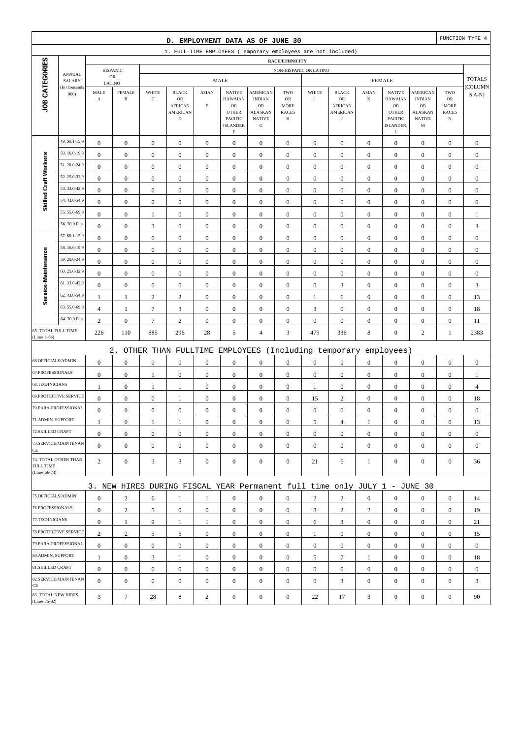|                                      |                         |                       |                               |                  | D. EMPLOYMENT DATA AS OF JUNE 30                                          |                  |                                                                            |                                                                     |                                        |                  |                                                |                  |                                                                      |                                                      |                                                         | FUNCTION TYPE 4           |
|--------------------------------------|-------------------------|-----------------------|-------------------------------|------------------|---------------------------------------------------------------------------|------------------|----------------------------------------------------------------------------|---------------------------------------------------------------------|----------------------------------------|------------------|------------------------------------------------|------------------|----------------------------------------------------------------------|------------------------------------------------------|---------------------------------------------------------|---------------------------|
|                                      |                         |                       |                               |                  | 1. FULL-TIME EMPLOYEES (Temporary employees are not included)             |                  |                                                                            |                                                                     |                                        |                  |                                                |                  |                                                                      |                                                      |                                                         |                           |
|                                      |                         |                       |                               |                  |                                                                           |                  |                                                                            |                                                                     | RACE/ETHNICITY                         |                  |                                                |                  |                                                                      |                                                      |                                                         |                           |
|                                      | <b>ANNUAL</b><br>SALARY |                       | <b>HISPANIC</b><br>${\sf OR}$ |                  |                                                                           |                  | <b>MALE</b>                                                                |                                                                     | NON-HISPANIC OR LATINO                 |                  |                                                |                  | <b>FEMALE</b>                                                        |                                                      |                                                         | <b>TOTALS</b>             |
|                                      | (In thousands           | LATINO<br>MALE        | <b>FEMALE</b>                 | WHITE            | <b>BLACK</b>                                                              | <b>ASIAN</b>     | <b>NATIVE</b>                                                              | <b>AMERICAN</b>                                                     | TWO                                    | WHITE            | <b>BLACK</b>                                   | <b>ASIAN</b>     | <b>NATIVE</b>                                                        | AMERICAN                                             | TWO                                                     | COLUMN                    |
| JOB CATEGORIES                       | 000                     | $\boldsymbol{\rm{A}}$ | $\, {\bf B}$                  | $\mathbf C$      | OR<br><b>AFRICAN</b><br><b>AMERICAN</b><br>$\mathbf D$                    | $\mathbf E$      | <b>HAWAIAN</b><br>${\sf OR}$<br><b>OTHER</b><br>PACIFIC<br><b>ISLANDER</b> | <b>INDIAN</b><br>OR<br><b>ALASKAN</b><br><b>NATIVE</b><br>${\bf G}$ | OR<br><b>MORE</b><br><b>RACES</b><br>Н | $\bf I$          | OR<br><b>AFRICAN</b><br>AMERICAN<br>$_{\rm J}$ | $\bf K$          | <b>HAWAIAN</b><br>${\sf OR}$<br><b>OTHER</b><br>PACIFIC<br>ISLANDER, | <b>INDIAN</b><br>OR<br>ALASKAN<br><b>NATIVE</b><br>M | ${\rm OR}$<br><b>MORE</b><br><b>RACES</b><br>$_{\rm N}$ | $S(A-N)$                  |
|                                      | 49. \$0.1-15.9          | $\boldsymbol{0}$      | $\boldsymbol{0}$              | $\boldsymbol{0}$ | $\boldsymbol{0}$                                                          | $\boldsymbol{0}$ | $\mathbf F$<br>$\boldsymbol{0}$                                            | $\boldsymbol{0}$                                                    | $\boldsymbol{0}$                       | $\boldsymbol{0}$ | $\boldsymbol{0}$                               | $\mathbf{0}$     | L<br>$\boldsymbol{0}$                                                | $\boldsymbol{0}$                                     | $\boldsymbol{0}$                                        | $\boldsymbol{0}$          |
|                                      | 50.16.0-19.9            | $\boldsymbol{0}$      | $\boldsymbol{0}$              | $\boldsymbol{0}$ | $\boldsymbol{0}$                                                          | $\boldsymbol{0}$ | $\boldsymbol{0}$                                                           | $\boldsymbol{0}$                                                    | $\boldsymbol{0}$                       | $\boldsymbol{0}$ | $\boldsymbol{0}$                               | $\boldsymbol{0}$ | $\boldsymbol{0}$                                                     | $\boldsymbol{0}$                                     | $\boldsymbol{0}$                                        | $\boldsymbol{0}$          |
| Skilled Craft Workers                | 51.20.0-24.9            | $\mathbf{0}$          | $\boldsymbol{0}$              | $\boldsymbol{0}$ | $\boldsymbol{0}$                                                          | $\mathbf{0}$     | $\mathbf{0}$                                                               | $\boldsymbol{0}$                                                    | $\boldsymbol{0}$                       | $\mathbf{0}$     | $\mathbf{0}$                                   | $\boldsymbol{0}$ | $\boldsymbol{0}$                                                     | $\boldsymbol{0}$                                     | $\boldsymbol{0}$                                        | $\boldsymbol{0}$          |
|                                      | 52.25.0-32.9            | $\boldsymbol{0}$      | $\boldsymbol{0}$              | $\boldsymbol{0}$ | $\boldsymbol{0}$                                                          | $\boldsymbol{0}$ | $\mathbf{0}$                                                               | $\boldsymbol{0}$                                                    | $\boldsymbol{0}$                       | $\boldsymbol{0}$ | $\mathbf{0}$                                   | $\boldsymbol{0}$ | $\boldsymbol{0}$                                                     | $\boldsymbol{0}$                                     | $\boldsymbol{0}$                                        | $\boldsymbol{0}$          |
|                                      | 53.33.0-42.9            | $\boldsymbol{0}$      | $\boldsymbol{0}$              | $\boldsymbol{0}$ | $\boldsymbol{0}$                                                          | $\boldsymbol{0}$ | $\boldsymbol{0}$                                                           | $\boldsymbol{0}$                                                    | $\boldsymbol{0}$                       | $\boldsymbol{0}$ | $\boldsymbol{0}$                               | $\boldsymbol{0}$ | $\boldsymbol{0}$                                                     | $\boldsymbol{0}$                                     | $\boldsymbol{0}$                                        | $\boldsymbol{0}$          |
|                                      | 54.43.0-54.9            | $\boldsymbol{0}$      | $\boldsymbol{0}$              | $\boldsymbol{0}$ | $\boldsymbol{0}$                                                          | $\boldsymbol{0}$ | $\boldsymbol{0}$                                                           | $\boldsymbol{0}$                                                    | $\boldsymbol{0}$                       | $\boldsymbol{0}$ | $\boldsymbol{0}$                               | $\boldsymbol{0}$ | $\boldsymbol{0}$                                                     | $\boldsymbol{0}$                                     | $\boldsymbol{0}$                                        | $\boldsymbol{0}$          |
|                                      | 55.55.0-69.9            | $\boldsymbol{0}$      | $\boldsymbol{0}$              | 1                | $\boldsymbol{0}$                                                          | $\boldsymbol{0}$ | $\mathbf{0}$                                                               | $\boldsymbol{0}$                                                    | $\boldsymbol{0}$                       | $\boldsymbol{0}$ | $\boldsymbol{0}$                               | $\boldsymbol{0}$ | $\boldsymbol{0}$                                                     | $\boldsymbol{0}$                                     | $\boldsymbol{0}$                                        | 1                         |
|                                      | 56.70.0 Plus            | $\boldsymbol{0}$      | $\boldsymbol{0}$              | 3                | $\boldsymbol{0}$                                                          | $\boldsymbol{0}$ | $\mathbf{0}$                                                               | $\boldsymbol{0}$                                                    | $\boldsymbol{0}$                       | $\boldsymbol{0}$ | $\boldsymbol{0}$                               | $\boldsymbol{0}$ | $\boldsymbol{0}$                                                     | $\boldsymbol{0}$                                     | $\boldsymbol{0}$                                        | $\ensuremath{\mathsf{3}}$ |
|                                      | 57. \$0.1-15.9          | $\boldsymbol{0}$      | $\boldsymbol{0}$              | $\boldsymbol{0}$ | $\boldsymbol{0}$                                                          | $\boldsymbol{0}$ | $\mathbf{0}$                                                               | $\boldsymbol{0}$                                                    | $\boldsymbol{0}$                       | $\boldsymbol{0}$ | $\boldsymbol{0}$                               | $\boldsymbol{0}$ | $\boldsymbol{0}$                                                     | $\boldsymbol{0}$                                     | $\boldsymbol{0}$                                        | $\boldsymbol{0}$          |
|                                      | 58.16.0-19.9            | $\boldsymbol{0}$      | $\boldsymbol{0}$              | $\boldsymbol{0}$ | $\boldsymbol{0}$                                                          | $\boldsymbol{0}$ | $\mathbf{0}$                                                               | $\boldsymbol{0}$                                                    | $\boldsymbol{0}$                       | $\boldsymbol{0}$ | $\boldsymbol{0}$                               | $\boldsymbol{0}$ | $\boldsymbol{0}$                                                     | $\boldsymbol{0}$                                     | $\boldsymbol{0}$                                        | $\boldsymbol{0}$          |
| Service-Maintenance                  | 59.20.0-24.9            | $\mathbf{0}$          | $\boldsymbol{0}$              | $\boldsymbol{0}$ | $\boldsymbol{0}$                                                          | $\boldsymbol{0}$ | $\mathbf{0}$                                                               | $\boldsymbol{0}$                                                    | $\boldsymbol{0}$                       | $\boldsymbol{0}$ | $\mathbf{0}$                                   | $\boldsymbol{0}$ | $\boldsymbol{0}$                                                     | $\boldsymbol{0}$                                     | $\boldsymbol{0}$                                        | $\boldsymbol{0}$          |
|                                      | 60.25.0-32.9            | $\boldsymbol{0}$      | $\boldsymbol{0}$              | $\boldsymbol{0}$ | $\boldsymbol{0}$                                                          | $\boldsymbol{0}$ | $\mathbf{0}$                                                               | $\boldsymbol{0}$                                                    | $\boldsymbol{0}$                       | $\boldsymbol{0}$ | $\boldsymbol{0}$                               | $\boldsymbol{0}$ | $\boldsymbol{0}$                                                     | $\boldsymbol{0}$                                     | $\boldsymbol{0}$                                        | $\boldsymbol{0}$          |
|                                      | 61.33.0-42.9            | $\boldsymbol{0}$      | $\boldsymbol{0}$              | $\boldsymbol{0}$ | $\boldsymbol{0}$                                                          | $\boldsymbol{0}$ | $\boldsymbol{0}$                                                           | $\boldsymbol{0}$                                                    | $\boldsymbol{0}$                       | $\boldsymbol{0}$ | 3                                              | $\boldsymbol{0}$ | $\boldsymbol{0}$                                                     | $\boldsymbol{0}$                                     | $\boldsymbol{0}$                                        | $\mathfrak{Z}$            |
|                                      | 62.43.0-54.9            | $\mathbf{1}$          | $\mathbf{1}$                  | $\sqrt{2}$       | $\sqrt{2}$                                                                | $\boldsymbol{0}$ | $\mathbf{0}$                                                               | $\boldsymbol{0}$                                                    | $\boldsymbol{0}$                       | $\mathbf{1}$     | 6                                              | $\boldsymbol{0}$ | $\boldsymbol{0}$                                                     | $\boldsymbol{0}$                                     | $\boldsymbol{0}$                                        | 13                        |
|                                      | 63.55.0-69.9            | $\overline{4}$        | $\mathbf{1}$                  | $\tau$           | $\mathfrak{Z}$                                                            | $\mathbf{0}$     | $\mathbf{0}$                                                               | $\boldsymbol{0}$                                                    | $\boldsymbol{0}$                       | 3                | $\mathbf{0}$                                   | $\boldsymbol{0}$ | $\boldsymbol{0}$                                                     | $\boldsymbol{0}$                                     | $\boldsymbol{0}$                                        | 18                        |
|                                      | 64.70.0 Plus            | $\overline{c}$        | $\boldsymbol{0}$              | $\boldsymbol{7}$ | $\sqrt{2}$                                                                | $\boldsymbol{0}$ | $\boldsymbol{0}$                                                           | $\boldsymbol{0}$                                                    | $\boldsymbol{0}$                       | $\boldsymbol{0}$ | $\boldsymbol{0}$                               | $\boldsymbol{0}$ | $\boldsymbol{0}$                                                     | $\boldsymbol{0}$                                     | $\boldsymbol{0}$                                        | 11                        |
| 65. TOTAL FULL TIME<br>(Lines 1-64)  |                         | 226                   | 110                           | 885              | 296                                                                       | 28               | 5                                                                          | $\overline{4}$                                                      | 3                                      | 479              | 336                                            | 8                | $\boldsymbol{0}$                                                     | $\mathbf{2}$                                         | $\mathbf{1}$                                            | 2383                      |
|                                      |                         |                       | $2$ .                         |                  | OTHER THAN FULLTIME                                                       |                  | EMPLOYEES                                                                  |                                                                     |                                        |                  | (Including temporary                           |                  | employees)                                                           |                                                      |                                                         |                           |
| 66.OFFICIALS/ADMIN                   |                         | $\boldsymbol{0}$      | $\boldsymbol{0}$              | $\boldsymbol{0}$ | $\boldsymbol{0}$                                                          | $\boldsymbol{0}$ | $\mathbf{0}$                                                               | $\boldsymbol{0}$                                                    | $\boldsymbol{0}$                       | $\boldsymbol{0}$ | $\boldsymbol{0}$                               | $\boldsymbol{0}$ | $\boldsymbol{0}$                                                     | $\boldsymbol{0}$                                     | $\boldsymbol{0}$                                        | $\boldsymbol{0}$          |
| 67.PROFESSIONALS                     |                         | $\boldsymbol{0}$      | $\boldsymbol{0}$              | 1                | $\boldsymbol{0}$                                                          | $\boldsymbol{0}$ | $\boldsymbol{0}$                                                           | $\boldsymbol{0}$                                                    | $\boldsymbol{0}$                       | $\boldsymbol{0}$ | $\boldsymbol{0}$                               | $\boldsymbol{0}$ | $\boldsymbol{0}$                                                     | $\boldsymbol{0}$                                     | $\boldsymbol{0}$                                        | 1                         |
| 68.TECHNICIANS                       |                         | $\mathbf{1}$          | $\boldsymbol{0}$              | $\mathbf{1}$     | $\mathbf{1}$                                                              | $\boldsymbol{0}$ | $\boldsymbol{0}$                                                           | $\boldsymbol{0}$                                                    | $\boldsymbol{0}$                       | $\mathbf{1}$     | $\boldsymbol{0}$                               | $\boldsymbol{0}$ | $\boldsymbol{0}$                                                     | $\boldsymbol{0}$                                     | $\boldsymbol{0}$                                        | $\overline{4}$            |
|                                      | 69.PROTECTIVE SERVICE   | $\boldsymbol{0}$      | $\boldsymbol{0}$              | $\boldsymbol{0}$ | 1                                                                         | $\mathbf{0}$     | $\boldsymbol{0}$                                                           | $\boldsymbol{0}$                                                    | $\boldsymbol{0}$                       | 15               | $\mathbf{2}$                                   | $\boldsymbol{0}$ | $\boldsymbol{0}$                                                     | $\boldsymbol{0}$                                     | $\boldsymbol{0}$                                        | 18                        |
|                                      | 70.PARA-PROFESSIONAL    | $\boldsymbol{0}$      | $\boldsymbol{0}$              | $\boldsymbol{0}$ | $\boldsymbol{0}$                                                          | $\boldsymbol{0}$ | $\mathbf{0}$                                                               | $\boldsymbol{0}$                                                    | $\boldsymbol{0}$                       | $\boldsymbol{0}$ | $\boldsymbol{0}$                               | $\boldsymbol{0}$ | $\boldsymbol{0}$                                                     | $\boldsymbol{0}$                                     | $\boldsymbol{0}$                                        | $\boldsymbol{0}$          |
| 71.ADMIN. SUPPORT                    |                         | 1                     | $\boldsymbol{0}$              | 1                | 1                                                                         | $\boldsymbol{0}$ | $\boldsymbol{0}$                                                           | $\boldsymbol{0}$                                                    | $\Omega$                               | 5                | $\overline{4}$                                 | 1                | $\boldsymbol{0}$                                                     | $\Omega$                                             | $\boldsymbol{0}$                                        | 13                        |
| 72.SKILLED CRAFT                     |                         | $\boldsymbol{0}$      | $\boldsymbol{0}$              | $\boldsymbol{0}$ | $\mathbf{0}$                                                              | $\boldsymbol{0}$ | $\boldsymbol{0}$                                                           | $\mathbf{0}$                                                        | $\mathbf{0}$                           | $\mathbf{0}$     | $\mathbf{0}$                                   | $\mathbf{0}$     | $\boldsymbol{0}$                                                     | $\boldsymbol{0}$                                     | $\mathbf{0}$                                            | $\mathbf{0}$              |
| CE                                   | 73.SERVICE/MAINTENAN    | $\mathbf{0}$          | $\boldsymbol{0}$              | $\boldsymbol{0}$ | $\boldsymbol{0}$                                                          | $\boldsymbol{0}$ | $\overline{0}$                                                             | $\boldsymbol{0}$                                                    | $\mathbf{0}$                           | $\mathbf{0}$     | $\mathbf{0}$                                   | $\mathbf{0}$     | $\boldsymbol{0}$                                                     | $\boldsymbol{0}$                                     | $\mathbf{0}$                                            | $\overline{0}$            |
| <b>FULL TIME</b><br>(Lines 66-73)    | 74. TOTAL OTHER THAN    | $\overline{2}$        | $\boldsymbol{0}$              | 3                | 3                                                                         | $\boldsymbol{0}$ | $\boldsymbol{0}$                                                           | $\boldsymbol{0}$                                                    | $\boldsymbol{0}$                       | 21               | 6                                              | $\mathbf{1}$     | $\mathbf{0}$                                                         | $\boldsymbol{0}$                                     | $\boldsymbol{0}$                                        | 36                        |
|                                      |                         |                       |                               |                  | 3. NEW HIRES DURING FISCAL YEAR Permanent full time only JULY 1 - JUNE 30 |                  |                                                                            |                                                                     |                                        |                  |                                                |                  |                                                                      |                                                      |                                                         |                           |
| 75.OFFICIALS/ADMIN                   |                         | $\boldsymbol{0}$      | $\mathbf{2}$                  | 6                | 1                                                                         | 1                | $\mathbf{0}$                                                               | $\mathbf{0}$                                                        | $\mathbf{0}$                           | $\overline{2}$   | $\overline{2}$                                 | $\overline{0}$   | $\boldsymbol{0}$                                                     | $\mathbf{0}$                                         | $\mathbf{0}$                                            | 14                        |
| 76.PROFESSIONALS                     |                         | $\boldsymbol{0}$      | $\sqrt{2}$                    | 5                | $\mathbf{0}$                                                              | $\boldsymbol{0}$ | $\overline{0}$                                                             | $\boldsymbol{0}$                                                    | $\boldsymbol{0}$                       | 8                | 2                                              | 2                | $\mathbf{0}$                                                         | $\boldsymbol{0}$                                     | $\mathbf{0}$                                            | 19                        |
| 77.TECHNICIANS                       |                         | $\boldsymbol{0}$      | $\mathbf{1}$                  | 9                | -1                                                                        | 1                | $\overline{0}$                                                             | $\boldsymbol{0}$                                                    | $\boldsymbol{0}$                       | 6                | 3                                              | $\overline{0}$   | $\mathbf{0}$                                                         | $\boldsymbol{0}$                                     | $\boldsymbol{0}$                                        | 21                        |
|                                      | 78.PROTECTIVE SERVICE   | $\overline{c}$        | $\sqrt{2}$                    | 5                | 5                                                                         | $\boldsymbol{0}$ | $\overline{0}$                                                             | $\mathbf{0}$                                                        | $\boldsymbol{0}$                       | $\mathbf{1}$     | $\boldsymbol{0}$                               | $\overline{0}$   | $\boldsymbol{0}$                                                     | $\mathbf{0}$                                         | $\mathbf{0}$                                            | 15                        |
|                                      | 79.PARA-PROFESSIONAL    | $\boldsymbol{0}$      | $\boldsymbol{0}$              | $\mathbf{0}$     | $\mathbf{0}$                                                              | $\overline{0}$   | $\boldsymbol{0}$                                                           | $\mathbf{0}$                                                        | $\mathbf{0}$                           | $\mathbf{0}$     | $\mathbf{0}$                                   | $\overline{0}$   | $\mathbf{0}$                                                         | $\overline{0}$                                       | $\boldsymbol{0}$                                        | $\mathbf{0}$              |
| 80.ADMIN. SUPPORT                    |                         | $\mathbf{1}$          | $\boldsymbol{0}$              | 3                | 1                                                                         | $\boldsymbol{0}$ | $\boldsymbol{0}$                                                           | $\mathbf{0}$                                                        | $\mathbf{0}$                           | 5                | $\tau$                                         | $\mathbf{1}$     | $\mathbf{0}$                                                         | $\boldsymbol{0}$                                     | $\mathbf{0}$                                            | 18                        |
| 81.SKILLED CRAFT                     |                         | $\boldsymbol{0}$      | $\boldsymbol{0}$              | $\boldsymbol{0}$ | $\boldsymbol{0}$                                                          | $\boldsymbol{0}$ | $\overline{0}$                                                             | $\boldsymbol{0}$                                                    | $\boldsymbol{0}$                       | $\boldsymbol{0}$ | $\boldsymbol{0}$                               | $\overline{0}$   | $\mathbf{0}$                                                         | $\boldsymbol{0}$                                     | $\boldsymbol{0}$                                        | $\boldsymbol{0}$          |
| CE                                   | 82.SERVICE/MAINTENAN    | $\overline{0}$        | $\boldsymbol{0}$              | $\boldsymbol{0}$ | $\boldsymbol{0}$                                                          | $\mathbf{0}$     | $\overline{0}$                                                             | $\boldsymbol{0}$                                                    | $\mathbf{0}$                           | $\mathbf{0}$     | 3                                              | $\mathbf{0}$     | $\boldsymbol{0}$                                                     | $\overline{0}$                                       | $\boldsymbol{0}$                                        | 3                         |
| 83. TOTAL NEW HIRES<br>(Lines 75-82) |                         | 3                     | $\tau$                        | 28               | 8                                                                         | $\overline{c}$   | $\boldsymbol{0}$                                                           | $\boldsymbol{0}$                                                    | $\boldsymbol{0}$                       | 22               | 17                                             | 3                | $\boldsymbol{0}$                                                     | $\boldsymbol{0}$                                     | $\boldsymbol{0}$                                        | 90                        |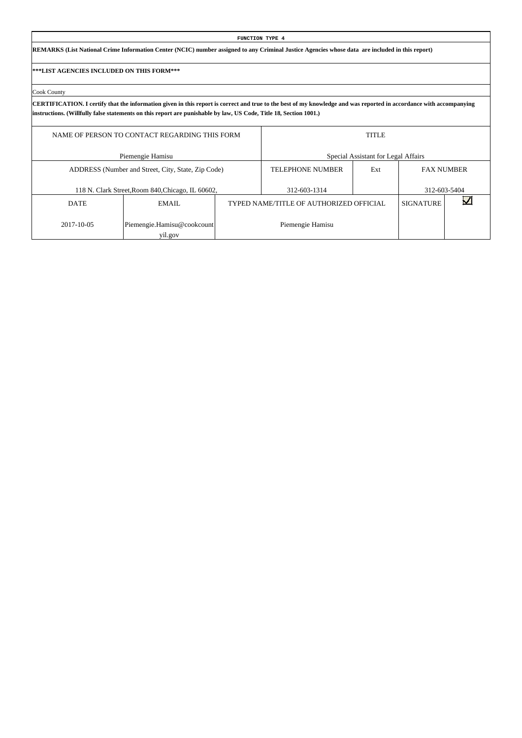|                                           |                                                                                                                                                                                    |  | FUNCTION TYPE 4                         |                                     |                  |                   |  |  |  |  |  |  |  |  |
|-------------------------------------------|------------------------------------------------------------------------------------------------------------------------------------------------------------------------------------|--|-----------------------------------------|-------------------------------------|------------------|-------------------|--|--|--|--|--|--|--|--|
|                                           | REMARKS (List National Crime Information Center (NCIC) number assigned to any Criminal Justice Agencies whose data are included in this report)                                    |  |                                         |                                     |                  |                   |  |  |  |  |  |  |  |  |
| ***LIST AGENCIES INCLUDED ON THIS FORM*** |                                                                                                                                                                                    |  |                                         |                                     |                  |                   |  |  |  |  |  |  |  |  |
| Cook County                               |                                                                                                                                                                                    |  |                                         |                                     |                  |                   |  |  |  |  |  |  |  |  |
|                                           | CERTIFICATION. I certify that the information given in this report is correct and true to the best of my knowledge and was reported in accordance with accompanying                |  |                                         |                                     |                  |                   |  |  |  |  |  |  |  |  |
|                                           | instructions. (Willfully false statements on this report are punishable by law, US Code, Title 18, Section 1001.)<br><b>TITLE</b><br>NAME OF PERSON TO CONTACT REGARDING THIS FORM |  |                                         |                                     |                  |                   |  |  |  |  |  |  |  |  |
|                                           | Piemengie Hamisu                                                                                                                                                                   |  |                                         | Special Assistant for Legal Affairs |                  |                   |  |  |  |  |  |  |  |  |
|                                           | ADDRESS (Number and Street, City, State, Zip Code)                                                                                                                                 |  | <b>TELEPHONE NUMBER</b>                 | Ext                                 |                  | <b>FAX NUMBER</b> |  |  |  |  |  |  |  |  |
|                                           | 118 N. Clark Street, Room 840, Chicago, IL 60602,                                                                                                                                  |  | 312-603-1314                            |                                     |                  | 312-603-5404      |  |  |  |  |  |  |  |  |
| <b>DATE</b>                               | EMAIL.                                                                                                                                                                             |  | TYPED NAME/TITLE OF AUTHORIZED OFFICIAL |                                     | <b>SIGNATURE</b> |                   |  |  |  |  |  |  |  |  |
| 2017-10-05                                | Piemengie.Hamisu@cookcount                                                                                                                                                         |  | Piemengie Hamisu                        |                                     |                  |                   |  |  |  |  |  |  |  |  |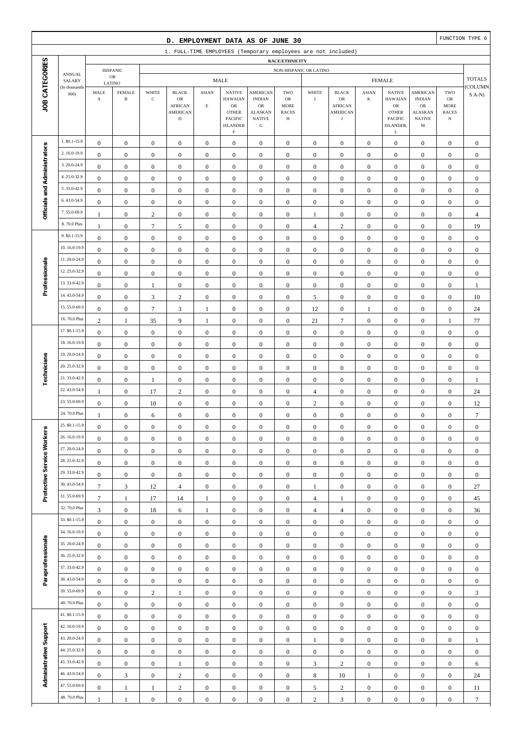|                              |                                |                     |                                         |                        | D. EMPLOYMENT DATA AS OF JUNE 30                              |                       |                                                                          |                                                             |                                      |                                  |                                                 |                                      |                                                                |                                                   |                                           | FUNCTION TYPE 6        |
|------------------------------|--------------------------------|---------------------|-----------------------------------------|------------------------|---------------------------------------------------------------|-----------------------|--------------------------------------------------------------------------|-------------------------------------------------------------|--------------------------------------|----------------------------------|-------------------------------------------------|--------------------------------------|----------------------------------------------------------------|---------------------------------------------------|-------------------------------------------|------------------------|
|                              |                                |                     |                                         |                        | 1. FULL-TIME EMPLOYEES (Temporary employees are not included) |                       |                                                                          |                                                             |                                      |                                  |                                                 |                                      |                                                                |                                                   |                                           |                        |
|                              |                                |                     |                                         |                        |                                                               |                       |                                                                          |                                                             | RACE/ETHNICITY                       |                                  |                                                 |                                      |                                                                |                                                   |                                           |                        |
|                              | <b>ANNUAL</b><br>SALARY        |                     | <b>HISPANIC</b><br>$_{\rm OR}$          |                        |                                                               |                       | <b>MALE</b>                                                              |                                                             | NON-HISPANIC OR LATINO               |                                  |                                                 |                                      | <b>FEMALE</b>                                                  |                                                   |                                           | <b>TOTALS</b>          |
| JOB CATEGORIES               | (In thousands<br>000           | MALE<br>$\mathbf A$ | LATINO<br><b>FEMALE</b><br>$\, {\bf B}$ | WHITE<br>$\mathbf C$   | <b>BLACK</b><br>OR                                            | <b>ASIAN</b>          | <b>NATIVE</b><br><b>HAWAIAN</b>                                          | <b>AMERICAN</b><br><b>INDIAN</b>                            | TWO<br>OR                            | WHITE<br>$\mathbf I$             | <b>BLACK</b><br>OR                              | <b>ASIAN</b><br>K                    | <b>NATIVE</b><br><b>HAWAIAN</b>                                | <b>AMERICAN</b><br><b>INDIAN</b>                  | TWO<br>${\sf OR}$                         | COLUMN<br>$S(A-N)$     |
|                              |                                |                     |                                         |                        | <b>AFRICAN</b><br><b>AMERICAN</b><br>$\mathbf D$              | $\mathbf E$           | $_{\rm OR}$<br><b>OTHER</b><br>PACIFIC<br><b>ISLANDER</b><br>$\mathbf F$ | $_{\rm OR}$<br><b>ALASKAN</b><br><b>NATIVE</b><br>${\bf G}$ | <b>MORE</b><br><b>RACES</b><br>Н     |                                  | <b>AFRICAN</b><br><b>AMERICAN</b><br>$_{\rm J}$ |                                      | ${\rm OR}$<br><b>OTHER</b><br><b>PACIFIC</b><br>ISLANDER,<br>L | <b>OR</b><br><b>ALASKAN</b><br><b>NATIVE</b><br>M | <b>MORE</b><br><b>RACES</b><br>$_{\rm N}$ |                        |
|                              | 1. \$0.1-15.9                  | $\boldsymbol{0}$    | $\boldsymbol{0}$                        | $\boldsymbol{0}$       | $\boldsymbol{0}$                                              | $\boldsymbol{0}$      | $\boldsymbol{0}$                                                         | $\mathbf{0}$                                                | $\boldsymbol{0}$                     | $\boldsymbol{0}$                 | $\boldsymbol{0}$                                | $\boldsymbol{0}$                     | $\boldsymbol{0}$                                               | $\boldsymbol{0}$                                  | $\boldsymbol{0}$                          | $\mathbf{0}$           |
|                              | 2.16.0-19.9                    | $\boldsymbol{0}$    | $\boldsymbol{0}$                        | $\boldsymbol{0}$       | $\boldsymbol{0}$                                              | $\boldsymbol{0}$      | $\boldsymbol{0}$                                                         | $\boldsymbol{0}$                                            | $\boldsymbol{0}$                     | $\boldsymbol{0}$                 | $\boldsymbol{0}$                                | $\boldsymbol{0}$                     | $\boldsymbol{0}$                                               | $\boldsymbol{0}$                                  | $\boldsymbol{0}$                          | $\boldsymbol{0}$       |
|                              | 3.20.0-24.9                    | $\boldsymbol{0}$    | $\mathbf{0}$                            | $\boldsymbol{0}$       | $\boldsymbol{0}$                                              | $\boldsymbol{0}$      | $\boldsymbol{0}$                                                         | $\boldsymbol{0}$                                            | $\boldsymbol{0}$                     | $\boldsymbol{0}$                 | $\boldsymbol{0}$                                | $\boldsymbol{0}$                     | $\boldsymbol{0}$                                               | $\boldsymbol{0}$                                  | $\boldsymbol{0}$                          | $\boldsymbol{0}$       |
|                              | 4.25.0-32.9                    | $\boldsymbol{0}$    | $\mathbf{0}$                            | $\boldsymbol{0}$       | $\boldsymbol{0}$                                              | $\boldsymbol{0}$      | $\boldsymbol{0}$                                                         | $\boldsymbol{0}$                                            | $\mathbf{0}$                         | $\boldsymbol{0}$                 | $\boldsymbol{0}$                                | $\boldsymbol{0}$                     | $\boldsymbol{0}$                                               | $\boldsymbol{0}$                                  | $\boldsymbol{0}$                          | $\boldsymbol{0}$       |
| Officials and Administrators | 5.33.0-42.9                    | $\boldsymbol{0}$    | $\mathbf{0}$                            | $\boldsymbol{0}$       | $\boldsymbol{0}$                                              | $\boldsymbol{0}$      | $\boldsymbol{0}$                                                         | $\boldsymbol{0}$                                            | $\boldsymbol{0}$                     | $\boldsymbol{0}$                 | $\boldsymbol{0}$                                | $\boldsymbol{0}$                     | $\boldsymbol{0}$                                               | $\boldsymbol{0}$                                  | $\boldsymbol{0}$                          | $\boldsymbol{0}$       |
|                              | 6.43.0-54.9                    | $\boldsymbol{0}$    | $\boldsymbol{0}$                        | $\boldsymbol{0}$       | $\boldsymbol{0}$                                              | $\boldsymbol{0}$      | $\mathbf{0}$                                                             | $\boldsymbol{0}$                                            | $\boldsymbol{0}$                     | $\boldsymbol{0}$                 | $\boldsymbol{0}$                                | $\boldsymbol{0}$                     | $\boldsymbol{0}$                                               | $\boldsymbol{0}$                                  | $\boldsymbol{0}$                          | $\boldsymbol{0}$       |
|                              | 7.55.0-69.9                    | $\mathbf{1}$        | $\boldsymbol{0}$                        | $\sqrt{2}$             | $\boldsymbol{0}$                                              | $\boldsymbol{0}$      | $\mathbf{0}$                                                             | $\boldsymbol{0}$                                            | $\boldsymbol{0}$                     | $\,1$                            | $\boldsymbol{0}$                                | $\boldsymbol{0}$                     | $\boldsymbol{0}$                                               | $\boldsymbol{0}$                                  | $\boldsymbol{0}$                          | $\overline{4}$         |
|                              | 8.70.0 Plus                    | $\mathbf{1}$        | $\boldsymbol{0}$                        | $\tau$                 | 5                                                             | $\boldsymbol{0}$      | $\mathbf{0}$                                                             | $\boldsymbol{0}$                                            | $\mathbf{0}$                         | $\overline{4}$                   | $\mathbf{2}$                                    | $\boldsymbol{0}$                     | $\boldsymbol{0}$                                               | $\overline{0}$                                    | $\boldsymbol{0}$                          | 19                     |
|                              | 9. \$0.1-15.9                  | $\boldsymbol{0}$    | $\mathbf{0}$                            | $\boldsymbol{0}$       | $\boldsymbol{0}$                                              | $\boldsymbol{0}$      | $\mathbf{0}$                                                             | $\boldsymbol{0}$                                            | $\boldsymbol{0}$                     | $\boldsymbol{0}$                 | $\boldsymbol{0}$                                | $\boldsymbol{0}$                     | $\boldsymbol{0}$                                               | $\boldsymbol{0}$                                  | $\boldsymbol{0}$                          | $\boldsymbol{0}$       |
|                              | 10.16.0-19.9                   | $\boldsymbol{0}$    | $\mathbf{0}$                            | $\boldsymbol{0}$       | $\boldsymbol{0}$                                              | $\boldsymbol{0}$      | $\mathbf{0}$                                                             | $\boldsymbol{0}$                                            | $\boldsymbol{0}$                     | $\mathbf{0}$                     | $\boldsymbol{0}$                                | $\boldsymbol{0}$                     | $\boldsymbol{0}$                                               | $\boldsymbol{0}$                                  | $\boldsymbol{0}$                          | $\boldsymbol{0}$       |
|                              | 11.20.0-24.9                   | $\boldsymbol{0}$    | $\mathbf{0}$                            | $\boldsymbol{0}$       | $\boldsymbol{0}$                                              | $\boldsymbol{0}$      | $\mathbf{0}$                                                             | $\boldsymbol{0}$                                            | $\boldsymbol{0}$                     | $\mathbf{0}$                     | $\boldsymbol{0}$                                | $\boldsymbol{0}$                     | $\boldsymbol{0}$                                               | $\boldsymbol{0}$                                  | $\boldsymbol{0}$                          | $\boldsymbol{0}$       |
| Professionals                | 12.25.0-32.9                   | $\boldsymbol{0}$    | $\mathbf{0}$                            | $\boldsymbol{0}$       | $\boldsymbol{0}$                                              | $\mathbf{0}$          | $\mathbf{0}$                                                             | $\boldsymbol{0}$                                            | $\mathbf{0}$                         | $\boldsymbol{0}$                 | $\boldsymbol{0}$                                | $\boldsymbol{0}$                     | $\boldsymbol{0}$                                               | $\boldsymbol{0}$                                  | $\boldsymbol{0}$                          | $\boldsymbol{0}$       |
|                              | 13.33.0-42.9                   | $\boldsymbol{0}$    | $\mathbf{0}$                            | $\mathbf{1}$           | $\boldsymbol{0}$                                              | $\boldsymbol{0}$      | $\mathbf{0}$                                                             | $\boldsymbol{0}$                                            | $\boldsymbol{0}$                     | $\boldsymbol{0}$                 | $\boldsymbol{0}$                                | $\boldsymbol{0}$                     | $\boldsymbol{0}$                                               | $\boldsymbol{0}$                                  | $\boldsymbol{0}$                          | $\mathbf{1}$           |
|                              | 14.43.0-54.9                   | $\boldsymbol{0}$    | $\boldsymbol{0}$                        | $\mathfrak{Z}$         | $\sqrt{2}$                                                    | $\boldsymbol{0}$      | $\mathbf{0}$                                                             | $\boldsymbol{0}$                                            | $\boldsymbol{0}$                     | 5                                | $\boldsymbol{0}$                                | $\boldsymbol{0}$                     | $\boldsymbol{0}$                                               | $\boldsymbol{0}$                                  | $\boldsymbol{0}$                          | 10                     |
|                              | 15.55.0-69.9                   | $\boldsymbol{0}$    | $\boldsymbol{0}$                        | $\boldsymbol{7}$       | $\mathfrak{Z}$                                                | 1                     | $\boldsymbol{0}$                                                         | $\boldsymbol{0}$                                            | $\boldsymbol{0}$                     | 12                               | $\boldsymbol{0}$                                | 1                                    | $\boldsymbol{0}$                                               | $\boldsymbol{0}$                                  | $\boldsymbol{0}$                          | 24                     |
|                              | 16.70.0 Plus                   | 2                   | 1                                       | 35                     | 9                                                             | 1                     | $\boldsymbol{0}$                                                         | $\boldsymbol{0}$                                            | $\mathbf{0}$                         | 21                               | $7\phantom{.0}$                                 | $\boldsymbol{0}$                     | $\boldsymbol{0}$                                               | $\overline{0}$                                    | $\mathbf{1}$                              | 77                     |
|                              | 17. \$0.1-15.9                 | $\boldsymbol{0}$    | $\mathbf{0}$                            | $\boldsymbol{0}$       | $\boldsymbol{0}$                                              | $\boldsymbol{0}$      | $\boldsymbol{0}$                                                         | $\boldsymbol{0}$                                            | $\boldsymbol{0}$                     | $\boldsymbol{0}$                 | $\boldsymbol{0}$                                | $\boldsymbol{0}$                     | $\boldsymbol{0}$                                               | $\boldsymbol{0}$                                  | $\boldsymbol{0}$                          | $\boldsymbol{0}$       |
|                              | 18.16.0-19.9                   | $\boldsymbol{0}$    | $\boldsymbol{0}$                        | $\boldsymbol{0}$       | $\boldsymbol{0}$                                              | $\boldsymbol{0}$      | $\boldsymbol{0}$                                                         | $\boldsymbol{0}$                                            | $\boldsymbol{0}$                     | $\boldsymbol{0}$                 | $\boldsymbol{0}$                                | $\boldsymbol{0}$                     | $\boldsymbol{0}$                                               | $\boldsymbol{0}$                                  | $\boldsymbol{0}$                          | $\boldsymbol{0}$       |
|                              | 19.20.0-24.9                   | $\boldsymbol{0}$    | $\mathbf{0}$                            | $\boldsymbol{0}$       | $\boldsymbol{0}$                                              | $\boldsymbol{0}$      | $\boldsymbol{0}$                                                         | $\boldsymbol{0}$                                            | $\boldsymbol{0}$                     | $\mathbf{0}$                     | $\boldsymbol{0}$                                | $\boldsymbol{0}$                     | $\boldsymbol{0}$                                               | $\boldsymbol{0}$                                  | $\boldsymbol{0}$                          | $\boldsymbol{0}$       |
| Technicians                  | 20.25.0-32.9                   | $\mathbf{0}$        | $\mathbf{0}$                            | $\boldsymbol{0}$       | $\boldsymbol{0}$                                              | $\mathbf{0}$          | $\boldsymbol{0}$                                                         | $\boldsymbol{0}$                                            | $\mathbf{0}$                         | $\boldsymbol{0}$                 | $\boldsymbol{0}$                                | $\boldsymbol{0}$                     | $\boldsymbol{0}$                                               | $\boldsymbol{0}$                                  | $\boldsymbol{0}$                          | $\boldsymbol{0}$       |
|                              | 21.33.0-42.9                   | $\boldsymbol{0}$    | $\mathbf{0}$                            | $\mathbf{1}$           | $\boldsymbol{0}$                                              | $\boldsymbol{0}$      | $\boldsymbol{0}$                                                         | $\boldsymbol{0}$                                            | $\boldsymbol{0}$                     | $\boldsymbol{0}$                 | $\boldsymbol{0}$                                | $\boldsymbol{0}$                     | $\boldsymbol{0}$                                               | $\boldsymbol{0}$                                  | $\boldsymbol{0}$                          | 1                      |
|                              | 22.43.0-54.9                   | -1                  | $\boldsymbol{0}$                        | 17                     | $\sqrt{2}$                                                    | $\boldsymbol{0}$      | $\boldsymbol{0}$                                                         | $\boldsymbol{0}$                                            | $\boldsymbol{0}$                     | $\overline{4}$                   | $\boldsymbol{0}$                                | $\boldsymbol{0}$                     | $\boldsymbol{0}$                                               | $\boldsymbol{0}$                                  | $\boldsymbol{0}$                          | 24                     |
|                              | 23.55.0-69.9                   | $\boldsymbol{0}$    | $\mathbf{0}$                            | 10                     | $\boldsymbol{0}$                                              | $\boldsymbol{0}$      | $\mathbf{0}$                                                             | $\boldsymbol{0}$                                            | $\boldsymbol{0}$                     | $\sqrt{2}$                       | $\boldsymbol{0}$                                | $\boldsymbol{0}$                     | $\boldsymbol{0}$                                               | $\boldsymbol{0}$                                  | $\boldsymbol{0}$                          | 12                     |
|                              | 24.70.0 Plus                   | $\mathbf{1}$        | $\mathbf{0}$                            | 6                      | $\boldsymbol{0}$                                              | $\mathbf{0}$          | $\mathbf{0}$                                                             | $\boldsymbol{0}$                                            | $\mathbf{0}$                         | $\boldsymbol{0}$                 | $\boldsymbol{0}$                                | $\boldsymbol{0}$                     | $\boldsymbol{0}$                                               | $\overline{0}$                                    | $\boldsymbol{0}$                          | $\overline{7}$         |
|                              | 25. \$0.1-15.9<br>26.16.0-19.9 | $\boldsymbol{0}$    | $\boldsymbol{0}$                        | $\boldsymbol{0}$       | $\boldsymbol{0}$                                              | $\boldsymbol{0}$      | $\boldsymbol{0}$                                                         | $\bf{0}$                                                    | $\boldsymbol{0}$                     | $\boldsymbol{0}$                 | $\boldsymbol{0}$                                | $\boldsymbol{0}$                     | $\boldsymbol{0}$                                               | 0                                                 | $\boldsymbol{0}$                          | $\boldsymbol{0}$       |
|                              | 27.20.0-24.9                   | $\boldsymbol{0}$    | $\boldsymbol{0}$                        | $\boldsymbol{0}$       | $\mathbf{0}$                                                  | $\boldsymbol{0}$      | $\boldsymbol{0}$                                                         | $\boldsymbol{0}$                                            | $\boldsymbol{0}$                     | $\boldsymbol{0}$                 | $\boldsymbol{0}$                                | $\mathbf{0}$                         | $\boldsymbol{0}$                                               | $\boldsymbol{0}$                                  | $\boldsymbol{0}$                          | $\boldsymbol{0}$       |
|                              | 28.25.0-32.9                   | $\boldsymbol{0}$    | $\boldsymbol{0}$                        | $\boldsymbol{0}$       | $\boldsymbol{0}$                                              | $\boldsymbol{0}$      | $\boldsymbol{0}$                                                         | $\boldsymbol{0}$                                            | $\boldsymbol{0}$                     | $\boldsymbol{0}$                 | $\boldsymbol{0}$                                | $\mathbf{0}$                         | $\boldsymbol{0}$                                               | $\boldsymbol{0}$                                  | $\boldsymbol{0}$                          | $\boldsymbol{0}$       |
|                              | 29.33.0-42.9                   | $\boldsymbol{0}$    | $\boldsymbol{0}$                        | $\boldsymbol{0}$       | $\overline{0}$                                                | $\mathbf{0}$          | $\boldsymbol{0}$                                                         | $\mathbf{0}$                                                | $\boldsymbol{0}$                     | $\overline{0}$                   | $\boldsymbol{0}$                                | $\boldsymbol{0}$                     | $\boldsymbol{0}$                                               | $\boldsymbol{0}$                                  | $\boldsymbol{0}$                          | $\boldsymbol{0}$       |
|                              | 30.43.0-54.9                   | $\boldsymbol{0}$    | $\boldsymbol{0}$                        | $\boldsymbol{0}$       | $\boldsymbol{0}$                                              | $\mathbf{0}$          | $\boldsymbol{0}$                                                         | $\boldsymbol{0}$                                            | $\boldsymbol{0}$                     | $\boldsymbol{0}$                 | $\boldsymbol{0}$                                | $\boldsymbol{0}$                     | $\boldsymbol{0}$                                               | $\boldsymbol{0}$                                  | $\boldsymbol{0}$                          | $\boldsymbol{0}$       |
| Protective Service Workers   | 31.55.0-69.9                   | $\tau$<br>$\tau$    | 3                                       | 12                     | $\overline{4}$                                                | $\boldsymbol{0}$      | $\boldsymbol{0}$                                                         | $\boldsymbol{0}$                                            | $\boldsymbol{0}$                     | $\mathbf{1}$                     | $\boldsymbol{0}$                                | $\boldsymbol{0}$                     | $\boldsymbol{0}$                                               | $\boldsymbol{0}$                                  | $\boldsymbol{0}$                          | 27                     |
|                              | 32.70.0 Plus                   | 3                   | $\mathbf{1}$                            | 17                     | 14                                                            | $\mathbf{1}$          | $\boldsymbol{0}$                                                         | $\boldsymbol{0}$<br>$\boldsymbol{0}$                        | $\boldsymbol{0}$                     | $\overline{4}$<br>$\overline{4}$ | $\mathbf{1}$<br>$\overline{4}$                  | $\boldsymbol{0}$                     | $\boldsymbol{0}$<br>$\boldsymbol{0}$                           | $\boldsymbol{0}$                                  | $\boldsymbol{0}$                          | 45                     |
|                              | 33. \$0.1-15.9                 | $\boldsymbol{0}$    | $\boldsymbol{0}$<br>$\boldsymbol{0}$    | 18<br>$\boldsymbol{0}$ | 6<br>$\boldsymbol{0}$                                         | 1<br>$\boldsymbol{0}$ | $\boldsymbol{0}$<br>$\boldsymbol{0}$                                     | $\boldsymbol{0}$                                            | $\boldsymbol{0}$<br>$\boldsymbol{0}$ | $\boldsymbol{0}$                 | $\boldsymbol{0}$                                | $\boldsymbol{0}$<br>$\boldsymbol{0}$ | $\boldsymbol{0}$                                               | $\boldsymbol{0}$<br>$\boldsymbol{0}$              | $\boldsymbol{0}$<br>$\boldsymbol{0}$      | 36<br>$\boldsymbol{0}$ |
|                              | 34.16.0-19.9                   | $\boldsymbol{0}$    | $\boldsymbol{0}$                        | $\boldsymbol{0}$       | $\boldsymbol{0}$                                              | $\boldsymbol{0}$      | $\boldsymbol{0}$                                                         | $\boldsymbol{0}$                                            | $\boldsymbol{0}$                     | $\boldsymbol{0}$                 | $\boldsymbol{0}$                                | $\boldsymbol{0}$                     | $\boldsymbol{0}$                                               | $\boldsymbol{0}$                                  | $\boldsymbol{0}$                          | $\boldsymbol{0}$       |
| Paraprofessionals            | 35.20.0-24.9                   | $\boldsymbol{0}$    | $\boldsymbol{0}$                        | $\boldsymbol{0}$       | $\boldsymbol{0}$                                              | $\boldsymbol{0}$      | $\boldsymbol{0}$                                                         | $\boldsymbol{0}$                                            | $\boldsymbol{0}$                     | $\boldsymbol{0}$                 | $\boldsymbol{0}$                                | $\boldsymbol{0}$                     | $\boldsymbol{0}$                                               | $\boldsymbol{0}$                                  | $\boldsymbol{0}$                          | $\boldsymbol{0}$       |
|                              | 36.25.0-32.9                   | $\boldsymbol{0}$    | $\boldsymbol{0}$                        | $\boldsymbol{0}$       | $\overline{0}$                                                | $\mathbf{0}$          | $\boldsymbol{0}$                                                         | $\boldsymbol{0}$                                            | $\boldsymbol{0}$                     | $\overline{0}$                   | $\boldsymbol{0}$                                | $\boldsymbol{0}$                     | $\boldsymbol{0}$                                               | $\boldsymbol{0}$                                  | $\boldsymbol{0}$                          | $\boldsymbol{0}$       |
|                              | 37.33.0-42.9                   | $\boldsymbol{0}$    | $\boldsymbol{0}$                        | $\boldsymbol{0}$       | $\boldsymbol{0}$                                              | $\boldsymbol{0}$      | $\boldsymbol{0}$                                                         | $\boldsymbol{0}$                                            | $\boldsymbol{0}$                     | $\boldsymbol{0}$                 | $\boldsymbol{0}$                                | $\boldsymbol{0}$                     | $\boldsymbol{0}$                                               | $\boldsymbol{0}$                                  | $\boldsymbol{0}$                          | $\boldsymbol{0}$       |
|                              | 38.43.0-54.9                   | $\boldsymbol{0}$    | $\boldsymbol{0}$                        | $\boldsymbol{0}$       | $\boldsymbol{0}$                                              | $\boldsymbol{0}$      | $\boldsymbol{0}$                                                         | $\boldsymbol{0}$                                            | $\boldsymbol{0}$                     | $\boldsymbol{0}$                 | $\boldsymbol{0}$                                | $\boldsymbol{0}$                     | $\boldsymbol{0}$                                               | $\boldsymbol{0}$                                  | $\boldsymbol{0}$                          | $\boldsymbol{0}$       |
|                              | 39.55.0-69.9                   | $\boldsymbol{0}$    | $\boldsymbol{0}$                        | $\sqrt{2}$             | $\mathbf{1}$                                                  | $\boldsymbol{0}$      | $\boldsymbol{0}$                                                         | $\boldsymbol{0}$                                            | $\boldsymbol{0}$                     | $\boldsymbol{0}$                 | $\boldsymbol{0}$                                | $\boldsymbol{0}$                     | $\boldsymbol{0}$                                               | $\boldsymbol{0}$                                  | $\boldsymbol{0}$                          | 3                      |
|                              | 40.70.0 Plus                   | $\boldsymbol{0}$    | $\boldsymbol{0}$                        | $\boldsymbol{0}$       | $\boldsymbol{0}$                                              | $\mathbf{0}$          | $\boldsymbol{0}$                                                         | $\boldsymbol{0}$                                            | $\boldsymbol{0}$                     | $\mathbf{0}$                     | $\boldsymbol{0}$                                | $\boldsymbol{0}$                     | $\boldsymbol{0}$                                               | $\boldsymbol{0}$                                  | $\boldsymbol{0}$                          | $\boldsymbol{0}$       |
|                              | 41. \$0.1-15.9                 | $\boldsymbol{0}$    | $\boldsymbol{0}$                        | $\boldsymbol{0}$       | $\boldsymbol{0}$                                              | $\boldsymbol{0}$      | $\boldsymbol{0}$                                                         | $\boldsymbol{0}$                                            | $\boldsymbol{0}$                     | $\boldsymbol{0}$                 | $\boldsymbol{0}$                                | $\boldsymbol{0}$                     | $\boldsymbol{0}$                                               | $\boldsymbol{0}$                                  | $\boldsymbol{0}$                          | $\boldsymbol{0}$       |
|                              | 42.16.0-19.9                   | $\boldsymbol{0}$    | $\boldsymbol{0}$                        | $\boldsymbol{0}$       | $\boldsymbol{0}$                                              | $\boldsymbol{0}$      | $\boldsymbol{0}$                                                         | $\boldsymbol{0}$                                            | $\boldsymbol{0}$                     | $\boldsymbol{0}$                 | $\boldsymbol{0}$                                | $\boldsymbol{0}$                     | $\boldsymbol{0}$                                               | $\boldsymbol{0}$                                  | $\boldsymbol{0}$                          | $\boldsymbol{0}$       |
| Administrative Support       | 43.20.0-24.9                   | $\boldsymbol{0}$    | $\boldsymbol{0}$                        | $\boldsymbol{0}$       | $\boldsymbol{0}$                                              | $\boldsymbol{0}$      | $\boldsymbol{0}$                                                         | $\boldsymbol{0}$                                            | $\boldsymbol{0}$                     | $\mathbf{1}$                     | $\boldsymbol{0}$                                | $\boldsymbol{0}$                     | $\boldsymbol{0}$                                               | $\boldsymbol{0}$                                  | $\boldsymbol{0}$                          | $\mathbf{1}$           |
|                              | 44.25.0-32.9                   | $\boldsymbol{0}$    | $\boldsymbol{0}$                        | $\boldsymbol{0}$       | $\overline{0}$                                                | $\mathbf{0}$          | $\boldsymbol{0}$                                                         | $\boldsymbol{0}$                                            | $\boldsymbol{0}$                     | $\boldsymbol{0}$                 | $\boldsymbol{0}$                                | $\boldsymbol{0}$                     | $\boldsymbol{0}$                                               | $\boldsymbol{0}$                                  | $\boldsymbol{0}$                          | $\boldsymbol{0}$       |
|                              | 45.33.0-42.9                   | $\boldsymbol{0}$    | $\boldsymbol{0}$                        | $\boldsymbol{0}$       | $\mathbf{1}$                                                  | $\boldsymbol{0}$      | $\boldsymbol{0}$                                                         | $\boldsymbol{0}$                                            | $\boldsymbol{0}$                     | 3                                | $\sqrt{2}$                                      | $\boldsymbol{0}$                     | $\boldsymbol{0}$                                               | $\boldsymbol{0}$                                  | $\boldsymbol{0}$                          | 6                      |
|                              | 46.43.0-54.9                   | $\boldsymbol{0}$    | 3                                       | $\boldsymbol{0}$       | $\overline{c}$                                                | $\boldsymbol{0}$      | $\boldsymbol{0}$                                                         | $\boldsymbol{0}$                                            | $\boldsymbol{0}$                     | 8                                | 10                                              | $\mathbf{1}$                         | $\boldsymbol{0}$                                               | $\boldsymbol{0}$                                  | $\boldsymbol{0}$                          | 24                     |
|                              | 47.55.0-69.9                   | $\boldsymbol{0}$    | $\mathbf{1}$                            | $\mathbf{1}$           | $\sqrt{2}$                                                    | $\boldsymbol{0}$      | $\boldsymbol{0}$                                                         | $\boldsymbol{0}$                                            | $\boldsymbol{0}$                     | $\sqrt{5}$                       | $\sqrt{2}$                                      | $\boldsymbol{0}$                     | $\boldsymbol{0}$                                               | $\boldsymbol{0}$                                  | $\boldsymbol{0}$                          | 11                     |
|                              | 48.70.0 Plus                   | $\mathbf{1}$        | $\mathbf{1}$                            | $\boldsymbol{0}$       | $\boldsymbol{0}$                                              | $\boldsymbol{0}$      | $\boldsymbol{0}$                                                         | $\boldsymbol{0}$                                            | $\boldsymbol{0}$                     | $\sqrt{2}$                       | $\mathfrak{Z}$                                  | $\boldsymbol{0}$                     | $\boldsymbol{0}$                                               | $\boldsymbol{0}$                                  | $\boldsymbol{0}$                          | $\tau$                 |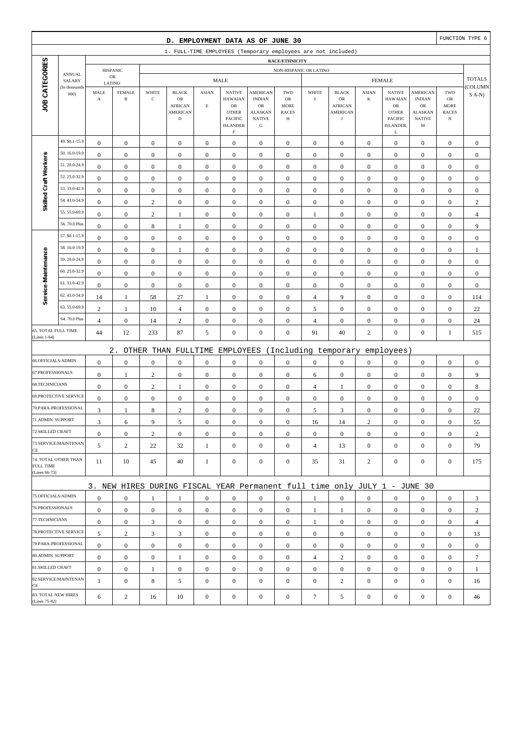|                                      |                         |                                      |                                      |                                      | D. EMPLOYMENT DATA AS OF JUNE 30                                          |                                      |                                                                            |                                                                     |                                        |                                      |                                                |                                  |                                                                      |                                                      |                                                         | FUNCTION TYPE 6                      |
|--------------------------------------|-------------------------|--------------------------------------|--------------------------------------|--------------------------------------|---------------------------------------------------------------------------|--------------------------------------|----------------------------------------------------------------------------|---------------------------------------------------------------------|----------------------------------------|--------------------------------------|------------------------------------------------|----------------------------------|----------------------------------------------------------------------|------------------------------------------------------|---------------------------------------------------------|--------------------------------------|
|                                      |                         |                                      |                                      |                                      | 1. FULL-TIME EMPLOYEES (Temporary employees are not included)             |                                      |                                                                            |                                                                     |                                        |                                      |                                                |                                  |                                                                      |                                                      |                                                         |                                      |
|                                      |                         |                                      |                                      |                                      |                                                                           |                                      |                                                                            |                                                                     | RACE/ETHNICITY                         |                                      |                                                |                                  |                                                                      |                                                      |                                                         |                                      |
|                                      | <b>ANNUAL</b><br>SALARY |                                      | <b>HISPANIC</b><br>${\sf OR}$        |                                      |                                                                           |                                      | <b>MALE</b>                                                                |                                                                     |                                        | NON-HISPANIC OR LATINO               |                                                |                                  | <b>FEMALE</b>                                                        |                                                      |                                                         | <b>TOTALS</b>                        |
|                                      | (In thousands           | LATINO<br>MALE                       | <b>FEMALE</b>                        | WHITE                                | <b>BLACK</b>                                                              | <b>ASIAN</b>                         | <b>NATIVE</b>                                                              | <b>AMERICAN</b>                                                     | TWO                                    | WHITE                                | <b>BLACK</b>                                   | <b>ASIAN</b>                     | <b>NATIVE</b>                                                        | AMERICAN                                             | TWO                                                     | COLUMN                               |
| JOB CATEGORIES                       | 000                     | $\boldsymbol{\rm{A}}$                | $\, {\bf B}$                         | $\mathbf C$                          | OR<br><b>AFRICAN</b><br><b>AMERICAN</b><br>$\mathbf D$                    | $\mathbf E$                          | <b>HAWAIAN</b><br>${\sf OR}$<br><b>OTHER</b><br>PACIFIC<br><b>ISLANDER</b> | <b>INDIAN</b><br>OR<br><b>ALASKAN</b><br><b>NATIVE</b><br>${\bf G}$ | OR<br><b>MORE</b><br><b>RACES</b><br>Н | $\bf I$                              | OR<br><b>AFRICAN</b><br>AMERICAN<br>$_{\rm J}$ | $\bf K$                          | <b>HAWAIAN</b><br>${\sf OR}$<br><b>OTHER</b><br>PACIFIC<br>ISLANDER, | <b>INDIAN</b><br>OR<br>ALASKAN<br><b>NATIVE</b><br>M | ${\rm OR}$<br><b>MORE</b><br><b>RACES</b><br>$_{\rm N}$ | $S(A-N)$                             |
|                                      | 49. \$0.1-15.9          |                                      |                                      |                                      |                                                                           |                                      | $\mathbf F$                                                                |                                                                     |                                        |                                      |                                                |                                  | L                                                                    |                                                      |                                                         |                                      |
|                                      | 50.16.0-19.9            | $\boldsymbol{0}$<br>$\boldsymbol{0}$ | $\boldsymbol{0}$<br>$\boldsymbol{0}$ | $\boldsymbol{0}$<br>$\boldsymbol{0}$ | $\boldsymbol{0}$<br>$\boldsymbol{0}$                                      | $\boldsymbol{0}$<br>$\boldsymbol{0}$ | $\boldsymbol{0}$<br>$\boldsymbol{0}$                                       | $\boldsymbol{0}$<br>$\boldsymbol{0}$                                | $\boldsymbol{0}$<br>$\boldsymbol{0}$   | $\boldsymbol{0}$<br>$\boldsymbol{0}$ | $\boldsymbol{0}$<br>$\boldsymbol{0}$           | $\mathbf{0}$<br>$\boldsymbol{0}$ | $\boldsymbol{0}$<br>$\boldsymbol{0}$                                 | $\boldsymbol{0}$<br>$\boldsymbol{0}$                 | $\boldsymbol{0}$<br>$\boldsymbol{0}$                    | $\boldsymbol{0}$<br>$\boldsymbol{0}$ |
| Skilled Craft Workers                | 51.20.0-24.9            | $\mathbf{0}$                         | $\boldsymbol{0}$                     | $\boldsymbol{0}$                     | $\boldsymbol{0}$                                                          | $\boldsymbol{0}$                     | $\mathbf{0}$                                                               | $\boldsymbol{0}$                                                    | $\boldsymbol{0}$                       | $\boldsymbol{0}$                     | $\mathbf{0}$                                   | $\boldsymbol{0}$                 | $\boldsymbol{0}$                                                     | $\boldsymbol{0}$                                     | $\boldsymbol{0}$                                        | $\boldsymbol{0}$                     |
|                                      | 52.25.0-32.9            | $\boldsymbol{0}$                     | $\boldsymbol{0}$                     | $\boldsymbol{0}$                     | $\boldsymbol{0}$                                                          | $\boldsymbol{0}$                     | $\mathbf{0}$                                                               | $\boldsymbol{0}$                                                    | $\boldsymbol{0}$                       | $\boldsymbol{0}$                     | $\mathbf{0}$                                   | $\boldsymbol{0}$                 | $\boldsymbol{0}$                                                     | $\boldsymbol{0}$                                     | $\boldsymbol{0}$                                        | $\boldsymbol{0}$                     |
|                                      | 53.33.0-42.9            | $\boldsymbol{0}$                     | $\boldsymbol{0}$                     | $\boldsymbol{0}$                     | $\boldsymbol{0}$                                                          | $\boldsymbol{0}$                     | $\boldsymbol{0}$                                                           | $\boldsymbol{0}$                                                    | $\boldsymbol{0}$                       | $\boldsymbol{0}$                     | $\boldsymbol{0}$                               | $\boldsymbol{0}$                 | $\boldsymbol{0}$                                                     | $\boldsymbol{0}$                                     | $\boldsymbol{0}$                                        | $\boldsymbol{0}$                     |
|                                      | 54.43.0-54.9            | $\boldsymbol{0}$                     | $\boldsymbol{0}$                     | $\sqrt{2}$                           | $\boldsymbol{0}$                                                          | $\boldsymbol{0}$                     | $\boldsymbol{0}$                                                           | $\boldsymbol{0}$                                                    | $\boldsymbol{0}$                       | $\boldsymbol{0}$                     | $\boldsymbol{0}$                               | $\boldsymbol{0}$                 | $\boldsymbol{0}$                                                     | $\boldsymbol{0}$                                     | $\boldsymbol{0}$                                        | $\sqrt{2}$                           |
|                                      | 55.55.0-69.9            | $\boldsymbol{0}$                     | $\boldsymbol{0}$                     | $\mathbf{2}$                         | 1                                                                         | $\mathbf{0}$                         | $\mathbf{0}$                                                               | $\boldsymbol{0}$                                                    | $\boldsymbol{0}$                       | $\mathbf{1}$                         | $\mathbf{0}$                                   | $\boldsymbol{0}$                 | $\boldsymbol{0}$                                                     | $\boldsymbol{0}$                                     | $\boldsymbol{0}$                                        | $\overline{4}$                       |
|                                      | 56.70.0 Plus            | $\boldsymbol{0}$                     | $\boldsymbol{0}$                     | $\,$ 8 $\,$                          |                                                                           | $\mathbf{0}$                         | $\mathbf{0}$                                                               | $\boldsymbol{0}$                                                    | $\boldsymbol{0}$                       | $\boldsymbol{0}$                     | $\mathbf{0}$                                   | $\boldsymbol{0}$                 | $\boldsymbol{0}$                                                     | $\boldsymbol{0}$                                     | $\boldsymbol{0}$                                        | 9                                    |
|                                      | 57. \$0.1-15.9          | $\boldsymbol{0}$                     | $\boldsymbol{0}$                     | $\boldsymbol{0}$                     | 1<br>$\boldsymbol{0}$                                                     | $\boldsymbol{0}$                     | $\mathbf{0}$                                                               | $\boldsymbol{0}$                                                    | $\boldsymbol{0}$                       | $\boldsymbol{0}$                     | $\boldsymbol{0}$                               | $\boldsymbol{0}$                 | $\boldsymbol{0}$                                                     | $\boldsymbol{0}$                                     | $\boldsymbol{0}$                                        | $\boldsymbol{0}$                     |
|                                      | 58.16.0-19.9            | $\boldsymbol{0}$                     | $\boldsymbol{0}$                     | $\boldsymbol{0}$                     | $\mathbf{1}$                                                              | $\boldsymbol{0}$                     | $\mathbf{0}$                                                               | $\boldsymbol{0}$                                                    | $\boldsymbol{0}$                       | $\mathbf{0}$                         | $\boldsymbol{0}$                               | $\boldsymbol{0}$                 | $\boldsymbol{0}$                                                     | $\boldsymbol{0}$                                     | $\boldsymbol{0}$                                        | $\mathbf{1}$                         |
|                                      | 59.20.0-24.9            | $\boldsymbol{0}$                     | $\boldsymbol{0}$                     | $\boldsymbol{0}$                     | $\mathbf{0}$                                                              | $\boldsymbol{0}$                     | $\mathbf{0}$                                                               | $\boldsymbol{0}$                                                    | $\boldsymbol{0}$                       | $\boldsymbol{0}$                     | $\boldsymbol{0}$                               | $\boldsymbol{0}$                 | $\boldsymbol{0}$                                                     | $\boldsymbol{0}$                                     | $\boldsymbol{0}$                                        | $\boldsymbol{0}$                     |
|                                      | 60.25.0-32.9            | $\boldsymbol{0}$                     | $\boldsymbol{0}$                     | $\boldsymbol{0}$                     | $\boldsymbol{0}$                                                          | $\boldsymbol{0}$                     | $\mathbf{0}$                                                               | $\boldsymbol{0}$                                                    | $\boldsymbol{0}$                       | $\boldsymbol{0}$                     | $\boldsymbol{0}$                               | $\boldsymbol{0}$                 | $\boldsymbol{0}$                                                     | $\boldsymbol{0}$                                     | $\boldsymbol{0}$                                        | $\boldsymbol{0}$                     |
| Service-Maintenance                  | 61.33.0-42.9            | $\boldsymbol{0}$                     | $\boldsymbol{0}$                     | $\boldsymbol{0}$                     | $\boldsymbol{0}$                                                          | $\boldsymbol{0}$                     | $\boldsymbol{0}$                                                           | $\boldsymbol{0}$                                                    | $\boldsymbol{0}$                       | $\boldsymbol{0}$                     | $\boldsymbol{0}$                               | $\boldsymbol{0}$                 | $\boldsymbol{0}$                                                     | $\boldsymbol{0}$                                     | $\boldsymbol{0}$                                        | $\boldsymbol{0}$                     |
|                                      | 62.43.0-54.9            | 14                                   | $\mathbf{1}$                         | 58                                   | 27                                                                        | $\mathbf{1}$                         | $\mathbf{0}$                                                               | $\boldsymbol{0}$                                                    | $\boldsymbol{0}$                       | 4                                    | 9                                              | $\boldsymbol{0}$                 | $\boldsymbol{0}$                                                     | $\boldsymbol{0}$                                     | $\boldsymbol{0}$                                        | 114                                  |
|                                      | 63.55.0-69.9            | $\overline{c}$                       | $\mathbf{1}$                         | $10\,$                               | $\overline{4}$                                                            | $\boldsymbol{0}$                     | $\mathbf{0}$                                                               | $\boldsymbol{0}$                                                    | $\boldsymbol{0}$                       | 5                                    | $\boldsymbol{0}$                               | $\boldsymbol{0}$                 | $\boldsymbol{0}$                                                     | $\boldsymbol{0}$                                     | $\boldsymbol{0}$                                        | 22                                   |
|                                      | 64.70.0 Plus            | $\overline{4}$                       | $\boldsymbol{0}$                     |                                      |                                                                           |                                      | $\boldsymbol{0}$                                                           | $\boldsymbol{0}$                                                    |                                        |                                      | $\boldsymbol{0}$                               | $\boldsymbol{0}$                 | $\boldsymbol{0}$                                                     |                                                      | $\boldsymbol{0}$                                        |                                      |
| 65. TOTAL FULL TIME                  |                         | 44                                   | 12                                   | 14<br>233                            | $\sqrt{2}$<br>87                                                          | $\boldsymbol{0}$<br>5                | $\mathbf{0}$                                                               | $\boldsymbol{0}$                                                    | $\boldsymbol{0}$<br>$\boldsymbol{0}$   | 4<br>91                              | 40                                             | $\mathbf{2}$                     | $\boldsymbol{0}$                                                     | $\boldsymbol{0}$<br>$\boldsymbol{0}$                 | $\mathbf{1}$                                            | 24<br>515                            |
| (Lines 1-64)                         |                         |                                      |                                      |                                      |                                                                           |                                      |                                                                            |                                                                     |                                        |                                      |                                                |                                  |                                                                      |                                                      |                                                         |                                      |
|                                      |                         |                                      | $2$ .                                |                                      | OTHER THAN FULLTIME                                                       |                                      | EMPLOYEES                                                                  |                                                                     |                                        |                                      | (Including temporary                           |                                  | employees)                                                           |                                                      |                                                         |                                      |
| 66.OFFICIALS/ADMIN                   |                         | $\boldsymbol{0}$                     | $\boldsymbol{0}$                     | $\boldsymbol{0}$                     | $\boldsymbol{0}$                                                          | $\boldsymbol{0}$                     | $\mathbf{0}$                                                               | $\boldsymbol{0}$                                                    | $\boldsymbol{0}$                       | $\boldsymbol{0}$                     | $\boldsymbol{0}$                               | $\boldsymbol{0}$                 | $\boldsymbol{0}$                                                     | $\boldsymbol{0}$                                     | $\boldsymbol{0}$                                        | $\boldsymbol{0}$                     |
| 67.PROFESSIONALS                     |                         | $\boldsymbol{0}$                     | $\mathbf{1}$                         | $\sqrt{2}$                           | $\boldsymbol{0}$                                                          | $\boldsymbol{0}$                     | $\boldsymbol{0}$                                                           | $\boldsymbol{0}$                                                    | $\boldsymbol{0}$                       | 6                                    | $\boldsymbol{0}$                               | $\boldsymbol{0}$                 | $\boldsymbol{0}$                                                     | $\boldsymbol{0}$                                     | $\boldsymbol{0}$                                        | 9                                    |
| 68.TECHNICIANS                       |                         | $\boldsymbol{0}$                     | $\boldsymbol{0}$                     | $\sqrt{2}$                           | $\mathbf{1}$                                                              | $\boldsymbol{0}$                     | $\mathbf{0}$                                                               | $\boldsymbol{0}$                                                    | $\boldsymbol{0}$                       | 4                                    | 1                                              | $\boldsymbol{0}$                 | $\boldsymbol{0}$                                                     | $\boldsymbol{0}$                                     | $\boldsymbol{0}$                                        | $\,$ 8 $\,$                          |
|                                      | 69.PROTECTIVE SERVICE   | $\boldsymbol{0}$                     | $\boldsymbol{0}$                     | $\boldsymbol{0}$                     | $\boldsymbol{0}$                                                          | $\mathbf{0}$                         | $\boldsymbol{0}$                                                           | $\boldsymbol{0}$                                                    | $\boldsymbol{0}$                       | $\boldsymbol{0}$                     | $\mathbf{0}$                                   | $\boldsymbol{0}$                 | $\boldsymbol{0}$                                                     | $\boldsymbol{0}$                                     | $\boldsymbol{0}$                                        | $\boldsymbol{0}$                     |
|                                      | 70.PARA-PROFESSIONAL    | 3                                    | 1                                    | 8                                    | $\sqrt{2}$                                                                | $\boldsymbol{0}$                     | $\mathbf{0}$                                                               | $\boldsymbol{0}$                                                    | $\boldsymbol{0}$                       | 5                                    | 3                                              | $\boldsymbol{0}$                 | $\boldsymbol{0}$                                                     | $\boldsymbol{0}$                                     | $\boldsymbol{0}$                                        | 22                                   |
| 71.ADMIN. SUPPORT                    |                         | 3                                    | 6                                    | 9                                    | 5                                                                         | $\boldsymbol{0}$                     | $\boldsymbol{0}$                                                           | $\boldsymbol{0}$                                                    | $\Omega$                               | 16                                   | 14                                             | $\sqrt{2}$                       | $\boldsymbol{0}$                                                     | $\Omega$                                             | $\boldsymbol{0}$                                        | 55                                   |
| 72.SKILLED CRAFT                     |                         | $\boldsymbol{0}$                     | $\boldsymbol{0}$                     | $\overline{c}$                       | $\mathbf{0}$                                                              | $\boldsymbol{0}$                     | $\boldsymbol{0}$                                                           | $\mathbf{0}$                                                        | $\mathbf{0}$                           | $\mathbf{0}$                         | $\mathbf{0}$                                   | $\mathbf{0}$                     | $\boldsymbol{0}$                                                     | $\boldsymbol{0}$                                     | $\mathbf{0}$                                            | $\overline{c}$                       |
| CE                                   | 73.SERVICE/MAINTENAN    | 5                                    | 2                                    | 22                                   | 32                                                                        | $\mathbf{1}$                         | $\overline{0}$                                                             | $\boldsymbol{0}$                                                    | $\mathbf{0}$                           | $\overline{4}$                       | 13                                             | $\overline{0}$                   | $\boldsymbol{0}$                                                     | $\boldsymbol{0}$                                     | $\mathbf{0}$                                            | 79                                   |
| <b>FULL TIME</b><br>(Lines 66-73)    | 74. TOTAL OTHER THAN    | 11                                   | 10                                   | 45                                   | 40                                                                        | $\mathbf{1}$                         | $\boldsymbol{0}$                                                           | $\boldsymbol{0}$                                                    | $\boldsymbol{0}$                       | 35                                   | 31                                             | $\overline{c}$                   | $\mathbf{0}$                                                         | $\mathbf{0}$                                         | $\boldsymbol{0}$                                        | 175                                  |
|                                      |                         |                                      |                                      |                                      | 3. NEW HIRES DURING FISCAL YEAR Permanent full time only JULY 1 - JUNE 30 |                                      |                                                                            |                                                                     |                                        |                                      |                                                |                                  |                                                                      |                                                      |                                                         |                                      |
| 75.OFFICIALS/ADMIN                   |                         | $\boldsymbol{0}$                     | $\boldsymbol{0}$                     | 1                                    | 1                                                                         | $\mathbf{0}$                         | $\mathbf{0}$                                                               | $\mathbf{0}$                                                        | $\mathbf{0}$                           | $\mathbf{1}$                         | $\mathbf{0}$                                   | $\overline{0}$                   | $\boldsymbol{0}$                                                     | $\mathbf{0}$                                         | $\mathbf{0}$                                            | 3                                    |
| 76.PROFESSIONALS                     |                         | $\boldsymbol{0}$                     | $\boldsymbol{0}$                     | $\boldsymbol{0}$                     | $\mathbf{0}$                                                              | $\boldsymbol{0}$                     | $\overline{0}$                                                             | $\mathbf{0}$                                                        | $\boldsymbol{0}$                       | 1                                    | 1                                              | $\mathbf{0}$                     | $\mathbf{0}$                                                         | $\boldsymbol{0}$                                     | $\boldsymbol{0}$                                        | $\overline{c}$                       |
| 77.TECHNICIANS                       |                         | $\boldsymbol{0}$                     | $\boldsymbol{0}$                     | 3                                    | $\boldsymbol{0}$                                                          | $\boldsymbol{0}$                     | $\boldsymbol{0}$                                                           | $\boldsymbol{0}$                                                    | $\boldsymbol{0}$                       | $\mathbf{1}$                         | $\boldsymbol{0}$                               | $\mathbf{0}$                     | $\mathbf{0}$                                                         | $\boldsymbol{0}$                                     | $\boldsymbol{0}$                                        | $\overline{4}$                       |
|                                      | 78.PROTECTIVE SERVICE   | 5                                    | $\sqrt{2}$                           | 3                                    | $\sqrt{3}$                                                                | $\boldsymbol{0}$                     | $\overline{0}$                                                             | $\boldsymbol{0}$                                                    | $\boldsymbol{0}$                       | $\overline{0}$                       | $\boldsymbol{0}$                               | $\overline{0}$                   | $\boldsymbol{0}$                                                     | $\mathbf{0}$                                         | $\mathbf{0}$                                            | 13                                   |
|                                      | 79.PARA-PROFESSIONAL    | $\boldsymbol{0}$                     | $\boldsymbol{0}$                     | $\mathbf{0}$                         | $\mathbf{0}$                                                              | $\overline{0}$                       | $\mathbf{0}$                                                               | $\mathbf{0}$                                                        | $\mathbf{0}$                           | $\overline{0}$                       | $\mathbf{0}$                                   | $\overline{0}$                   | $\mathbf{0}$                                                         | $\overline{0}$                                       | $\mathbf{0}$                                            | $\mathbf{0}$                         |
| 80.ADMIN. SUPPORT                    |                         | $\boldsymbol{0}$                     | $\boldsymbol{0}$                     | $\boldsymbol{0}$                     | 1                                                                         | $\boldsymbol{0}$                     | $\boldsymbol{0}$                                                           | $\mathbf{0}$                                                        | $\boldsymbol{0}$                       | $\overline{4}$                       | $\overline{c}$                                 | $\mathbf{0}$                     | $\mathbf{0}$                                                         | $\boldsymbol{0}$                                     | $\mathbf{0}$                                            | 7                                    |
| 81.SKILLED CRAFT                     |                         | $\boldsymbol{0}$                     | $\boldsymbol{0}$                     | $\mathbf{1}$                         | $\boldsymbol{0}$                                                          | $\boldsymbol{0}$                     | $\overline{0}$                                                             | $\boldsymbol{0}$                                                    | $\boldsymbol{0}$                       | $\boldsymbol{0}$                     | $\boldsymbol{0}$                               | $\mathbf{0}$                     | $\mathbf{0}$                                                         | $\boldsymbol{0}$                                     | $\boldsymbol{0}$                                        | $\mathbf{1}$                         |
| CE                                   | 82.SERVICE/MAINTENAN    | $\mathbf{1}$                         | $\boldsymbol{0}$                     | 8                                    | 5                                                                         | $\mathbf{0}$                         | $\overline{0}$                                                             | $\boldsymbol{0}$                                                    | $\mathbf{0}$                           | $\boldsymbol{0}$                     | $\overline{c}$                                 | $\mathbf{0}$                     | $\boldsymbol{0}$                                                     | $\overline{0}$                                       | $\mathbf{0}$                                            | 16                                   |
| 83. TOTAL NEW HIRES<br>(Lines 75-82) |                         | 6                                    | $\overline{c}$                       | 16                                   | 10                                                                        | $\boldsymbol{0}$                     | $\boldsymbol{0}$                                                           | $\boldsymbol{0}$                                                    | $\boldsymbol{0}$                       | $\tau$                               | 5                                              | $\boldsymbol{0}$                 | $\boldsymbol{0}$                                                     | $\boldsymbol{0}$                                     | $\boldsymbol{0}$                                        | 46                                   |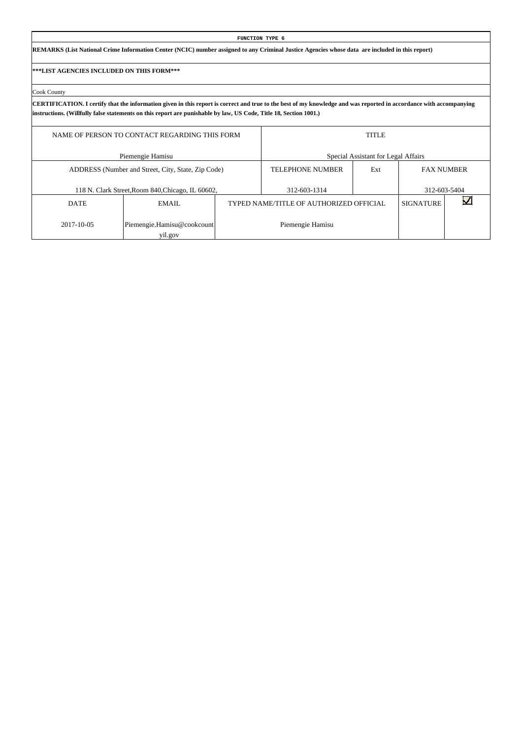|                                           |                                                                                                                                                                                                                                                                                          |  | FUNCTION TYPE 6                         |                                     |                  |                   |  |  |  |  |  |  |  |  |
|-------------------------------------------|------------------------------------------------------------------------------------------------------------------------------------------------------------------------------------------------------------------------------------------------------------------------------------------|--|-----------------------------------------|-------------------------------------|------------------|-------------------|--|--|--|--|--|--|--|--|
|                                           | REMARKS (List National Crime Information Center (NCIC) number assigned to any Criminal Justice Agencies whose data are included in this report)                                                                                                                                          |  |                                         |                                     |                  |                   |  |  |  |  |  |  |  |  |
| ***LIST AGENCIES INCLUDED ON THIS FORM*** |                                                                                                                                                                                                                                                                                          |  |                                         |                                     |                  |                   |  |  |  |  |  |  |  |  |
| Cook County                               |                                                                                                                                                                                                                                                                                          |  |                                         |                                     |                  |                   |  |  |  |  |  |  |  |  |
|                                           | CERTIFICATION. I certify that the information given in this report is correct and true to the best of my knowledge and was reported in accordance with accompanying<br>instructions. (Willfully false statements on this report are punishable by law, US Code, Title 18, Section 1001.) |  |                                         |                                     |                  |                   |  |  |  |  |  |  |  |  |
|                                           | <b>TITLE</b><br>NAME OF PERSON TO CONTACT REGARDING THIS FORM                                                                                                                                                                                                                            |  |                                         |                                     |                  |                   |  |  |  |  |  |  |  |  |
|                                           | Piemengie Hamisu                                                                                                                                                                                                                                                                         |  |                                         | Special Assistant for Legal Affairs |                  |                   |  |  |  |  |  |  |  |  |
|                                           | ADDRESS (Number and Street, City, State, Zip Code)                                                                                                                                                                                                                                       |  | <b>TELEPHONE NUMBER</b>                 | Ext                                 |                  | <b>FAX NUMBER</b> |  |  |  |  |  |  |  |  |
|                                           | 118 N. Clark Street, Room 840, Chicago, IL 60602,                                                                                                                                                                                                                                        |  | 312-603-1314                            |                                     |                  | 312-603-5404      |  |  |  |  |  |  |  |  |
| <b>DATE</b>                               | EMAIL                                                                                                                                                                                                                                                                                    |  | TYPED NAME/TITLE OF AUTHORIZED OFFICIAL |                                     | <b>SIGNATURE</b> |                   |  |  |  |  |  |  |  |  |
| 2017-10-05                                | Piemengie.Hamisu@cookcount                                                                                                                                                                                                                                                               |  | Piemengie Hamisu                        |                                     |                  |                   |  |  |  |  |  |  |  |  |

 $\overline{\phantom{a}}$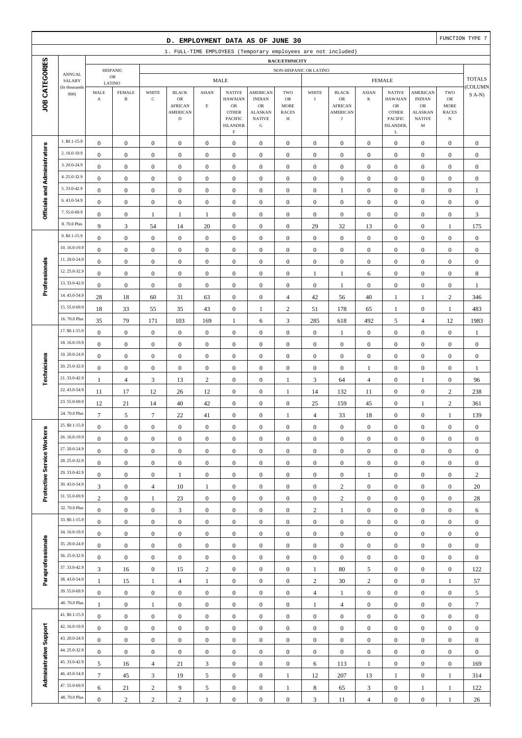|                              |                                |                                      |                                         |                                      | D. EMPLOYMENT DATA AS OF JUNE 30                                       |                                      |                                                                                              |                                                                                                 |                                               |                                      |                                                              |                                      |                                                                                              |                                                                                |                                                                | FUNCTION TYPE 7                      |
|------------------------------|--------------------------------|--------------------------------------|-----------------------------------------|--------------------------------------|------------------------------------------------------------------------|--------------------------------------|----------------------------------------------------------------------------------------------|-------------------------------------------------------------------------------------------------|-----------------------------------------------|--------------------------------------|--------------------------------------------------------------|--------------------------------------|----------------------------------------------------------------------------------------------|--------------------------------------------------------------------------------|----------------------------------------------------------------|--------------------------------------|
|                              |                                |                                      |                                         |                                      | 1. FULL-TIME EMPLOYEES (Temporary employees are not included)          |                                      |                                                                                              |                                                                                                 |                                               |                                      |                                                              |                                      |                                                                                              |                                                                                |                                                                |                                      |
|                              |                                |                                      |                                         |                                      |                                                                        |                                      |                                                                                              |                                                                                                 | RACE/ETHNICITY                                |                                      |                                                              |                                      |                                                                                              |                                                                                |                                                                |                                      |
|                              | <b>ANNUAL</b><br>SALARY        |                                      | <b>HISPANIC</b><br>$_{\rm OR}$          |                                      |                                                                        |                                      | <b>MALE</b>                                                                                  |                                                                                                 | NON-HISPANIC OR LATINO                        |                                      |                                                              |                                      | <b>FEMALE</b>                                                                                |                                                                                |                                                                | <b>TOTALS</b>                        |
| JOB CATEGORIES               | (In thousands<br>000           | MALE<br>$\mathbf A$                  | LATINO<br><b>FEMALE</b><br>$\, {\bf B}$ | WHITE<br>$\mathbf C$                 | <b>BLACK</b><br>OR<br><b>AFRICAN</b><br><b>AMERICAN</b><br>$\mathbf D$ | <b>ASIAN</b><br>$\mathbf E$          | <b>NATIVE</b><br><b>HAWAIAN</b><br>$_{\rm OR}$<br><b>OTHER</b><br>PACIFIC<br><b>ISLANDER</b> | <b>AMERICAN</b><br><b>INDIAN</b><br>$_{\rm OR}$<br><b>ALASKAN</b><br><b>NATIVE</b><br>${\bf G}$ | TWO<br>OR<br><b>MORE</b><br><b>RACES</b><br>Н | WHITE<br>$\bf{I}$                    | <b>BLACK</b><br>OR<br><b>AFRICAN</b><br><b>AMERICAN</b><br>J | <b>ASIAN</b><br>K                    | <b>NATIVE</b><br><b>HAWAIAN</b><br>${\rm OR}$<br><b>OTHER</b><br><b>PACIFIC</b><br>ISLANDER, | <b>AMERICAN</b><br><b>INDIAN</b><br>OR<br><b>ALASKAN</b><br><b>NATIVE</b><br>M | TWO<br>${\sf OR}$<br><b>MORE</b><br><b>RACES</b><br>$_{\rm N}$ | COLUMN<br>$S(A-N)$                   |
|                              | 1. \$0.1-15.9                  |                                      |                                         |                                      |                                                                        |                                      | $\mathbf F$                                                                                  |                                                                                                 |                                               |                                      |                                                              |                                      | L                                                                                            |                                                                                |                                                                |                                      |
|                              | 2.16.0-19.9                    | $\boldsymbol{0}$                     | $\boldsymbol{0}$                        | $\boldsymbol{0}$                     | $\boldsymbol{0}$                                                       | $\boldsymbol{0}$                     | $\boldsymbol{0}$                                                                             | $\mathbf{0}$                                                                                    | $\boldsymbol{0}$                              | $\boldsymbol{0}$                     | $\boldsymbol{0}$                                             | $\boldsymbol{0}$                     | $\boldsymbol{0}$                                                                             | $\boldsymbol{0}$                                                               | $\boldsymbol{0}$                                               | $\mathbf{0}$                         |
|                              | 3.20.0-24.9                    | $\boldsymbol{0}$                     | $\boldsymbol{0}$                        | $\boldsymbol{0}$                     | $\boldsymbol{0}$                                                       | $\boldsymbol{0}$                     | $\mathbf{0}$                                                                                 | $\boldsymbol{0}$                                                                                | $\boldsymbol{0}$                              | $\boldsymbol{0}$                     | $\boldsymbol{0}$                                             | $\boldsymbol{0}$                     | $\boldsymbol{0}$                                                                             | $\boldsymbol{0}$                                                               | $\boldsymbol{0}$                                               | $\boldsymbol{0}$                     |
|                              | 4.25.0-32.9                    | $\boldsymbol{0}$                     | $\mathbf{0}$                            | $\boldsymbol{0}$                     | $\boldsymbol{0}$                                                       | $\boldsymbol{0}$                     | $\mathbf{0}$                                                                                 | $\boldsymbol{0}$                                                                                | $\boldsymbol{0}$                              | $\boldsymbol{0}$                     | $\boldsymbol{0}$                                             | $\boldsymbol{0}$                     | $\boldsymbol{0}$                                                                             | $\boldsymbol{0}$                                                               | $\boldsymbol{0}$                                               | $\boldsymbol{0}$                     |
|                              | 5.33.0-42.9                    | $\boldsymbol{0}$                     | $\mathbf{0}$                            | $\boldsymbol{0}$                     | $\boldsymbol{0}$                                                       | $\boldsymbol{0}$                     | $\mathbf{0}$                                                                                 | $\boldsymbol{0}$                                                                                | $\mathbf{0}$                                  | $\boldsymbol{0}$                     | $\boldsymbol{0}$                                             | $\boldsymbol{0}$                     | $\boldsymbol{0}$                                                                             | $\boldsymbol{0}$                                                               | $\boldsymbol{0}$                                               | $\boldsymbol{0}$                     |
|                              | 6.43.0-54.9                    | $\boldsymbol{0}$<br>$\boldsymbol{0}$ | $\mathbf{0}$<br>$\boldsymbol{0}$        | $\boldsymbol{0}$<br>$\boldsymbol{0}$ | $\boldsymbol{0}$<br>$\boldsymbol{0}$                                   | $\boldsymbol{0}$<br>$\boldsymbol{0}$ | $\boldsymbol{0}$<br>$\boldsymbol{0}$                                                         | $\boldsymbol{0}$<br>$\boldsymbol{0}$                                                            | $\boldsymbol{0}$<br>$\boldsymbol{0}$          | $\boldsymbol{0}$<br>$\boldsymbol{0}$ | $\mathbf{1}$<br>$\boldsymbol{0}$                             | $\boldsymbol{0}$<br>$\boldsymbol{0}$ | $\boldsymbol{0}$<br>$\boldsymbol{0}$                                                         | $\boldsymbol{0}$<br>$\boldsymbol{0}$                                           | $\boldsymbol{0}$<br>$\boldsymbol{0}$                           | $\mathbf{1}$<br>$\boldsymbol{0}$     |
| Officials and Administrators | 7.55.0-69.9                    | $\boldsymbol{0}$                     | $\boldsymbol{0}$                        | 1                                    | $\mathbf{1}$                                                           | $\mathbf{1}$                         | $\boldsymbol{0}$                                                                             | $\boldsymbol{0}$                                                                                | $\boldsymbol{0}$                              | $\boldsymbol{0}$                     | $\boldsymbol{0}$                                             | $\boldsymbol{0}$                     | $\boldsymbol{0}$                                                                             | $\boldsymbol{0}$                                                               | $\boldsymbol{0}$                                               | $\mathfrak{Z}$                       |
|                              | 8.70.0 Plus                    | 9                                    | $\mathfrak{Z}$                          | 54                                   | 14                                                                     | 20                                   | $\boldsymbol{0}$                                                                             | $\boldsymbol{0}$                                                                                | $\mathbf{0}$                                  | 29                                   | 32                                                           | 13                                   | $\boldsymbol{0}$                                                                             | $\overline{0}$                                                                 | $\mathbf{1}$                                                   | 175                                  |
|                              | 9. \$0.1-15.9                  | $\boldsymbol{0}$                     | $\mathbf{0}$                            | $\boldsymbol{0}$                     | $\boldsymbol{0}$                                                       | $\boldsymbol{0}$                     | $\boldsymbol{0}$                                                                             | $\boldsymbol{0}$                                                                                | $\boldsymbol{0}$                              | $\boldsymbol{0}$                     | $\boldsymbol{0}$                                             | $\boldsymbol{0}$                     | $\boldsymbol{0}$                                                                             | $\boldsymbol{0}$                                                               | $\boldsymbol{0}$                                               | $\boldsymbol{0}$                     |
|                              | 10.16.0-19.9                   | $\boldsymbol{0}$                     | $\mathbf{0}$                            | $\boldsymbol{0}$                     | $\boldsymbol{0}$                                                       | $\boldsymbol{0}$                     | $\boldsymbol{0}$                                                                             | $\boldsymbol{0}$                                                                                | $\boldsymbol{0}$                              | $\mathbf{0}$                         | $\boldsymbol{0}$                                             | $\boldsymbol{0}$                     | $\boldsymbol{0}$                                                                             | $\boldsymbol{0}$                                                               | $\boldsymbol{0}$                                               | $\boldsymbol{0}$                     |
|                              | 11.20.0-24.9                   | $\boldsymbol{0}$                     | $\mathbf{0}$                            | $\boldsymbol{0}$                     | $\boldsymbol{0}$                                                       | $\boldsymbol{0}$                     | $\mathbf{0}$                                                                                 | $\boldsymbol{0}$                                                                                | $\boldsymbol{0}$                              | $\boldsymbol{0}$                     | $\boldsymbol{0}$                                             | $\boldsymbol{0}$                     | $\boldsymbol{0}$                                                                             | $\boldsymbol{0}$                                                               | $\boldsymbol{0}$                                               | $\boldsymbol{0}$                     |
|                              | 12.25.0-32.9                   | $\boldsymbol{0}$                     | $\boldsymbol{0}$                        | $\boldsymbol{0}$                     | $\boldsymbol{0}$                                                       | $\boldsymbol{0}$                     | $\mathbf{0}$                                                                                 | $\boldsymbol{0}$                                                                                | $\mathbf{0}$                                  | $\mathbf{1}$                         | 1                                                            | 6                                    | $\boldsymbol{0}$                                                                             | $\boldsymbol{0}$                                                               | $\boldsymbol{0}$                                               | $\,$ 8 $\,$                          |
|                              | 13.33.0-42.9                   | $\boldsymbol{0}$                     | $\mathbf{0}$                            | $\boldsymbol{0}$                     | $\boldsymbol{0}$                                                       | $\boldsymbol{0}$                     | $\mathbf{0}$                                                                                 | $\boldsymbol{0}$                                                                                | $\boldsymbol{0}$                              | $\boldsymbol{0}$                     | 1                                                            | $\boldsymbol{0}$                     | $\boldsymbol{0}$                                                                             | $\boldsymbol{0}$                                                               | $\boldsymbol{0}$                                               | 1                                    |
|                              | 14.43.0-54.9                   | 28                                   | 18                                      | 60                                   | 31                                                                     | 63                                   | $\mathbf{0}$                                                                                 | $\boldsymbol{0}$                                                                                | $\overline{4}$                                | 42                                   | 56                                                           | 40                                   | $\mathbf{1}$                                                                                 | 1                                                                              | $\mathbf{2}$                                                   | 346                                  |
|                              | 15.55.0-69.9                   | 18                                   | 33                                      | 55                                   | 35                                                                     | 43                                   | $\mathbf{0}$                                                                                 | $\mathbf{1}$                                                                                    | $\overline{c}$                                | 51                                   | 178                                                          | 65                                   | $\mathbf{1}$                                                                                 | $\boldsymbol{0}$                                                               | $\mathbf{1}$                                                   | 483                                  |
|                              | 16.70.0 Plus                   | 35                                   | 79                                      | 171                                  | 103                                                                    | 169                                  | 1                                                                                            | 6                                                                                               | 3                                             | 285                                  | 618                                                          | 492                                  | 5                                                                                            | $\overline{4}$                                                                 | 12                                                             | 1983                                 |
|                              | 17. \$0.1-15.9                 | $\boldsymbol{0}$                     | $\boldsymbol{0}$                        | $\boldsymbol{0}$                     | $\boldsymbol{0}$                                                       | $\boldsymbol{0}$                     | $\mathbf{0}$                                                                                 | $\boldsymbol{0}$                                                                                | $\boldsymbol{0}$                              | $\boldsymbol{0}$                     | $\mathbf{1}$                                                 | $\boldsymbol{0}$                     | $\boldsymbol{0}$                                                                             | $\boldsymbol{0}$                                                               | $\boldsymbol{0}$                                               | $\mathbf{1}$                         |
|                              | 18.16.0-19.9                   | $\boldsymbol{0}$                     | $\boldsymbol{0}$                        | $\boldsymbol{0}$                     | $\boldsymbol{0}$                                                       | $\boldsymbol{0}$                     | $\mathbf{0}$                                                                                 | $\boldsymbol{0}$                                                                                | $\boldsymbol{0}$                              | $\boldsymbol{0}$                     | $\boldsymbol{0}$                                             | $\boldsymbol{0}$                     | $\boldsymbol{0}$                                                                             | $\boldsymbol{0}$                                                               | $\boldsymbol{0}$                                               | $\boldsymbol{0}$                     |
| Professionals<br>Technicians | 19.20.0-24.9                   | $\boldsymbol{0}$                     | $\mathbf{0}$                            | $\boldsymbol{0}$                     | $\boldsymbol{0}$                                                       | $\boldsymbol{0}$                     | $\mathbf{0}$                                                                                 | $\boldsymbol{0}$                                                                                | $\boldsymbol{0}$                              | $\mathbf{0}$                         | $\boldsymbol{0}$                                             | $\boldsymbol{0}$                     | $\boldsymbol{0}$                                                                             | $\boldsymbol{0}$                                                               | $\boldsymbol{0}$                                               | $\boldsymbol{0}$                     |
|                              | 20.25.0-32.9                   | $\boldsymbol{0}$                     | $\mathbf{0}$                            | $\boldsymbol{0}$                     | $\boldsymbol{0}$                                                       | $\boldsymbol{0}$                     | $\mathbf{0}$                                                                                 | $\boldsymbol{0}$                                                                                | $\mathbf{0}$                                  | $\boldsymbol{0}$                     | $\boldsymbol{0}$                                             | 1                                    | $\boldsymbol{0}$                                                                             | $\overline{0}$                                                                 | $\boldsymbol{0}$                                               | 1                                    |
|                              | 21.33.0-42.9                   | -1                                   | $\overline{4}$                          | 3                                    | 13                                                                     | $\sqrt{2}$                           | $\mathbf{0}$                                                                                 | $\boldsymbol{0}$                                                                                | 1                                             | 3                                    | 64                                                           | $\overline{4}$                       | $\boldsymbol{0}$                                                                             | 1                                                                              | $\boldsymbol{0}$                                               | 96                                   |
|                              | 22.43.0-54.9                   | 11                                   | 17                                      | 12                                   | 26                                                                     | 12                                   | $\boldsymbol{0}$                                                                             | $\boldsymbol{0}$                                                                                | 1                                             | 14                                   | 132                                                          | 11                                   | $\boldsymbol{0}$                                                                             | $\boldsymbol{0}$                                                               | $\boldsymbol{2}$                                               | 238                                  |
|                              | 23.55.0-69.9                   | 12                                   | 21                                      | 14                                   | 40                                                                     | 42                                   | $\mathbf{0}$                                                                                 | $\boldsymbol{0}$                                                                                | $\boldsymbol{0}$                              | 25                                   | 159                                                          | 45                                   | $\boldsymbol{0}$                                                                             | 1                                                                              | $\sqrt{2}$                                                     | 361                                  |
|                              | 24.70.0 Plus                   | $\tau$                               | 5                                       | $\tau$                               | 22                                                                     | 41                                   | $\boldsymbol{0}$                                                                             | $\boldsymbol{0}$                                                                                | 1                                             | $\overline{4}$                       | 33                                                           | 18                                   | $\boldsymbol{0}$                                                                             | $\boldsymbol{0}$                                                               | $\mathbf{1}$                                                   | 139                                  |
|                              | 25. \$0.1-15.9                 | $\boldsymbol{0}$                     | $\boldsymbol{0}$                        | $\boldsymbol{0}$                     | $\boldsymbol{0}$                                                       | $\boldsymbol{0}$                     | $\boldsymbol{0}$                                                                             | $\bf{0}$                                                                                        | $\boldsymbol{0}$                              | $\boldsymbol{0}$                     | $\boldsymbol{0}$                                             | $\boldsymbol{0}$                     | $\boldsymbol{0}$                                                                             | 0                                                                              | $\bf{0}$                                                       | $\boldsymbol{0}$                     |
|                              | 26.16.0-19.9                   | $\boldsymbol{0}$                     | $\boldsymbol{0}$                        | $\boldsymbol{0}$                     | $\boldsymbol{0}$                                                       | $\boldsymbol{0}$                     | $\boldsymbol{0}$                                                                             | $\boldsymbol{0}$                                                                                | $\boldsymbol{0}$                              | $\boldsymbol{0}$                     | $\boldsymbol{0}$                                             | $\mathbf{0}$                         | $\boldsymbol{0}$                                                                             | $\boldsymbol{0}$                                                               | $\boldsymbol{0}$                                               | $\boldsymbol{0}$                     |
|                              | 27.20.0-24.9                   | $\boldsymbol{0}$                     | $\boldsymbol{0}$                        | $\boldsymbol{0}$                     | $\boldsymbol{0}$                                                       | $\mathbf{0}$                         | $\boldsymbol{0}$                                                                             | $\boldsymbol{0}$                                                                                | $\boldsymbol{0}$                              | $\boldsymbol{0}$                     | $\boldsymbol{0}$                                             | $\boldsymbol{0}$                     | $\boldsymbol{0}$                                                                             | $\boldsymbol{0}$                                                               | $\boldsymbol{0}$                                               | $\boldsymbol{0}$                     |
|                              | 28.25.0-32.9                   | $\boldsymbol{0}$                     | $\boldsymbol{0}$                        | $\boldsymbol{0}$                     | $\boldsymbol{0}$                                                       | $\mathbf{0}$                         | $\boldsymbol{0}$                                                                             | $\boldsymbol{0}$                                                                                | $\boldsymbol{0}$                              | $\overline{0}$                       | $\boldsymbol{0}$                                             | $\boldsymbol{0}$                     | $\boldsymbol{0}$                                                                             | $\boldsymbol{0}$                                                               | $\boldsymbol{0}$                                               | $\boldsymbol{0}$                     |
|                              | 29.33.0-42.9                   | $\boldsymbol{0}$                     | $\boldsymbol{0}$                        | $\boldsymbol{0}$                     | $\mathbf{1}$                                                           | $\mathbf{0}$                         | $\mathbf{0}$                                                                                 | $\boldsymbol{0}$                                                                                | $\boldsymbol{0}$                              | $\boldsymbol{0}$                     | $\boldsymbol{0}$                                             | $\mathbf{1}$                         | $\boldsymbol{0}$                                                                             | $\boldsymbol{0}$                                                               | $\boldsymbol{0}$                                               | $\overline{c}$                       |
| Protective Service Workers   | 30.43.0-54.9                   | 3                                    | $\boldsymbol{0}$                        | $\overline{4}$                       | 10                                                                     | $\mathbf{1}$                         | $\boldsymbol{0}$                                                                             | $\boldsymbol{0}$                                                                                | $\boldsymbol{0}$                              | $\boldsymbol{0}$                     | $\overline{c}$                                               | $\boldsymbol{0}$                     | $\boldsymbol{0}$                                                                             | $\boldsymbol{0}$                                                               | $\boldsymbol{0}$                                               | 20                                   |
|                              | 31.55.0-69.9                   | $\sqrt{2}$                           | $\boldsymbol{0}$                        | $\mathbf{1}$                         | 23                                                                     | $\boldsymbol{0}$                     | $\boldsymbol{0}$                                                                             | $\boldsymbol{0}$                                                                                | $\boldsymbol{0}$                              | $\boldsymbol{0}$                     | $\sqrt{2}$                                                   | $\boldsymbol{0}$                     | $\boldsymbol{0}$                                                                             | $\boldsymbol{0}$                                                               | $\boldsymbol{0}$                                               | 28                                   |
|                              | 32.70.0 Plus<br>33. \$0.1-15.9 | $\boldsymbol{0}$                     | $\boldsymbol{0}$                        | $\boldsymbol{0}$                     | $\mathfrak{Z}$                                                         | $\mathbf{0}$                         | $\boldsymbol{0}$                                                                             | $\boldsymbol{0}$                                                                                | $\boldsymbol{0}$                              | $\sqrt{2}$                           | $\mathbf{1}$                                                 | $\boldsymbol{0}$                     | $\boldsymbol{0}$                                                                             | $\boldsymbol{0}$                                                               | $\boldsymbol{0}$                                               | 6                                    |
|                              | 34.16.0-19.9                   | $\boldsymbol{0}$                     | $\boldsymbol{0}$                        | $\boldsymbol{0}$                     | $\boldsymbol{0}$                                                       | $\mathbf{0}$                         | $\boldsymbol{0}$                                                                             | $\boldsymbol{0}$                                                                                | $\boldsymbol{0}$                              | $\boldsymbol{0}$                     | $\boldsymbol{0}$                                             | $\boldsymbol{0}$                     | $\boldsymbol{0}$                                                                             | $\boldsymbol{0}$                                                               | $\boldsymbol{0}$                                               | $\boldsymbol{0}$                     |
|                              | 35.20.0-24.9                   | $\boldsymbol{0}$<br>$\boldsymbol{0}$ | $\boldsymbol{0}$<br>$\boldsymbol{0}$    | $\boldsymbol{0}$<br>$\boldsymbol{0}$ | $\boldsymbol{0}$<br>$\boldsymbol{0}$                                   | $\boldsymbol{0}$<br>$\boldsymbol{0}$ | $\boldsymbol{0}$<br>$\boldsymbol{0}$                                                         | $\boldsymbol{0}$<br>$\boldsymbol{0}$                                                            | $\boldsymbol{0}$<br>$\boldsymbol{0}$          | $\boldsymbol{0}$<br>$\boldsymbol{0}$ | $\boldsymbol{0}$<br>$\boldsymbol{0}$                         | $\boldsymbol{0}$<br>$\boldsymbol{0}$ | $\boldsymbol{0}$<br>$\boldsymbol{0}$                                                         | $\boldsymbol{0}$<br>$\boldsymbol{0}$                                           | $\boldsymbol{0}$                                               | $\boldsymbol{0}$<br>$\boldsymbol{0}$ |
|                              | 36.25.0-32.9                   | $\boldsymbol{0}$                     | $\boldsymbol{0}$                        | $\boldsymbol{0}$                     | $\overline{0}$                                                         | $\mathbf{0}$                         | $\boldsymbol{0}$                                                                             | $\boldsymbol{0}$                                                                                | $\boldsymbol{0}$                              | $\boldsymbol{0}$                     | $\boldsymbol{0}$                                             | $\boldsymbol{0}$                     | $\boldsymbol{0}$                                                                             | $\boldsymbol{0}$                                                               | $\boldsymbol{0}$<br>$\boldsymbol{0}$                           | $\boldsymbol{0}$                     |
| Paraprofessionals            | 37.33.0-42.9                   | 3                                    | 16                                      | $\boldsymbol{0}$                     | 15                                                                     | $\sqrt{2}$                           | $\boldsymbol{0}$                                                                             | $\boldsymbol{0}$                                                                                | $\boldsymbol{0}$                              | $\mathbf{1}$                         | 80                                                           | 5                                    | $\boldsymbol{0}$                                                                             | $\boldsymbol{0}$                                                               | $\boldsymbol{0}$                                               | 122                                  |
|                              | 38.43.0-54.9                   | $\mathbf{1}$                         | 15                                      | $\mathbf{1}$                         | $\overline{4}$                                                         | $\mathbf{1}$                         | $\boldsymbol{0}$                                                                             | $\boldsymbol{0}$                                                                                | $\boldsymbol{0}$                              | $\sqrt{2}$                           | 30                                                           | $\overline{c}$                       | $\boldsymbol{0}$                                                                             | $\boldsymbol{0}$                                                               | $\mathbf{1}$                                                   | 57                                   |
|                              | 39.55.0-69.9                   | $\boldsymbol{0}$                     | $\boldsymbol{0}$                        | $\boldsymbol{0}$                     | $\boldsymbol{0}$                                                       | $\boldsymbol{0}$                     | $\boldsymbol{0}$                                                                             | $\boldsymbol{0}$                                                                                | $\boldsymbol{0}$                              | $\overline{4}$                       | $\mathbf{1}$                                                 | $\boldsymbol{0}$                     | $\boldsymbol{0}$                                                                             | $\boldsymbol{0}$                                                               | $\boldsymbol{0}$                                               | 5                                    |
|                              | 40.70.0 Plus                   | $\mathbf{1}$                         | $\boldsymbol{0}$                        | $\mathbf{1}$                         | $\boldsymbol{0}$                                                       | $\mathbf{0}$                         | $\boldsymbol{0}$                                                                             | $\boldsymbol{0}$                                                                                | $\boldsymbol{0}$                              | $\,1$                                | $\overline{4}$                                               | $\boldsymbol{0}$                     | $\boldsymbol{0}$                                                                             | $\boldsymbol{0}$                                                               | $\boldsymbol{0}$                                               | $\tau$                               |
|                              | 41. \$0.1-15.9                 | $\boldsymbol{0}$                     | $\boldsymbol{0}$                        | $\boldsymbol{0}$                     | $\boldsymbol{0}$                                                       | $\boldsymbol{0}$                     | $\boldsymbol{0}$                                                                             | $\boldsymbol{0}$                                                                                | $\boldsymbol{0}$                              | $\boldsymbol{0}$                     | $\boldsymbol{0}$                                             | $\boldsymbol{0}$                     | $\boldsymbol{0}$                                                                             | $\boldsymbol{0}$                                                               | $\boldsymbol{0}$                                               | $\boldsymbol{0}$                     |
|                              | 42.16.0-19.9                   | $\boldsymbol{0}$                     | $\boldsymbol{0}$                        | $\boldsymbol{0}$                     | $\boldsymbol{0}$                                                       | $\boldsymbol{0}$                     | $\boldsymbol{0}$                                                                             | $\boldsymbol{0}$                                                                                | $\boldsymbol{0}$                              | $\boldsymbol{0}$                     | $\boldsymbol{0}$                                             | $\boldsymbol{0}$                     | $\boldsymbol{0}$                                                                             | $\boldsymbol{0}$                                                               | $\boldsymbol{0}$                                               | $\boldsymbol{0}$                     |
| Administrative Support       | 43.20.0-24.9                   | $\boldsymbol{0}$                     | $\boldsymbol{0}$                        | $\boldsymbol{0}$                     | $\boldsymbol{0}$                                                       | $\boldsymbol{0}$                     | $\boldsymbol{0}$                                                                             | $\boldsymbol{0}$                                                                                | $\boldsymbol{0}$                              | $\boldsymbol{0}$                     | $\boldsymbol{0}$                                             | $\boldsymbol{0}$                     | $\boldsymbol{0}$                                                                             | $\boldsymbol{0}$                                                               | $\boldsymbol{0}$                                               | $\boldsymbol{0}$                     |
|                              | 44.25.0-32.9                   | $\boldsymbol{0}$                     | $\boldsymbol{0}$                        | $\boldsymbol{0}$                     | $\overline{0}$                                                         | $\mathbf{0}$                         | $\boldsymbol{0}$                                                                             | $\boldsymbol{0}$                                                                                | $\boldsymbol{0}$                              | $\mathbf{0}$                         | $\boldsymbol{0}$                                             | $\boldsymbol{0}$                     | $\boldsymbol{0}$                                                                             | $\boldsymbol{0}$                                                               | $\boldsymbol{0}$                                               | $\mathbf{0}$                         |
|                              | 45.33.0-42.9                   | 5                                    | 16                                      | $\overline{4}$                       | 21                                                                     | $\mathfrak{Z}$                       | $\boldsymbol{0}$                                                                             | $\boldsymbol{0}$                                                                                | $\boldsymbol{0}$                              | 6                                    | 113                                                          | $\mathbf{1}$                         | $\boldsymbol{0}$                                                                             | $\boldsymbol{0}$                                                               | $\boldsymbol{0}$                                               | 169                                  |
|                              | 46.43.0-54.9                   | $\tau$                               | 45                                      | $\mathfrak{Z}$                       | 19                                                                     | $5\phantom{.0}$                      | $\boldsymbol{0}$                                                                             | $\boldsymbol{0}$                                                                                | $\mathbf{1}$                                  | 12                                   | 207                                                          | 13                                   | $\mathbf{1}$                                                                                 | $\boldsymbol{0}$                                                               | $\mathbf{1}$                                                   | 314                                  |
|                              | 47.55.0-69.9                   | 6                                    | 21                                      | $\sqrt{2}$                           | 9                                                                      | 5                                    | $\boldsymbol{0}$                                                                             | $\boldsymbol{0}$                                                                                | 1                                             | 8                                    | 65                                                           | 3                                    | $\boldsymbol{0}$                                                                             | $\mathbf{1}$                                                                   | $\mathbf{1}$                                                   | 122                                  |
|                              | 48.70.0 Plus                   | $\boldsymbol{0}$                     | $\sqrt{2}$                              | $\overline{2}$                       | $\overline{2}$                                                         | $\mathbf{1}$                         | $\boldsymbol{0}$                                                                             | $\boldsymbol{0}$                                                                                | $\boldsymbol{0}$                              | 3                                    | 11                                                           | $\overline{4}$                       | $\boldsymbol{0}$                                                                             | $\boldsymbol{0}$                                                               | $\mathbf{1}$                                                   | 26                                   |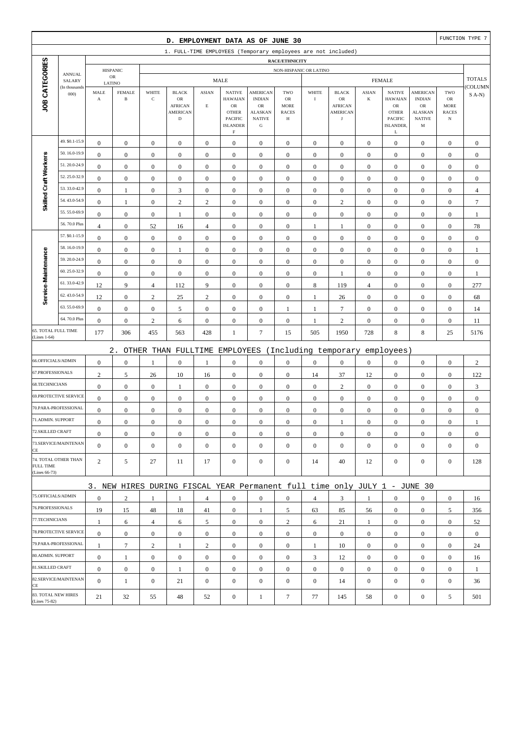|                                   |                                |                       |                               |                  | D. EMPLOYMENT DATA AS OF JUNE 30                                          |                  |                                                                            |                                                                     |                                        |                  |                                       |                  |                                                                      |                                                      |                                                 | FUNCTION TYPE 7           |
|-----------------------------------|--------------------------------|-----------------------|-------------------------------|------------------|---------------------------------------------------------------------------|------------------|----------------------------------------------------------------------------|---------------------------------------------------------------------|----------------------------------------|------------------|---------------------------------------|------------------|----------------------------------------------------------------------|------------------------------------------------------|-------------------------------------------------|---------------------------|
|                                   |                                |                       |                               |                  | 1. FULL-TIME EMPLOYEES (Temporary employees are not included)             |                  |                                                                            |                                                                     |                                        |                  |                                       |                  |                                                                      |                                                      |                                                 |                           |
|                                   |                                |                       |                               |                  |                                                                           |                  |                                                                            |                                                                     | RACE/ETHNICITY                         |                  |                                       |                  |                                                                      |                                                      |                                                 |                           |
|                                   | <b>ANNUAL</b><br>SALARY        |                       | <b>HISPANIC</b><br>${\sf OR}$ |                  |                                                                           |                  | <b>MALE</b>                                                                |                                                                     | NON-HISPANIC OR LATINO                 |                  |                                       |                  | <b>FEMALE</b>                                                        |                                                      |                                                 | <b>TOTALS</b>             |
|                                   | (In thousands                  | LATINO<br>MALE        | <b>FEMALE</b>                 | WHITE            | <b>BLACK</b>                                                              | <b>ASIAN</b>     | <b>NATIVE</b>                                                              | <b>AMERICAN</b>                                                     | TWO                                    | WHITE            | <b>BLACK</b>                          | <b>ASIAN</b>     | <b>NATIVE</b>                                                        | AMERICAN                                             | TWO                                             | COLUMN                    |
| JOB CATEGORIES                    | 000                            | $\boldsymbol{\rm{A}}$ | $\, {\bf B}$                  | $\mathbf C$      | OR<br><b>AFRICAN</b><br><b>AMERICAN</b><br>$\mathbf D$                    | $\mathbf E$      | <b>HAWAIAN</b><br>${\sf OR}$<br><b>OTHER</b><br>PACIFIC<br><b>ISLANDER</b> | <b>INDIAN</b><br>OR<br><b>ALASKAN</b><br><b>NATIVE</b><br>${\bf G}$ | OR<br><b>MORE</b><br><b>RACES</b><br>Н | $\bf{I}$         | OR<br><b>AFRICAN</b><br>AMERICAN<br>J | $\bf K$          | <b>HAWAIAN</b><br>${\sf OR}$<br><b>OTHER</b><br>PACIFIC<br>ISLANDER, | <b>INDIAN</b><br>OR<br>ALASKAN<br><b>NATIVE</b><br>M | OR<br><b>MORE</b><br><b>RACES</b><br>$_{\rm N}$ | $S(A-N)$                  |
|                                   |                                |                       |                               |                  |                                                                           |                  | $\mathbf F$                                                                |                                                                     |                                        |                  |                                       |                  | L                                                                    |                                                      |                                                 |                           |
|                                   | 49. \$0.1-15.9<br>50.16.0-19.9 | $\boldsymbol{0}$      | $\boldsymbol{0}$              | $\boldsymbol{0}$ | $\boldsymbol{0}$                                                          | $\boldsymbol{0}$ | $\boldsymbol{0}$                                                           | $\boldsymbol{0}$                                                    | $\boldsymbol{0}$                       | $\boldsymbol{0}$ | $\boldsymbol{0}$                      | $\mathbf{0}$     | $\boldsymbol{0}$                                                     | $\boldsymbol{0}$                                     | $\boldsymbol{0}$                                | $\boldsymbol{0}$          |
| Skilled Craft Workers             | 51.20.0-24.9                   | $\boldsymbol{0}$      | $\boldsymbol{0}$              | $\boldsymbol{0}$ | $\boldsymbol{0}$                                                          | $\boldsymbol{0}$ | $\boldsymbol{0}$                                                           | $\boldsymbol{0}$                                                    | $\boldsymbol{0}$                       | $\boldsymbol{0}$ | $\boldsymbol{0}$                      | $\boldsymbol{0}$ | $\boldsymbol{0}$                                                     | $\boldsymbol{0}$                                     | $\boldsymbol{0}$                                | $\boldsymbol{0}$          |
|                                   | 52.25.0-32.9                   | $\mathbf{0}$          | $\boldsymbol{0}$              | $\boldsymbol{0}$ | $\boldsymbol{0}$                                                          | $\mathbf{0}$     | $\mathbf{0}$                                                               | $\boldsymbol{0}$                                                    | $\boldsymbol{0}$                       | $\mathbf{0}$     | $\mathbf{0}$                          | $\boldsymbol{0}$ | $\boldsymbol{0}$                                                     | $\boldsymbol{0}$                                     | $\boldsymbol{0}$                                | $\boldsymbol{0}$          |
|                                   | 53.33.0-42.9                   | $\boldsymbol{0}$      | $\boldsymbol{0}$              | $\boldsymbol{0}$ | $\boldsymbol{0}$                                                          | $\mathbf{0}$     | $\mathbf{0}$                                                               | $\boldsymbol{0}$                                                    | $\boldsymbol{0}$                       | $\boldsymbol{0}$ | $\boldsymbol{0}$                      | $\boldsymbol{0}$ | $\boldsymbol{0}$                                                     | $\boldsymbol{0}$                                     | $\boldsymbol{0}$                                | $\boldsymbol{0}$          |
|                                   | 54.43.0-54.9                   | $\boldsymbol{0}$      | $\mathbf{1}$                  | $\boldsymbol{0}$ | $\mathfrak{Z}$                                                            | $\boldsymbol{0}$ | $\boldsymbol{0}$                                                           | $\boldsymbol{0}$                                                    | $\boldsymbol{0}$                       | $\boldsymbol{0}$ | $\boldsymbol{0}$                      | $\boldsymbol{0}$ | $\boldsymbol{0}$                                                     | $\boldsymbol{0}$                                     | $\boldsymbol{0}$                                | $\overline{4}$            |
|                                   | 55.55.0-69.9                   | $\boldsymbol{0}$      | $\mathbf{1}$                  | $\boldsymbol{0}$ | $\sqrt{2}$                                                                | $\overline{c}$   | $\boldsymbol{0}$                                                           | $\boldsymbol{0}$                                                    | $\boldsymbol{0}$                       | $\boldsymbol{0}$ | $\sqrt{2}$                            | $\boldsymbol{0}$ | $\boldsymbol{0}$                                                     | $\boldsymbol{0}$                                     | $\boldsymbol{0}$                                | $\boldsymbol{7}$          |
|                                   | 56.70.0 Plus                   | $\boldsymbol{0}$      | $\boldsymbol{0}$              | $\boldsymbol{0}$ | $\mathbf{1}$                                                              | $\boldsymbol{0}$ | $\mathbf{0}$                                                               | $\boldsymbol{0}$                                                    | $\boldsymbol{0}$                       | $\boldsymbol{0}$ | $\boldsymbol{0}$                      | $\boldsymbol{0}$ | $\boldsymbol{0}$                                                     | $\boldsymbol{0}$                                     | $\boldsymbol{0}$                                | 1                         |
|                                   | 57. \$0.1-15.9                 | $\overline{4}$        | $\boldsymbol{0}$              | 52               | 16                                                                        | $\overline{4}$   | $\mathbf{0}$                                                               | $\boldsymbol{0}$                                                    | $\boldsymbol{0}$                       | $\mathbf{1}$     | 1                                     | $\boldsymbol{0}$ | $\boldsymbol{0}$                                                     | $\boldsymbol{0}$                                     | $\boldsymbol{0}$                                | 78                        |
|                                   | 58.16.0-19.9                   | $\boldsymbol{0}$      | $\boldsymbol{0}$              | $\boldsymbol{0}$ | $\boldsymbol{0}$                                                          | $\boldsymbol{0}$ | $\mathbf{0}$                                                               | $\boldsymbol{0}$                                                    | $\boldsymbol{0}$                       | $\boldsymbol{0}$ | $\boldsymbol{0}$                      | $\boldsymbol{0}$ | $\boldsymbol{0}$                                                     | $\boldsymbol{0}$                                     | $\boldsymbol{0}$                                | $\boldsymbol{0}$          |
| Service-Maintenance               | 59.20.0-24.9                   | $\boldsymbol{0}$      | $\boldsymbol{0}$              | $\boldsymbol{0}$ | $\mathbf{1}$                                                              | $\boldsymbol{0}$ | $\mathbf{0}$                                                               | $\boldsymbol{0}$                                                    | $\boldsymbol{0}$                       | $\boldsymbol{0}$ | $\boldsymbol{0}$                      | $\boldsymbol{0}$ | $\boldsymbol{0}$                                                     | $\boldsymbol{0}$                                     | $\boldsymbol{0}$                                | $\mathbf{1}$              |
|                                   | 60.25.0-32.9                   | $\mathbf{0}$          | $\boldsymbol{0}$              | $\boldsymbol{0}$ | $\boldsymbol{0}$                                                          | $\boldsymbol{0}$ | $\mathbf{0}$                                                               | $\boldsymbol{0}$                                                    | $\boldsymbol{0}$                       | $\mathbf{0}$     | $\mathbf{0}$                          | $\boldsymbol{0}$ | $\boldsymbol{0}$                                                     | $\boldsymbol{0}$                                     | $\boldsymbol{0}$                                | $\boldsymbol{0}$          |
|                                   | 61.33.0-42.9                   | $\boldsymbol{0}$      | $\boldsymbol{0}$              | $\boldsymbol{0}$ | $\boldsymbol{0}$                                                          | $\boldsymbol{0}$ | $\boldsymbol{0}$                                                           | $\boldsymbol{0}$                                                    | $\boldsymbol{0}$                       | $\boldsymbol{0}$ | 1                                     | $\boldsymbol{0}$ | $\boldsymbol{0}$                                                     | $\boldsymbol{0}$                                     | $\boldsymbol{0}$                                | $\mathbf{1}$              |
|                                   | 62.43.0-54.9                   | 12                    | 9                             | $\overline{4}$   | 112                                                                       | 9                | $\boldsymbol{0}$                                                           | $\boldsymbol{0}$                                                    | $\boldsymbol{0}$                       | $\,8\,$          | 119                                   | $\overline{4}$   | $\boldsymbol{0}$                                                     | $\boldsymbol{0}$                                     | $\boldsymbol{0}$                                | 277                       |
|                                   | 63.55.0-69.9                   | 12                    | $\boldsymbol{0}$              | $\sqrt{2}$       | 25                                                                        | $\overline{c}$   | $\mathbf{0}$                                                               | $\boldsymbol{0}$                                                    | $\boldsymbol{0}$                       | $\,1$            | 26                                    | $\boldsymbol{0}$ | $\boldsymbol{0}$                                                     | $\boldsymbol{0}$                                     | $\boldsymbol{0}$                                | 68                        |
|                                   | 64.70.0 Plus                   | $\boldsymbol{0}$      | $\boldsymbol{0}$              | $\boldsymbol{0}$ | 5                                                                         | $\mathbf{0}$     | $\mathbf{0}$                                                               | $\boldsymbol{0}$                                                    | 1                                      | $\mathbf{1}$     | $7\phantom{.0}$                       | $\boldsymbol{0}$ | $\boldsymbol{0}$                                                     | $\boldsymbol{0}$                                     | $\boldsymbol{0}$                                | 14                        |
| <b>65. TOTAL FULL TIME</b>        |                                | $\boldsymbol{0}$      | $\boldsymbol{0}$              | $\sqrt{2}$       | 6                                                                         | $\boldsymbol{0}$ | $\mathbf{0}$                                                               | $\boldsymbol{0}$                                                    | $\boldsymbol{0}$                       | $\mathbf{1}$     | $\sqrt{2}$                            | $\boldsymbol{0}$ | $\boldsymbol{0}$                                                     | $\boldsymbol{0}$                                     | $\boldsymbol{0}$                                | 11                        |
| (Lines 1-64)                      |                                | 177                   | 306                           | 455              | 563                                                                       | 428              | 1                                                                          | $7\phantom{.0}$                                                     | 15                                     | 505              | 1950                                  | 728              | $\,8\,$                                                              | 8                                                    | 25                                              | 5176                      |
|                                   |                                |                       | $2$ .                         |                  | OTHER THAN FULLTIME EMPLOYEES                                             |                  |                                                                            |                                                                     |                                        |                  | (Including temporary                  |                  | employees)                                                           |                                                      |                                                 |                           |
| 66.OFFICIALS/ADMIN                |                                | $\boldsymbol{0}$      | $\boldsymbol{0}$              | 1                | $\boldsymbol{0}$                                                          | 1                | $\mathbf{0}$                                                               | $\boldsymbol{0}$                                                    | $\boldsymbol{0}$                       | $\boldsymbol{0}$ | $\boldsymbol{0}$                      | $\boldsymbol{0}$ | $\boldsymbol{0}$                                                     | $\boldsymbol{0}$                                     | $\boldsymbol{0}$                                | $\sqrt{2}$                |
| 67.PROFESSIONALS                  |                                | $\mathbf{2}$          | 5                             | 26               | 10                                                                        | 16               | $\boldsymbol{0}$                                                           | $\boldsymbol{0}$                                                    | $\boldsymbol{0}$                       | 14               | 37                                    | 12               | $\boldsymbol{0}$                                                     | $\boldsymbol{0}$                                     | $\boldsymbol{0}$                                | 122                       |
| 68.TECHNICIANS                    |                                | $\boldsymbol{0}$      | $\boldsymbol{0}$              | $\boldsymbol{0}$ | $\mathbf{1}$                                                              | $\boldsymbol{0}$ | $\boldsymbol{0}$                                                           | $\boldsymbol{0}$                                                    | $\boldsymbol{0}$                       | $\mathbf{0}$     | $\sqrt{2}$                            | $\boldsymbol{0}$ | $\boldsymbol{0}$                                                     | $\boldsymbol{0}$                                     | $\boldsymbol{0}$                                | $\ensuremath{\mathsf{3}}$ |
|                                   | 69.PROTECTIVE SERVICE          | $\boldsymbol{0}$      | $\boldsymbol{0}$              | $\boldsymbol{0}$ | $\boldsymbol{0}$                                                          | $\mathbf{0}$     | $\boldsymbol{0}$                                                           | $\boldsymbol{0}$                                                    | $\boldsymbol{0}$                       | $\boldsymbol{0}$ | $\mathbf{0}$                          | $\boldsymbol{0}$ | $\boldsymbol{0}$                                                     | $\boldsymbol{0}$                                     | $\boldsymbol{0}$                                | $\boldsymbol{0}$          |
|                                   | 70.PARA-PROFESSIONAL           | $\boldsymbol{0}$      | $\boldsymbol{0}$              | $\boldsymbol{0}$ | $\boldsymbol{0}$                                                          | $\mathbf{0}$     | $\mathbf{0}$                                                               | $\boldsymbol{0}$                                                    | $\boldsymbol{0}$                       | $\boldsymbol{0}$ | $\boldsymbol{0}$                      | $\boldsymbol{0}$ | $\boldsymbol{0}$                                                     | $\boldsymbol{0}$                                     | $\boldsymbol{0}$                                | $\boldsymbol{0}$          |
| 71.ADMIN. SUPPORT                 |                                | $\boldsymbol{0}$      | $\boldsymbol{0}$              | $\boldsymbol{0}$ | $\boldsymbol{0}$                                                          | $\boldsymbol{0}$ | $\boldsymbol{0}$                                                           | $\boldsymbol{0}$                                                    | $\Omega$                               | $\Omega$         | 1                                     | $\overline{0}$   | $\boldsymbol{0}$                                                     | $\Omega$                                             | $\boldsymbol{0}$                                |                           |
| 72.SKILLED CRAFT                  |                                | $\boldsymbol{0}$      | $\boldsymbol{0}$              | $\boldsymbol{0}$ | $\mathbf{0}$                                                              | $\boldsymbol{0}$ | $\boldsymbol{0}$                                                           | $\mathbf{0}$                                                        | $\mathbf{0}$                           | $\mathbf{0}$     | $\mathbf{0}$                          | $\mathbf{0}$     | $\boldsymbol{0}$                                                     | $\boldsymbol{0}$                                     | $\mathbf{0}$                                    | $\mathbf{0}$              |
| CE                                | 73.SERVICE/MAINTENAN           | $\mathbf{0}$          | $\boldsymbol{0}$              | $\boldsymbol{0}$ | $\boldsymbol{0}$                                                          | $\boldsymbol{0}$ | $\overline{0}$                                                             | $\boldsymbol{0}$                                                    | $\mathbf{0}$                           | $\mathbf{0}$     | $\mathbf{0}$                          | $\mathbf{0}$     | $\boldsymbol{0}$                                                     | $\boldsymbol{0}$                                     | $\mathbf{0}$                                    | $\mathbf{0}$              |
| <b>FULL TIME</b><br>(Lines 66-73) | 74. TOTAL OTHER THAN           | 2                     | 5                             | 27               | 11                                                                        | 17               | $\boldsymbol{0}$                                                           | $\boldsymbol{0}$                                                    | $\mathbf{0}$                           | 14               | 40                                    | 12               | $\mathbf{0}$                                                         | $\boldsymbol{0}$                                     | $\boldsymbol{0}$                                | 128                       |
|                                   |                                |                       |                               |                  | 3. NEW HIRES DURING FISCAL YEAR Permanent full time only JULY 1 - JUNE 30 |                  |                                                                            |                                                                     |                                        |                  |                                       |                  |                                                                      |                                                      |                                                 |                           |
| 75.OFFICIALS/ADMIN                |                                | $\boldsymbol{0}$      | 2                             | 1                | 1                                                                         | $\overline{4}$   | $\mathbf{0}$                                                               | $\boldsymbol{0}$                                                    | $\mathbf{0}$                           | $\overline{4}$   | 3                                     | 1                | $\boldsymbol{0}$                                                     | $\mathbf{0}$                                         | $\mathbf{0}$                                    | 16                        |
| 76.PROFESSIONALS                  |                                | 19                    | 15                            | 48               | 18                                                                        | 41               | $\overline{0}$                                                             | 1                                                                   | 5                                      | 63               | 85                                    | 56               | $\mathbf{0}$                                                         | $\boldsymbol{0}$                                     | 5                                               | 356                       |
| 77.TECHNICIANS                    |                                | $\mathbf{1}$          | 6                             | $\overline{4}$   | 6                                                                         | 5                | $\overline{0}$                                                             | $\boldsymbol{0}$                                                    | $\overline{c}$                         | 6                | 21                                    | $\mathbf{1}$     | $\mathbf{0}$                                                         | $\boldsymbol{0}$                                     | $\boldsymbol{0}$                                | 52                        |
|                                   | 78.PROTECTIVE SERVICE          | $\boldsymbol{0}$      | $\boldsymbol{0}$              | $\boldsymbol{0}$ | $\boldsymbol{0}$                                                          | $\boldsymbol{0}$ | $\overline{0}$                                                             | $\boldsymbol{0}$                                                    | $\boldsymbol{0}$                       | $\overline{0}$   | $\boldsymbol{0}$                      | $\overline{0}$   | $\boldsymbol{0}$                                                     | $\mathbf{0}$                                         | $\mathbf{0}$                                    | $\mathbf{0}$              |
|                                   | 79.PARA-PROFESSIONAL           | $\mathbf{1}$          | $\tau$                        | $\mathbf{2}$     | 1                                                                         | $\overline{2}$   | $\boldsymbol{0}$                                                           | $\mathbf{0}$                                                        | $\mathbf{0}$                           | $\mathbf{1}$     | 10                                    | $\overline{0}$   | $\mathbf{0}$                                                         | $\overline{0}$                                       | $\mathbf{0}$                                    | 24                        |
| 80.ADMIN. SUPPORT                 |                                | $\boldsymbol{0}$      | $\mathbf{1}$                  | $\boldsymbol{0}$ | $\boldsymbol{0}$                                                          | $\mathbf{0}$     | $\boldsymbol{0}$                                                           | $\mathbf{0}$                                                        | $\boldsymbol{0}$                       | 3                | 12                                    | $\mathbf{0}$     | $\mathbf{0}$                                                         | $\boldsymbol{0}$                                     | $\mathbf{0}$                                    | 16                        |
| 81.SKILLED CRAFT                  |                                | $\boldsymbol{0}$      | $\mathbf{0}$                  | $\boldsymbol{0}$ | -1                                                                        | $\boldsymbol{0}$ | $\overline{0}$                                                             | $\boldsymbol{0}$                                                    | $\boldsymbol{0}$                       | $\boldsymbol{0}$ | $\boldsymbol{0}$                      | $\mathbf{0}$     | $\mathbf{0}$                                                         | $\boldsymbol{0}$                                     | $\boldsymbol{0}$                                | 1                         |
|                                   | 82.SERVICE/MAINTENAN           | $\overline{0}$        | $\mathbf{1}$                  | $\boldsymbol{0}$ | 21                                                                        | $\mathbf{0}$     | $\overline{0}$                                                             | $\boldsymbol{0}$                                                    | $\mathbf{0}$                           | $\boldsymbol{0}$ | 14                                    | $\mathbf{0}$     | $\boldsymbol{0}$                                                     | $\overline{0}$                                       | $\boldsymbol{0}$                                | 36                        |
| CE<br>(Lines 75-82)               | 83. TOTAL NEW HIRES            | 21                    | 32                            | 55               | 48                                                                        | 52               | $\mathbf{0}$                                                               | $\mathbf{1}$                                                        | $\tau$                                 | 77               | 145                                   | 58               | $\boldsymbol{0}$                                                     | $\boldsymbol{0}$                                     | 5                                               | 501                       |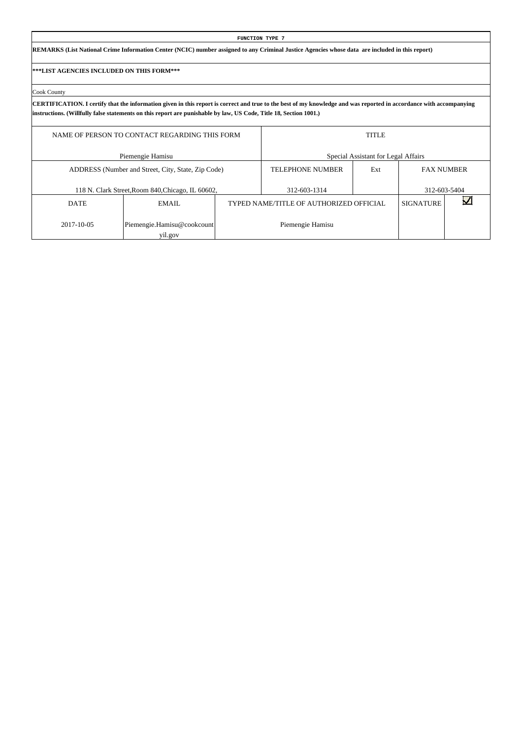|                                           |                                                                                                                                                                                                                                                                                          |  | <b>FUNCTION TYPE 7</b>                  |                                     |                   |              |  |  |  |  |  |  |  |  |
|-------------------------------------------|------------------------------------------------------------------------------------------------------------------------------------------------------------------------------------------------------------------------------------------------------------------------------------------|--|-----------------------------------------|-------------------------------------|-------------------|--------------|--|--|--|--|--|--|--|--|
|                                           | REMARKS (List National Crime Information Center (NCIC) number assigned to any Criminal Justice Agencies whose data are included in this report)                                                                                                                                          |  |                                         |                                     |                   |              |  |  |  |  |  |  |  |  |
| ***LIST AGENCIES INCLUDED ON THIS FORM*** |                                                                                                                                                                                                                                                                                          |  |                                         |                                     |                   |              |  |  |  |  |  |  |  |  |
| Cook County                               |                                                                                                                                                                                                                                                                                          |  |                                         |                                     |                   |              |  |  |  |  |  |  |  |  |
|                                           | CERTIFICATION. I certify that the information given in this report is correct and true to the best of my knowledge and was reported in accordance with accompanying<br>instructions. (Willfully false statements on this report are punishable by law, US Code, Title 18, Section 1001.) |  |                                         |                                     |                   |              |  |  |  |  |  |  |  |  |
|                                           | <b>TITLE</b><br>NAME OF PERSON TO CONTACT REGARDING THIS FORM                                                                                                                                                                                                                            |  |                                         |                                     |                   |              |  |  |  |  |  |  |  |  |
|                                           | Piemengie Hamisu                                                                                                                                                                                                                                                                         |  |                                         | Special Assistant for Legal Affairs |                   |              |  |  |  |  |  |  |  |  |
|                                           | ADDRESS (Number and Street, City, State, Zip Code)                                                                                                                                                                                                                                       |  | <b>TELEPHONE NUMBER</b>                 | Ext                                 | <b>FAX NUMBER</b> |              |  |  |  |  |  |  |  |  |
|                                           | 118 N. Clark Street, Room 840, Chicago, IL 60602,                                                                                                                                                                                                                                        |  | 312-603-1314                            |                                     |                   | 312-603-5404 |  |  |  |  |  |  |  |  |
| <b>DATE</b>                               | EMAIL                                                                                                                                                                                                                                                                                    |  | TYPED NAME/TITLE OF AUTHORIZED OFFICIAL |                                     | <b>SIGNATURE</b>  |              |  |  |  |  |  |  |  |  |
| 2017-10-05                                | Piemengie.Hamisu@cookcount                                                                                                                                                                                                                                                               |  | Piemengie Hamisu                        |                                     |                   |              |  |  |  |  |  |  |  |  |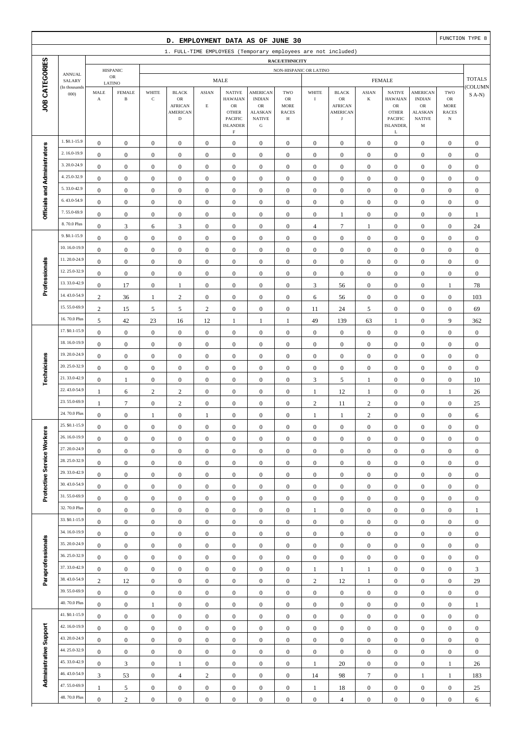|                              |                               |                                      |                                         |                                      | D. EMPLOYMENT DATA AS OF JUNE 30                              |                                      |                                                                |                                                                   |                                          |                                      |                                                         |                                      |                                                               |                                                                 |                                                  | FUNCTION TYPE 8                      |
|------------------------------|-------------------------------|--------------------------------------|-----------------------------------------|--------------------------------------|---------------------------------------------------------------|--------------------------------------|----------------------------------------------------------------|-------------------------------------------------------------------|------------------------------------------|--------------------------------------|---------------------------------------------------------|--------------------------------------|---------------------------------------------------------------|-----------------------------------------------------------------|--------------------------------------------------|--------------------------------------|
|                              |                               |                                      |                                         |                                      | 1. FULL-TIME EMPLOYEES (Temporary employees are not included) |                                      |                                                                |                                                                   |                                          |                                      |                                                         |                                      |                                                               |                                                                 |                                                  |                                      |
|                              |                               |                                      |                                         |                                      |                                                               |                                      |                                                                |                                                                   | RACE/ETHNICITY                           |                                      |                                                         |                                      |                                                               |                                                                 |                                                  |                                      |
|                              | <b>ANNUAL</b><br>SALARY       |                                      | <b>HISPANIC</b><br>$_{\rm OR}$          |                                      |                                                               |                                      | <b>MALE</b>                                                    |                                                                   | NON-HISPANIC OR LATINO                   |                                      |                                                         |                                      | <b>FEMALE</b>                                                 |                                                                 |                                                  | <b>TOTALS</b>                        |
| JOB CATEGORIES               | (In thousands<br>000          | MALE<br>$\mathbf A$                  | LATINO<br><b>FEMALE</b><br>$\, {\bf B}$ | WHITE<br>$\mathbf C$                 | <b>BLACK</b><br>OR<br><b>AFRICAN</b><br><b>AMERICAN</b>       | <b>ASIAN</b><br>$\mathbf E$          | <b>NATIVE</b><br><b>HAWAIAN</b><br>$_{\rm OR}$<br><b>OTHER</b> | <b>AMERICAN</b><br><b>INDIAN</b><br>$_{\rm OR}$<br><b>ALASKAN</b> | TWO<br>OR<br><b>MORE</b><br><b>RACES</b> | WHITE<br>$\bf{I}$                    | <b>BLACK</b><br>OR<br><b>AFRICAN</b><br><b>AMERICAN</b> | <b>ASIAN</b><br>K                    | <b>NATIVE</b><br><b>HAWAIAN</b><br>${\rm OR}$<br><b>OTHER</b> | <b>AMERICAN</b><br><b>INDIAN</b><br><b>OR</b><br><b>ALASKAN</b> | TWO<br>${\sf OR}$<br><b>MORE</b><br><b>RACES</b> | COLUMN<br>$S(A-N)$                   |
|                              |                               |                                      |                                         |                                      | $\mathbf D$                                                   |                                      | PACIFIC<br><b>ISLANDER</b><br>$\mathbf F$                      | <b>NATIVE</b><br>${\bf G}$                                        | Н                                        |                                      | $_{\rm J}$                                              |                                      | <b>PACIFIC</b><br>ISLANDER,<br>L                              | <b>NATIVE</b><br>M                                              | $_{\rm N}$                                       |                                      |
|                              | 1. \$0.1-15.9                 | $\boldsymbol{0}$                     | $\boldsymbol{0}$                        | $\boldsymbol{0}$                     | $\boldsymbol{0}$                                              | $\boldsymbol{0}$                     | $\boldsymbol{0}$                                               | $\mathbf{0}$                                                      | $\boldsymbol{0}$                         | $\boldsymbol{0}$                     | $\boldsymbol{0}$                                        | $\boldsymbol{0}$                     | $\boldsymbol{0}$                                              | $\boldsymbol{0}$                                                | $\boldsymbol{0}$                                 | $\mathbf{0}$                         |
|                              | 2.16.0-19.9                   | $\boldsymbol{0}$                     | $\boldsymbol{0}$                        | $\boldsymbol{0}$                     | $\boldsymbol{0}$                                              | $\boldsymbol{0}$                     | $\mathbf{0}$                                                   | $\boldsymbol{0}$                                                  | $\boldsymbol{0}$                         | $\boldsymbol{0}$                     | $\boldsymbol{0}$                                        | $\boldsymbol{0}$                     | $\boldsymbol{0}$                                              | $\boldsymbol{0}$                                                | $\boldsymbol{0}$                                 | $\boldsymbol{0}$                     |
|                              | 3.20.0-24.9                   | $\boldsymbol{0}$                     | $\mathbf{0}$                            | $\boldsymbol{0}$                     | $\boldsymbol{0}$                                              | $\boldsymbol{0}$                     | $\mathbf{0}$                                                   | $\boldsymbol{0}$                                                  | $\boldsymbol{0}$                         | $\boldsymbol{0}$                     | $\boldsymbol{0}$                                        | $\boldsymbol{0}$                     | $\boldsymbol{0}$                                              | $\boldsymbol{0}$                                                | $\boldsymbol{0}$                                 | $\boldsymbol{0}$                     |
|                              | 4.25.0-32.9                   | $\mathbf{0}$                         | $\mathbf{0}$                            | $\boldsymbol{0}$                     | $\boldsymbol{0}$                                              | $\boldsymbol{0}$                     | $\boldsymbol{0}$                                               | $\boldsymbol{0}$                                                  | $\mathbf{0}$                             | $\boldsymbol{0}$                     | $\boldsymbol{0}$                                        | $\boldsymbol{0}$                     | $\boldsymbol{0}$                                              | $\boldsymbol{0}$                                                | $\boldsymbol{0}$                                 | $\boldsymbol{0}$                     |
| Officials and Administrators | 5.33.0-42.9                   | $\boldsymbol{0}$                     | $\mathbf{0}$                            | $\boldsymbol{0}$                     | $\boldsymbol{0}$                                              | $\boldsymbol{0}$                     | $\boldsymbol{0}$                                               | $\boldsymbol{0}$                                                  | $\boldsymbol{0}$                         | $\boldsymbol{0}$                     | $\boldsymbol{0}$                                        | $\boldsymbol{0}$                     | $\boldsymbol{0}$                                              | $\boldsymbol{0}$                                                | $\boldsymbol{0}$                                 | $\boldsymbol{0}$                     |
|                              | 6.43.0-54.9                   | $\boldsymbol{0}$                     | $\boldsymbol{0}$                        | $\boldsymbol{0}$                     | $\boldsymbol{0}$                                              | $\boldsymbol{0}$                     | $\boldsymbol{0}$                                               | $\boldsymbol{0}$                                                  | $\boldsymbol{0}$                         | $\boldsymbol{0}$                     | $\boldsymbol{0}$                                        | $\boldsymbol{0}$                     | $\boldsymbol{0}$                                              | $\boldsymbol{0}$                                                | $\boldsymbol{0}$                                 | $\boldsymbol{0}$                     |
|                              | 7.55.0-69.9                   | $\boldsymbol{0}$                     | $\boldsymbol{0}$                        | $\boldsymbol{0}$                     | $\boldsymbol{0}$                                              | $\boldsymbol{0}$                     | $\boldsymbol{0}$                                               | $\boldsymbol{0}$                                                  | $\boldsymbol{0}$                         | $\mathbf{0}$                         | 1                                                       | $\boldsymbol{0}$                     | $\boldsymbol{0}$                                              | $\boldsymbol{0}$                                                | $\boldsymbol{0}$                                 | $\mathbf{1}$                         |
|                              | 8.70.0 Plus                   | $\boldsymbol{0}$                     | $\mathfrak{Z}$                          | 6                                    | 3                                                             | $\boldsymbol{0}$                     | $\boldsymbol{0}$                                               | $\boldsymbol{0}$                                                  | $\mathbf{0}$                             | $\overline{4}$                       | $\overline{7}$                                          | 1                                    | $\boldsymbol{0}$                                              | $\overline{0}$                                                  | $\boldsymbol{0}$                                 | 24                                   |
|                              | 9. \$0.1-15.9<br>10.16.0-19.9 | $\boldsymbol{0}$                     | $\mathbf{0}$                            | $\boldsymbol{0}$                     | $\boldsymbol{0}$                                              | $\boldsymbol{0}$                     | $\boldsymbol{0}$                                               | $\boldsymbol{0}$                                                  | $\boldsymbol{0}$                         | $\boldsymbol{0}$                     | $\boldsymbol{0}$                                        | $\boldsymbol{0}$                     | $\boldsymbol{0}$                                              | $\boldsymbol{0}$                                                | $\boldsymbol{0}$                                 | $\boldsymbol{0}$                     |
|                              | 11.20.0-24.9                  | $\boldsymbol{0}$                     | $\mathbf{0}$                            | $\boldsymbol{0}$                     | $\boldsymbol{0}$                                              | $\boldsymbol{0}$                     | $\boldsymbol{0}$                                               | $\boldsymbol{0}$                                                  | $\boldsymbol{0}$                         | $\mathbf{0}$                         | $\boldsymbol{0}$                                        | $\boldsymbol{0}$                     | $\boldsymbol{0}$                                              | $\boldsymbol{0}$                                                | $\boldsymbol{0}$                                 | $\boldsymbol{0}$                     |
|                              | 12.25.0-32.9                  | $\boldsymbol{0}$                     | $\mathbf{0}$                            | $\boldsymbol{0}$                     | $\boldsymbol{0}$                                              | $\boldsymbol{0}$                     | $\mathbf{0}$                                                   | $\boldsymbol{0}$                                                  | $\boldsymbol{0}$                         | $\mathbf{0}$                         | $\boldsymbol{0}$                                        | $\boldsymbol{0}$                     | $\boldsymbol{0}$                                              | $\boldsymbol{0}$                                                | $\boldsymbol{0}$                                 | $\boldsymbol{0}$                     |
|                              | 13.33.0-42.9                  | $\boldsymbol{0}$                     | $\boldsymbol{0}$                        | $\boldsymbol{0}$                     | $\boldsymbol{0}$                                              | $\mathbf{0}$                         | $\mathbf{0}$                                                   | $\boldsymbol{0}$                                                  | $\mathbf{0}$                             | $\boldsymbol{0}$                     | $\boldsymbol{0}$                                        | $\boldsymbol{0}$                     | $\boldsymbol{0}$                                              | $\boldsymbol{0}$                                                | $\boldsymbol{0}$                                 | $\boldsymbol{0}$                     |
|                              | 14.43.0-54.9                  | $\boldsymbol{0}$<br>$\mathbf{2}$     | 17                                      | $\boldsymbol{0}$                     | $\mathbf{1}$<br>$\sqrt{2}$                                    | $\boldsymbol{0}$<br>$\boldsymbol{0}$ | $\mathbf{0}$<br>$\mathbf{0}$                                   | $\boldsymbol{0}$<br>$\boldsymbol{0}$                              | $\boldsymbol{0}$<br>$\boldsymbol{0}$     | 3                                    | 56                                                      | $\boldsymbol{0}$<br>$\boldsymbol{0}$ | $\boldsymbol{0}$<br>$\boldsymbol{0}$                          | $\boldsymbol{0}$<br>$\boldsymbol{0}$                            | $\mathbf{1}$<br>$\boldsymbol{0}$                 | 78<br>103                            |
|                              | 15.55.0-69.9                  | 2                                    | 36<br>15                                | 1<br>5                               | 5                                                             | $\sqrt{2}$                           | $\mathbf{0}$                                                   | $\boldsymbol{0}$                                                  | $\boldsymbol{0}$                         | 6<br>11                              | 56<br>24                                                | 5                                    | $\boldsymbol{0}$                                              | $\boldsymbol{0}$                                                | $\boldsymbol{0}$                                 | 69                                   |
|                              | 16.70.0 Plus                  | 5                                    | 42                                      | 23                                   | 16                                                            | 12                                   | 1                                                              | $\mathbf{1}$                                                      | 1                                        | 49                                   | 139                                                     | 63                                   | $\mathbf{1}$                                                  | $\overline{0}$                                                  | 9                                                | 362                                  |
|                              | 17. \$0.1-15.9                | $\boldsymbol{0}$                     | $\boldsymbol{0}$                        | $\boldsymbol{0}$                     | $\boldsymbol{0}$                                              | $\boldsymbol{0}$                     | $\mathbf{0}$                                                   | $\boldsymbol{0}$                                                  | $\boldsymbol{0}$                         | $\boldsymbol{0}$                     | $\boldsymbol{0}$                                        | $\boldsymbol{0}$                     | $\boldsymbol{0}$                                              | $\boldsymbol{0}$                                                | $\boldsymbol{0}$                                 | $\boldsymbol{0}$                     |
|                              | 18.16.0-19.9                  | $\boldsymbol{0}$                     | $\boldsymbol{0}$                        | $\boldsymbol{0}$                     | $\boldsymbol{0}$                                              | $\boldsymbol{0}$                     | $\mathbf{0}$                                                   | $\boldsymbol{0}$                                                  | $\boldsymbol{0}$                         | $\mathbf{0}$                         | $\boldsymbol{0}$                                        | $\boldsymbol{0}$                     | $\boldsymbol{0}$                                              | $\boldsymbol{0}$                                                | $\boldsymbol{0}$                                 | $\boldsymbol{0}$                     |
| Professionals<br>Technicians | 19.20.0-24.9                  | $\boldsymbol{0}$                     | $\mathbf{0}$                            | $\boldsymbol{0}$                     | $\boldsymbol{0}$                                              | $\boldsymbol{0}$                     | $\mathbf{0}$                                                   | $\boldsymbol{0}$                                                  | $\boldsymbol{0}$                         | $\mathbf{0}$                         | $\boldsymbol{0}$                                        | $\boldsymbol{0}$                     | $\boldsymbol{0}$                                              | $\boldsymbol{0}$                                                | $\boldsymbol{0}$                                 | $\boldsymbol{0}$                     |
|                              | 20.25.0-32.9                  | $\mathbf{0}$                         | $\boldsymbol{0}$                        | $\boldsymbol{0}$                     | $\boldsymbol{0}$                                              | $\mathbf{0}$                         | $\boldsymbol{0}$                                               | $\boldsymbol{0}$                                                  | $\mathbf{0}$                             | $\boldsymbol{0}$                     | $\boldsymbol{0}$                                        | $\boldsymbol{0}$                     | $\boldsymbol{0}$                                              | $\boldsymbol{0}$                                                | $\boldsymbol{0}$                                 | $\boldsymbol{0}$                     |
|                              | 21.33.0-42.9                  | $\boldsymbol{0}$                     | 1                                       | $\boldsymbol{0}$                     | $\boldsymbol{0}$                                              | $\boldsymbol{0}$                     | $\boldsymbol{0}$                                               | $\boldsymbol{0}$                                                  | $\boldsymbol{0}$                         | 3                                    | 5                                                       | $\mathbf{1}$                         | $\boldsymbol{0}$                                              | $\boldsymbol{0}$                                                | $\boldsymbol{0}$                                 | 10                                   |
|                              | 22.43.0-54.9                  | -1                                   | 6                                       | $\sqrt{2}$                           | $\sqrt{2}$                                                    | $\boldsymbol{0}$                     | $\boldsymbol{0}$                                               | $\boldsymbol{0}$                                                  | $\boldsymbol{0}$                         | $\mathbf{1}$                         | 12                                                      | $\mathbf{1}$                         | $\boldsymbol{0}$                                              | $\boldsymbol{0}$                                                | $\mathbf{1}$                                     | 26                                   |
|                              | 23.55.0-69.9                  | $\mathbf{1}$                         | $\tau$                                  | $\boldsymbol{0}$                     | $\sqrt{2}$                                                    | $\boldsymbol{0}$                     | $\boldsymbol{0}$                                               | $\boldsymbol{0}$                                                  | $\boldsymbol{0}$                         | $\sqrt{2}$                           | 11                                                      | $\sqrt{2}$                           | $\boldsymbol{0}$                                              | $\boldsymbol{0}$                                                | $\boldsymbol{0}$                                 | 25                                   |
|                              | 24.70.0 Plus                  | $\boldsymbol{0}$                     | $\mathbf{0}$                            | 1                                    | $\boldsymbol{0}$                                              | 1                                    | $\boldsymbol{0}$                                               | $\boldsymbol{0}$                                                  | $\mathbf{0}$                             | $\mathbf{1}$                         | 1                                                       | $\overline{c}$                       | $\boldsymbol{0}$                                              | $\overline{0}$                                                  | $\boldsymbol{0}$                                 | $\sqrt{6}$                           |
|                              | 25. \$0.1-15.9                | $\boldsymbol{0}$                     | $\boldsymbol{0}$                        | $\boldsymbol{0}$                     | $\boldsymbol{0}$                                              | $\boldsymbol{0}$                     | $\boldsymbol{0}$                                               | $\bf{0}$                                                          | $\boldsymbol{0}$                         | $\boldsymbol{0}$                     | $\boldsymbol{0}$                                        | $\boldsymbol{0}$                     | $\boldsymbol{0}$                                              | 0                                                               | $\bf{0}$                                         | $\boldsymbol{0}$                     |
|                              | 26.16.0-19.9                  | $\boldsymbol{0}$                     | $\boldsymbol{0}$                        | $\boldsymbol{0}$                     | $\mathbf{0}$                                                  | $\boldsymbol{0}$                     | $\boldsymbol{0}$                                               | $\boldsymbol{0}$                                                  | $\boldsymbol{0}$                         | $\boldsymbol{0}$                     | $\boldsymbol{0}$                                        | $\mathbf{0}$                         | $\boldsymbol{0}$                                              | $\boldsymbol{0}$                                                | $\boldsymbol{0}$                                 | $\boldsymbol{0}$                     |
|                              | 27.20.0-24.9                  | $\boldsymbol{0}$                     | $\boldsymbol{0}$                        | $\boldsymbol{0}$                     | $\boldsymbol{0}$                                              | $\boldsymbol{0}$                     | $\boldsymbol{0}$                                               | $\boldsymbol{0}$                                                  | $\boldsymbol{0}$                         | $\boldsymbol{0}$                     | $\boldsymbol{0}$                                        | $\boldsymbol{0}$                     | $\boldsymbol{0}$                                              | $\boldsymbol{0}$                                                | $\boldsymbol{0}$                                 | $\boldsymbol{0}$                     |
|                              | 28.25.0-32.9                  | $\boldsymbol{0}$                     | $\boldsymbol{0}$                        | $\boldsymbol{0}$                     | $\boldsymbol{0}$                                              | $\mathbf{0}$                         | $\boldsymbol{0}$                                               | $\boldsymbol{0}$                                                  | $\boldsymbol{0}$                         | $\overline{0}$                       | $\boldsymbol{0}$                                        | $\boldsymbol{0}$                     | $\boldsymbol{0}$                                              | $\boldsymbol{0}$                                                | $\boldsymbol{0}$                                 | $\boldsymbol{0}$                     |
|                              | 29.33.0-42.9                  | $\boldsymbol{0}$                     | $\boldsymbol{0}$                        | $\boldsymbol{0}$                     | $\boldsymbol{0}$                                              | $\mathbf{0}$                         | $\boldsymbol{0}$                                               | $\boldsymbol{0}$                                                  | $\boldsymbol{0}$                         | $\boldsymbol{0}$                     | $\boldsymbol{0}$                                        | $\boldsymbol{0}$                     | $\boldsymbol{0}$                                              | $\boldsymbol{0}$                                                | $\boldsymbol{0}$                                 | $\boldsymbol{0}$                     |
| Protective Service Workers   | 30.43.0-54.9<br>31.55.0-69.9  | $\boldsymbol{0}$                     | $\boldsymbol{0}$                        | $\boldsymbol{0}$                     | $\boldsymbol{0}$                                              | $\boldsymbol{0}$                     | $\boldsymbol{0}$                                               | $\boldsymbol{0}$                                                  | $\boldsymbol{0}$                         | $\boldsymbol{0}$                     | $\boldsymbol{0}$                                        | $\boldsymbol{0}$                     | $\boldsymbol{0}$                                              | $\boldsymbol{0}$                                                | $\boldsymbol{0}$                                 | $\boldsymbol{0}$                     |
|                              | 32.70.0 Plus                  | $\boldsymbol{0}$                     | $\boldsymbol{0}$                        | $\boldsymbol{0}$                     | $\boldsymbol{0}$                                              | $\boldsymbol{0}$                     | $\boldsymbol{0}$                                               | $\boldsymbol{0}$                                                  | $\boldsymbol{0}$                         | $\boldsymbol{0}$                     | $\boldsymbol{0}$                                        | $\boldsymbol{0}$                     | $\boldsymbol{0}$                                              | $\boldsymbol{0}$                                                | $\boldsymbol{0}$                                 | $\boldsymbol{0}$                     |
|                              | 33. \$0.1-15.9                | $\boldsymbol{0}$                     | $\boldsymbol{0}$                        | $\boldsymbol{0}$                     | $\boldsymbol{0}$                                              | $\mathbf{0}$                         | $\boldsymbol{0}$                                               | $\boldsymbol{0}$                                                  | $\boldsymbol{0}$                         | $\,1$                                | $\boldsymbol{0}$                                        | $\boldsymbol{0}$                     | $\boldsymbol{0}$                                              | $\boldsymbol{0}$                                                | $\boldsymbol{0}$                                 | 1                                    |
|                              | 34.16.0-19.9                  | $\boldsymbol{0}$                     | $\boldsymbol{0}$                        | $\boldsymbol{0}$                     | $\boldsymbol{0}$                                              | $\mathbf{0}$                         | $\boldsymbol{0}$                                               | $\boldsymbol{0}$                                                  | $\boldsymbol{0}$                         | $\boldsymbol{0}$                     | $\boldsymbol{0}$                                        | $\boldsymbol{0}$                     | $\boldsymbol{0}$                                              | $\boldsymbol{0}$                                                | $\boldsymbol{0}$                                 | $\boldsymbol{0}$                     |
|                              | 35.20.0-24.9                  | $\boldsymbol{0}$<br>$\boldsymbol{0}$ | $\boldsymbol{0}$<br>$\boldsymbol{0}$    | $\boldsymbol{0}$<br>$\boldsymbol{0}$ | $\boldsymbol{0}$<br>$\boldsymbol{0}$                          | $\boldsymbol{0}$<br>$\boldsymbol{0}$ | $\boldsymbol{0}$<br>$\boldsymbol{0}$                           | $\boldsymbol{0}$<br>$\boldsymbol{0}$                              | $\boldsymbol{0}$<br>$\boldsymbol{0}$     | $\boldsymbol{0}$<br>$\boldsymbol{0}$ | $\boldsymbol{0}$<br>$\boldsymbol{0}$                    | $\boldsymbol{0}$<br>$\boldsymbol{0}$ | $\boldsymbol{0}$<br>$\boldsymbol{0}$                          | $\boldsymbol{0}$<br>$\boldsymbol{0}$                            | $\boldsymbol{0}$<br>$\boldsymbol{0}$             | $\boldsymbol{0}$<br>$\boldsymbol{0}$ |
|                              | 36.25.0-32.9                  | $\boldsymbol{0}$                     | $\boldsymbol{0}$                        | $\boldsymbol{0}$                     | $\overline{0}$                                                | $\mathbf{0}$                         | $\boldsymbol{0}$                                               | $\boldsymbol{0}$                                                  | $\boldsymbol{0}$                         | $\overline{0}$                       | $\boldsymbol{0}$                                        | $\boldsymbol{0}$                     | $\boldsymbol{0}$                                              | $\boldsymbol{0}$                                                | $\boldsymbol{0}$                                 | $\boldsymbol{0}$                     |
| Paraprofessionals            | 37.33.0-42.9                  | $\boldsymbol{0}$                     | $\boldsymbol{0}$                        | $\boldsymbol{0}$                     | $\boldsymbol{0}$                                              | $\mathbf{0}$                         | $\boldsymbol{0}$                                               | $\boldsymbol{0}$                                                  | $\boldsymbol{0}$                         | $\mathbf{1}$                         | $\mathbf{1}$                                            | $\mathbf{1}$                         | $\boldsymbol{0}$                                              | $\boldsymbol{0}$                                                | $\boldsymbol{0}$                                 | 3                                    |
|                              | 38.43.0-54.9                  | $\overline{c}$                       | 12                                      | $\boldsymbol{0}$                     | $\boldsymbol{0}$                                              | $\boldsymbol{0}$                     | $\boldsymbol{0}$                                               | $\boldsymbol{0}$                                                  | $\boldsymbol{0}$                         | $\sqrt{2}$                           | 12                                                      | $\mathbf{1}$                         | $\boldsymbol{0}$                                              | $\boldsymbol{0}$                                                | $\boldsymbol{0}$                                 | 29                                   |
|                              | 39.55.0-69.9                  | $\boldsymbol{0}$                     | $\boldsymbol{0}$                        | $\boldsymbol{0}$                     | $\boldsymbol{0}$                                              | $\boldsymbol{0}$                     | $\boldsymbol{0}$                                               | $\boldsymbol{0}$                                                  | $\boldsymbol{0}$                         | $\boldsymbol{0}$                     | $\boldsymbol{0}$                                        | $\boldsymbol{0}$                     | $\boldsymbol{0}$                                              | $\boldsymbol{0}$                                                | $\boldsymbol{0}$                                 | $\boldsymbol{0}$                     |
|                              | 40.70.0 Plus                  | $\boldsymbol{0}$                     | $\boldsymbol{0}$                        | $\mathbf{1}$                         | $\boldsymbol{0}$                                              | $\mathbf{0}$                         | $\boldsymbol{0}$                                               | $\boldsymbol{0}$                                                  | $\boldsymbol{0}$                         | $\mathbf{0}$                         | $\boldsymbol{0}$                                        | $\boldsymbol{0}$                     | $\boldsymbol{0}$                                              | $\boldsymbol{0}$                                                | $\boldsymbol{0}$                                 | 1                                    |
|                              | 41. \$0.1-15.9                | $\boldsymbol{0}$                     | $\boldsymbol{0}$                        | $\boldsymbol{0}$                     | $\boldsymbol{0}$                                              | $\boldsymbol{0}$                     | $\boldsymbol{0}$                                               | $\boldsymbol{0}$                                                  | $\boldsymbol{0}$                         | $\boldsymbol{0}$                     | $\boldsymbol{0}$                                        | $\boldsymbol{0}$                     | $\boldsymbol{0}$                                              | $\boldsymbol{0}$                                                | $\boldsymbol{0}$                                 | $\boldsymbol{0}$                     |
|                              | 42.16.0-19.9                  | $\boldsymbol{0}$                     | $\boldsymbol{0}$                        | $\boldsymbol{0}$                     | $\boldsymbol{0}$                                              | $\boldsymbol{0}$                     | $\boldsymbol{0}$                                               | $\boldsymbol{0}$                                                  | $\boldsymbol{0}$                         | $\boldsymbol{0}$                     | $\boldsymbol{0}$                                        | $\boldsymbol{0}$                     | $\boldsymbol{0}$                                              | $\boldsymbol{0}$                                                | $\boldsymbol{0}$                                 | $\boldsymbol{0}$                     |
|                              | 43.20.0-24.9                  | $\boldsymbol{0}$                     | $\boldsymbol{0}$                        | $\boldsymbol{0}$                     | $\boldsymbol{0}$                                              | $\boldsymbol{0}$                     | $\boldsymbol{0}$                                               | $\boldsymbol{0}$                                                  | $\boldsymbol{0}$                         | $\boldsymbol{0}$                     | $\boldsymbol{0}$                                        | $\boldsymbol{0}$                     | $\boldsymbol{0}$                                              | $\boldsymbol{0}$                                                | $\boldsymbol{0}$                                 | $\boldsymbol{0}$                     |
|                              | 44.25.0-32.9                  | $\boldsymbol{0}$                     | $\boldsymbol{0}$                        | $\boldsymbol{0}$                     | $\boldsymbol{0}$                                              | $\mathbf{0}$                         | $\boldsymbol{0}$                                               | $\boldsymbol{0}$                                                  | $\boldsymbol{0}$                         | $\mathbf{0}$                         | $\mathbf{0}$                                            | $\boldsymbol{0}$                     | $\boldsymbol{0}$                                              | $\boldsymbol{0}$                                                | $\boldsymbol{0}$                                 | $\boldsymbol{0}$                     |
|                              | 45.33.0-42.9                  | $\boldsymbol{0}$                     | 3                                       | $\boldsymbol{0}$                     | $\mathbf{1}$                                                  | $\boldsymbol{0}$                     | $\boldsymbol{0}$                                               | $\boldsymbol{0}$                                                  | $\boldsymbol{0}$                         | $\mathbf{1}$                         | 20                                                      | $\boldsymbol{0}$                     | $\boldsymbol{0}$                                              | $\boldsymbol{0}$                                                | 1                                                | 26                                   |
| Administrative Support       | 46.43.0-54.9                  | 3                                    | 53                                      | $\boldsymbol{0}$                     | $\overline{4}$                                                | $\overline{2}$                       | $\boldsymbol{0}$                                               | $\boldsymbol{0}$                                                  | $\boldsymbol{0}$                         | 14                                   | 98                                                      | $\tau$                               | $\boldsymbol{0}$                                              | $\mathbf{1}$                                                    | $\mathbf{1}$                                     | 183                                  |
|                              | 47.55.0-69.9                  | $\mathbf{1}$                         | 5                                       | $\boldsymbol{0}$                     | $\boldsymbol{0}$                                              | $\boldsymbol{0}$                     | $\boldsymbol{0}$                                               | $\boldsymbol{0}$                                                  | $\boldsymbol{0}$                         | $\mathbf{1}$                         | 18                                                      | $\boldsymbol{0}$                     | $\boldsymbol{0}$                                              | $\boldsymbol{0}$                                                | $\boldsymbol{0}$                                 | 25                                   |
|                              | 48.70.0 Plus                  | $\boldsymbol{0}$                     | $\sqrt{2}$                              | $\boldsymbol{0}$                     | $\boldsymbol{0}$                                              | $\boldsymbol{0}$                     | $\boldsymbol{0}$                                               | $\boldsymbol{0}$                                                  | $\boldsymbol{0}$                         | $\boldsymbol{0}$                     | $\overline{4}$                                          | $\boldsymbol{0}$                     | $\boldsymbol{0}$                                              | $\boldsymbol{0}$                                                | $\boldsymbol{0}$                                 | $\sqrt{6}$                           |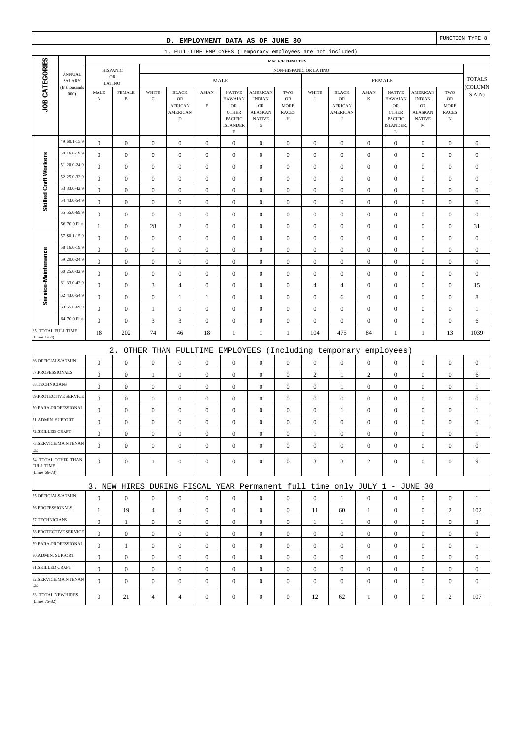|                                     |                         |                               |                               |                           | D. EMPLOYMENT DATA AS OF JUNE 30                                          |                             |                                                                                                   |                                                                                                 |                                                                |                  |                                                                        |                         |                                                                                                   |                                                                                          |                                                         | FUNCTION TYPE 8  |
|-------------------------------------|-------------------------|-------------------------------|-------------------------------|---------------------------|---------------------------------------------------------------------------|-----------------------------|---------------------------------------------------------------------------------------------------|-------------------------------------------------------------------------------------------------|----------------------------------------------------------------|------------------|------------------------------------------------------------------------|-------------------------|---------------------------------------------------------------------------------------------------|------------------------------------------------------------------------------------------|---------------------------------------------------------|------------------|
|                                     |                         |                               |                               |                           | 1. FULL-TIME EMPLOYEES (Temporary employees are not included)             |                             |                                                                                                   |                                                                                                 |                                                                |                  |                                                                        |                         |                                                                                                   |                                                                                          |                                                         |                  |
|                                     |                         |                               |                               |                           |                                                                           |                             |                                                                                                   |                                                                                                 | RACE/ETHNICITY                                                 |                  |                                                                        |                         |                                                                                                   |                                                                                          |                                                         |                  |
|                                     | <b>ANNUAL</b>           |                               | <b>HISPANIC</b><br>${\sf OR}$ |                           |                                                                           |                             |                                                                                                   |                                                                                                 | NON-HISPANIC OR LATINO                                         |                  |                                                                        |                         |                                                                                                   |                                                                                          |                                                         | <b>TOTALS</b>    |
|                                     | SALARY<br>(In thousands | LATINO                        |                               |                           |                                                                           |                             | <b>MALE</b>                                                                                       |                                                                                                 |                                                                |                  |                                                                        |                         | <b>FEMALE</b>                                                                                     |                                                                                          |                                                         | COLUMN           |
| <b>JOB CATEGORIES</b>               | 000                     | MALE<br>$\boldsymbol{\rm{A}}$ | <b>FEMALE</b><br>$\, {\bf B}$ | WHITE<br>$\mathbf C$      | <b>BLACK</b><br>$_{\rm OR}$<br><b>AFRICAN</b><br>AMERICAN<br>$\mathbf D$  | <b>ASIAN</b><br>$\mathbf E$ | <b>NATIVE</b><br><b>HAWAIAN</b><br>$_{\rm OR}$<br><b>OTHER</b><br>PACIFIC<br><b>ISLANDER</b><br>F | <b>AMERICAN</b><br><b>INDIAN</b><br>$_{\rm OR}$<br><b>ALASKAN</b><br><b>NATIVE</b><br>${\bf G}$ | TWO<br>${\sf OR}$<br><b>MORE</b><br><b>RACES</b><br>$_{\rm H}$ | WHITE<br>$\rm I$ | <b>BLACK</b><br>${\sf OR}$<br>AFRICAN<br><b>AMERICAN</b><br>$_{\rm J}$ | <b>ASIAN</b><br>$\bf K$ | <b>NATIVE</b><br><b>HAWAIAN</b><br>${\rm OR}$<br><b>OTHER</b><br><b>PACIFIC</b><br>ISLANDER,<br>L | <b>AMERICAN</b><br><b>INDIAN</b><br>OR<br><b>ALASKAN</b><br><b>NATIVE</b><br>$\mathbf M$ | TWO<br>${\rm OR}$<br>MORE<br><b>RACES</b><br>$_{\rm N}$ | $S$ A-N)         |
|                                     | 49. \$0.1-15.9          | $\boldsymbol{0}$              | $\boldsymbol{0}$              | $\boldsymbol{0}$          | $\boldsymbol{0}$                                                          | $\boldsymbol{0}$            | $\boldsymbol{0}$                                                                                  | $\boldsymbol{0}$                                                                                | $\boldsymbol{0}$                                               | $\boldsymbol{0}$ | $\boldsymbol{0}$                                                       | $\boldsymbol{0}$        | $\boldsymbol{0}$                                                                                  | $\boldsymbol{0}$                                                                         | $\boldsymbol{0}$                                        | $\boldsymbol{0}$ |
|                                     | 50.16.0-19.9            | $\boldsymbol{0}$              | $\boldsymbol{0}$              | $\boldsymbol{0}$          | $\boldsymbol{0}$                                                          | $\boldsymbol{0}$            | $\boldsymbol{0}$                                                                                  | $\boldsymbol{0}$                                                                                | $\boldsymbol{0}$                                               | $\boldsymbol{0}$ | $\boldsymbol{0}$                                                       | $\boldsymbol{0}$        | $\boldsymbol{0}$                                                                                  | $\boldsymbol{0}$                                                                         | $\boldsymbol{0}$                                        | $\boldsymbol{0}$ |
| Skilled Craft Workers               | 51.20.0-24.9            | $\bf{0}$                      | $\boldsymbol{0}$              | $\boldsymbol{0}$          | $\boldsymbol{0}$                                                          | $\boldsymbol{0}$            | $\boldsymbol{0}$                                                                                  | $\mathbf{0}$                                                                                    | $\boldsymbol{0}$                                               | $\boldsymbol{0}$ | $\boldsymbol{0}$                                                       | $\mathbf{0}$            | $\boldsymbol{0}$                                                                                  | $\boldsymbol{0}$                                                                         | $\boldsymbol{0}$                                        | $\boldsymbol{0}$ |
|                                     | 52.25.0-32.9            | $\boldsymbol{0}$              | $\boldsymbol{0}$              | $\boldsymbol{0}$          | $\boldsymbol{0}$                                                          | $\boldsymbol{0}$            | $\mathbf{0}$                                                                                      | $\boldsymbol{0}$                                                                                | $\boldsymbol{0}$                                               | $\boldsymbol{0}$ | $\boldsymbol{0}$                                                       | $\boldsymbol{0}$        | $\boldsymbol{0}$                                                                                  | $\boldsymbol{0}$                                                                         | $\boldsymbol{0}$                                        | $\boldsymbol{0}$ |
|                                     | 53.33.0-42.9            | $\boldsymbol{0}$              | $\boldsymbol{0}$              | $\boldsymbol{0}$          | $\boldsymbol{0}$                                                          | $\boldsymbol{0}$            | $\boldsymbol{0}$                                                                                  | $\boldsymbol{0}$                                                                                | $\boldsymbol{0}$                                               | $\boldsymbol{0}$ | $\boldsymbol{0}$                                                       | $\boldsymbol{0}$        | $\boldsymbol{0}$                                                                                  | $\boldsymbol{0}$                                                                         | $\boldsymbol{0}$                                        | $\boldsymbol{0}$ |
|                                     | 54.43.0-54.9            | $\boldsymbol{0}$              | $\boldsymbol{0}$              | $\boldsymbol{0}$          | $\boldsymbol{0}$                                                          | $\boldsymbol{0}$            | $\boldsymbol{0}$                                                                                  | $\boldsymbol{0}$                                                                                | $\boldsymbol{0}$                                               | $\boldsymbol{0}$ | $\boldsymbol{0}$                                                       | $\boldsymbol{0}$        | $\boldsymbol{0}$                                                                                  | $\boldsymbol{0}$                                                                         | $\boldsymbol{0}$                                        | $\boldsymbol{0}$ |
|                                     | 55.55.0-69.9            | $\boldsymbol{0}$              | $\boldsymbol{0}$              | $\boldsymbol{0}$          | $\boldsymbol{0}$                                                          | $\boldsymbol{0}$            | $\boldsymbol{0}$                                                                                  | $\boldsymbol{0}$                                                                                | $\boldsymbol{0}$                                               | $\boldsymbol{0}$ | $\boldsymbol{0}$                                                       | $\mathbf{0}$            | $\boldsymbol{0}$                                                                                  | $\boldsymbol{0}$                                                                         | $\boldsymbol{0}$                                        | $\boldsymbol{0}$ |
|                                     | 56.70.0 Plus            | 1                             | $\boldsymbol{0}$              | 28                        | $\sqrt{2}$                                                                | $\mathbf{0}$                | $\mathbf{0}$                                                                                      | $\boldsymbol{0}$                                                                                | $\boldsymbol{0}$                                               | $\boldsymbol{0}$ | $\boldsymbol{0}$                                                       | $\boldsymbol{0}$        | $\boldsymbol{0}$                                                                                  | $\boldsymbol{0}$                                                                         | $\boldsymbol{0}$                                        | 31               |
|                                     | 57. \$0.1-15.9          | $\boldsymbol{0}$              | $\boldsymbol{0}$              | $\boldsymbol{0}$          | $\boldsymbol{0}$                                                          | $\boldsymbol{0}$            | $\boldsymbol{0}$                                                                                  | $\boldsymbol{0}$                                                                                | $\boldsymbol{0}$                                               | $\boldsymbol{0}$ | $\boldsymbol{0}$                                                       | $\mathbf{0}$            | $\boldsymbol{0}$                                                                                  | $\boldsymbol{0}$                                                                         | $\boldsymbol{0}$                                        | $\boldsymbol{0}$ |
|                                     | 58.16.0-19.9            | $\boldsymbol{0}$              | $\boldsymbol{0}$              | $\boldsymbol{0}$          | $\boldsymbol{0}$                                                          | $\boldsymbol{0}$            | $\boldsymbol{0}$                                                                                  | $\boldsymbol{0}$                                                                                | $\boldsymbol{0}$                                               | $\boldsymbol{0}$ | $\boldsymbol{0}$                                                       | $\boldsymbol{0}$        | $\boldsymbol{0}$                                                                                  | $\boldsymbol{0}$                                                                         | $\boldsymbol{0}$                                        | $\boldsymbol{0}$ |
|                                     | 59.20.0-24.9            | $\boldsymbol{0}$              | $\boldsymbol{0}$              | $\boldsymbol{0}$          | $\boldsymbol{0}$                                                          | $\boldsymbol{0}$            | $\boldsymbol{0}$                                                                                  | $\boldsymbol{0}$                                                                                | $\boldsymbol{0}$                                               | $\boldsymbol{0}$ | $\boldsymbol{0}$                                                       | $\boldsymbol{0}$        | $\boldsymbol{0}$                                                                                  | $\boldsymbol{0}$                                                                         | $\boldsymbol{0}$                                        | $\boldsymbol{0}$ |
| Service-Maintenance                 | 60.25.0-32.9            | $\boldsymbol{0}$              | $\boldsymbol{0}$              | $\boldsymbol{0}$          | $\boldsymbol{0}$                                                          | $\boldsymbol{0}$            | $\mathbf{0}$                                                                                      | $\boldsymbol{0}$                                                                                | $\boldsymbol{0}$                                               | $\boldsymbol{0}$ | $\boldsymbol{0}$                                                       | $\boldsymbol{0}$        | $\boldsymbol{0}$                                                                                  | $\boldsymbol{0}$                                                                         | $\boldsymbol{0}$                                        | $\boldsymbol{0}$ |
|                                     | 61.33.0-42.9            | $\boldsymbol{0}$              | $\boldsymbol{0}$              | $\mathfrak{Z}$            | $\overline{4}$                                                            | $\boldsymbol{0}$            | $\boldsymbol{0}$                                                                                  | $\boldsymbol{0}$                                                                                | $\boldsymbol{0}$                                               | $\overline{4}$   | $\overline{4}$                                                         | $\boldsymbol{0}$        | $\boldsymbol{0}$                                                                                  | $\boldsymbol{0}$                                                                         | $\boldsymbol{0}$                                        | 15               |
|                                     | 62.43.0-54.9            | $\boldsymbol{0}$              | $\boldsymbol{0}$              | $\boldsymbol{0}$          | $\mathbf{1}$                                                              | 1                           | $\boldsymbol{0}$                                                                                  | $\boldsymbol{0}$                                                                                | $\boldsymbol{0}$                                               | $\boldsymbol{0}$ | 6                                                                      | $\boldsymbol{0}$        | $\boldsymbol{0}$                                                                                  | $\boldsymbol{0}$                                                                         | $\boldsymbol{0}$                                        | 8                |
|                                     | 63.55.0-69.9            | $\boldsymbol{0}$              | $\boldsymbol{0}$              | $\mathbf{1}$              | $\boldsymbol{0}$                                                          | $\boldsymbol{0}$            | $\boldsymbol{0}$                                                                                  | $\boldsymbol{0}$                                                                                | $\boldsymbol{0}$                                               | $\boldsymbol{0}$ | $\boldsymbol{0}$                                                       | $\boldsymbol{0}$        | $\boldsymbol{0}$                                                                                  | $\boldsymbol{0}$                                                                         | $\boldsymbol{0}$                                        | 1                |
|                                     | 64.70.0 Plus            | $\boldsymbol{0}$              | $\boldsymbol{0}$              | $\ensuremath{\mathsf{3}}$ | 3                                                                         | $\boldsymbol{0}$            | $\boldsymbol{0}$                                                                                  | $\boldsymbol{0}$                                                                                | $\boldsymbol{0}$                                               | $\boldsymbol{0}$ | $\boldsymbol{0}$                                                       | $\boldsymbol{0}$        | $\boldsymbol{0}$                                                                                  | $\boldsymbol{0}$                                                                         | $\boldsymbol{0}$                                        | 6                |
| 65. TOTAL FULL TIME<br>(Lines 1-64) |                         | 18                            | 202                           | 74                        | 46                                                                        | 18                          | 1                                                                                                 | 1                                                                                               | 1                                                              | 104              | 475                                                                    | 84                      | $\mathbf{1}$                                                                                      | $\mathbf{1}$                                                                             | 13                                                      | 1039             |
|                                     |                         |                               | $2$ .                         |                           | OTHER THAN FULLTIME                                                       |                             |                                                                                                   |                                                                                                 |                                                                |                  | EMPLOYEES (Including temporary                                         |                         | employees)                                                                                        |                                                                                          |                                                         |                  |
| 66.OFFICIALS/ADMIN                  |                         | $\boldsymbol{0}$              | $\boldsymbol{0}$              | $\boldsymbol{0}$          | $\boldsymbol{0}$                                                          | $\boldsymbol{0}$            | $\boldsymbol{0}$                                                                                  | $\boldsymbol{0}$                                                                                | $\boldsymbol{0}$                                               | $\boldsymbol{0}$ | $\boldsymbol{0}$                                                       | $\boldsymbol{0}$        | $\boldsymbol{0}$                                                                                  | $\boldsymbol{0}$                                                                         | $\boldsymbol{0}$                                        | $\boldsymbol{0}$ |
| 67.PROFESSIONALS                    |                         | $\boldsymbol{0}$              | $\boldsymbol{0}$              | $\mathbf{1}$              | $\boldsymbol{0}$                                                          | $\boldsymbol{0}$            | $\boldsymbol{0}$                                                                                  | $\boldsymbol{0}$                                                                                | $\boldsymbol{0}$                                               | $\sqrt{2}$       | 1                                                                      | $\sqrt{2}$              | $\boldsymbol{0}$                                                                                  | $\boldsymbol{0}$                                                                         | $\boldsymbol{0}$                                        | 6                |
| 68.TECHNICIANS                      |                         | $\boldsymbol{0}$              | $\boldsymbol{0}$              | $\boldsymbol{0}$          | $\boldsymbol{0}$                                                          | $\boldsymbol{0}$            | $\boldsymbol{0}$                                                                                  | $\boldsymbol{0}$                                                                                | $\boldsymbol{0}$                                               | $\boldsymbol{0}$ | 1                                                                      | $\boldsymbol{0}$        | $\boldsymbol{0}$                                                                                  | $\boldsymbol{0}$                                                                         | $\boldsymbol{0}$                                        | 1                |
|                                     | 69.PROTECTIVE SERVICE   | $\boldsymbol{0}$              | $\boldsymbol{0}$              | $\boldsymbol{0}$          | $\boldsymbol{0}$                                                          | $\boldsymbol{0}$            | $\boldsymbol{0}$                                                                                  | $\boldsymbol{0}$                                                                                | $\boldsymbol{0}$                                               | $\boldsymbol{0}$ | $\boldsymbol{0}$                                                       | $\boldsymbol{0}$        | $\boldsymbol{0}$                                                                                  | $\boldsymbol{0}$                                                                         | $\boldsymbol{0}$                                        | $\boldsymbol{0}$ |
|                                     | 70.PARA-PROFESSIONAL    | $\boldsymbol{0}$              | $\boldsymbol{0}$              | $\boldsymbol{0}$          | $\boldsymbol{0}$                                                          | $\boldsymbol{0}$            | $\boldsymbol{0}$                                                                                  | $\boldsymbol{0}$                                                                                | $\boldsymbol{0}$                                               | $\boldsymbol{0}$ | 1                                                                      | $\boldsymbol{0}$        | $\boldsymbol{0}$                                                                                  | $\boldsymbol{0}$                                                                         | $\boldsymbol{0}$                                        | 1                |
| 71.ADMIN. SUPPORT                   |                         | $\boldsymbol{0}$              | $\boldsymbol{0}$              | $\boldsymbol{0}$          | $\boldsymbol{0}$                                                          | $\boldsymbol{0}$            | $\boldsymbol{0}$                                                                                  | $\boldsymbol{0}$                                                                                | $\boldsymbol{0}$                                               | $\boldsymbol{0}$ | $\boldsymbol{0}$                                                       | $\boldsymbol{0}$        | $\boldsymbol{0}$                                                                                  | $\boldsymbol{0}$                                                                         | $\boldsymbol{0}$                                        | $\boldsymbol{0}$ |
| 72.SKILLED CRAFT                    |                         | $\mathbf{0}$                  | $\boldsymbol{0}$              | $\boldsymbol{0}$          | $\boldsymbol{0}$                                                          | $\boldsymbol{0}$            | $\boldsymbol{0}$                                                                                  | $\boldsymbol{0}$                                                                                | $\mathbf{0}$                                                   | 1                | $\mathbf{0}$                                                           | $\mathbf{0}$            | $\boldsymbol{0}$                                                                                  | $\overline{0}$                                                                           | $\mathbf{0}$                                            | 1                |
| CE                                  | 73.SERVICE/MAINTENAN    | $\overline{0}$                | $\mathbf{0}$                  | $\boldsymbol{0}$          | $\mathbf{0}$                                                              | $\boldsymbol{0}$            | $\boldsymbol{0}$                                                                                  | $\boldsymbol{0}$                                                                                | $\boldsymbol{0}$                                               | $\mathbf{0}$     | $\boldsymbol{0}$                                                       | $\mathbf{0}$            | $\mathbf{0}$                                                                                      | $\mathbf{0}$                                                                             | $\mathbf{0}$                                            | $\mathbf{0}$     |
| <b>FULL TIME</b><br>(Lines 66-73)   | 74. TOTAL OTHER THAN    | $\overline{0}$                | $\boldsymbol{0}$              | $\mathbf{1}$              | $\mathbf{0}$                                                              | $\boldsymbol{0}$            | $\boldsymbol{0}$                                                                                  | $\boldsymbol{0}$                                                                                | $\boldsymbol{0}$                                               | 3                | 3                                                                      | $\overline{c}$          | $\mathbf{0}$                                                                                      | $\overline{0}$                                                                           | $\mathbf{0}$                                            | 9                |
|                                     |                         |                               |                               |                           | 3. NEW HIRES DURING FISCAL YEAR Permanent full time only JULY 1 - JUNE 30 |                             |                                                                                                   |                                                                                                 |                                                                |                  |                                                                        |                         |                                                                                                   |                                                                                          |                                                         |                  |
| 75.OFFICIALS/ADMIN                  |                         | $\boldsymbol{0}$              | $\bf{0}$                      | $\boldsymbol{0}$          | $\boldsymbol{0}$                                                          | $\boldsymbol{0}$            | $\mathbf{0}$                                                                                      | $\boldsymbol{0}$                                                                                | $\boldsymbol{0}$                                               | $\boldsymbol{0}$ | 1                                                                      | $\mathbf{0}$            | $\mathbf{0}$                                                                                      | $\boldsymbol{0}$                                                                         | $\boldsymbol{0}$                                        | $\mathbf{1}$     |
| 76.PROFESSIONALS                    |                         | 1                             | 19                            | $\overline{4}$            | $\overline{4}$                                                            | $\boldsymbol{0}$            | $\boldsymbol{0}$                                                                                  | $\boldsymbol{0}$                                                                                | $\mathbf{0}$                                                   | 11               | 60                                                                     | 1                       | $\mathbf{0}$                                                                                      | $\boldsymbol{0}$                                                                         | $\overline{c}$                                          | 102              |
| 77.TECHNICIANS                      |                         | $\boldsymbol{0}$              | $\mathbf{1}$                  | $\boldsymbol{0}$          | $\boldsymbol{0}$                                                          | $\boldsymbol{0}$            | $\boldsymbol{0}$                                                                                  | $\boldsymbol{0}$                                                                                | $\boldsymbol{0}$                                               | $\mathbf{1}$     | 1                                                                      | $\overline{0}$          | $\mathbf{0}$                                                                                      | $\boldsymbol{0}$                                                                         | $\boldsymbol{0}$                                        | 3                |
|                                     | 78. PROTECTIVE SERVICE  | $\overline{0}$                | $\boldsymbol{0}$              | $\mathbf{0}$              | $\mathbf{0}$                                                              | $\boldsymbol{0}$            | $\boldsymbol{0}$                                                                                  | $\boldsymbol{0}$                                                                                | $\overline{0}$                                                 | $\overline{0}$   | $\boldsymbol{0}$                                                       | $\overline{0}$          | $\mathbf{0}$                                                                                      | $\overline{0}$                                                                           | $\overline{0}$                                          | $\mathbf{0}$     |
|                                     | 79.PARA-PROFESSIONAL    | $\mathbf{0}$                  | $\mathbf{1}$                  | $\boldsymbol{0}$          | $\mathbf{0}$                                                              | $\mathbf{0}$                | $\mathbf{0}$                                                                                      | $\boldsymbol{0}$                                                                                | $\overline{0}$                                                 | $\mathbf{0}$     | $\boldsymbol{0}$                                                       | $\mathbf{0}$            | $\overline{0}$                                                                                    | $\overline{0}$                                                                           | $\mathbf{0}$                                            | 1                |
| 80.ADMIN. SUPPORT                   |                         | $\mathbf{0}$                  | $\boldsymbol{0}$              | $\boldsymbol{0}$          | $\boldsymbol{0}$                                                          | $\boldsymbol{0}$            | $\boldsymbol{0}$                                                                                  | $\boldsymbol{0}$                                                                                | $\mathbf{0}$                                                   | $\boldsymbol{0}$ | $\mathbf{0}$                                                           | $\mathbf{0}$            | $\boldsymbol{0}$                                                                                  | $\boldsymbol{0}$                                                                         | $\mathbf{0}$                                            | $\mathbf{0}$     |
| 81.SKILLED CRAFT                    |                         | $\mathbf{0}$                  | $\boldsymbol{0}$              | $\boldsymbol{0}$          | $\boldsymbol{0}$                                                          | $\boldsymbol{0}$            | $\mathbf{0}$                                                                                      | $\boldsymbol{0}$                                                                                | $\boldsymbol{0}$                                               | $\boldsymbol{0}$ | $\boldsymbol{0}$                                                       | $\mathbf{0}$            | $\mathbf{0}$                                                                                      | $\boldsymbol{0}$                                                                         | $\boldsymbol{0}$                                        | $\boldsymbol{0}$ |
| CE                                  | 82.SERVICE/MAINTENAN    | $\Omega$                      | $\mathbf{0}$                  | $\boldsymbol{0}$          | $\boldsymbol{0}$                                                          | $\boldsymbol{0}$            | $\mathbf{0}$                                                                                      | $\boldsymbol{0}$                                                                                | $\mathbf{0}$                                                   | $\mathbf{0}$     | $\boldsymbol{0}$                                                       | $\mathbf{0}$            | $\mathbf{0}$                                                                                      | $\overline{0}$                                                                           | $\mathbf{0}$                                            | $\mathbf{0}$     |
| (Lines 75-82)                       | 83. TOTAL NEW HIRES     | $\mathbf{0}$                  | 21                            | $\overline{4}$            | $\overline{4}$                                                            | $\boldsymbol{0}$            | $\boldsymbol{0}$                                                                                  | $\boldsymbol{0}$                                                                                | $\boldsymbol{0}$                                               | 12               | 62                                                                     | $\mathbf{1}$            | $\boldsymbol{0}$                                                                                  | $\boldsymbol{0}$                                                                         | $\mathbf{2}$                                            | 107              |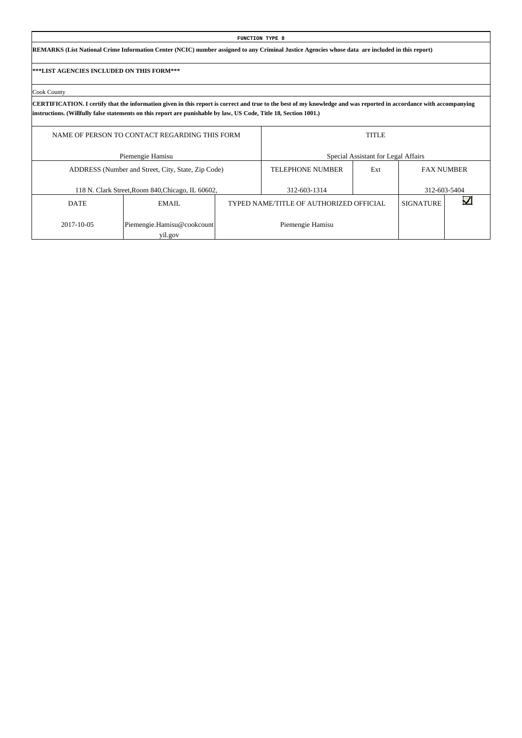|                                           |                                                                                                                                                                                                                                                                                          |  | <b>FUNCTION TYPE 8</b>                  |                                     |                  |                   |  |  |  |  |  |  |  |  |
|-------------------------------------------|------------------------------------------------------------------------------------------------------------------------------------------------------------------------------------------------------------------------------------------------------------------------------------------|--|-----------------------------------------|-------------------------------------|------------------|-------------------|--|--|--|--|--|--|--|--|
|                                           | REMARKS (List National Crime Information Center (NCIC) number assigned to any Criminal Justice Agencies whose data are included in this report)                                                                                                                                          |  |                                         |                                     |                  |                   |  |  |  |  |  |  |  |  |
| ***LIST AGENCIES INCLUDED ON THIS FORM*** |                                                                                                                                                                                                                                                                                          |  |                                         |                                     |                  |                   |  |  |  |  |  |  |  |  |
| Cook County                               |                                                                                                                                                                                                                                                                                          |  |                                         |                                     |                  |                   |  |  |  |  |  |  |  |  |
|                                           | CERTIFICATION. I certify that the information given in this report is correct and true to the best of my knowledge and was reported in accordance with accompanying<br>instructions. (Willfully false statements on this report are punishable by law, US Code, Title 18, Section 1001.) |  |                                         |                                     |                  |                   |  |  |  |  |  |  |  |  |
|                                           | <b>TITLE</b><br>NAME OF PERSON TO CONTACT REGARDING THIS FORM                                                                                                                                                                                                                            |  |                                         |                                     |                  |                   |  |  |  |  |  |  |  |  |
|                                           | Piemengie Hamisu                                                                                                                                                                                                                                                                         |  |                                         | Special Assistant for Legal Affairs |                  |                   |  |  |  |  |  |  |  |  |
|                                           | ADDRESS (Number and Street, City, State, Zip Code)                                                                                                                                                                                                                                       |  | <b>TELEPHONE NUMBER</b>                 | Ext                                 |                  | <b>FAX NUMBER</b> |  |  |  |  |  |  |  |  |
|                                           | 118 N. Clark Street, Room 840, Chicago, IL 60602,                                                                                                                                                                                                                                        |  | 312-603-1314                            |                                     |                  | 312-603-5404      |  |  |  |  |  |  |  |  |
| <b>DATE</b>                               | EMAIL.                                                                                                                                                                                                                                                                                   |  | TYPED NAME/TITLE OF AUTHORIZED OFFICIAL |                                     | <b>SIGNATURE</b> |                   |  |  |  |  |  |  |  |  |
| 2017-10-05                                | Piemengie.Hamisu@cookcount                                                                                                                                                                                                                                                               |  | Piemengie Hamisu                        |                                     |                  |                   |  |  |  |  |  |  |  |  |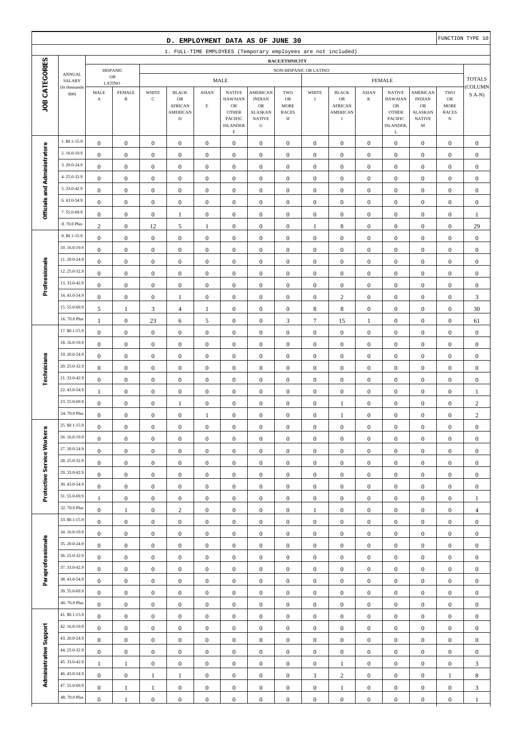|                                                                                                                                                                                                                                                                                                                                                                                                                                                                                                                                                                 |                                                                                                                                                                                                                                                                                                                                                                                                                                                                                                                                                                                                                                                                                                                                              |                                             |                                      |                                      | D. EMPLOYMENT DATA AS OF JUNE 30                                       |                                      |                                                                                                                    |                                                                                |                                               |                                      |                                                                               |                                      |                                                                                                      |                                                                                        |                                        | FUNCTION TYPE 10                     |
|-----------------------------------------------------------------------------------------------------------------------------------------------------------------------------------------------------------------------------------------------------------------------------------------------------------------------------------------------------------------------------------------------------------------------------------------------------------------------------------------------------------------------------------------------------------------|----------------------------------------------------------------------------------------------------------------------------------------------------------------------------------------------------------------------------------------------------------------------------------------------------------------------------------------------------------------------------------------------------------------------------------------------------------------------------------------------------------------------------------------------------------------------------------------------------------------------------------------------------------------------------------------------------------------------------------------------|---------------------------------------------|--------------------------------------|--------------------------------------|------------------------------------------------------------------------|--------------------------------------|--------------------------------------------------------------------------------------------------------------------|--------------------------------------------------------------------------------|-----------------------------------------------|--------------------------------------|-------------------------------------------------------------------------------|--------------------------------------|------------------------------------------------------------------------------------------------------|----------------------------------------------------------------------------------------|----------------------------------------|--------------------------------------|
|                                                                                                                                                                                                                                                                                                                                                                                                                                                                                                                                                                 |                                                                                                                                                                                                                                                                                                                                                                                                                                                                                                                                                                                                                                                                                                                                              |                                             |                                      |                                      | 1. FULL-TIME EMPLOYEES (Temporary employees are not included)          |                                      |                                                                                                                    |                                                                                |                                               |                                      |                                                                               |                                      |                                                                                                      |                                                                                        |                                        |                                      |
|                                                                                                                                                                                                                                                                                                                                                                                                                                                                                                                                                                 |                                                                                                                                                                                                                                                                                                                                                                                                                                                                                                                                                                                                                                                                                                                                              |                                             | <b>HISPANIC</b>                      |                                      |                                                                        |                                      |                                                                                                                    |                                                                                | RACE/ETHNICITY                                | NON-HISPANIC OR LATINO               |                                                                               |                                      |                                                                                                      |                                                                                        |                                        |                                      |
|                                                                                                                                                                                                                                                                                                                                                                                                                                                                                                                                                                 | <b>ANNUAL</b><br>SALARY                                                                                                                                                                                                                                                                                                                                                                                                                                                                                                                                                                                                                                                                                                                      |                                             | OR                                   |                                      |                                                                        |                                      | MALE                                                                                                               |                                                                                |                                               |                                      |                                                                               |                                      | <b>FEMALE</b>                                                                                        |                                                                                        |                                        | <b>TOTALS</b>                        |
| JOB CATEGORIES                                                                                                                                                                                                                                                                                                                                                                                                                                                                                                                                                  | (In thousands<br>000)                                                                                                                                                                                                                                                                                                                                                                                                                                                                                                                                                                                                                                                                                                                        | LATINO<br>MALE<br>$\boldsymbol{\mathrm{A}}$ | <b>FEMALE</b><br>$\, {\bf B}$        | WHITE<br>$\mathbf C$                 | <b>BLACK</b><br>OR<br><b>AFRICAN</b><br><b>AMERICAN</b><br>$\mathbf D$ | <b>ASIAN</b><br>$\mathbf E$          | <b>NATIVE</b><br><b>HAWAIAN</b><br>$_{\rm OR}$<br><b>OTHER</b><br><b>PACIFIC</b><br><b>ISLANDER</b><br>$\mathbf F$ | <b>AMERICAN</b><br><b>INDIAN</b><br>OR<br><b>ALASKAN</b><br><b>NATIVE</b><br>G | TWO<br>OR<br><b>MORE</b><br><b>RACES</b><br>Н | WHITE<br>$\;$ I                      | <b>BLACK</b><br>${\sf OR}$<br><b>AFRICAN</b><br><b>AMERICAN</b><br>$_{\rm J}$ | $\operatorname{ASIAN}$<br>$\bf K$    | <b>NATIVE</b><br><b>HAWAIAN</b><br>${\sf OR}$<br><b>OTHER</b><br>PACIFIC<br>ISLANDER,<br>$\mathbf L$ | <b>AMERICAN</b><br><b>INDIAN</b><br>${\rm OR}$<br><b>ALASKAN</b><br><b>NATIVE</b><br>M | TWO<br>OR<br>MORE<br><b>RACES</b><br>N | <b>COLUMN</b><br>$S(A-N)$            |
|                                                                                                                                                                                                                                                                                                                                                                                                                                                                                                                                                                 | 1. \$0.1-15.9                                                                                                                                                                                                                                                                                                                                                                                                                                                                                                                                                                                                                                                                                                                                | $\boldsymbol{0}$                            | $\overline{0}$                       | $\boldsymbol{0}$                     | $\mathbf{0}$                                                           | $\boldsymbol{0}$                     | $\boldsymbol{0}$                                                                                                   | $\mathbf{0}$                                                                   | $\mathbf{0}$                                  | $\boldsymbol{0}$                     | $\boldsymbol{0}$                                                              | $\boldsymbol{0}$                     | $\boldsymbol{0}$                                                                                     | $\boldsymbol{0}$                                                                       | $\mathbf{0}$                           | $\boldsymbol{0}$                     |
|                                                                                                                                                                                                                                                                                                                                                                                                                                                                                                                                                                 | 2.16.0-19.9                                                                                                                                                                                                                                                                                                                                                                                                                                                                                                                                                                                                                                                                                                                                  | $\boldsymbol{0}$                            | $\boldsymbol{0}$                     | $\boldsymbol{0}$                     | $\boldsymbol{0}$                                                       | $\boldsymbol{0}$                     | $\boldsymbol{0}$                                                                                                   | $\boldsymbol{0}$                                                               | $\boldsymbol{0}$                              | $\boldsymbol{0}$                     | $\boldsymbol{0}$                                                              | $\boldsymbol{0}$                     | $\boldsymbol{0}$                                                                                     | $\boldsymbol{0}$                                                                       | $\mathbf{0}$                           | $\boldsymbol{0}$                     |
|                                                                                                                                                                                                                                                                                                                                                                                                                                                                                                                                                                 | 3.20.0-24.9                                                                                                                                                                                                                                                                                                                                                                                                                                                                                                                                                                                                                                                                                                                                  | $\boldsymbol{0}$                            | $\boldsymbol{0}$                     | $\mathbf{0}$                         | $\mathbf{0}$                                                           | $\boldsymbol{0}$                     | $\boldsymbol{0}$                                                                                                   | $\mathbf{0}$                                                                   | $\mathbf{0}$                                  | $\boldsymbol{0}$                     | $\boldsymbol{0}$                                                              | $\boldsymbol{0}$                     | $\mathbf{0}$                                                                                         | $\boldsymbol{0}$                                                                       | $\overline{0}$                         | $\mathbf{0}$                         |
|                                                                                                                                                                                                                                                                                                                                                                                                                                                                                                                                                                 | 4.25.0-32.9                                                                                                                                                                                                                                                                                                                                                                                                                                                                                                                                                                                                                                                                                                                                  | $\mathbf{0}$                                | $\boldsymbol{0}$                     | $\mathbf{0}$                         | $\boldsymbol{0}$                                                       | $\boldsymbol{0}$                     | $\boldsymbol{0}$                                                                                                   | $\boldsymbol{0}$                                                               | $\boldsymbol{0}$                              | $\boldsymbol{0}$                     | $\boldsymbol{0}$                                                              | $\boldsymbol{0}$                     | $\mathbf{0}$                                                                                         | $\boldsymbol{0}$                                                                       | $\overline{0}$                         | $\mathbf{0}$                         |
|                                                                                                                                                                                                                                                                                                                                                                                                                                                                                                                                                                 | Officials and Administrators<br>5.33.0-42.9<br>$\boldsymbol{0}$<br>$\boldsymbol{0}$<br>$\mathbf{0}$<br>$\mathbf{0}$<br>$\boldsymbol{0}$<br>$\boldsymbol{0}$<br>$\boldsymbol{0}$<br>6.43.0-54.9<br>$\boldsymbol{0}$<br>$\boldsymbol{0}$<br>$\boldsymbol{0}$<br>$\boldsymbol{0}$<br>$\boldsymbol{0}$<br>$\boldsymbol{0}$<br>$\boldsymbol{0}$<br>7.55.0-69.9<br>$\boldsymbol{0}$<br>$\mathbf{0}$<br>$\boldsymbol{0}$<br>$\boldsymbol{0}$<br>$\mathbf{0}$<br>$\boldsymbol{0}$<br>1<br>8.70.0 Plus<br>$\overline{c}$<br>$\boldsymbol{0}$<br>12<br>5<br>$\mathbf{0}$<br>$\mathbf{0}$<br>1<br>9. \$0.1-15.9<br>$\boldsymbol{0}$<br>$\boldsymbol{0}$<br>$\boldsymbol{0}$<br>$\boldsymbol{0}$<br>$\mathbf{0}$<br>$\boldsymbol{0}$<br>$\boldsymbol{0}$ |                                             |                                      |                                      |                                                                        |                                      |                                                                                                                    |                                                                                |                                               | $\boldsymbol{0}$                     | $\boldsymbol{0}$                                                              | $\mathbf{0}$                         | $\boldsymbol{0}$                                                                                     | $\boldsymbol{0}$                                                                       | $\mathbf{0}$                           | $\mathbf{0}$                         |
|                                                                                                                                                                                                                                                                                                                                                                                                                                                                                                                                                                 |                                                                                                                                                                                                                                                                                                                                                                                                                                                                                                                                                                                                                                                                                                                                              |                                             |                                      |                                      |                                                                        |                                      |                                                                                                                    |                                                                                | $\boldsymbol{0}$                              | $\boldsymbol{0}$                     | $\boldsymbol{0}$                                                              | $\boldsymbol{0}$                     | $\boldsymbol{0}$                                                                                     | $\boldsymbol{0}$                                                                       | $\mathbf{0}$                           | $\boldsymbol{0}$                     |
|                                                                                                                                                                                                                                                                                                                                                                                                                                                                                                                                                                 |                                                                                                                                                                                                                                                                                                                                                                                                                                                                                                                                                                                                                                                                                                                                              |                                             |                                      |                                      |                                                                        |                                      |                                                                                                                    |                                                                                | $\mathbf{0}$                                  | $\boldsymbol{0}$                     | $\boldsymbol{0}$                                                              | $\boldsymbol{0}$                     | $\boldsymbol{0}$                                                                                     | $\boldsymbol{0}$                                                                       | $\overline{0}$                         | $\mathbf{1}$                         |
|                                                                                                                                                                                                                                                                                                                                                                                                                                                                                                                                                                 | $\boldsymbol{0}$<br>1<br>$\mathbf{0}$<br>$\boldsymbol{0}$<br>10.16.0-19.9<br>$\boldsymbol{0}$<br>$\mathbf{0}$<br>$\boldsymbol{0}$<br>$\boldsymbol{0}$<br>$\boldsymbol{0}$<br>$\boldsymbol{0}$<br>$\boldsymbol{0}$<br>$\boldsymbol{0}$<br>$\boldsymbol{0}$                                                                                                                                                                                                                                                                                                                                                                                                                                                                                    |                                             |                                      |                                      |                                                                        |                                      |                                                                                                                    |                                                                                |                                               |                                      |                                                                               |                                      | $\boldsymbol{0}$                                                                                     | $\boldsymbol{0}$                                                                       | $\mathbf{0}$                           | 29                                   |
| $\boldsymbol{0}$<br>$\boldsymbol{0}$<br>$\boldsymbol{0}$<br>$\boldsymbol{0}$<br>$\boldsymbol{0}$<br>$\boldsymbol{0}$<br>$\boldsymbol{0}$<br>$\boldsymbol{0}$                                                                                                                                                                                                                                                                                                                                                                                                    |                                                                                                                                                                                                                                                                                                                                                                                                                                                                                                                                                                                                                                                                                                                                              |                                             |                                      |                                      |                                                                        |                                      |                                                                                                                    |                                                                                |                                               |                                      |                                                                               |                                      | $\mathbf{0}$                                                                                         | $\mathbf{0}$                                                                           |                                        |                                      |
|                                                                                                                                                                                                                                                                                                                                                                                                                                                                                                                                                                 |                                                                                                                                                                                                                                                                                                                                                                                                                                                                                                                                                                                                                                                                                                                                              |                                             |                                      |                                      |                                                                        |                                      |                                                                                                                    |                                                                                |                                               |                                      |                                                                               |                                      |                                                                                                      |                                                                                        | $\mathbf{0}$                           | $\boldsymbol{0}$                     |
| Professionals<br>11.20.0-24.9<br>$\boldsymbol{0}$<br>$\mathbf{0}$<br>$\overline{0}$<br>$\boldsymbol{0}$<br>$\mathbf{0}$<br>$\boldsymbol{0}$<br>$\boldsymbol{0}$<br>$\boldsymbol{0}$<br>$\mathbf{0}$<br>$\boldsymbol{0}$<br>$\boldsymbol{0}$<br>$\boldsymbol{0}$<br>$\boldsymbol{0}$<br>12.25.0-32.9<br>$\boldsymbol{0}$<br>$\mathbf{0}$<br>$\boldsymbol{0}$<br>$\boldsymbol{0}$<br>$\boldsymbol{0}$<br>$\boldsymbol{0}$<br>$\boldsymbol{0}$<br>$\boldsymbol{0}$<br>$\boldsymbol{0}$<br>$\boldsymbol{0}$<br>$\boldsymbol{0}$<br>$\mathbf{0}$<br>$\boldsymbol{0}$ |                                                                                                                                                                                                                                                                                                                                                                                                                                                                                                                                                                                                                                                                                                                                              |                                             |                                      |                                      |                                                                        |                                      |                                                                                                                    |                                                                                |                                               |                                      |                                                                               |                                      | $\mathbf{0}$                                                                                         | $\mathbf{0}$                                                                           |                                        |                                      |
|                                                                                                                                                                                                                                                                                                                                                                                                                                                                                                                                                                 |                                                                                                                                                                                                                                                                                                                                                                                                                                                                                                                                                                                                                                                                                                                                              |                                             |                                      |                                      |                                                                        |                                      |                                                                                                                    |                                                                                |                                               |                                      |                                                                               |                                      |                                                                                                      |                                                                                        | $\mathbf{0}$                           | $\boldsymbol{0}$                     |
|                                                                                                                                                                                                                                                                                                                                                                                                                                                                                                                                                                 | 13.33.0-42.9                                                                                                                                                                                                                                                                                                                                                                                                                                                                                                                                                                                                                                                                                                                                 | $\boldsymbol{0}$                            | $\boldsymbol{0}$                     | $\mathbf{0}$                         | $\mathbf{0}$                                                           | $\boldsymbol{0}$                     | $\boldsymbol{0}$                                                                                                   | $\boldsymbol{0}$                                                               | $\boldsymbol{0}$                              | $\boldsymbol{0}$                     | $\boldsymbol{0}$                                                              | $\boldsymbol{0}$                     | $\boldsymbol{0}$                                                                                     | $\boldsymbol{0}$                                                                       | $\mathbf{0}$                           | $\boldsymbol{0}$                     |
|                                                                                                                                                                                                                                                                                                                                                                                                                                                                                                                                                                 | 14.43.0-54.9                                                                                                                                                                                                                                                                                                                                                                                                                                                                                                                                                                                                                                                                                                                                 | $\boldsymbol{0}$                            | $\boldsymbol{0}$                     | $\boldsymbol{0}$                     | $\mathbf{1}$                                                           | $\boldsymbol{0}$                     | $\boldsymbol{0}$                                                                                                   | $\boldsymbol{0}$                                                               | $\boldsymbol{0}$                              | $\boldsymbol{0}$                     | $\sqrt{2}$                                                                    | $\boldsymbol{0}$                     | $\boldsymbol{0}$                                                                                     | $\boldsymbol{0}$                                                                       | $\boldsymbol{0}$                       | 3                                    |
|                                                                                                                                                                                                                                                                                                                                                                                                                                                                                                                                                                 | 15.55.0-69.9<br>16.70.0 Plus                                                                                                                                                                                                                                                                                                                                                                                                                                                                                                                                                                                                                                                                                                                 | 5                                           | $\mathbf{1}$                         | 3                                    | 4                                                                      | $\mathbf{1}$                         | $\boldsymbol{0}$                                                                                                   | $\mathbf{0}$                                                                   | $\mathbf{0}$                                  | $\,8\,$                              | $\,8\,$                                                                       | $\boldsymbol{0}$                     | $\mathbf{0}$                                                                                         | $\boldsymbol{0}$                                                                       | $\overline{0}$                         | 30                                   |
|                                                                                                                                                                                                                                                                                                                                                                                                                                                                                                                                                                 | 17. \$0.1-15.9                                                                                                                                                                                                                                                                                                                                                                                                                                                                                                                                                                                                                                                                                                                               | 1                                           | $\mathbf{0}$                         | 23                                   | 6                                                                      | $\sqrt{5}$                           | $\boldsymbol{0}$                                                                                                   | $\overline{0}$                                                                 | 3                                             | $\tau$                               | 15                                                                            | 1                                    | $\mathbf{0}$                                                                                         | $\boldsymbol{0}$                                                                       | $\overline{0}$                         | 61                                   |
|                                                                                                                                                                                                                                                                                                                                                                                                                                                                                                                                                                 | 18.16.0-19.9                                                                                                                                                                                                                                                                                                                                                                                                                                                                                                                                                                                                                                                                                                                                 | $\boldsymbol{0}$                            | $\boldsymbol{0}$                     | $\mathbf{0}$                         | $\mathbf{0}$                                                           | $\boldsymbol{0}$                     | $\boldsymbol{0}$                                                                                                   | $\boldsymbol{0}$                                                               | $\boldsymbol{0}$                              | $\boldsymbol{0}$                     | $\boldsymbol{0}$                                                              | $\boldsymbol{0}$                     | $\boldsymbol{0}$                                                                                     | $\boldsymbol{0}$                                                                       | $\mathbf{0}$                           | $\mathbf{0}$                         |
|                                                                                                                                                                                                                                                                                                                                                                                                                                                                                                                                                                 | 19.20.0-24.9                                                                                                                                                                                                                                                                                                                                                                                                                                                                                                                                                                                                                                                                                                                                 | $\boldsymbol{0}$                            | $\boldsymbol{0}$                     | $\boldsymbol{0}$                     | $\boldsymbol{0}$                                                       | $\boldsymbol{0}$                     | $\boldsymbol{0}$                                                                                                   | $\boldsymbol{0}$                                                               | $\boldsymbol{0}$                              | $\boldsymbol{0}$                     | $\boldsymbol{0}$                                                              | $\boldsymbol{0}$                     | $\boldsymbol{0}$                                                                                     | $\boldsymbol{0}$                                                                       | $\boldsymbol{0}$                       | $\boldsymbol{0}$                     |
|                                                                                                                                                                                                                                                                                                                                                                                                                                                                                                                                                                 | 20.25.0-32.9                                                                                                                                                                                                                                                                                                                                                                                                                                                                                                                                                                                                                                                                                                                                 | $\overline{0}$<br>$\boldsymbol{0}$          | $\boldsymbol{0}$<br>$\boldsymbol{0}$ | $\boldsymbol{0}$                     | $\mathbf{0}$<br>$\boldsymbol{0}$                                       | $\boldsymbol{0}$                     | $\boldsymbol{0}$                                                                                                   | $\boldsymbol{0}$<br>$\boldsymbol{0}$                                           | $\mathbf{0}$<br>$\boldsymbol{0}$              | $\boldsymbol{0}$<br>$\boldsymbol{0}$ | $\boldsymbol{0}$<br>$\boldsymbol{0}$                                          | $\boldsymbol{0}$                     | $\mathbf{0}$                                                                                         | $\boldsymbol{0}$                                                                       | $\mathbf{0}$<br>$\mathbf{0}$           | $\boldsymbol{0}$<br>$\boldsymbol{0}$ |
| Technicians                                                                                                                                                                                                                                                                                                                                                                                                                                                                                                                                                     | 21.33.0-42.9                                                                                                                                                                                                                                                                                                                                                                                                                                                                                                                                                                                                                                                                                                                                 | $\boldsymbol{0}$                            | $\boldsymbol{0}$                     | $\boldsymbol{0}$<br>$\mathbf{0}$     | $\mathbf{0}$                                                           | $\boldsymbol{0}$<br>$\boldsymbol{0}$ | $\boldsymbol{0}$<br>$\boldsymbol{0}$                                                                               | $\boldsymbol{0}$                                                               | $\boldsymbol{0}$                              | $\boldsymbol{0}$                     | $\boldsymbol{0}$                                                              | $\boldsymbol{0}$<br>$\boldsymbol{0}$ | $\boldsymbol{0}$<br>$\boldsymbol{0}$                                                                 | $\boldsymbol{0}$<br>$\boldsymbol{0}$                                                   | $\mathbf{0}$                           | $\mathbf{0}$                         |
|                                                                                                                                                                                                                                                                                                                                                                                                                                                                                                                                                                 | 22.43.0-54.9                                                                                                                                                                                                                                                                                                                                                                                                                                                                                                                                                                                                                                                                                                                                 | -1                                          | $\boldsymbol{0}$                     | $\boldsymbol{0}$                     | $\boldsymbol{0}$                                                       | $\boldsymbol{0}$                     | $\boldsymbol{0}$                                                                                                   | $\boldsymbol{0}$                                                               | $\boldsymbol{0}$                              | $\boldsymbol{0}$                     | $\boldsymbol{0}$                                                              | $\boldsymbol{0}$                     | $\boldsymbol{0}$                                                                                     | $\boldsymbol{0}$                                                                       | $\boldsymbol{0}$                       | 1                                    |
|                                                                                                                                                                                                                                                                                                                                                                                                                                                                                                                                                                 | 23.55.0-69.9                                                                                                                                                                                                                                                                                                                                                                                                                                                                                                                                                                                                                                                                                                                                 | $\boldsymbol{0}$                            | $\boldsymbol{0}$                     | $\boldsymbol{0}$                     | 1                                                                      | $\boldsymbol{0}$                     | $\boldsymbol{0}$                                                                                                   | $\boldsymbol{0}$                                                               | $\boldsymbol{0}$                              | $\boldsymbol{0}$                     | 1                                                                             | $\boldsymbol{0}$                     | $\boldsymbol{0}$                                                                                     | $\mathbf{0}$                                                                           | $\mathbf{0}$                           | $\sqrt{2}$                           |
|                                                                                                                                                                                                                                                                                                                                                                                                                                                                                                                                                                 | 24.70.0 Plus                                                                                                                                                                                                                                                                                                                                                                                                                                                                                                                                                                                                                                                                                                                                 | $\boldsymbol{0}$                            | $\boldsymbol{0}$                     | $\boldsymbol{0}$                     | $\boldsymbol{0}$                                                       | 1                                    | $\boldsymbol{0}$                                                                                                   | $\mathbf{0}$                                                                   | $\boldsymbol{0}$                              | $\boldsymbol{0}$                     | 1                                                                             | $\boldsymbol{0}$                     | $\boldsymbol{0}$                                                                                     | $\boldsymbol{0}$                                                                       | $\boldsymbol{0}$                       | $\sqrt{2}$                           |
|                                                                                                                                                                                                                                                                                                                                                                                                                                                                                                                                                                 | 25. \$0.1-15.9                                                                                                                                                                                                                                                                                                                                                                                                                                                                                                                                                                                                                                                                                                                               | $\boldsymbol{0}$                            | $\bf{0}$                             | $\bf{0}$                             | $\boldsymbol{0}$                                                       | $\boldsymbol{0}$                     | $\boldsymbol{0}$                                                                                                   | 0                                                                              | $\boldsymbol{0}$                              | $\boldsymbol{0}$                     | $\boldsymbol{0}$                                                              | 0                                    | $\boldsymbol{0}$                                                                                     | $\boldsymbol{0}$                                                                       | 0                                      | $\boldsymbol{0}$                     |
|                                                                                                                                                                                                                                                                                                                                                                                                                                                                                                                                                                 | 26.16.0-19.9                                                                                                                                                                                                                                                                                                                                                                                                                                                                                                                                                                                                                                                                                                                                 | $\boldsymbol{0}$                            | $\boldsymbol{0}$                     | $\boldsymbol{0}$                     | $\boldsymbol{0}$                                                       | $\boldsymbol{0}$                     | $\boldsymbol{0}$                                                                                                   | $\boldsymbol{0}$                                                               | $\boldsymbol{0}$                              | $\boldsymbol{0}$                     | $\boldsymbol{0}$                                                              | $\boldsymbol{0}$                     | $\boldsymbol{0}$                                                                                     | $\boldsymbol{0}$                                                                       | $\boldsymbol{0}$                       | $\boldsymbol{0}$                     |
|                                                                                                                                                                                                                                                                                                                                                                                                                                                                                                                                                                 | 27.20.0-24.9                                                                                                                                                                                                                                                                                                                                                                                                                                                                                                                                                                                                                                                                                                                                 | $\overline{0}$                              | $\boldsymbol{0}$                     | $\boldsymbol{0}$                     | $\boldsymbol{0}$                                                       | $\boldsymbol{0}$                     | $\boldsymbol{0}$                                                                                                   | $\boldsymbol{0}$                                                               | $\boldsymbol{0}$                              | $\boldsymbol{0}$                     | $\boldsymbol{0}$                                                              | $\boldsymbol{0}$                     | $\boldsymbol{0}$                                                                                     | $\boldsymbol{0}$                                                                       | $\boldsymbol{0}$                       | $\boldsymbol{0}$                     |
|                                                                                                                                                                                                                                                                                                                                                                                                                                                                                                                                                                 | 28.25.0-32.9                                                                                                                                                                                                                                                                                                                                                                                                                                                                                                                                                                                                                                                                                                                                 | $\mathbf{0}$                                | $\boldsymbol{0}$                     | $\boldsymbol{0}$                     | $\boldsymbol{0}$                                                       | $\boldsymbol{0}$                     | $\boldsymbol{0}$                                                                                                   | $\overline{0}$                                                                 | $\boldsymbol{0}$                              | $\boldsymbol{0}$                     | $\boldsymbol{0}$                                                              | $\boldsymbol{0}$                     | $\boldsymbol{0}$                                                                                     | $\boldsymbol{0}$                                                                       | $\overline{0}$                         | $\boldsymbol{0}$                     |
| Protective Service Workers                                                                                                                                                                                                                                                                                                                                                                                                                                                                                                                                      | 29.33.0-42.9                                                                                                                                                                                                                                                                                                                                                                                                                                                                                                                                                                                                                                                                                                                                 | $\boldsymbol{0}$                            | $\boldsymbol{0}$                     | $\boldsymbol{0}$                     | $\boldsymbol{0}$                                                       | $\boldsymbol{0}$                     | $\boldsymbol{0}$                                                                                                   | $\overline{0}$                                                                 | $\boldsymbol{0}$                              | $\boldsymbol{0}$                     | $\boldsymbol{0}$                                                              | $\boldsymbol{0}$                     | $\boldsymbol{0}$                                                                                     | $\boldsymbol{0}$                                                                       | $\overline{0}$                         | $\boldsymbol{0}$                     |
|                                                                                                                                                                                                                                                                                                                                                                                                                                                                                                                                                                 | 30.43.0-54.9                                                                                                                                                                                                                                                                                                                                                                                                                                                                                                                                                                                                                                                                                                                                 | $\boldsymbol{0}$                            | $\boldsymbol{0}$                     | $\boldsymbol{0}$                     | $\boldsymbol{0}$                                                       | $\boldsymbol{0}$                     | $\boldsymbol{0}$                                                                                                   | $\boldsymbol{0}$                                                               | $\boldsymbol{0}$                              | $\boldsymbol{0}$                     | $\boldsymbol{0}$                                                              | $\boldsymbol{0}$                     | $\boldsymbol{0}$                                                                                     | $\boldsymbol{0}$                                                                       | $\boldsymbol{0}$                       | $\boldsymbol{0}$                     |
|                                                                                                                                                                                                                                                                                                                                                                                                                                                                                                                                                                 | 31.55.0-69.9                                                                                                                                                                                                                                                                                                                                                                                                                                                                                                                                                                                                                                                                                                                                 | $\mathbf{1}$                                | $\mathbf{0}$                         | $\boldsymbol{0}$                     | $\boldsymbol{0}$                                                       | $\boldsymbol{0}$                     | $\boldsymbol{0}$                                                                                                   | $\boldsymbol{0}$                                                               | $\boldsymbol{0}$                              | $\boldsymbol{0}$                     | $\boldsymbol{0}$                                                              | $\boldsymbol{0}$                     | $\boldsymbol{0}$                                                                                     | $\boldsymbol{0}$                                                                       | $\boldsymbol{0}$                       | 1                                    |
|                                                                                                                                                                                                                                                                                                                                                                                                                                                                                                                                                                 | 32.70.0 Plus                                                                                                                                                                                                                                                                                                                                                                                                                                                                                                                                                                                                                                                                                                                                 | $\mathbf{0}$                                | $\mathbf{1}$                         | $\boldsymbol{0}$                     | $\overline{c}$                                                         | $\boldsymbol{0}$                     | $\boldsymbol{0}$                                                                                                   | $\overline{0}$                                                                 | $\boldsymbol{0}$                              | 1                                    | $\boldsymbol{0}$                                                              | $\boldsymbol{0}$                     | $\boldsymbol{0}$                                                                                     | $\boldsymbol{0}$                                                                       | $\overline{0}$                         | $\overline{4}$                       |
|                                                                                                                                                                                                                                                                                                                                                                                                                                                                                                                                                                 | 33. \$0.1-15.9                                                                                                                                                                                                                                                                                                                                                                                                                                                                                                                                                                                                                                                                                                                               | $\boldsymbol{0}$                            | $\boldsymbol{0}$                     | $\boldsymbol{0}$                     | $\boldsymbol{0}$                                                       | $\boldsymbol{0}$                     | $\boldsymbol{0}$                                                                                                   | $\mathbf{0}$                                                                   | $\boldsymbol{0}$                              | $\boldsymbol{0}$                     | $\boldsymbol{0}$                                                              | $\boldsymbol{0}$                     | $\boldsymbol{0}$                                                                                     | $\boldsymbol{0}$                                                                       | $\overline{0}$                         | $\boldsymbol{0}$                     |
|                                                                                                                                                                                                                                                                                                                                                                                                                                                                                                                                                                 | 34. 16.0-19.9                                                                                                                                                                                                                                                                                                                                                                                                                                                                                                                                                                                                                                                                                                                                | $\boldsymbol{0}$                            | $\boldsymbol{0}$                     | $\boldsymbol{0}$                     | $\boldsymbol{0}$                                                       | $\boldsymbol{0}$                     | $\boldsymbol{0}$                                                                                                   | $\boldsymbol{0}$                                                               | $\boldsymbol{0}$                              | $\boldsymbol{0}$                     | $\boldsymbol{0}$                                                              | $\boldsymbol{0}$                     | $\boldsymbol{0}$                                                                                     | $\boldsymbol{0}$                                                                       | $\boldsymbol{0}$                       | $\boldsymbol{0}$                     |
|                                                                                                                                                                                                                                                                                                                                                                                                                                                                                                                                                                 | 35.20.0-24.9                                                                                                                                                                                                                                                                                                                                                                                                                                                                                                                                                                                                                                                                                                                                 | $\overline{0}$                              | $\boldsymbol{0}$                     | $\boldsymbol{0}$                     | $\boldsymbol{0}$                                                       | $\boldsymbol{0}$                     | $\boldsymbol{0}$                                                                                                   | $\boldsymbol{0}$                                                               | $\boldsymbol{0}$                              | $\boldsymbol{0}$                     | $\boldsymbol{0}$                                                              | $\boldsymbol{0}$                     | $\boldsymbol{0}$                                                                                     | $\boldsymbol{0}$                                                                       | $\mathbf{0}$                           | $\mathbf{0}$                         |
| Paraprofessionals                                                                                                                                                                                                                                                                                                                                                                                                                                                                                                                                               | 36.25.0-32.9                                                                                                                                                                                                                                                                                                                                                                                                                                                                                                                                                                                                                                                                                                                                 | $\mathbf{0}$                                | $\boldsymbol{0}$                     | $\boldsymbol{0}$                     | $\boldsymbol{0}$                                                       | $\boldsymbol{0}$                     | $\boldsymbol{0}$                                                                                                   | $\overline{0}$                                                                 | $\boldsymbol{0}$                              | $\boldsymbol{0}$                     | $\boldsymbol{0}$                                                              | $\boldsymbol{0}$                     | $\boldsymbol{0}$                                                                                     | $\boldsymbol{0}$                                                                       | $\overline{0}$                         | $\boldsymbol{0}$                     |
|                                                                                                                                                                                                                                                                                                                                                                                                                                                                                                                                                                 | 37.33.0-42.9<br>38.43.0-54.9                                                                                                                                                                                                                                                                                                                                                                                                                                                                                                                                                                                                                                                                                                                 | $\boldsymbol{0}$                            | $\boldsymbol{0}$                     | $\boldsymbol{0}$                     | $\boldsymbol{0}$                                                       | $\boldsymbol{0}$                     | $\boldsymbol{0}$                                                                                                   | $\mathbf{0}$                                                                   | $\boldsymbol{0}$                              | $\boldsymbol{0}$                     | $\boldsymbol{0}$                                                              | $\boldsymbol{0}$                     | $\boldsymbol{0}$                                                                                     | $\boldsymbol{0}$                                                                       | $\overline{0}$                         | $\boldsymbol{0}$                     |
|                                                                                                                                                                                                                                                                                                                                                                                                                                                                                                                                                                 | 39.55.0-69.9                                                                                                                                                                                                                                                                                                                                                                                                                                                                                                                                                                                                                                                                                                                                 | $\boldsymbol{0}$                            | $\boldsymbol{0}$                     | $\boldsymbol{0}$                     | $\boldsymbol{0}$                                                       | $\boldsymbol{0}$                     | $\boldsymbol{0}$                                                                                                   | $\boldsymbol{0}$                                                               | $\boldsymbol{0}$                              | $\boldsymbol{0}$                     | $\boldsymbol{0}$                                                              | $\boldsymbol{0}$                     | $\boldsymbol{0}$                                                                                     | $\boldsymbol{0}$                                                                       | $\boldsymbol{0}$                       | $\boldsymbol{0}$                     |
|                                                                                                                                                                                                                                                                                                                                                                                                                                                                                                                                                                 | 40.70.0 Plus                                                                                                                                                                                                                                                                                                                                                                                                                                                                                                                                                                                                                                                                                                                                 | $\mathbf{0}$<br>$\mathbf{0}$                | $\mathbf{0}$<br>$\boldsymbol{0}$     | $\boldsymbol{0}$                     | $\boldsymbol{0}$                                                       | $\boldsymbol{0}$                     | $\boldsymbol{0}$                                                                                                   | $\boldsymbol{0}$<br>$\overline{0}$                                             | $\boldsymbol{0}$                              | $\boldsymbol{0}$                     | $\boldsymbol{0}$                                                              | $\boldsymbol{0}$                     | $\boldsymbol{0}$                                                                                     | $\boldsymbol{0}$                                                                       | $\boldsymbol{0}$<br>$\overline{0}$     | $\boldsymbol{0}$                     |
|                                                                                                                                                                                                                                                                                                                                                                                                                                                                                                                                                                 | 41. \$0.1-15.9                                                                                                                                                                                                                                                                                                                                                                                                                                                                                                                                                                                                                                                                                                                               | $\boldsymbol{0}$                            | $\boldsymbol{0}$                     | $\boldsymbol{0}$<br>$\boldsymbol{0}$ | $\boldsymbol{0}$<br>$\boldsymbol{0}$                                   | $\boldsymbol{0}$<br>$\boldsymbol{0}$ | $\boldsymbol{0}$<br>$\boldsymbol{0}$                                                                               | $\overline{0}$                                                                 | $\boldsymbol{0}$<br>$\boldsymbol{0}$          | $\boldsymbol{0}$<br>$\boldsymbol{0}$ | $\boldsymbol{0}$<br>$\boldsymbol{0}$                                          | $\boldsymbol{0}$<br>$\boldsymbol{0}$ | $\boldsymbol{0}$<br>$\boldsymbol{0}$                                                                 | $\boldsymbol{0}$<br>$\boldsymbol{0}$                                                   | $\mathbf{0}$                           | $\boldsymbol{0}$<br>$\boldsymbol{0}$ |
|                                                                                                                                                                                                                                                                                                                                                                                                                                                                                                                                                                 | 42. 16.0-19.9                                                                                                                                                                                                                                                                                                                                                                                                                                                                                                                                                                                                                                                                                                                                | $\boldsymbol{0}$                            | $\boldsymbol{0}$                     | $\boldsymbol{0}$                     | $\boldsymbol{0}$                                                       | $\boldsymbol{0}$                     | $\boldsymbol{0}$                                                                                                   | $\boldsymbol{0}$                                                               | $\boldsymbol{0}$                              | $\boldsymbol{0}$                     | $\boldsymbol{0}$                                                              | $\boldsymbol{0}$                     | $\boldsymbol{0}$                                                                                     | $\boldsymbol{0}$                                                                       | $\boldsymbol{0}$                       | $\boldsymbol{0}$                     |
|                                                                                                                                                                                                                                                                                                                                                                                                                                                                                                                                                                 | 43.20.0-24.9                                                                                                                                                                                                                                                                                                                                                                                                                                                                                                                                                                                                                                                                                                                                 | $\mathbf{0}$                                | $\boldsymbol{0}$                     | $\boldsymbol{0}$                     | $\boldsymbol{0}$                                                       | $\boldsymbol{0}$                     | $\boldsymbol{0}$                                                                                                   | $\overline{0}$                                                                 | $\boldsymbol{0}$                              | $\boldsymbol{0}$                     | $\boldsymbol{0}$                                                              | $\boldsymbol{0}$                     | $\boldsymbol{0}$                                                                                     | $\boldsymbol{0}$                                                                       | $\overline{0}$                         | $\mathbf{0}$                         |
|                                                                                                                                                                                                                                                                                                                                                                                                                                                                                                                                                                 | 44.25.0-32.9                                                                                                                                                                                                                                                                                                                                                                                                                                                                                                                                                                                                                                                                                                                                 | $\mathbf{0}$                                | $\mathbf{0}$                         | $\boldsymbol{0}$                     | $\boldsymbol{0}$                                                       | $\boldsymbol{0}$                     | $\boldsymbol{0}$                                                                                                   | $\overline{0}$                                                                 | $\boldsymbol{0}$                              | $\boldsymbol{0}$                     | $\boldsymbol{0}$                                                              | $\boldsymbol{0}$                     | $\boldsymbol{0}$                                                                                     | $\boldsymbol{0}$                                                                       | $\overline{0}$                         | $\boldsymbol{0}$                     |
|                                                                                                                                                                                                                                                                                                                                                                                                                                                                                                                                                                 | 45.33.0-42.9                                                                                                                                                                                                                                                                                                                                                                                                                                                                                                                                                                                                                                                                                                                                 | $\mathbf{1}$                                | $\mathbf{1}$                         | $\boldsymbol{0}$                     | $\boldsymbol{0}$                                                       | $\boldsymbol{0}$                     | $\boldsymbol{0}$                                                                                                   | $\boldsymbol{0}$                                                               | $\boldsymbol{0}$                              | $\boldsymbol{0}$                     | 1                                                                             | $\boldsymbol{0}$                     | $\boldsymbol{0}$                                                                                     | $\boldsymbol{0}$                                                                       | $\overline{0}$                         | 3                                    |
| Administrative Support                                                                                                                                                                                                                                                                                                                                                                                                                                                                                                                                          | 46.43.0-54.9                                                                                                                                                                                                                                                                                                                                                                                                                                                                                                                                                                                                                                                                                                                                 | $\boldsymbol{0}$                            | $\boldsymbol{0}$                     | $\mathbf{1}$                         | 1                                                                      | $\boldsymbol{0}$                     | $\boldsymbol{0}$                                                                                                   | $\boldsymbol{0}$                                                               | $\boldsymbol{0}$                              | 3                                    | $\sqrt{2}$                                                                    | $\boldsymbol{0}$                     | $\boldsymbol{0}$                                                                                     | $\boldsymbol{0}$                                                                       | $\mathbf{1}$                           | $\,8\,$                              |
|                                                                                                                                                                                                                                                                                                                                                                                                                                                                                                                                                                 | 47.55.0-69.9                                                                                                                                                                                                                                                                                                                                                                                                                                                                                                                                                                                                                                                                                                                                 | $\boldsymbol{0}$                            | $\mathbf{1}$                         | $\mathbf{1}$                         | $\boldsymbol{0}$                                                       | $\boldsymbol{0}$                     | $\boldsymbol{0}$                                                                                                   | $\boldsymbol{0}$                                                               | $\boldsymbol{0}$                              | $\boldsymbol{0}$                     | $\mathbf{1}$                                                                  | $\boldsymbol{0}$                     | $\boldsymbol{0}$                                                                                     | $\boldsymbol{0}$                                                                       | $\boldsymbol{0}$                       | 3                                    |
|                                                                                                                                                                                                                                                                                                                                                                                                                                                                                                                                                                 | 48.70.0 Plus                                                                                                                                                                                                                                                                                                                                                                                                                                                                                                                                                                                                                                                                                                                                 | $\boldsymbol{0}$                            | $\mathbf{1}$                         | $\boldsymbol{0}$                     | $\boldsymbol{0}$                                                       | $\boldsymbol{0}$                     | $\boldsymbol{0}$                                                                                                   | $\boldsymbol{0}$                                                               | $\boldsymbol{0}$                              | $\boldsymbol{0}$                     | $\boldsymbol{0}$                                                              | $\boldsymbol{0}$                     | $\mathbf{0}$                                                                                         | $\boldsymbol{0}$                                                                       | $\mathbf{0}$                           | $\mathbf{1}$                         |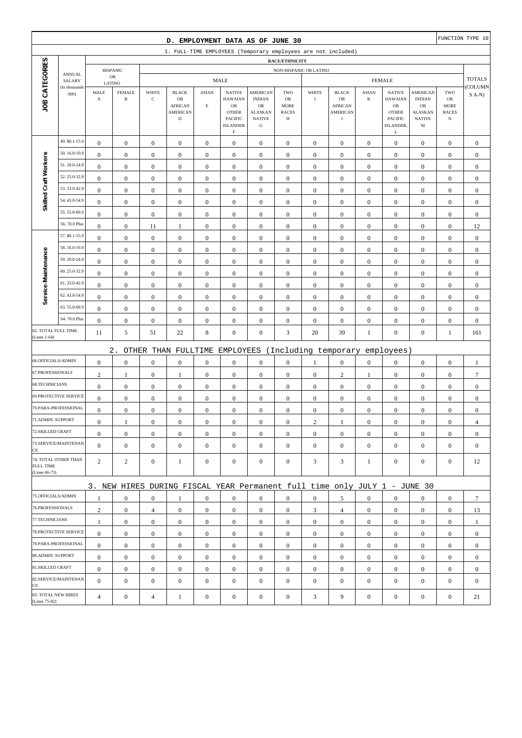|                                      |                              |                                  |                                  |                                      | D. EMPLOYMENT DATA AS OF JUNE 30                                                |                                      |                                                                                            |                                                                                        |                                                               |                                      |                                                                       |                                  |                                                                                              |                                                                         |                                                         | FUNCTION TYPE 10                 |
|--------------------------------------|------------------------------|----------------------------------|----------------------------------|--------------------------------------|---------------------------------------------------------------------------------|--------------------------------------|--------------------------------------------------------------------------------------------|----------------------------------------------------------------------------------------|---------------------------------------------------------------|--------------------------------------|-----------------------------------------------------------------------|----------------------------------|----------------------------------------------------------------------------------------------|-------------------------------------------------------------------------|---------------------------------------------------------|----------------------------------|
|                                      |                              |                                  |                                  |                                      | 1. FULL-TIME EMPLOYEES (Temporary employees are not included)                   |                                      |                                                                                            |                                                                                        |                                                               |                                      |                                                                       |                                  |                                                                                              |                                                                         |                                                         |                                  |
|                                      |                              |                                  |                                  |                                      |                                                                                 |                                      |                                                                                            |                                                                                        | <b>RACE/ETHNICITY</b>                                         |                                      |                                                                       |                                  |                                                                                              |                                                                         |                                                         |                                  |
|                                      | <b>ANNUAL</b>                |                                  | <b>HISPANIC</b><br>${\sf OR}$    |                                      |                                                                                 |                                      | <b>MALE</b>                                                                                |                                                                                        | NON-HISPANIC OR LATINO                                        |                                      |                                                                       |                                  | <b>FEMALE</b>                                                                                |                                                                         |                                                         | <b>TOTALS</b>                    |
|                                      | SALARY<br>(In thousands      | LATINO                           |                                  |                                      |                                                                                 |                                      |                                                                                            |                                                                                        |                                                               |                                      |                                                                       |                                  |                                                                                              |                                                                         |                                                         | COLUMN                           |
| JOB CATEGORIES                       | 000                          | MALE<br>$\boldsymbol{\rm{A}}$    | <b>FEMALE</b><br>$\, {\bf B}$    | WHITE<br>$\mathbf C$                 | <b>BLACK</b><br>$_{\rm OR}$<br><b>AFRICAN</b><br><b>AMERICAN</b><br>$\mathbf D$ | <b>ASIAN</b><br>$\mathbf E$          | <b>NATIVE</b><br><b>HAWAIAN</b><br><b>OR</b><br><b>OTHER</b><br>PACIFIC<br><b>ISLANDER</b> | <b>AMERICAN</b><br><b>INDIAN</b><br>OR<br><b>ALASKAN</b><br><b>NATIVE</b><br>${\bf G}$ | TWO<br><b>OR</b><br><b>MORE</b><br><b>RACES</b><br>$_{\rm H}$ | WHITE<br>$\rm I$                     | <b>BLACK</b><br>OR<br><b>AFRICAN</b><br><b>AMERICAN</b><br>$_{\rm J}$ | <b>ASIAN</b><br>$\bf K$          | <b>NATIVE</b><br><b>HAWAIAN</b><br>${\rm OR}$<br><b>OTHER</b><br><b>PACIFIC</b><br>ISLANDER, | <b>AMERICAN</b><br><b>INDIAN</b><br>OR<br>ALASKAN<br><b>NATIVE</b><br>M | TWO<br>${\rm OR}$<br>MORE<br><b>RACES</b><br>$_{\rm N}$ | $S$ A-N)                         |
|                                      | 49. \$0.1-15.9               |                                  |                                  |                                      |                                                                                 |                                      | $\rm F$                                                                                    |                                                                                        |                                                               |                                      |                                                                       |                                  | L                                                                                            |                                                                         |                                                         |                                  |
|                                      | 50.16.0-19.9                 | $\boldsymbol{0}$<br>$\mathbf{0}$ | $\mathbf{0}$<br>$\boldsymbol{0}$ | $\boldsymbol{0}$<br>$\boldsymbol{0}$ | $\boldsymbol{0}$<br>$\boldsymbol{0}$                                            | $\boldsymbol{0}$<br>$\boldsymbol{0}$ | $\boldsymbol{0}$<br>$\boldsymbol{0}$                                                       | $\boldsymbol{0}$<br>$\boldsymbol{0}$                                                   | $\boldsymbol{0}$<br>$\boldsymbol{0}$                          | $\boldsymbol{0}$<br>$\boldsymbol{0}$ | $\boldsymbol{0}$<br>$\boldsymbol{0}$                                  | $\mathbf{0}$<br>$\boldsymbol{0}$ | $\mathbf{0}$<br>$\boldsymbol{0}$                                                             | $\boldsymbol{0}$<br>$\boldsymbol{0}$                                    | $\boldsymbol{0}$<br>$\boldsymbol{0}$                    | $\boldsymbol{0}$<br>$\mathbf{0}$ |
| Skilled Craft Workers                | 51.20.0-24.9                 | $\mathbf{0}$                     | $\boldsymbol{0}$                 | $\boldsymbol{0}$                     | $\boldsymbol{0}$                                                                | $\mathbf{0}$                         | $\boldsymbol{0}$                                                                           | $\boldsymbol{0}$                                                                       | $\mathbf{0}$                                                  | $\boldsymbol{0}$                     | $\boldsymbol{0}$                                                      | $\boldsymbol{0}$                 | $\boldsymbol{0}$                                                                             | $\boldsymbol{0}$                                                        | $\boldsymbol{0}$                                        | $\mathbf{0}$                     |
|                                      | 52.25.0-32.9                 | $\boldsymbol{0}$                 | $\boldsymbol{0}$                 | $\boldsymbol{0}$                     | $\boldsymbol{0}$                                                                | $\boldsymbol{0}$                     | $\boldsymbol{0}$                                                                           | $\boldsymbol{0}$                                                                       | $\boldsymbol{0}$                                              | $\boldsymbol{0}$                     | $\boldsymbol{0}$                                                      | $\boldsymbol{0}$                 | $\boldsymbol{0}$                                                                             | $\boldsymbol{0}$                                                        | $\boldsymbol{0}$                                        | $\boldsymbol{0}$                 |
|                                      | 53.33.0-42.9                 | $\boldsymbol{0}$                 | $\boldsymbol{0}$                 | $\boldsymbol{0}$                     | $\boldsymbol{0}$                                                                | $\boldsymbol{0}$                     | $\boldsymbol{0}$                                                                           | $\boldsymbol{0}$                                                                       | $\boldsymbol{0}$                                              | $\boldsymbol{0}$                     | $\boldsymbol{0}$                                                      | $\boldsymbol{0}$                 | $\boldsymbol{0}$                                                                             | $\boldsymbol{0}$                                                        | $\boldsymbol{0}$                                        | $\boldsymbol{0}$                 |
|                                      | 54.43.0-54.9                 | $\boldsymbol{0}$                 | $\boldsymbol{0}$                 | $\boldsymbol{0}$                     | $\boldsymbol{0}$                                                                | $\boldsymbol{0}$                     | $\boldsymbol{0}$                                                                           | $\boldsymbol{0}$                                                                       | $\boldsymbol{0}$                                              | $\boldsymbol{0}$                     | $\boldsymbol{0}$                                                      | $\boldsymbol{0}$                 | $\boldsymbol{0}$                                                                             | $\boldsymbol{0}$                                                        | $\boldsymbol{0}$                                        | $\mathbf{0}$                     |
|                                      | 55.55.0-69.9                 | $\mathbf{0}$                     | $\boldsymbol{0}$                 | $\boldsymbol{0}$                     | $\boldsymbol{0}$                                                                | $\boldsymbol{0}$                     | $\boldsymbol{0}$                                                                           | $\boldsymbol{0}$                                                                       | $\boldsymbol{0}$                                              | $\boldsymbol{0}$                     | $\boldsymbol{0}$                                                      | $\boldsymbol{0}$                 | $\boldsymbol{0}$                                                                             | $\boldsymbol{0}$                                                        | $\boldsymbol{0}$                                        | $\boldsymbol{0}$                 |
|                                      | 56.70.0 Plus                 | $\boldsymbol{0}$                 | $\boldsymbol{0}$                 | 11                                   | $\mathbf{1}$                                                                    | $\boldsymbol{0}$                     | $\boldsymbol{0}$                                                                           | $\boldsymbol{0}$                                                                       | $\boldsymbol{0}$                                              | $\boldsymbol{0}$                     | $\boldsymbol{0}$                                                      | $\boldsymbol{0}$                 | $\boldsymbol{0}$                                                                             | $\boldsymbol{0}$                                                        | $\boldsymbol{0}$                                        | 12                               |
|                                      | 57. \$0.1-15.9               | $\boldsymbol{0}$                 | $\boldsymbol{0}$                 | $\boldsymbol{0}$                     | $\boldsymbol{0}$                                                                | $\boldsymbol{0}$                     | $\mathbf{0}$                                                                               | $\boldsymbol{0}$                                                                       | $\boldsymbol{0}$                                              | $\boldsymbol{0}$                     | $\boldsymbol{0}$                                                      | $\boldsymbol{0}$                 | $\boldsymbol{0}$                                                                             | $\boldsymbol{0}$                                                        | $\boldsymbol{0}$                                        | $\boldsymbol{0}$                 |
|                                      | 58.16.0-19.9                 | $\boldsymbol{0}$                 | $\boldsymbol{0}$                 | $\boldsymbol{0}$                     | $\boldsymbol{0}$                                                                | $\boldsymbol{0}$                     | $\boldsymbol{0}$                                                                           | $\boldsymbol{0}$                                                                       | $\boldsymbol{0}$                                              | $\boldsymbol{0}$                     | $\boldsymbol{0}$                                                      | $\boldsymbol{0}$                 | $\boldsymbol{0}$                                                                             | $\boldsymbol{0}$                                                        | $\boldsymbol{0}$                                        | $\boldsymbol{0}$                 |
| Service-Maintenance                  | 59.20.0-24.9                 | $\mathbf{0}$                     | $\boldsymbol{0}$                 | $\boldsymbol{0}$                     | $\boldsymbol{0}$                                                                | $\mathbf{0}$                         | $\boldsymbol{0}$                                                                           | $\mathbf{0}$                                                                           | $\mathbf{0}$                                                  | $\boldsymbol{0}$                     | $\boldsymbol{0}$                                                      | $\boldsymbol{0}$                 | $\boldsymbol{0}$                                                                             | $\boldsymbol{0}$                                                        | $\boldsymbol{0}$                                        | $\mathbf{0}$                     |
|                                      | 60.25.0-32.9                 | $\boldsymbol{0}$                 | $\boldsymbol{0}$                 | $\boldsymbol{0}$                     | $\boldsymbol{0}$                                                                | $\boldsymbol{0}$                     | $\boldsymbol{0}$                                                                           | $\boldsymbol{0}$                                                                       | $\boldsymbol{0}$                                              | $\boldsymbol{0}$                     | $\boldsymbol{0}$                                                      | $\boldsymbol{0}$                 | $\boldsymbol{0}$                                                                             | $\boldsymbol{0}$                                                        | $\boldsymbol{0}$                                        | $\mathbf{0}$                     |
|                                      | 61.33.0-42.9                 | $\boldsymbol{0}$                 | $\boldsymbol{0}$                 | $\boldsymbol{0}$                     | $\boldsymbol{0}$                                                                | $\boldsymbol{0}$                     | $\boldsymbol{0}$                                                                           | $\boldsymbol{0}$                                                                       | $\boldsymbol{0}$                                              | $\boldsymbol{0}$                     | $\boldsymbol{0}$                                                      | $\boldsymbol{0}$                 | $\boldsymbol{0}$                                                                             | $\boldsymbol{0}$                                                        | $\boldsymbol{0}$                                        | $\boldsymbol{0}$                 |
|                                      | 62.43.0-54.9                 | $\bf{0}$                         | $\boldsymbol{0}$                 | $\boldsymbol{0}$                     | $\boldsymbol{0}$                                                                | $\boldsymbol{0}$                     | $\boldsymbol{0}$                                                                           | $\boldsymbol{0}$                                                                       | $\boldsymbol{0}$                                              | $\boldsymbol{0}$                     | $\boldsymbol{0}$                                                      | $\boldsymbol{0}$                 | $\boldsymbol{0}$                                                                             | $\boldsymbol{0}$                                                        | $\boldsymbol{0}$                                        | $\mathbf{0}$                     |
|                                      | 63.55.0-69.9                 | $\boldsymbol{0}$                 | $\boldsymbol{0}$                 | $\boldsymbol{0}$                     | $\boldsymbol{0}$                                                                | $\boldsymbol{0}$                     | $\boldsymbol{0}$                                                                           | $\mathbf{0}$                                                                           | $\boldsymbol{0}$                                              | $\boldsymbol{0}$                     | $\boldsymbol{0}$                                                      | $\boldsymbol{0}$                 | $\boldsymbol{0}$                                                                             | $\boldsymbol{0}$                                                        | $\boldsymbol{0}$                                        | $\mathbf{0}$                     |
|                                      | 64.70.0 Plus                 | $\boldsymbol{0}$                 | $\boldsymbol{0}$                 | $\boldsymbol{0}$                     | $\boldsymbol{0}$                                                                | $\boldsymbol{0}$                     | $\boldsymbol{0}$                                                                           | $\mathbf{0}$                                                                           | $\boldsymbol{0}$                                              | $\boldsymbol{0}$                     | $\boldsymbol{0}$                                                      | $\boldsymbol{0}$                 | $\boldsymbol{0}$                                                                             | $\boldsymbol{0}$                                                        | $\boldsymbol{0}$                                        | $\mathbf{0}$                     |
| 65. TOTAL FULL TIME<br>(Lines 1-64)  |                              | 11                               | 5                                | 51                                   | 22                                                                              | $\,8\,$                              | $\boldsymbol{0}$                                                                           | $\boldsymbol{0}$                                                                       | 3                                                             | 20                                   | 39                                                                    | $\mathbf{1}$                     | $\boldsymbol{0}$                                                                             | $\boldsymbol{0}$                                                        | $\mathbf{1}$                                            | 161                              |
|                                      |                              |                                  | $2$ .                            |                                      |                                                                                 |                                      |                                                                                            |                                                                                        |                                                               |                                      |                                                                       |                                  |                                                                                              |                                                                         |                                                         |                                  |
| 66.OFFICIALS/ADMIN                   |                              | $\mathbf{0}$                     | $\boldsymbol{0}$                 | $\boldsymbol{0}$                     | OTHER THAN FULLTIME<br>$\boldsymbol{0}$                                         | $\boldsymbol{0}$                     | EMPLOYEES<br>$\boldsymbol{0}$                                                              | $\boldsymbol{0}$                                                                       | $\boldsymbol{0}$                                              | $\mathbf{1}$                         | (Including temporary<br>$\boldsymbol{0}$                              | $\boldsymbol{0}$                 | employees)<br>$\boldsymbol{0}$                                                               | $\boldsymbol{0}$                                                        | $\boldsymbol{0}$                                        | $\mathbf{1}$                     |
| 67.PROFESSIONALS                     |                              | $\mathbf{2}$                     | $\mathbf{1}$                     | $\boldsymbol{0}$                     | $\mathbf{1}$                                                                    | $\boldsymbol{0}$                     | $\boldsymbol{0}$                                                                           | $\boldsymbol{0}$                                                                       | $\boldsymbol{0}$                                              | $\boldsymbol{0}$                     | $\sqrt{2}$                                                            | 1                                | $\boldsymbol{0}$                                                                             | $\boldsymbol{0}$                                                        | $\boldsymbol{0}$                                        | $\overline{7}$                   |
| 68.TECHNICIANS                       |                              | $\boldsymbol{0}$                 | $\boldsymbol{0}$                 | $\boldsymbol{0}$                     | $\boldsymbol{0}$                                                                | $\boldsymbol{0}$                     | $\boldsymbol{0}$                                                                           | $\boldsymbol{0}$                                                                       | $\boldsymbol{0}$                                              | $\boldsymbol{0}$                     | $\boldsymbol{0}$                                                      | $\boldsymbol{0}$                 | $\boldsymbol{0}$                                                                             | $\boldsymbol{0}$                                                        | $\boldsymbol{0}$                                        | $\mathbf{0}$                     |
|                                      | <b>69.PROTECTIVE SERVICE</b> | $\boldsymbol{0}$                 | $\mathbf{0}$                     | $\boldsymbol{0}$                     | $\boldsymbol{0}$                                                                | $\boldsymbol{0}$                     | $\boldsymbol{0}$                                                                           | $\mathbf{0}$                                                                           | $\mathbf{0}$                                                  | $\boldsymbol{0}$                     | $\boldsymbol{0}$                                                      | $\mathbf{0}$                     | $\boldsymbol{0}$                                                                             | $\boldsymbol{0}$                                                        | $\boldsymbol{0}$                                        | $\mathbf{0}$                     |
|                                      | 70.PARA-PROFESSIONAL         | $\boldsymbol{0}$                 | $\boldsymbol{0}$                 | $\boldsymbol{0}$                     | $\boldsymbol{0}$                                                                | $\boldsymbol{0}$                     | $\boldsymbol{0}$                                                                           | $\mathbf{0}$                                                                           | $\mathbf{0}$                                                  | $\boldsymbol{0}$                     | $\boldsymbol{0}$                                                      | $\boldsymbol{0}$                 | $\boldsymbol{0}$                                                                             | $\boldsymbol{0}$                                                        | $\boldsymbol{0}$                                        | $\mathbf{0}$                     |
| 71.ADMIN. SUPPORT                    |                              | $\overline{0}$                   | 1                                | $\boldsymbol{0}$                     | $\Omega$                                                                        | $\mathbf{0}$                         | $\boldsymbol{0}$                                                                           | $\boldsymbol{0}$                                                                       | $\mathbf{0}$                                                  | $\overline{c}$                       | 1                                                                     | $\boldsymbol{0}$                 | $\boldsymbol{0}$                                                                             | $\theta$                                                                | $\boldsymbol{0}$                                        | $\overline{4}$                   |
| 72.SKILLED CRAFT                     |                              | $\mathbf{0}$                     | $\boldsymbol{0}$                 | $\boldsymbol{0}$                     | $\mathbf{0}$                                                                    | $\boldsymbol{0}$                     | $\boldsymbol{0}$                                                                           | $\boldsymbol{0}$                                                                       | $\boldsymbol{0}$                                              | $\mathbf{0}$                         | $\mathbf{0}$                                                          | $\mathbf{0}$                     | $\mathbf{0}$                                                                                 | $\mathbf{0}$                                                            | $\overline{0}$                                          | $\boldsymbol{0}$                 |
| CE                                   | 73.SERVICE/MAINTENAN         | $\overline{0}$                   | $\mathbf{0}$                     | $\boldsymbol{0}$                     | $\boldsymbol{0}$                                                                | $\boldsymbol{0}$                     | $\overline{0}$                                                                             | $\boldsymbol{0}$                                                                       | $\boldsymbol{0}$                                              | $\boldsymbol{0}$                     | $\boldsymbol{0}$                                                      | $\mathbf{0}$                     | $\mathbf{0}$                                                                                 | $\overline{0}$                                                          | $\mathbf{0}$                                            | $\mathbf{0}$                     |
| FULL TIME<br>(Lines 66-73)           | 74. TOTAL OTHER THAN         | $\overline{2}$                   | 2                                | $\boldsymbol{0}$                     | $\mathbf{1}$                                                                    | $\boldsymbol{0}$                     | $\mathbf{0}$                                                                               | $\boldsymbol{0}$                                                                       | $\boldsymbol{0}$                                              | 3                                    | 3                                                                     | 1                                | $\mathbf{0}$                                                                                 | $\overline{0}$                                                          | $\boldsymbol{0}$                                        | 12                               |
|                                      |                              |                                  |                                  |                                      | 3. NEW HIRES DURING FISCAL YEAR Permanent full time only JULY 1 - JUNE 30       |                                      |                                                                                            |                                                                                        |                                                               |                                      |                                                                       |                                  |                                                                                              |                                                                         |                                                         |                                  |
| 75.OFFICIALS/ADMIN                   |                              | 1                                | $\boldsymbol{0}$                 | $\boldsymbol{0}$                     | $\mathbf{1}$                                                                    | $\mathbf{0}$                         | $\mathbf{0}$                                                                               | $\boldsymbol{0}$                                                                       | $\overline{0}$                                                | $\overline{0}$                       | 5                                                                     | $\mathbf{0}$                     | $\mathbf{0}$                                                                                 | $\overline{0}$                                                          | $\mathbf{0}$                                            | $7\phantom{.0}$                  |
| 76.PROFESSIONALS                     |                              | $\overline{2}$                   | $\boldsymbol{0}$                 | $\overline{4}$                       | $\mathbf{0}$                                                                    | $\mathbf{0}$                         | $\mathbf{0}$                                                                               | $\boldsymbol{0}$                                                                       | $\boldsymbol{0}$                                              | 3                                    | $\overline{4}$                                                        | $\mathbf{0}$                     | $\mathbf{0}$                                                                                 | $\mathbf{0}$                                                            | $\overline{0}$                                          | 13                               |
| 77.TECHNICIANS                       |                              | $\mathbf{1}$                     | $\boldsymbol{0}$                 | $\boldsymbol{0}$                     | $\mathbf{0}$                                                                    | $\boldsymbol{0}$                     | $\boldsymbol{0}$                                                                           | $\boldsymbol{0}$                                                                       | $\boldsymbol{0}$                                              | $\boldsymbol{0}$                     | $\boldsymbol{0}$                                                      | $\overline{0}$                   | $\mathbf{0}$                                                                                 | $\boldsymbol{0}$                                                        | $\boldsymbol{0}$                                        | 1                                |
|                                      | 78.PROTECTIVE SERVICE        | $\mathbf{0}$                     | $\boldsymbol{0}$                 | $\boldsymbol{0}$                     | $\mathbf{0}$                                                                    | $\boldsymbol{0}$                     | $\mathbf{0}$                                                                               | $\mathbf{0}$                                                                           | $\overline{0}$                                                | $\overline{0}$                       | $\boldsymbol{0}$                                                      | $\overline{0}$                   | $\mathbf{0}$                                                                                 | $\overline{0}$                                                          | $\overline{0}$                                          | $\mathbf{0}$                     |
|                                      | 79.PARA-PROFESSIONAL         | $\overline{0}$                   | $\mathbf{0}$                     | $\mathbf{0}$                         | $\mathbf{0}$                                                                    | $\mathbf{0}$                         | $\boldsymbol{0}$                                                                           | $\mathbf{0}$                                                                           | $\overline{0}$                                                | $\mathbf{0}$                         | $\boldsymbol{0}$                                                      | $\overline{0}$                   | $\overline{0}$                                                                               | $\overline{0}$                                                          | $\mathbf{0}$                                            | $\mathbf{0}$                     |
| 80.ADMIN. SUPPORT                    |                              | $\mathbf{0}$                     | $\boldsymbol{0}$                 | $\boldsymbol{0}$                     | $\mathbf{0}$                                                                    | $\mathbf{0}$                         | $\boldsymbol{0}$                                                                           | $\boldsymbol{0}$                                                                       | $\boldsymbol{0}$                                              | $\mathbf{0}$                         | $\mathbf{0}$                                                          | $\mathbf{0}$                     | $\mathbf{0}$                                                                                 | $\boldsymbol{0}$                                                        | $\boldsymbol{0}$                                        | $\mathbf{0}$                     |
| 81.SKILLED CRAFT                     |                              | $\mathbf{0}$                     | $\mathbf{0}$                     | $\boldsymbol{0}$                     | $\boldsymbol{0}$                                                                | $\boldsymbol{0}$                     | $\boldsymbol{0}$                                                                           | $\boldsymbol{0}$                                                                       | $\boldsymbol{0}$                                              | $\mathbf{0}$                         | $\boldsymbol{0}$                                                      | $\mathbf{0}$                     | $\mathbf{0}$                                                                                 | $\boldsymbol{0}$                                                        | $\boldsymbol{0}$                                        | $\boldsymbol{0}$                 |
| CE                                   | 82.SERVICE/MAINTENAN         | $\overline{0}$                   | $\boldsymbol{0}$                 | $\boldsymbol{0}$                     | $\boldsymbol{0}$                                                                | $\boldsymbol{0}$                     | $\boldsymbol{0}$                                                                           | $\boldsymbol{0}$                                                                       | $\mathbf{0}$                                                  | $\boldsymbol{0}$                     | $\boldsymbol{0}$                                                      | $\mathbf{0}$                     | $\mathbf{0}$                                                                                 | $\overline{0}$                                                          | $\mathbf{0}$                                            | $\mathbf{0}$                     |
| 83. TOTAL NEW HIRES<br>(Lines 75-82) |                              | $\overline{4}$                   | $\boldsymbol{0}$                 | 4                                    | $\mathbf{1}$                                                                    | $\boldsymbol{0}$                     | $\boldsymbol{0}$                                                                           | $\boldsymbol{0}$                                                                       | $\boldsymbol{0}$                                              | 3                                    | 9                                                                     | $\boldsymbol{0}$                 | $\boldsymbol{0}$                                                                             | $\boldsymbol{0}$                                                        | $\boldsymbol{0}$                                        | 21                               |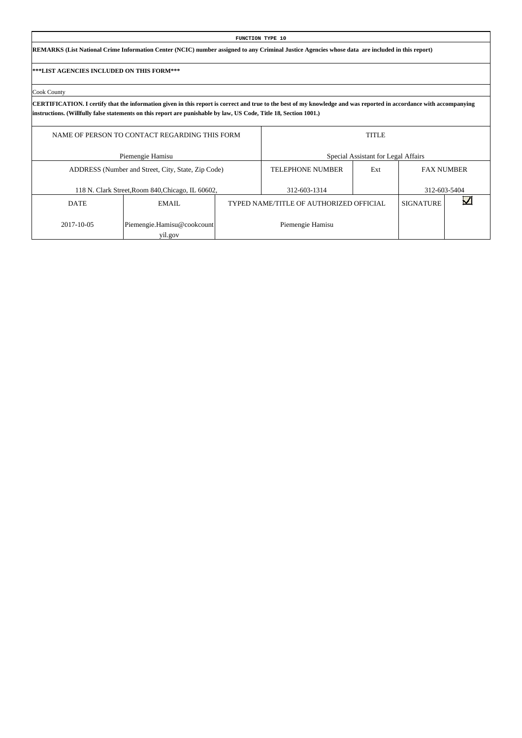|                                                   |                                                                                                                                                                                                                                                                                          | FUNCTION TYPE 10                        |                                     |                   |              |
|---------------------------------------------------|------------------------------------------------------------------------------------------------------------------------------------------------------------------------------------------------------------------------------------------------------------------------------------------|-----------------------------------------|-------------------------------------|-------------------|--------------|
|                                                   | REMARKS (List National Crime Information Center (NCIC) number assigned to any Criminal Justice Agencies whose data are included in this report)                                                                                                                                          |                                         |                                     |                   |              |
| <b> ***LIST AGENCIES INCLUDED ON THIS FORM***</b> |                                                                                                                                                                                                                                                                                          |                                         |                                     |                   |              |
| Cook County                                       |                                                                                                                                                                                                                                                                                          |                                         |                                     |                   |              |
|                                                   | CERTIFICATION. I certify that the information given in this report is correct and true to the best of my knowledge and was reported in accordance with accompanying<br>instructions. (Willfully false statements on this report are punishable by law, US Code, Title 18, Section 1001.) |                                         |                                     |                   |              |
|                                                   | NAME OF PERSON TO CONTACT REGARDING THIS FORM                                                                                                                                                                                                                                            |                                         | <b>TITLE</b>                        |                   |              |
|                                                   | Piemengie Hamisu                                                                                                                                                                                                                                                                         |                                         | Special Assistant for Legal Affairs |                   |              |
|                                                   | ADDRESS (Number and Street, City, State, Zip Code)                                                                                                                                                                                                                                       | <b>TELEPHONE NUMBER</b>                 | Ext                                 | <b>FAX NUMBER</b> |              |
|                                                   | 118 N. Clark Street, Room 840, Chicago, IL 60602,                                                                                                                                                                                                                                        | 312-603-1314                            |                                     |                   | 312-603-5404 |
| <b>DATE</b>                                       | EMAIL.                                                                                                                                                                                                                                                                                   | TYPED NAME/TITLE OF AUTHORIZED OFFICIAL |                                     | <b>SIGNATURE</b>  |              |
| 2017-10-05                                        | Piemengie.Hamisu@cookcount                                                                                                                                                                                                                                                               | Piemengie Hamisu                        |                                     |                   |              |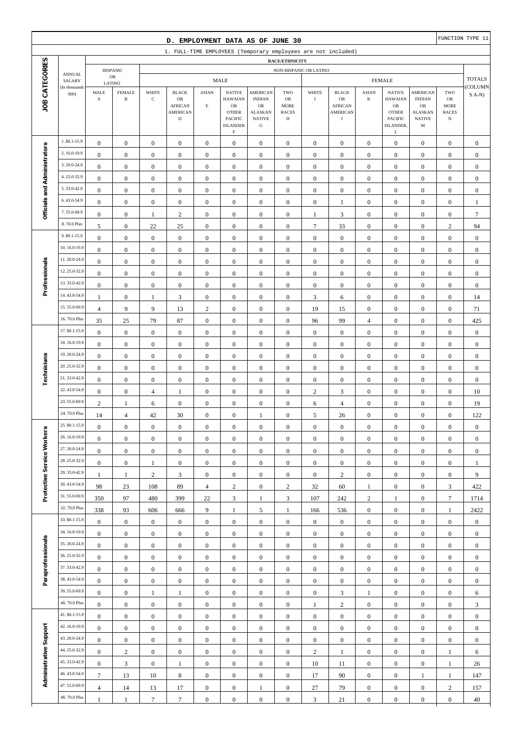|                              |                              |                                      |                                         |                                      | D. EMPLOYMENT DATA AS OF JUNE 30                                       |                                      |                                                                                              |                                                                                                 |                                               |                                      |                                                              |                                      |                                                                                              |                                                                                       |                                                                | FUNCTION TYPE 11                     |
|------------------------------|------------------------------|--------------------------------------|-----------------------------------------|--------------------------------------|------------------------------------------------------------------------|--------------------------------------|----------------------------------------------------------------------------------------------|-------------------------------------------------------------------------------------------------|-----------------------------------------------|--------------------------------------|--------------------------------------------------------------|--------------------------------------|----------------------------------------------------------------------------------------------|---------------------------------------------------------------------------------------|----------------------------------------------------------------|--------------------------------------|
|                              |                              |                                      |                                         |                                      | 1. FULL-TIME EMPLOYEES (Temporary employees are not included)          |                                      |                                                                                              |                                                                                                 |                                               |                                      |                                                              |                                      |                                                                                              |                                                                                       |                                                                |                                      |
|                              |                              |                                      |                                         |                                      |                                                                        |                                      |                                                                                              |                                                                                                 | RACE/ETHNICITY                                |                                      |                                                              |                                      |                                                                                              |                                                                                       |                                                                |                                      |
|                              | <b>ANNUAL</b><br>SALARY      |                                      | <b>HISPANIC</b><br>$_{\rm OR}$          |                                      |                                                                        |                                      | <b>MALE</b>                                                                                  |                                                                                                 | NON-HISPANIC OR LATINO                        |                                      |                                                              |                                      | <b>FEMALE</b>                                                                                |                                                                                       |                                                                | <b>TOTALS</b>                        |
| JOB CATEGORIES               | (In thousands<br>000         | MALE<br>$\mathbf A$                  | LATINO<br><b>FEMALE</b><br>$\, {\bf B}$ | WHITE<br>$\mathbf C$                 | <b>BLACK</b><br>OR<br><b>AFRICAN</b><br><b>AMERICAN</b><br>$\mathbf D$ | <b>ASIAN</b><br>$\mathbf E$          | <b>NATIVE</b><br><b>HAWAIAN</b><br>$_{\rm OR}$<br><b>OTHER</b><br>PACIFIC<br><b>ISLANDER</b> | <b>AMERICAN</b><br><b>INDIAN</b><br>$_{\rm OR}$<br><b>ALASKAN</b><br><b>NATIVE</b><br>${\bf G}$ | TWO<br>OR<br><b>MORE</b><br><b>RACES</b><br>Н | WHITE<br>$\mathbf I$                 | <b>BLACK</b><br>OR<br><b>AFRICAN</b><br><b>AMERICAN</b><br>J | <b>ASIAN</b><br>K                    | <b>NATIVE</b><br><b>HAWAIAN</b><br>${\rm OR}$<br><b>OTHER</b><br><b>PACIFIC</b><br>ISLANDER, | <b>AMERICAN</b><br><b>INDIAN</b><br><b>OR</b><br><b>ALASKAN</b><br><b>NATIVE</b><br>M | TWO<br>${\sf OR}$<br><b>MORE</b><br><b>RACES</b><br>$_{\rm N}$ | COLUMN<br>$S(A-N)$                   |
|                              |                              |                                      |                                         |                                      |                                                                        |                                      | $\mathbf F$                                                                                  |                                                                                                 |                                               |                                      |                                                              |                                      | L                                                                                            |                                                                                       |                                                                |                                      |
|                              | 1. \$0.1-15.9<br>2.16.0-19.9 | $\boldsymbol{0}$                     | $\boldsymbol{0}$                        | $\boldsymbol{0}$                     | $\boldsymbol{0}$                                                       | $\boldsymbol{0}$                     | $\boldsymbol{0}$                                                                             | $\mathbf{0}$                                                                                    | $\boldsymbol{0}$                              | $\boldsymbol{0}$                     | $\boldsymbol{0}$                                             | $\boldsymbol{0}$                     | $\boldsymbol{0}$                                                                             | $\boldsymbol{0}$                                                                      | $\boldsymbol{0}$                                               | $\mathbf{0}$                         |
|                              | 3.20.0-24.9                  | $\boldsymbol{0}$                     | $\boldsymbol{0}$                        | $\boldsymbol{0}$                     | $\boldsymbol{0}$                                                       | $\boldsymbol{0}$                     | $\boldsymbol{0}$                                                                             | $\mathbf{0}$                                                                                    | $\boldsymbol{0}$                              | $\boldsymbol{0}$                     | $\boldsymbol{0}$                                             | $\boldsymbol{0}$                     | $\boldsymbol{0}$                                                                             | $\boldsymbol{0}$                                                                      | $\boldsymbol{0}$                                               | $\boldsymbol{0}$                     |
|                              | 4.25.0-32.9                  | $\boldsymbol{0}$                     | $\mathbf{0}$                            | $\boldsymbol{0}$                     | $\boldsymbol{0}$                                                       | $\boldsymbol{0}$                     | $\boldsymbol{0}$                                                                             | $\boldsymbol{0}$                                                                                | $\boldsymbol{0}$                              | $\boldsymbol{0}$                     | $\boldsymbol{0}$                                             | $\boldsymbol{0}$                     | $\boldsymbol{0}$                                                                             | $\boldsymbol{0}$                                                                      | $\boldsymbol{0}$                                               | $\boldsymbol{0}$                     |
|                              | 5.33.0-42.9                  | $\mathbf{0}$                         | $\mathbf{0}$                            | $\boldsymbol{0}$                     | $\boldsymbol{0}$                                                       | $\boldsymbol{0}$                     | $\mathbf{0}$                                                                                 | $\boldsymbol{0}$                                                                                | $\mathbf{0}$                                  | $\boldsymbol{0}$                     | $\boldsymbol{0}$                                             | $\boldsymbol{0}$                     | $\boldsymbol{0}$                                                                             | $\boldsymbol{0}$                                                                      | $\boldsymbol{0}$                                               | $\boldsymbol{0}$                     |
|                              | 6.43.0-54.9                  | $\boldsymbol{0}$                     | $\mathbf{0}$                            | $\boldsymbol{0}$                     | $\boldsymbol{0}$                                                       | $\boldsymbol{0}$                     | $\mathbf{0}$                                                                                 | $\boldsymbol{0}$                                                                                | $\boldsymbol{0}$                              | $\boldsymbol{0}$                     | $\boldsymbol{0}$                                             | $\boldsymbol{0}$                     | $\boldsymbol{0}$                                                                             | $\boldsymbol{0}$                                                                      | $\boldsymbol{0}$                                               | $\boldsymbol{0}$                     |
| Officials and Administrators | 7.55.0-69.9                  | $\boldsymbol{0}$<br>$\boldsymbol{0}$ | $\boldsymbol{0}$                        | $\boldsymbol{0}$                     | $\boldsymbol{0}$                                                       | $\boldsymbol{0}$<br>$\boldsymbol{0}$ | $\boldsymbol{0}$<br>$\mathbf{0}$                                                             | $\boldsymbol{0}$                                                                                | $\boldsymbol{0}$                              | $\boldsymbol{0}$                     | 1                                                            | $\boldsymbol{0}$<br>$\boldsymbol{0}$ | $\boldsymbol{0}$                                                                             | $\boldsymbol{0}$                                                                      | $\boldsymbol{0}$                                               | 1                                    |
|                              | 8.70.0 Plus                  | 5                                    | $\boldsymbol{0}$<br>$\boldsymbol{0}$    | 1<br>$22\,$                          | $\sqrt{2}$<br>25                                                       | $\boldsymbol{0}$                     | $\mathbf{0}$                                                                                 | $\boldsymbol{0}$<br>$\boldsymbol{0}$                                                            | $\boldsymbol{0}$<br>$\mathbf{0}$              | $\,1$<br>$\boldsymbol{7}$            | $\mathfrak{Z}$<br>33                                         | $\boldsymbol{0}$                     | $\boldsymbol{0}$<br>$\boldsymbol{0}$                                                         | $\boldsymbol{0}$<br>$\overline{0}$                                                    | $\boldsymbol{0}$<br>$\sqrt{2}$                                 | $\boldsymbol{7}$<br>94               |
|                              | 9. \$0.1-15.9                | $\boldsymbol{0}$                     | $\mathbf{0}$                            | $\boldsymbol{0}$                     | $\boldsymbol{0}$                                                       | $\boldsymbol{0}$                     | $\mathbf{0}$                                                                                 | $\boldsymbol{0}$                                                                                | $\boldsymbol{0}$                              | $\boldsymbol{0}$                     | $\boldsymbol{0}$                                             | $\boldsymbol{0}$                     | $\boldsymbol{0}$                                                                             | $\boldsymbol{0}$                                                                      | $\boldsymbol{0}$                                               | $\boldsymbol{0}$                     |
|                              | 10.16.0-19.9                 | $\boldsymbol{0}$                     | $\mathbf{0}$                            | $\boldsymbol{0}$                     | $\boldsymbol{0}$                                                       | $\boldsymbol{0}$                     | $\mathbf{0}$                                                                                 | $\boldsymbol{0}$                                                                                | $\boldsymbol{0}$                              | $\mathbf{0}$                         | $\boldsymbol{0}$                                             | $\boldsymbol{0}$                     | $\boldsymbol{0}$                                                                             | $\boldsymbol{0}$                                                                      | $\boldsymbol{0}$                                               | $\boldsymbol{0}$                     |
|                              | 11.20.0-24.9                 | $\boldsymbol{0}$                     | $\mathbf{0}$                            | $\boldsymbol{0}$                     | $\boldsymbol{0}$                                                       | $\boldsymbol{0}$                     | $\mathbf{0}$                                                                                 | $\boldsymbol{0}$                                                                                | $\boldsymbol{0}$                              | $\mathbf{0}$                         | $\boldsymbol{0}$                                             | $\boldsymbol{0}$                     | $\boldsymbol{0}$                                                                             | $\boldsymbol{0}$                                                                      | $\boldsymbol{0}$                                               | $\boldsymbol{0}$                     |
|                              | 12.25.0-32.9                 | $\boldsymbol{0}$                     | $\mathbf{0}$                            | $\boldsymbol{0}$                     | $\boldsymbol{0}$                                                       | $\boldsymbol{0}$                     | $\mathbf{0}$                                                                                 | $\boldsymbol{0}$                                                                                | $\mathbf{0}$                                  | $\boldsymbol{0}$                     | $\boldsymbol{0}$                                             | $\boldsymbol{0}$                     | $\boldsymbol{0}$                                                                             | $\boldsymbol{0}$                                                                      | $\boldsymbol{0}$                                               | $\boldsymbol{0}$                     |
|                              | 13.33.0-42.9                 | $\boldsymbol{0}$                     | $\mathbf{0}$                            | $\boldsymbol{0}$                     | $\boldsymbol{0}$                                                       | $\boldsymbol{0}$                     | $\boldsymbol{0}$                                                                             | $\boldsymbol{0}$                                                                                | $\boldsymbol{0}$                              | $\boldsymbol{0}$                     | $\boldsymbol{0}$                                             | $\boldsymbol{0}$                     | $\boldsymbol{0}$                                                                             | $\boldsymbol{0}$                                                                      | $\boldsymbol{0}$                                               | $\boldsymbol{0}$                     |
|                              | 14.43.0-54.9                 | -1                                   | $\boldsymbol{0}$                        | $\mathbf{1}$                         | $\mathfrak{Z}$                                                         | $\boldsymbol{0}$                     | $\boldsymbol{0}$                                                                             | $\boldsymbol{0}$                                                                                | $\boldsymbol{0}$                              | $\mathfrak{Z}$                       | 6                                                            | $\boldsymbol{0}$                     | $\boldsymbol{0}$                                                                             | $\boldsymbol{0}$                                                                      | $\boldsymbol{0}$                                               | 14                                   |
|                              | 15.55.0-69.9                 | $\overline{4}$                       | 9                                       | 9                                    | 13                                                                     | $\sqrt{2}$                           | $\boldsymbol{0}$                                                                             | $\boldsymbol{0}$                                                                                | $\boldsymbol{0}$                              | 19                                   | 15                                                           | $\boldsymbol{0}$                     | $\boldsymbol{0}$                                                                             | $\boldsymbol{0}$                                                                      | $\boldsymbol{0}$                                               | 71                                   |
|                              | 16.70.0 Plus                 | 35                                   | 25                                      | 79                                   | 87                                                                     | $\mathbf{0}$                         | $\boldsymbol{0}$                                                                             | $\boldsymbol{0}$                                                                                | $\mathbf{0}$                                  | 96                                   | 99                                                           | $\overline{4}$                       | $\boldsymbol{0}$                                                                             | $\overline{0}$                                                                        | $\boldsymbol{0}$                                               | 425                                  |
|                              | 17. \$0.1-15.9               | $\boldsymbol{0}$                     | $\boldsymbol{0}$                        | $\boldsymbol{0}$                     | $\boldsymbol{0}$                                                       | $\boldsymbol{0}$                     | $\boldsymbol{0}$                                                                             | $\boldsymbol{0}$                                                                                | $\boldsymbol{0}$                              | $\boldsymbol{0}$                     | $\boldsymbol{0}$                                             | $\boldsymbol{0}$                     | $\boldsymbol{0}$                                                                             | $\boldsymbol{0}$                                                                      | $\boldsymbol{0}$                                               | $\boldsymbol{0}$                     |
|                              | 18.16.0-19.9                 | $\boldsymbol{0}$                     | $\boldsymbol{0}$                        | $\boldsymbol{0}$                     | $\boldsymbol{0}$                                                       | $\boldsymbol{0}$                     | $\boldsymbol{0}$                                                                             | $\boldsymbol{0}$                                                                                | $\boldsymbol{0}$                              | $\boldsymbol{0}$                     | $\boldsymbol{0}$                                             | $\boldsymbol{0}$                     | $\boldsymbol{0}$                                                                             | $\boldsymbol{0}$                                                                      | $\boldsymbol{0}$                                               | $\boldsymbol{0}$                     |
| Professionals<br>Technicians | 19.20.0-24.9                 | $\boldsymbol{0}$                     | $\mathbf{0}$                            | $\boldsymbol{0}$                     | $\boldsymbol{0}$                                                       | $\boldsymbol{0}$                     | $\boldsymbol{0}$                                                                             | $\boldsymbol{0}$                                                                                | $\boldsymbol{0}$                              | $\mathbf{0}$                         | $\boldsymbol{0}$                                             | $\boldsymbol{0}$                     | $\boldsymbol{0}$                                                                             | $\boldsymbol{0}$                                                                      | $\boldsymbol{0}$                                               | $\boldsymbol{0}$                     |
|                              | 20.25.0-32.9                 | $\boldsymbol{0}$                     | $\boldsymbol{0}$                        | $\boldsymbol{0}$                     | $\boldsymbol{0}$                                                       | $\mathbf{0}$                         | $\mathbf{0}$                                                                                 | $\boldsymbol{0}$                                                                                | $\mathbf{0}$                                  | $\mathbf{0}$                         | $\boldsymbol{0}$                                             | $\boldsymbol{0}$                     | $\boldsymbol{0}$                                                                             | $\boldsymbol{0}$                                                                      | $\boldsymbol{0}$                                               | $\boldsymbol{0}$                     |
|                              | 21.33.0-42.9                 | $\boldsymbol{0}$                     | $\mathbf{0}$                            | $\boldsymbol{0}$                     | $\boldsymbol{0}$                                                       | $\boldsymbol{0}$                     | $\mathbf{0}$                                                                                 | $\boldsymbol{0}$                                                                                | $\boldsymbol{0}$                              | $\boldsymbol{0}$                     | $\boldsymbol{0}$                                             | $\boldsymbol{0}$                     | $\boldsymbol{0}$                                                                             | $\boldsymbol{0}$                                                                      | $\boldsymbol{0}$                                               | $\boldsymbol{0}$                     |
|                              | 22.43.0-54.9                 | $\boldsymbol{0}$                     | $\boldsymbol{0}$                        | $\overline{4}$                       | 1                                                                      | $\boldsymbol{0}$                     | $\boldsymbol{0}$                                                                             | $\boldsymbol{0}$                                                                                | $\boldsymbol{0}$                              | $\sqrt{2}$                           | $\mathfrak{Z}$                                               | $\boldsymbol{0}$                     | $\boldsymbol{0}$                                                                             | $\boldsymbol{0}$                                                                      | $\boldsymbol{0}$                                               | 10                                   |
|                              | 23.55.0-69.9                 | 2                                    | 1                                       | 6                                    | $\boldsymbol{0}$                                                       | $\boldsymbol{0}$                     | $\mathbf{0}$                                                                                 | $\boldsymbol{0}$                                                                                | $\boldsymbol{0}$                              | 6                                    | $\overline{4}$                                               | $\boldsymbol{0}$                     | $\boldsymbol{0}$                                                                             | $\boldsymbol{0}$                                                                      | $\boldsymbol{0}$                                               | 19                                   |
|                              | 24.70.0 Plus                 | 14                                   | $\overline{4}$                          | 42                                   | 30                                                                     | $\boldsymbol{0}$                     | $\mathbf{0}$                                                                                 | $\mathbf{1}$                                                                                    | $\boldsymbol{0}$                              | 5                                    | 26                                                           | $\boldsymbol{0}$                     | $\boldsymbol{0}$                                                                             | $\overline{0}$                                                                        | $\boldsymbol{0}$                                               | 122                                  |
|                              | 25. \$0.1-15.9               | $\boldsymbol{0}$                     | $\boldsymbol{0}$                        | $\boldsymbol{0}$                     | $\boldsymbol{0}$                                                       | $\boldsymbol{0}$                     | $\boldsymbol{0}$                                                                             | $\boldsymbol{0}$                                                                                | $\boldsymbol{0}$                              | $\boldsymbol{0}$                     | $\boldsymbol{0}$                                             | $\boldsymbol{0}$                     | $\boldsymbol{0}$                                                                             | 0                                                                                     | $\mathbf{0}$                                                   | $\boldsymbol{0}$                     |
|                              | 26.16.0-19.9                 | $\boldsymbol{0}$                     | $\boldsymbol{0}$                        | $\boldsymbol{0}$                     | $\boldsymbol{0}$                                                       | $\boldsymbol{0}$                     | $\boldsymbol{0}$                                                                             | $\boldsymbol{0}$                                                                                | $\boldsymbol{0}$                              | $\boldsymbol{0}$                     | $\boldsymbol{0}$                                             | $\mathbf{0}$                         | $\boldsymbol{0}$                                                                             | $\boldsymbol{0}$                                                                      | $\boldsymbol{0}$                                               | $\boldsymbol{0}$                     |
|                              | 27.20.0-24.9                 | $\boldsymbol{0}$                     | $\boldsymbol{0}$                        | $\boldsymbol{0}$                     | $\boldsymbol{0}$                                                       | $\boldsymbol{0}$                     | $\boldsymbol{0}$                                                                             | $\boldsymbol{0}$                                                                                | $\boldsymbol{0}$                              | $\boldsymbol{0}$                     | $\boldsymbol{0}$                                             | $\boldsymbol{0}$                     | $\boldsymbol{0}$                                                                             | $\boldsymbol{0}$                                                                      | $\boldsymbol{0}$                                               | $\boldsymbol{0}$                     |
|                              | 28.25.0-32.9                 | $\boldsymbol{0}$                     | $\boldsymbol{0}$                        | $\mathbf{1}$                         | $\boldsymbol{0}$                                                       | $\mathbf{0}$                         | $\boldsymbol{0}$                                                                             | $\boldsymbol{0}$                                                                                | $\boldsymbol{0}$                              | $\mathbf{0}$                         | $\boldsymbol{0}$                                             | $\boldsymbol{0}$                     | $\boldsymbol{0}$                                                                             | $\boldsymbol{0}$                                                                      | $\boldsymbol{0}$                                               | 1                                    |
| Protective Service Workers   | 29.33.0-42.9                 | $\mathbf{1}$                         | $\mathbf{1}$                            | $\sqrt{2}$                           | $\sqrt{3}$                                                             | $\boldsymbol{0}$                     | $\boldsymbol{0}$                                                                             | $\boldsymbol{0}$                                                                                | $\boldsymbol{0}$                              | $\boldsymbol{0}$                     | $\overline{c}$                                               | $\boldsymbol{0}$                     | $\boldsymbol{0}$                                                                             | $\boldsymbol{0}$                                                                      | $\boldsymbol{0}$                                               | $\overline{9}$                       |
|                              | 30.43.0-54.9                 | 98                                   | 23                                      | 108                                  | 89                                                                     | $\overline{4}$                       | $\overline{c}$                                                                               | $\boldsymbol{0}$                                                                                | $\overline{c}$                                | 32                                   | 60                                                           | $\mathbf{1}$                         | $\boldsymbol{0}$                                                                             | $\boldsymbol{0}$                                                                      | $\mathfrak{Z}$                                                 | 422                                  |
|                              | 31.55.0-69.9<br>32.70.0 Plus | 350                                  | 97                                      | 480                                  | 399                                                                    | 22                                   | 3                                                                                            | $\mathbf{1}$                                                                                    | 3                                             | 107                                  | 242                                                          | $\overline{c}$                       | $\mathbf{1}$                                                                                 | $\boldsymbol{0}$                                                                      | $\tau$                                                         | 1714                                 |
|                              | 33. \$0.1-15.9               | 338                                  | 93                                      | 606                                  | 666                                                                    | 9                                    | $\mathbf{1}$                                                                                 | $\sqrt{5}$                                                                                      | 1                                             | 166                                  | 536                                                          | $\boldsymbol{0}$                     | $\boldsymbol{0}$                                                                             | $\boldsymbol{0}$                                                                      | $\mathbf{1}$                                                   | 2422                                 |
|                              | 34.16.0-19.9                 | $\boldsymbol{0}$<br>$\boldsymbol{0}$ | $\boldsymbol{0}$                        | $\boldsymbol{0}$                     | $\boldsymbol{0}$<br>$\boldsymbol{0}$                                   | $\boldsymbol{0}$<br>$\boldsymbol{0}$ | $\boldsymbol{0}$<br>$\boldsymbol{0}$                                                         | $\boldsymbol{0}$                                                                                | $\boldsymbol{0}$                              | $\boldsymbol{0}$<br>$\boldsymbol{0}$ | $\boldsymbol{0}$<br>$\boldsymbol{0}$                         | $\boldsymbol{0}$<br>$\boldsymbol{0}$ | $\boldsymbol{0}$                                                                             | $\boldsymbol{0}$                                                                      | $\boldsymbol{0}$                                               | $\boldsymbol{0}$                     |
|                              | 35.20.0-24.9                 | $\boldsymbol{0}$                     | $\boldsymbol{0}$<br>$\boldsymbol{0}$    | $\boldsymbol{0}$<br>$\boldsymbol{0}$ | $\boldsymbol{0}$                                                       | $\boldsymbol{0}$                     | $\boldsymbol{0}$                                                                             | $\boldsymbol{0}$<br>$\boldsymbol{0}$                                                            | $\boldsymbol{0}$<br>$\boldsymbol{0}$          | $\boldsymbol{0}$                     | $\boldsymbol{0}$                                             | $\boldsymbol{0}$                     | $\boldsymbol{0}$<br>$\boldsymbol{0}$                                                         | $\boldsymbol{0}$<br>$\boldsymbol{0}$                                                  | $\boldsymbol{0}$                                               | $\boldsymbol{0}$<br>$\boldsymbol{0}$ |
| Paraprofessionals            | 36.25.0-32.9                 | $\boldsymbol{0}$                     | $\boldsymbol{0}$                        | $\boldsymbol{0}$                     | $\overline{0}$                                                         | $\mathbf{0}$                         | $\boldsymbol{0}$                                                                             | $\boldsymbol{0}$                                                                                | $\boldsymbol{0}$                              | $\overline{0}$                       | $\boldsymbol{0}$                                             | $\boldsymbol{0}$                     | $\boldsymbol{0}$                                                                             | $\boldsymbol{0}$                                                                      | $\boldsymbol{0}$<br>$\boldsymbol{0}$                           | $\boldsymbol{0}$                     |
|                              | 37.33.0-42.9                 | $\boldsymbol{0}$                     | $\boldsymbol{0}$                        | $\boldsymbol{0}$                     | $\boldsymbol{0}$                                                       | $\mathbf{0}$                         | $\boldsymbol{0}$                                                                             | $\boldsymbol{0}$                                                                                | $\boldsymbol{0}$                              | $\boldsymbol{0}$                     | $\boldsymbol{0}$                                             | $\boldsymbol{0}$                     | $\boldsymbol{0}$                                                                             | $\boldsymbol{0}$                                                                      | $\boldsymbol{0}$                                               | $\boldsymbol{0}$                     |
|                              | 38.43.0-54.9                 | $\boldsymbol{0}$                     | $\boldsymbol{0}$                        | $\boldsymbol{0}$                     | $\boldsymbol{0}$                                                       | $\boldsymbol{0}$                     | $\boldsymbol{0}$                                                                             | $\boldsymbol{0}$                                                                                | $\boldsymbol{0}$                              | $\boldsymbol{0}$                     | $\boldsymbol{0}$                                             | $\boldsymbol{0}$                     | $\boldsymbol{0}$                                                                             | $\boldsymbol{0}$                                                                      | $\boldsymbol{0}$                                               | $\boldsymbol{0}$                     |
|                              | 39.55.0-69.9                 | $\boldsymbol{0}$                     | $\boldsymbol{0}$                        | $\mathbf{1}$                         | $\mathbf{1}$                                                           | $\boldsymbol{0}$                     | $\boldsymbol{0}$                                                                             | $\boldsymbol{0}$                                                                                | $\boldsymbol{0}$                              | $\boldsymbol{0}$                     | $\mathfrak{Z}$                                               | $\mathbf{1}$                         | $\boldsymbol{0}$                                                                             | $\boldsymbol{0}$                                                                      | $\boldsymbol{0}$                                               | 6                                    |
|                              | 40.70.0 Plus                 | $\boldsymbol{0}$                     | $\boldsymbol{0}$                        | $\boldsymbol{0}$                     | $\boldsymbol{0}$                                                       | $\mathbf{0}$                         | $\boldsymbol{0}$                                                                             | $\boldsymbol{0}$                                                                                | $\boldsymbol{0}$                              | $\,1$                                | $\overline{c}$                                               | $\boldsymbol{0}$                     | $\boldsymbol{0}$                                                                             | $\boldsymbol{0}$                                                                      | $\boldsymbol{0}$                                               | 3                                    |
|                              | 41. \$0.1-15.9               | $\boldsymbol{0}$                     | $\boldsymbol{0}$                        | $\boldsymbol{0}$                     | $\boldsymbol{0}$                                                       | $\boldsymbol{0}$                     | $\boldsymbol{0}$                                                                             | $\boldsymbol{0}$                                                                                | $\boldsymbol{0}$                              | $\boldsymbol{0}$                     | $\boldsymbol{0}$                                             | $\boldsymbol{0}$                     | $\boldsymbol{0}$                                                                             | $\boldsymbol{0}$                                                                      | $\boldsymbol{0}$                                               | $\boldsymbol{0}$                     |
|                              | 42.16.0-19.9                 | $\boldsymbol{0}$                     | $\boldsymbol{0}$                        | $\boldsymbol{0}$                     | $\boldsymbol{0}$                                                       | $\boldsymbol{0}$                     | $\boldsymbol{0}$                                                                             | $\boldsymbol{0}$                                                                                | $\boldsymbol{0}$                              | $\boldsymbol{0}$                     | $\boldsymbol{0}$                                             | $\boldsymbol{0}$                     | $\boldsymbol{0}$                                                                             | $\boldsymbol{0}$                                                                      | $\boldsymbol{0}$                                               | $\boldsymbol{0}$                     |
|                              | 43.20.0-24.9                 | $\boldsymbol{0}$                     | $\boldsymbol{0}$                        | $\boldsymbol{0}$                     | $\boldsymbol{0}$                                                       | $\boldsymbol{0}$                     | $\boldsymbol{0}$                                                                             | $\boldsymbol{0}$                                                                                | $\boldsymbol{0}$                              | $\boldsymbol{0}$                     | $\boldsymbol{0}$                                             | $\boldsymbol{0}$                     | $\boldsymbol{0}$                                                                             | $\boldsymbol{0}$                                                                      | $\boldsymbol{0}$                                               | $\boldsymbol{0}$                     |
|                              | 44.25.0-32.9                 | $\boldsymbol{0}$                     | $\sqrt{2}$                              | $\boldsymbol{0}$                     | $\boldsymbol{0}$                                                       | $\mathbf{0}$                         | $\boldsymbol{0}$                                                                             | $\boldsymbol{0}$                                                                                | $\boldsymbol{0}$                              | $\sqrt{2}$                           | $\mathbf{1}$                                                 | $\boldsymbol{0}$                     | $\boldsymbol{0}$                                                                             | $\boldsymbol{0}$                                                                      | $\mathbf{1}$                                                   | 6                                    |
|                              | 45.33.0-42.9                 | $\boldsymbol{0}$                     | $\ensuremath{\mathsf{3}}$               | $\boldsymbol{0}$                     | $\mathbf{1}$                                                           | $\boldsymbol{0}$                     | $\boldsymbol{0}$                                                                             | $\boldsymbol{0}$                                                                                | $\boldsymbol{0}$                              | $10\,$                               | 11                                                           | $\boldsymbol{0}$                     | $\boldsymbol{0}$                                                                             | $\boldsymbol{0}$                                                                      | $\mathbf{1}$                                                   | 26                                   |
| Administrative Support       | 46.43.0-54.9                 | $\tau$                               | 13                                      | 10                                   | $\,8\,$                                                                | $\boldsymbol{0}$                     | $\boldsymbol{0}$                                                                             | $\boldsymbol{0}$                                                                                | $\boldsymbol{0}$                              | 17                                   | 90                                                           | $\boldsymbol{0}$                     | $\boldsymbol{0}$                                                                             | $\mathbf{1}$                                                                          | $\mathbf{1}$                                                   | 147                                  |
|                              | 47.55.0-69.9                 | $\overline{4}$                       | 14                                      | 13                                   | 17                                                                     | $\boldsymbol{0}$                     | $\boldsymbol{0}$                                                                             | $\mathbf{1}$                                                                                    | $\boldsymbol{0}$                              | $27\,$                               | 79                                                           | $\boldsymbol{0}$                     | $\boldsymbol{0}$                                                                             | $\boldsymbol{0}$                                                                      | $\sqrt{2}$                                                     | 157                                  |
|                              | 48.70.0 Plus                 | $\mathbf{1}$                         | $\mathbf{1}$                            | $\tau$                               | $\tau$                                                                 | $\boldsymbol{0}$                     | $\boldsymbol{0}$                                                                             | $\boldsymbol{0}$                                                                                | $\boldsymbol{0}$                              | 3                                    | 21                                                           | $\boldsymbol{0}$                     | $\boldsymbol{0}$                                                                             | $\boldsymbol{0}$                                                                      | $\boldsymbol{0}$                                               | 40                                   |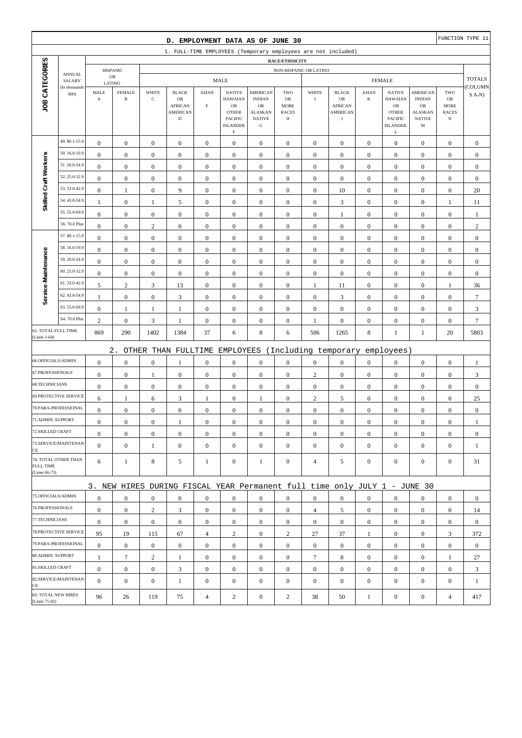|                                     |                         |                               |                               |                  | D. EMPLOYMENT DATA AS OF JUNE 30                                          |                  |                                                         |                                                        |                                        |                  |                                                                |                  |                                                         |                                                 |                                                 | FUNCTION TYPE 11 |
|-------------------------------------|-------------------------|-------------------------------|-------------------------------|------------------|---------------------------------------------------------------------------|------------------|---------------------------------------------------------|--------------------------------------------------------|----------------------------------------|------------------|----------------------------------------------------------------|------------------|---------------------------------------------------------|-------------------------------------------------|-------------------------------------------------|------------------|
|                                     |                         |                               |                               |                  | 1. FULL-TIME EMPLOYEES (Temporary employees are not included)             |                  |                                                         |                                                        |                                        |                  |                                                                |                  |                                                         |                                                 |                                                 |                  |
|                                     |                         |                               |                               |                  |                                                                           |                  |                                                         |                                                        | RACE/ETHNICITY                         |                  |                                                                |                  |                                                         |                                                 |                                                 |                  |
|                                     | <b>ANNUAL</b><br>SALARY |                               | <b>HISPANIC</b><br>${\sf OR}$ |                  |                                                                           |                  | <b>MALE</b>                                             |                                                        | NON-HISPANIC OR LATINO                 |                  |                                                                |                  | <b>FEMALE</b>                                           |                                                 |                                                 | <b>TOTALS</b>    |
|                                     | (In thousands           | LATINO                        | <b>FEMALE</b>                 | WHITE            |                                                                           | <b>ASIAN</b>     | <b>NATIVE</b>                                           | AMERICAN                                               | TWO                                    | WHITE            |                                                                | <b>ASIAN</b>     | <b>NATIVE</b>                                           | AMERICAN                                        | TWO                                             | COLUMN           |
| JOB CATEGORIES                      | 000                     | MALE<br>$\boldsymbol{\rm{A}}$ | $\, {\bf B}$                  | $\mathbf C$      | <b>BLACK</b><br>OR<br><b>AFRICAN</b><br><b>AMERICAN</b><br>$\mathbf D$    | $\mathbf E$      | <b>HAWAIAN</b><br>${\sf OR}$<br><b>OTHER</b><br>PACIFIC | <b>INDIAN</b><br>OR<br><b>ALASKAN</b><br><b>NATIVE</b> | OR<br><b>MORE</b><br><b>RACES</b><br>Н | $\bf{I}$         | <b>BLACK</b><br>OR<br><b>AFRICAN</b><br>AMERICAN<br>$_{\rm J}$ | $\bf K$          | <b>HAWAIAN</b><br>${\sf OR}$<br><b>OTHER</b><br>PACIFIC | <b>INDIAN</b><br>OR<br>ALASKAN<br><b>NATIVE</b> | OR<br><b>MORE</b><br><b>RACES</b><br>$_{\rm N}$ | $S(A-N)$         |
|                                     |                         |                               |                               |                  |                                                                           |                  | <b>ISLANDER</b><br>$\mathbf F$                          | ${\bf G}$                                              |                                        |                  |                                                                |                  | ISLANDER,<br>L                                          | M                                               |                                                 |                  |
|                                     | 49. \$0.1-15.9          | $\boldsymbol{0}$              | $\boldsymbol{0}$              | $\boldsymbol{0}$ | $\boldsymbol{0}$                                                          | $\boldsymbol{0}$ | $\boldsymbol{0}$                                        | $\boldsymbol{0}$                                       | $\boldsymbol{0}$                       | $\boldsymbol{0}$ | $\boldsymbol{0}$                                               | $\mathbf{0}$     | $\boldsymbol{0}$                                        | $\boldsymbol{0}$                                | $\boldsymbol{0}$                                | $\boldsymbol{0}$ |
|                                     | 50.16.0-19.9            | $\boldsymbol{0}$              | $\boldsymbol{0}$              | $\boldsymbol{0}$ | $\boldsymbol{0}$                                                          | $\boldsymbol{0}$ | $\boldsymbol{0}$                                        | $\boldsymbol{0}$                                       | $\boldsymbol{0}$                       | $\boldsymbol{0}$ | $\boldsymbol{0}$                                               | $\boldsymbol{0}$ | $\boldsymbol{0}$                                        | $\boldsymbol{0}$                                | $\boldsymbol{0}$                                | $\boldsymbol{0}$ |
|                                     | 51.20.0-24.9            | $\mathbf{0}$                  | $\boldsymbol{0}$              | $\boldsymbol{0}$ | $\boldsymbol{0}$                                                          | $\boldsymbol{0}$ | $\mathbf{0}$                                            | $\boldsymbol{0}$                                       | $\boldsymbol{0}$                       | $\boldsymbol{0}$ | $\mathbf{0}$                                                   | $\boldsymbol{0}$ | $\boldsymbol{0}$                                        | $\boldsymbol{0}$                                | $\boldsymbol{0}$                                | $\boldsymbol{0}$ |
| Skilled Craft Workers               | 52.25.0-32.9            | $\boldsymbol{0}$              | $\boldsymbol{0}$              | $\boldsymbol{0}$ | $\boldsymbol{0}$                                                          | $\boldsymbol{0}$ | $\mathbf{0}$                                            | $\boldsymbol{0}$                                       | $\boldsymbol{0}$                       | $\mathbf{0}$     | $\mathbf{0}$                                                   | $\boldsymbol{0}$ | $\boldsymbol{0}$                                        | $\boldsymbol{0}$                                | $\boldsymbol{0}$                                | $\boldsymbol{0}$ |
|                                     | 53.33.0-42.9            | $\boldsymbol{0}$              | $\mathbf{1}$                  | $\boldsymbol{0}$ | 9                                                                         | $\boldsymbol{0}$ | $\boldsymbol{0}$                                        | $\boldsymbol{0}$                                       | $\boldsymbol{0}$                       | $\boldsymbol{0}$ | 10                                                             | $\boldsymbol{0}$ | $\boldsymbol{0}$                                        | $\boldsymbol{0}$                                | $\boldsymbol{0}$                                | 20               |
|                                     | 54.43.0-54.9            | $\mathbf{1}$                  | $\boldsymbol{0}$              | $\mathbf{1}$     | $\mathfrak s$                                                             | $\boldsymbol{0}$ | $\boldsymbol{0}$                                        | $\boldsymbol{0}$                                       | $\boldsymbol{0}$                       | $\boldsymbol{0}$ | $\mathfrak{Z}$                                                 | $\boldsymbol{0}$ | $\boldsymbol{0}$                                        | $\boldsymbol{0}$                                | $\mathbf{1}$                                    | 11               |
|                                     | 55.55.0-69.9            | $\boldsymbol{0}$              | $\boldsymbol{0}$              | $\boldsymbol{0}$ | $\mathbf{0}$                                                              | $\mathbf{0}$     | $\mathbf{0}$                                            | $\boldsymbol{0}$                                       | $\boldsymbol{0}$                       | $\mathbf{0}$     | 1                                                              | $\boldsymbol{0}$ | $\boldsymbol{0}$                                        | $\boldsymbol{0}$                                | $\boldsymbol{0}$                                | -1               |
|                                     | 56.70.0 Plus            | $\boldsymbol{0}$              | $\boldsymbol{0}$              | $\sqrt{2}$       | $\boldsymbol{0}$                                                          | $\mathbf{0}$     | $\mathbf{0}$                                            | $\boldsymbol{0}$                                       | $\boldsymbol{0}$                       | $\boldsymbol{0}$ | $\mathbf{0}$                                                   | $\boldsymbol{0}$ | $\boldsymbol{0}$                                        | $\boldsymbol{0}$                                | $\boldsymbol{0}$                                | $\sqrt{2}$       |
|                                     | 57. \$0.1-15.9          | $\boldsymbol{0}$              | $\boldsymbol{0}$              | $\boldsymbol{0}$ | $\boldsymbol{0}$                                                          | $\boldsymbol{0}$ | $\mathbf{0}$                                            | $\boldsymbol{0}$                                       | $\boldsymbol{0}$                       | $\boldsymbol{0}$ | $\boldsymbol{0}$                                               | $\boldsymbol{0}$ | $\boldsymbol{0}$                                        | $\boldsymbol{0}$                                | $\boldsymbol{0}$                                | $\boldsymbol{0}$ |
|                                     | 58.16.0-19.9            | $\boldsymbol{0}$              | $\boldsymbol{0}$              | $\boldsymbol{0}$ | $\boldsymbol{0}$                                                          | $\boldsymbol{0}$ | $\mathbf{0}$                                            | $\boldsymbol{0}$                                       | $\boldsymbol{0}$                       | $\mathbf{0}$     | $\boldsymbol{0}$                                               | $\boldsymbol{0}$ | $\boldsymbol{0}$                                        | $\boldsymbol{0}$                                | $\boldsymbol{0}$                                | $\boldsymbol{0}$ |
|                                     | 59.20.0-24.9            | $\mathbf{0}$                  | $\boldsymbol{0}$              | $\boldsymbol{0}$ | $\boldsymbol{0}$                                                          | $\boldsymbol{0}$ | $\mathbf{0}$                                            | $\boldsymbol{0}$                                       | $\boldsymbol{0}$                       | $\boldsymbol{0}$ | $\boldsymbol{0}$                                               | $\boldsymbol{0}$ | $\boldsymbol{0}$                                        | $\boldsymbol{0}$                                | $\boldsymbol{0}$                                | $\boldsymbol{0}$ |
|                                     | 60.25.0-32.9            | $\boldsymbol{0}$              | $\boldsymbol{0}$              | $\boldsymbol{0}$ | $\boldsymbol{0}$                                                          | $\boldsymbol{0}$ | $\boldsymbol{0}$                                        | $\boldsymbol{0}$                                       | $\boldsymbol{0}$                       | $\boldsymbol{0}$ | $\boldsymbol{0}$                                               | $\boldsymbol{0}$ | $\boldsymbol{0}$                                        | $\boldsymbol{0}$                                | $\boldsymbol{0}$                                | $\boldsymbol{0}$ |
|                                     | 61.33.0-42.9            | 5                             | $\sqrt{2}$                    | $\mathfrak{Z}$   | 13                                                                        | $\boldsymbol{0}$ | $\boldsymbol{0}$                                        | $\boldsymbol{0}$                                       | $\boldsymbol{0}$                       | $\mathbf{1}$     | 11                                                             | $\boldsymbol{0}$ | $\boldsymbol{0}$                                        | $\boldsymbol{0}$                                | $\mathbf{1}$                                    | 36               |
| Service-Maintenance                 | 62.43.0-54.9            | $\mathbf{1}$                  | $\boldsymbol{0}$              | $\boldsymbol{0}$ | $\ensuremath{\mathfrak{Z}}$                                               | $\boldsymbol{0}$ | $\mathbf{0}$                                            | $\boldsymbol{0}$                                       | $\boldsymbol{0}$                       | $\boldsymbol{0}$ | $\mathfrak{Z}$                                                 | $\boldsymbol{0}$ | $\boldsymbol{0}$                                        | $\boldsymbol{0}$                                | $\boldsymbol{0}$                                | $\boldsymbol{7}$ |
|                                     | 63.55.0-69.9            | $\boldsymbol{0}$              | $\mathbf{1}$                  | 1                | 1                                                                         | $\boldsymbol{0}$ | $\mathbf{0}$                                            | $\boldsymbol{0}$                                       | $\boldsymbol{0}$                       | $\boldsymbol{0}$ | $\boldsymbol{0}$                                               | $\boldsymbol{0}$ | $\boldsymbol{0}$                                        | $\boldsymbol{0}$                                | $\boldsymbol{0}$                                | $\mathfrak{Z}$   |
|                                     | 64.70.0 Plus            | $\overline{c}$                | $\boldsymbol{0}$              | 3                | 1                                                                         | $\boldsymbol{0}$ | $\boldsymbol{0}$                                        | $\boldsymbol{0}$                                       | $\boldsymbol{0}$                       | $\mathbf{1}$     | $\boldsymbol{0}$                                               | $\boldsymbol{0}$ | $\boldsymbol{0}$                                        | $\boldsymbol{0}$                                | $\boldsymbol{0}$                                | $\boldsymbol{7}$ |
| 65. TOTAL FULL TIME<br>(Lines 1-64) |                         | 869                           | 290                           | 1402             | 1384                                                                      | 37               | 6                                                       | $\,8\,$                                                | 6                                      | 506              | 1265                                                           | 8                | $\mathbf{1}$                                            | 1                                               | 20                                              | 5803             |
|                                     |                         |                               | $2$ .                         |                  | OTHER THAN FULLTIME EMPLOYEES                                             |                  |                                                         |                                                        |                                        |                  | (Including temporary                                           |                  | employees)                                              |                                                 |                                                 |                  |
| 66.OFFICIALS/ADMIN                  |                         | $\boldsymbol{0}$              | $\boldsymbol{0}$              | $\boldsymbol{0}$ | 1                                                                         | $\boldsymbol{0}$ | $\mathbf{0}$                                            | $\boldsymbol{0}$                                       | $\boldsymbol{0}$                       | $\boldsymbol{0}$ | $\boldsymbol{0}$                                               | $\boldsymbol{0}$ | $\boldsymbol{0}$                                        | $\boldsymbol{0}$                                | $\boldsymbol{0}$                                | $\mathbf{1}$     |
| 67.PROFESSIONALS                    |                         | $\boldsymbol{0}$              | $\boldsymbol{0}$              | 1                | $\boldsymbol{0}$                                                          | $\boldsymbol{0}$ | $\boldsymbol{0}$                                        | $\boldsymbol{0}$                                       | $\boldsymbol{0}$                       | $\mathbf{2}$     | $\boldsymbol{0}$                                               | $\boldsymbol{0}$ | $\boldsymbol{0}$                                        | $\boldsymbol{0}$                                | $\boldsymbol{0}$                                | 3                |
| 68.TECHNICIANS                      |                         | $\boldsymbol{0}$              | $\boldsymbol{0}$              | $\boldsymbol{0}$ | $\boldsymbol{0}$                                                          | $\boldsymbol{0}$ | $\mathbf{0}$                                            | $\boldsymbol{0}$                                       | $\boldsymbol{0}$                       | $\boldsymbol{0}$ | $\boldsymbol{0}$                                               | $\boldsymbol{0}$ | $\boldsymbol{0}$                                        | $\boldsymbol{0}$                                | $\boldsymbol{0}$                                | $\boldsymbol{0}$ |
|                                     | 69.PROTECTIVE SERVICE   | 6                             | $\mathbf{1}$                  | 6                | $\mathfrak{Z}$                                                            | 1                | $\boldsymbol{0}$                                        | 1                                                      | $\boldsymbol{0}$                       | $\mathbf{2}$     | 5                                                              | $\boldsymbol{0}$ | $\boldsymbol{0}$                                        | $\boldsymbol{0}$                                | $\boldsymbol{0}$                                | 25               |
|                                     | 70.PARA-PROFESSIONAL    | $\boldsymbol{0}$              | $\boldsymbol{0}$              | $\boldsymbol{0}$ | $\boldsymbol{0}$                                                          | $\boldsymbol{0}$ | $\mathbf{0}$                                            | $\boldsymbol{0}$                                       | $\boldsymbol{0}$                       | $\boldsymbol{0}$ | $\boldsymbol{0}$                                               | $\boldsymbol{0}$ | $\boldsymbol{0}$                                        | $\boldsymbol{0}$                                | $\boldsymbol{0}$                                | $\boldsymbol{0}$ |
| 71.ADMIN. SUPPORT                   |                         | $\boldsymbol{0}$              | $\boldsymbol{0}$              | $\boldsymbol{0}$ | 1                                                                         | $\boldsymbol{0}$ | $\boldsymbol{0}$                                        | $\boldsymbol{0}$                                       | $\Omega$                               | $\Omega$         | $\boldsymbol{0}$                                               | $\overline{0}$   | $\boldsymbol{0}$                                        | $\Omega$                                        | $\boldsymbol{0}$                                |                  |
| 72.SKILLED CRAFT                    |                         | $\boldsymbol{0}$              | $\boldsymbol{0}$              | $\boldsymbol{0}$ | $\mathbf{0}$                                                              | $\boldsymbol{0}$ | $\boldsymbol{0}$                                        | $\mathbf{0}$                                           | $\mathbf{0}$                           | $\mathbf{0}$     | $\mathbf{0}$                                                   | $\mathbf{0}$     | $\boldsymbol{0}$                                        | $\boldsymbol{0}$                                | $\mathbf{0}$                                    | $\mathbf{0}$     |
| CE                                  | 73.SERVICE/MAINTENAN    | $\mathbf{0}$                  | $\boldsymbol{0}$              | $\mathbf{1}$     | $\mathbf{0}$                                                              | $\mathbf{0}$     | $\overline{0}$                                          | $\boldsymbol{0}$                                       | $\mathbf{0}$                           | $\mathbf{0}$     | $\mathbf{0}$                                                   | $\mathbf{0}$     | $\boldsymbol{0}$                                        | $\boldsymbol{0}$                                | $\boldsymbol{0}$                                | 1                |
| <b>FULL TIME</b><br>(Lines 66-73)   | 74. TOTAL OTHER THAN    | 6                             | $\mathbf{1}$                  | 8                | 5                                                                         | 1                | $\boldsymbol{0}$                                        | 1                                                      | $\boldsymbol{0}$                       | 4                | 5                                                              | $\mathbf{0}$     | $\mathbf{0}$                                            | $\boldsymbol{0}$                                | $\mathbf{0}$                                    | 31               |
|                                     |                         |                               |                               |                  | 3. NEW HIRES DURING FISCAL YEAR Permanent full time only JULY 1 - JUNE 30 |                  |                                                         |                                                        |                                        |                  |                                                                |                  |                                                         |                                                 |                                                 |                  |
| 75.OFFICIALS/ADMIN                  |                         | $\boldsymbol{0}$              | $\boldsymbol{0}$              | $\mathbf{0}$     | $\mathbf{0}$                                                              | $\mathbf{0}$     | $\mathbf{0}$                                            | $\mathbf{0}$                                           | $\mathbf{0}$                           | $\overline{0}$   | $\mathbf{0}$                                                   | $\overline{0}$   | $\boldsymbol{0}$                                        | $\mathbf{0}$                                    | $\mathbf{0}$                                    | $\mathbf{0}$     |
| 76.PROFESSIONALS                    |                         | $\boldsymbol{0}$              | $\boldsymbol{0}$              | $\sqrt{2}$       | 3                                                                         | $\boldsymbol{0}$ | $\overline{0}$                                          | $\mathbf{0}$                                           | $\boldsymbol{0}$                       | $\overline{4}$   | 5                                                              | $\mathbf{0}$     | $\mathbf{0}$                                            | $\boldsymbol{0}$                                | $\mathbf{0}$                                    | 14               |
| 77.TECHNICIANS                      |                         | $\boldsymbol{0}$              | $\boldsymbol{0}$              | $\boldsymbol{0}$ | $\boldsymbol{0}$                                                          | $\boldsymbol{0}$ | $\boldsymbol{0}$                                        | $\boldsymbol{0}$                                       | $\boldsymbol{0}$                       | $\overline{0}$   | $\boldsymbol{0}$                                               | $\overline{0}$   | $\mathbf{0}$                                            | $\boldsymbol{0}$                                | $\boldsymbol{0}$                                | $\mathbf{0}$     |
|                                     | 78.PROTECTIVE SERVICE   | 95                            | 19                            | 115              | 67                                                                        | $\overline{4}$   | $\overline{c}$                                          | $\mathbf{0}$                                           | $\overline{c}$                         | 27               | 37                                                             | $\mathbf{1}$     | $\boldsymbol{0}$                                        | $\mathbf{0}$                                    | 3                                               | 372              |
|                                     | 79.PARA-PROFESSIONAL    | $\boldsymbol{0}$              | $\boldsymbol{0}$              | $\mathbf{0}$     | $\mathbf{0}$                                                              | $\overline{0}$   | $\mathbf{0}$                                            | $\mathbf{0}$                                           | $\mathbf{0}$                           | $\overline{0}$   | $\mathbf{0}$                                                   | $\overline{0}$   | $\mathbf{0}$                                            | $\overline{0}$                                  | $\boldsymbol{0}$                                | $\mathbf{0}$     |
| 80.ADMIN. SUPPORT                   |                         | $\mathbf{1}$                  | $\boldsymbol{7}$              | $\sqrt{2}$       | 1                                                                         | $\boldsymbol{0}$ | $\boldsymbol{0}$                                        | $\mathbf{0}$                                           | $\mathbf{0}$                           | $\tau$           | 8                                                              | $\mathbf{0}$     | $\mathbf{0}$                                            | $\boldsymbol{0}$                                | 1                                               | 27               |
| 81.SKILLED CRAFT                    |                         | $\boldsymbol{0}$              | $\boldsymbol{0}$              | $\boldsymbol{0}$ | 3                                                                         | $\boldsymbol{0}$ | $\overline{0}$                                          | $\boldsymbol{0}$                                       | $\boldsymbol{0}$                       | $\boldsymbol{0}$ | $\boldsymbol{0}$                                               | $\overline{0}$   | $\mathbf{0}$                                            | $\boldsymbol{0}$                                | $\boldsymbol{0}$                                | 3                |
| CE                                  | 82.SERVICE/MAINTENAN    | $\overline{0}$                | $\boldsymbol{0}$              | $\boldsymbol{0}$ | $\mathbf{1}$                                                              | $\mathbf{0}$     | $\overline{0}$                                          | $\boldsymbol{0}$                                       | $\mathbf{0}$                           | $\mathbf{0}$     | $\mathbf{0}$                                                   | $\mathbf{0}$     | $\boldsymbol{0}$                                        | $\overline{0}$                                  | $\boldsymbol{0}$                                | $\mathbf{1}$     |
| (Lines 75-82)                       | 83. TOTAL NEW HIRES     | 96                            | 26                            | 119              | 75                                                                        | $\overline{4}$   | $\overline{c}$                                          | $\boldsymbol{0}$                                       | $\overline{c}$                         | 38               | 50                                                             | $\mathbf{1}$     | $\boldsymbol{0}$                                        | $\boldsymbol{0}$                                | $\overline{4}$                                  | 417              |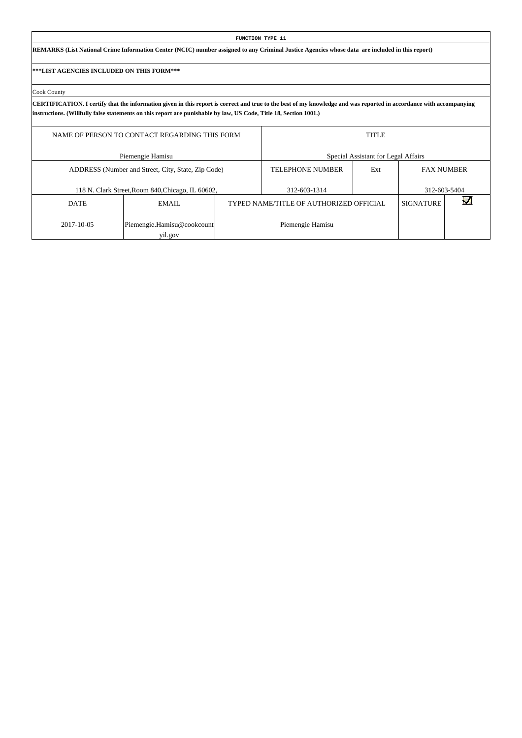| <b>FUNCTION TYPE 11</b>                                                                                                                                                                                                                                                                  |                                                                                   |                                                             |  |                                     |  |  |  |  |  |  |  |  |
|------------------------------------------------------------------------------------------------------------------------------------------------------------------------------------------------------------------------------------------------------------------------------------------|-----------------------------------------------------------------------------------|-------------------------------------------------------------|--|-------------------------------------|--|--|--|--|--|--|--|--|
| REMARKS (List National Crime Information Center (NCIC) number assigned to any Criminal Justice Agencies whose data are included in this report)                                                                                                                                          |                                                                                   |                                                             |  |                                     |  |  |  |  |  |  |  |  |
| <b> ***LIST AGENCIES INCLUDED ON THIS FORM***</b>                                                                                                                                                                                                                                        |                                                                                   |                                                             |  |                                     |  |  |  |  |  |  |  |  |
| Cook County                                                                                                                                                                                                                                                                              |                                                                                   |                                                             |  |                                     |  |  |  |  |  |  |  |  |
| CERTIFICATION. I certify that the information given in this report is correct and true to the best of my knowledge and was reported in accordance with accompanying<br>instructions. (Willfully false statements on this report are punishable by law, US Code, Title 18, Section 1001.) |                                                                                   |                                                             |  |                                     |  |  |  |  |  |  |  |  |
|                                                                                                                                                                                                                                                                                          | NAME OF PERSON TO CONTACT REGARDING THIS FORM<br><b>TITLE</b>                     |                                                             |  |                                     |  |  |  |  |  |  |  |  |
|                                                                                                                                                                                                                                                                                          | Piemengie Hamisu                                                                  |                                                             |  | Special Assistant for Legal Affairs |  |  |  |  |  |  |  |  |
| ADDRESS (Number and Street, City, State, Zip Code)<br>TELEPHONE NUMBER<br>Ext<br><b>FAX NUMBER</b>                                                                                                                                                                                       |                                                                                   |                                                             |  |                                     |  |  |  |  |  |  |  |  |
|                                                                                                                                                                                                                                                                                          | 312-603-1314<br>312-603-5404<br>118 N. Clark Street, Room 840, Chicago, IL 60602, |                                                             |  |                                     |  |  |  |  |  |  |  |  |
| <b>DATE</b>                                                                                                                                                                                                                                                                              | EMAIL.                                                                            | TYPED NAME/TITLE OF AUTHORIZED OFFICIAL<br><b>SIGNATURE</b> |  |                                     |  |  |  |  |  |  |  |  |
| 2017-10-05<br>Piemengie.Hamisu@cookcount<br>Piemengie Hamisu                                                                                                                                                                                                                             |                                                                                   |                                                             |  |                                     |  |  |  |  |  |  |  |  |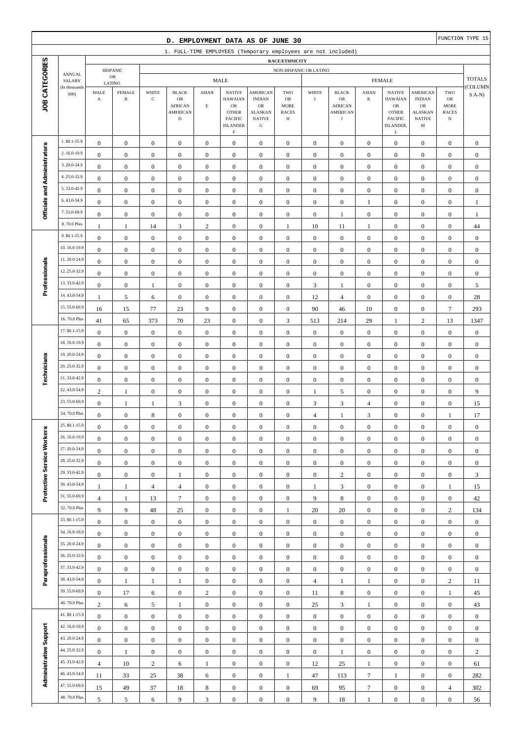| D. EMPLOYMENT DATA AS OF JUNE 30                              |                                |                                                                    |                               |                                      |                                                                        |                                      |                                                                                                                   |                                                                                                |                                               |                                  | FUNCTION TYPE 15                                                      |                                      |                                                                                           |                                                                                          |                                                          |                        |
|---------------------------------------------------------------|--------------------------------|--------------------------------------------------------------------|-------------------------------|--------------------------------------|------------------------------------------------------------------------|--------------------------------------|-------------------------------------------------------------------------------------------------------------------|------------------------------------------------------------------------------------------------|-----------------------------------------------|----------------------------------|-----------------------------------------------------------------------|--------------------------------------|-------------------------------------------------------------------------------------------|------------------------------------------------------------------------------------------|----------------------------------------------------------|------------------------|
| 1. FULL-TIME EMPLOYEES (Temporary employees are not included) |                                |                                                                    |                               |                                      |                                                                        |                                      |                                                                                                                   |                                                                                                |                                               |                                  |                                                                       |                                      |                                                                                           |                                                                                          |                                                          |                        |
|                                                               |                                | <b>RACE/ETHNICITY</b><br><b>HISPANIC</b><br>NON-HISPANIC OR LATINO |                               |                                      |                                                                        |                                      |                                                                                                                   |                                                                                                |                                               |                                  |                                                                       |                                      |                                                                                           |                                                                                          |                                                          |                        |
|                                                               | <b>ANNUAL</b><br>SALARY        | ${\rm OR}$<br>LATINO                                               |                               | <b>MALE</b>                          |                                                                        |                                      |                                                                                                                   |                                                                                                | <b>FEMALE</b>                                 |                                  |                                                                       |                                      |                                                                                           |                                                                                          | <b>TOTALS</b>                                            |                        |
| JOB CATEGORIES                                                | (In thousands<br>000           | MALE<br>$\mathbf A$                                                | <b>FEMALE</b><br>$\, {\bf B}$ | WHITE<br>$\mathbf C$                 | <b>BLACK</b><br>OR<br><b>AFRICAN</b><br><b>AMERICAN</b><br>$\mathbf D$ | <b>ASIAN</b><br>$\mathbf E$          | <b>NATIVE</b><br><b>HAWAIAN</b><br>${\sf OR}$<br><b>OTHER</b><br><b>PACIFIC</b><br><b>ISLANDER</b><br>$\mathbf F$ | <b>AMERICAN</b><br><b>INDIAN</b><br>${\sf OR}$<br><b>ALASKAN</b><br><b>NATIVE</b><br>${\bf G}$ | TWO<br>OR<br><b>MORE</b><br><b>RACES</b><br>Н | WHITE<br>$\bf{I}$                | <b>BLACK</b><br>OR<br><b>AFRICAN</b><br><b>AMERICAN</b><br>$_{\rm J}$ | <b>ASIAN</b><br>$\bf K$              | <b>NATIVE</b><br><b>HAWAIAN</b><br>OR<br><b>OTHER</b><br><b>PACIFIC</b><br>ISLANDER,<br>L | <b>AMERICAN</b><br><b>INDIAN</b><br>OR<br><b>ALASKAN</b><br><b>NATIVE</b><br>$\mathbf M$ | TWO<br>$_{\rm OR}$<br>MORE<br><b>RACES</b><br>$_{\rm N}$ | (COLUMN<br>$S$ A-N $)$ |
|                                                               | 1. \$0.1-15.9                  | $\boldsymbol{0}$                                                   | $\boldsymbol{0}$              | $\boldsymbol{0}$                     | $\boldsymbol{0}$                                                       | $\boldsymbol{0}$                     | $\mathbf{0}$                                                                                                      | $\mathbf{0}$                                                                                   | $\mathbf{0}$                                  | $\boldsymbol{0}$                 | $\boldsymbol{0}$                                                      | $\boldsymbol{0}$                     | $\boldsymbol{0}$                                                                          | $\boldsymbol{0}$                                                                         | $\boldsymbol{0}$                                         | $\boldsymbol{0}$       |
|                                                               | 2.16.0-19.9                    | $\boldsymbol{0}$                                                   | $\boldsymbol{0}$              | $\boldsymbol{0}$                     | $\boldsymbol{0}$                                                       | $\boldsymbol{0}$                     | $\mathbf{0}$                                                                                                      | $\boldsymbol{0}$                                                                               | $\boldsymbol{0}$                              | $\boldsymbol{0}$                 | $\boldsymbol{0}$                                                      | $\boldsymbol{0}$                     | $\boldsymbol{0}$                                                                          | $\boldsymbol{0}$                                                                         | $\boldsymbol{0}$                                         | $\boldsymbol{0}$       |
| Officials and Administrators                                  | 3.20.0-24.9                    | $\boldsymbol{0}$                                                   | $\boldsymbol{0}$              | $\boldsymbol{0}$                     | $\boldsymbol{0}$                                                       | $\boldsymbol{0}$                     | $\boldsymbol{0}$                                                                                                  | $\boldsymbol{0}$                                                                               | $\boldsymbol{0}$                              | $\boldsymbol{0}$                 | $\boldsymbol{0}$                                                      | $\boldsymbol{0}$                     | $\boldsymbol{0}$                                                                          | $\boldsymbol{0}$                                                                         | $\boldsymbol{0}$                                         | $\boldsymbol{0}$       |
|                                                               | 4.25.0-32.9                    | $\boldsymbol{0}$                                                   | $\boldsymbol{0}$              | $\boldsymbol{0}$                     | $\mathbf{0}$                                                           | $\boldsymbol{0}$                     | $\boldsymbol{0}$                                                                                                  | $\boldsymbol{0}$                                                                               | $\boldsymbol{0}$                              | $\boldsymbol{0}$                 | $\boldsymbol{0}$                                                      | $\boldsymbol{0}$                     | $\boldsymbol{0}$                                                                          | $\boldsymbol{0}$                                                                         | $\boldsymbol{0}$                                         | $\mathbf{0}$           |
|                                                               | 5.33.0-42.9                    | $\boldsymbol{0}$                                                   | $\boldsymbol{0}$              | $\boldsymbol{0}$                     | $\boldsymbol{0}$                                                       | $\boldsymbol{0}$                     | $\boldsymbol{0}$                                                                                                  | $\boldsymbol{0}$                                                                               | $\boldsymbol{0}$                              | $\boldsymbol{0}$                 | $\boldsymbol{0}$                                                      | $\boldsymbol{0}$                     | $\boldsymbol{0}$                                                                          | $\boldsymbol{0}$                                                                         | $\boldsymbol{0}$                                         | $\mathbf{0}$           |
|                                                               | 6.43.0-54.9                    | $\boldsymbol{0}$                                                   | $\boldsymbol{0}$              | $\boldsymbol{0}$                     | $\boldsymbol{0}$                                                       | $\boldsymbol{0}$                     | $\boldsymbol{0}$                                                                                                  | $\boldsymbol{0}$                                                                               | $\boldsymbol{0}$                              | $\boldsymbol{0}$                 | $\boldsymbol{0}$                                                      | 1                                    | $\boldsymbol{0}$                                                                          | $\boldsymbol{0}$                                                                         | $\boldsymbol{0}$                                         | $\mathbf{1}$           |
|                                                               | 7.55.0-69.9                    | $\boldsymbol{0}$                                                   | $\boldsymbol{0}$              | $\boldsymbol{0}$                     | $\boldsymbol{0}$                                                       | $\boldsymbol{0}$                     | $\boldsymbol{0}$                                                                                                  | $\boldsymbol{0}$                                                                               | $\boldsymbol{0}$                              | $\boldsymbol{0}$                 | 1                                                                     | $\boldsymbol{0}$                     | $\boldsymbol{0}$                                                                          | $\boldsymbol{0}$                                                                         | $\boldsymbol{0}$                                         | $\mathbf{1}$           |
|                                                               | 8.70.0 Plus                    | $\mathbf{1}$                                                       | $\mathbf{1}$                  | 14                                   | $\mathfrak{Z}$                                                         | $\mathbf{2}$                         | $\boldsymbol{0}$                                                                                                  | $\boldsymbol{0}$                                                                               | 1                                             | $10\,$                           | 11                                                                    | 1                                    | $\boldsymbol{0}$                                                                          | $\boldsymbol{0}$                                                                         | $\boldsymbol{0}$                                         | 44                     |
|                                                               | 9. \$0.1-15.9                  | $\boldsymbol{0}$                                                   | $\boldsymbol{0}$              | $\boldsymbol{0}$                     | $\boldsymbol{0}$                                                       | $\boldsymbol{0}$                     | $\boldsymbol{0}$                                                                                                  | $\boldsymbol{0}$                                                                               | $\boldsymbol{0}$                              | $\boldsymbol{0}$                 | $\boldsymbol{0}$                                                      | $\boldsymbol{0}$                     | $\boldsymbol{0}$                                                                          | $\boldsymbol{0}$                                                                         | $\boldsymbol{0}$                                         | $\mathbf{0}$           |
|                                                               | 10.16.0-19.9                   | $\boldsymbol{0}$                                                   | $\boldsymbol{0}$              | $\boldsymbol{0}$                     | $\boldsymbol{0}$                                                       | $\boldsymbol{0}$                     | $\boldsymbol{0}$                                                                                                  | $\boldsymbol{0}$                                                                               | $\boldsymbol{0}$                              | $\boldsymbol{0}$                 | $\boldsymbol{0}$                                                      | $\boldsymbol{0}$                     | $\boldsymbol{0}$                                                                          | $\boldsymbol{0}$                                                                         | $\boldsymbol{0}$                                         | $\boldsymbol{0}$       |
|                                                               | 11.20.0-24.9                   | $\boldsymbol{0}$                                                   | $\boldsymbol{0}$              | $\boldsymbol{0}$                     | $\boldsymbol{0}$                                                       | $\boldsymbol{0}$                     | $\boldsymbol{0}$                                                                                                  | $\boldsymbol{0}$                                                                               | $\boldsymbol{0}$                              | $\boldsymbol{0}$                 | $\boldsymbol{0}$                                                      | $\boldsymbol{0}$                     | $\boldsymbol{0}$                                                                          | $\boldsymbol{0}$                                                                         | $\boldsymbol{0}$                                         | $\boldsymbol{0}$       |
|                                                               | 12.25.0-32.9                   | $\boldsymbol{0}$                                                   | $\boldsymbol{0}$              | $\boldsymbol{0}$                     | $\mathbf{0}$                                                           | $\boldsymbol{0}$                     | $\boldsymbol{0}$                                                                                                  | $\boldsymbol{0}$                                                                               | $\boldsymbol{0}$                              | $\boldsymbol{0}$                 | $\boldsymbol{0}$                                                      | $\boldsymbol{0}$                     | $\boldsymbol{0}$                                                                          | $\boldsymbol{0}$                                                                         | $\boldsymbol{0}$                                         | $\boldsymbol{0}$       |
| Professionals                                                 | 13.33.0-42.9                   | $\boldsymbol{0}$                                                   | $\boldsymbol{0}$              | $\mathbf{1}$                         | $\boldsymbol{0}$                                                       | $\boldsymbol{0}$                     | $\boldsymbol{0}$                                                                                                  | $\boldsymbol{0}$                                                                               | $\boldsymbol{0}$                              | 3                                | 1                                                                     | $\boldsymbol{0}$                     | $\boldsymbol{0}$                                                                          | $\boldsymbol{0}$                                                                         | $\boldsymbol{0}$                                         | 5                      |
|                                                               | 14.43.0-54.9                   | $\mathbf{1}$                                                       | $\sqrt{5}$                    | 6                                    | $\boldsymbol{0}$                                                       | $\boldsymbol{0}$                     | $\boldsymbol{0}$                                                                                                  | $\boldsymbol{0}$                                                                               | $\boldsymbol{0}$                              | 12                               | $\overline{4}$                                                        | $\boldsymbol{0}$                     | $\boldsymbol{0}$                                                                          | $\boldsymbol{0}$                                                                         | $\boldsymbol{0}$                                         | 28                     |
|                                                               | 15.55.0-69.9                   | 16                                                                 | 15                            | 77                                   | 23                                                                     | 9                                    | $\boldsymbol{0}$                                                                                                  | $\boldsymbol{0}$                                                                               | $\boldsymbol{0}$                              | 90                               | 46                                                                    | 10                                   | $\boldsymbol{0}$                                                                          | $\boldsymbol{0}$                                                                         | $\boldsymbol{7}$                                         | 293                    |
|                                                               | 16.70.0 Plus<br>17. \$0.1-15.9 | 41                                                                 | 65                            | 373                                  | 70                                                                     | 23                                   | $\boldsymbol{0}$                                                                                                  | $\boldsymbol{0}$                                                                               | 3                                             | 513                              | 214                                                                   | 29                                   | $\mathbf{1}$                                                                              | $\overline{c}$                                                                           | 13                                                       | 1347                   |
|                                                               |                                | $\boldsymbol{0}$                                                   | $\boldsymbol{0}$              | $\boldsymbol{0}$                     | $\boldsymbol{0}$                                                       | $\boldsymbol{0}$                     | $\boldsymbol{0}$                                                                                                  | $\boldsymbol{0}$                                                                               | $\boldsymbol{0}$                              | $\boldsymbol{0}$                 | $\boldsymbol{0}$                                                      | $\boldsymbol{0}$                     | $\boldsymbol{0}$                                                                          | $\boldsymbol{0}$                                                                         | $\boldsymbol{0}$                                         | $\boldsymbol{0}$       |
| Technicians                                                   | 18.16.0-19.9<br>19.20.0-24.9   | $\boldsymbol{0}$                                                   | $\boldsymbol{0}$              | $\boldsymbol{0}$                     | $\boldsymbol{0}$                                                       | $\boldsymbol{0}$                     | $\boldsymbol{0}$                                                                                                  | $\boldsymbol{0}$                                                                               | $\boldsymbol{0}$                              | $\boldsymbol{0}$                 | $\boldsymbol{0}$                                                      | $\boldsymbol{0}$                     | $\boldsymbol{0}$                                                                          | $\boldsymbol{0}$                                                                         | $\boldsymbol{0}$                                         | $\boldsymbol{0}$       |
|                                                               | 20.25.0-32.9                   | $\boldsymbol{0}$                                                   | $\mathbf{0}$                  | $\boldsymbol{0}$                     | $\boldsymbol{0}$                                                       | $\boldsymbol{0}$                     | $\boldsymbol{0}$                                                                                                  | $\boldsymbol{0}$                                                                               | $\boldsymbol{0}$                              | $\boldsymbol{0}$                 | $\boldsymbol{0}$                                                      | $\boldsymbol{0}$                     | $\boldsymbol{0}$                                                                          | $\boldsymbol{0}$                                                                         | $\boldsymbol{0}$                                         | $\mathbf{0}$           |
|                                                               | 21.33.0-42.9                   | $\boldsymbol{0}$                                                   | $\boldsymbol{0}$              | $\boldsymbol{0}$                     | $\mathbf{0}$                                                           | $\boldsymbol{0}$                     | $\boldsymbol{0}$                                                                                                  | $\boldsymbol{0}$                                                                               | $\boldsymbol{0}$                              | $\boldsymbol{0}$                 | $\boldsymbol{0}$                                                      | $\boldsymbol{0}$                     | $\boldsymbol{0}$                                                                          | $\boldsymbol{0}$                                                                         | $\boldsymbol{0}$                                         | $\mathbf{0}$           |
|                                                               | 22.43.0-54.9                   | $\boldsymbol{0}$<br>2                                              | $\mathbf{0}$<br>1             | $\boldsymbol{0}$<br>$\boldsymbol{0}$ | $\boldsymbol{0}$<br>$\boldsymbol{0}$                                   | $\boldsymbol{0}$<br>$\boldsymbol{0}$ | $\boldsymbol{0}$<br>$\boldsymbol{0}$                                                                              | $\boldsymbol{0}$<br>$\boldsymbol{0}$                                                           | $\boldsymbol{0}$<br>$\boldsymbol{0}$          | $\boldsymbol{0}$<br>$\mathbf{1}$ | $\boldsymbol{0}$<br>$\sqrt{5}$                                        | $\boldsymbol{0}$<br>$\boldsymbol{0}$ | $\boldsymbol{0}$<br>$\boldsymbol{0}$                                                      | $\boldsymbol{0}$<br>$\boldsymbol{0}$                                                     | $\boldsymbol{0}$<br>$\boldsymbol{0}$                     | $\boldsymbol{0}$<br>9  |
|                                                               | 23.55.0-69.9                   | $\boldsymbol{0}$                                                   | $\mathbf{1}$                  | $\mathbf{1}$                         | $\ensuremath{\mathsf{3}}$                                              | $\boldsymbol{0}$                     | $\boldsymbol{0}$                                                                                                  | $\boldsymbol{0}$                                                                               | $\boldsymbol{0}$                              | 3                                | 3                                                                     | 4                                    | $\boldsymbol{0}$                                                                          | $\boldsymbol{0}$                                                                         | $\boldsymbol{0}$                                         | 15                     |
|                                                               | 24.70.0 Plus                   | $\boldsymbol{0}$                                                   | $\mathbf{0}$                  | 8                                    | $\mathbf{0}$                                                           | $\boldsymbol{0}$                     | $\boldsymbol{0}$                                                                                                  | $\boldsymbol{0}$                                                                               | $\boldsymbol{0}$                              | $\overline{4}$                   | 1                                                                     | 3                                    | $\boldsymbol{0}$                                                                          | $\boldsymbol{0}$                                                                         | $\mathbf{1}$                                             | 17                     |
|                                                               | 25. \$0.1-15.9                 | $\boldsymbol{0}$                                                   | $\boldsymbol{0}$              | $\boldsymbol{0}$                     | 0                                                                      | $\bf{0}$                             | $\boldsymbol{0}$                                                                                                  | $\boldsymbol{0}$                                                                               | $\boldsymbol{0}$                              | 0                                | $\boldsymbol{0}$                                                      | 0                                    | $\boldsymbol{0}$                                                                          | $\boldsymbol{0}$                                                                         | $\boldsymbol{0}$                                         | $\boldsymbol{0}$       |
|                                                               | 26.16.0-19.9                   | $\boldsymbol{0}$                                                   | $\boldsymbol{0}$              | $\boldsymbol{0}$                     | $\boldsymbol{0}$                                                       | $\boldsymbol{0}$                     | $\boldsymbol{0}$                                                                                                  | $\boldsymbol{0}$                                                                               | $\boldsymbol{0}$                              | $\boldsymbol{0}$                 | $\boldsymbol{0}$                                                      | $\boldsymbol{0}$                     | $\boldsymbol{0}$                                                                          | $\mathbf{0}$                                                                             | $\boldsymbol{0}$                                         | $\boldsymbol{0}$       |
|                                                               | 27.20.0-24.9                   | $\boldsymbol{0}$                                                   | $\boldsymbol{0}$              | $\boldsymbol{0}$                     | $\boldsymbol{0}$                                                       | $\boldsymbol{0}$                     | $\boldsymbol{0}$                                                                                                  | $\boldsymbol{0}$                                                                               | $\boldsymbol{0}$                              | $\boldsymbol{0}$                 | $\boldsymbol{0}$                                                      | $\boldsymbol{0}$                     | $\boldsymbol{0}$                                                                          | $\boldsymbol{0}$                                                                         | $\mathbf{0}$                                             | $\boldsymbol{0}$       |
|                                                               | 28.25.0-32.9                   | $\boldsymbol{0}$                                                   | $\boldsymbol{0}$              | $\boldsymbol{0}$                     | $\mathbf{0}$                                                           | $\mathbf{0}$                         | $\boldsymbol{0}$                                                                                                  | $\boldsymbol{0}$                                                                               | $\boldsymbol{0}$                              | $\mathbf{0}$                     | $\boldsymbol{0}$                                                      | $\boldsymbol{0}$                     | $\boldsymbol{0}$                                                                          | $\mathbf{0}$                                                                             | $\boldsymbol{0}$                                         | $\boldsymbol{0}$       |
| Protective Service Workers                                    | 29.33.0-42.9                   | $\boldsymbol{0}$                                                   | $\boldsymbol{0}$              | $\boldsymbol{0}$                     | $\mathbf{1}$                                                           | $\boldsymbol{0}$                     | $\boldsymbol{0}$                                                                                                  | $\boldsymbol{0}$                                                                               | $\boldsymbol{0}$                              | $\boldsymbol{0}$                 | $\sqrt{2}$                                                            | $\boldsymbol{0}$                     | $\boldsymbol{0}$                                                                          | $\boldsymbol{0}$                                                                         | $\boldsymbol{0}$                                         | 3                      |
|                                                               | 30.43.0-54.9                   | $\mathbf{1}$                                                       | $\mathbf{1}$                  | $\overline{4}$                       | $\overline{4}$                                                         | $\boldsymbol{0}$                     | $\boldsymbol{0}$                                                                                                  | $\boldsymbol{0}$                                                                               | $\boldsymbol{0}$                              | $\mathbf{1}$                     | $\sqrt{3}$                                                            | $\boldsymbol{0}$                     | $\boldsymbol{0}$                                                                          | $\boldsymbol{0}$                                                                         | $\mathbf{1}$                                             | 15                     |
|                                                               | 31.55.0-69.9                   | $\overline{4}$                                                     | $\mathbf{1}$                  | 13                                   | $\tau$                                                                 | $\boldsymbol{0}$                     | $\boldsymbol{0}$                                                                                                  | $\boldsymbol{0}$                                                                               | $\boldsymbol{0}$                              | 9                                | $\,8\,$                                                               | $\boldsymbol{0}$                     | $\boldsymbol{0}$                                                                          | $\boldsymbol{0}$                                                                         | $\boldsymbol{0}$                                         | 42                     |
|                                                               | 32.70.0 Plus                   | 9                                                                  | 9                             | 48                                   | 25                                                                     | $\mathbf{0}$                         | $\boldsymbol{0}$                                                                                                  | $\boldsymbol{0}$                                                                               | $\mathbf{1}$                                  | 20                               | 20                                                                    | $\boldsymbol{0}$                     | $\boldsymbol{0}$                                                                          | $\overline{0}$                                                                           | $\overline{c}$                                           | 134                    |
|                                                               | 33. \$0.1-15.9                 | $\boldsymbol{0}$                                                   | $\boldsymbol{0}$              | $\boldsymbol{0}$                     | $\boldsymbol{0}$                                                       | $\boldsymbol{0}$                     | $\boldsymbol{0}$                                                                                                  | $\boldsymbol{0}$                                                                               | $\boldsymbol{0}$                              | $\boldsymbol{0}$                 | $\boldsymbol{0}$                                                      | $\boldsymbol{0}$                     | $\boldsymbol{0}$                                                                          | $\boldsymbol{0}$                                                                         | $\boldsymbol{0}$                                         | $\boldsymbol{0}$       |
|                                                               | 34.16.0-19.9                   | $\boldsymbol{0}$                                                   | $\boldsymbol{0}$              | $\boldsymbol{0}$                     | $\boldsymbol{0}$                                                       | $\boldsymbol{0}$                     | $\boldsymbol{0}$                                                                                                  | $\boldsymbol{0}$                                                                               | $\boldsymbol{0}$                              | $\boldsymbol{0}$                 | $\boldsymbol{0}$                                                      | $\boldsymbol{0}$                     | $\boldsymbol{0}$                                                                          | $\boldsymbol{0}$                                                                         | $\boldsymbol{0}$                                         | $\boldsymbol{0}$       |
| Paraprofessionals                                             | 35.20.0-24.9                   | $\boldsymbol{0}$                                                   | $\boldsymbol{0}$              | $\boldsymbol{0}$                     | $\boldsymbol{0}$                                                       | $\boldsymbol{0}$                     | $\mathbf{0}$                                                                                                      | $\boldsymbol{0}$                                                                               | $\boldsymbol{0}$                              | $\boldsymbol{0}$                 | $\boldsymbol{0}$                                                      | $\boldsymbol{0}$                     | $\boldsymbol{0}$                                                                          | $\boldsymbol{0}$                                                                         | $\mathbf{0}$                                             | $\boldsymbol{0}$       |
|                                                               | 36.25.0-32.9                   | $\boldsymbol{0}$                                                   | $\boldsymbol{0}$              | $\boldsymbol{0}$                     | $\boldsymbol{0}$                                                       | $\mathbf{0}$                         | $\boldsymbol{0}$                                                                                                  | $\boldsymbol{0}$                                                                               | $\boldsymbol{0}$                              | $\boldsymbol{0}$                 | $\boldsymbol{0}$                                                      | $\boldsymbol{0}$                     | $\boldsymbol{0}$                                                                          | $\boldsymbol{0}$                                                                         | $\boldsymbol{0}$                                         | $\boldsymbol{0}$       |
|                                                               | 37.33.0-42.9                   | $\boldsymbol{0}$                                                   | $\boldsymbol{0}$              | $\boldsymbol{0}$                     | $\boldsymbol{0}$                                                       | $\boldsymbol{0}$                     | $\boldsymbol{0}$                                                                                                  | $\boldsymbol{0}$                                                                               | $\boldsymbol{0}$                              | $\boldsymbol{0}$                 | $\boldsymbol{0}$                                                      | $\boldsymbol{0}$                     | $\boldsymbol{0}$                                                                          | $\boldsymbol{0}$                                                                         | $\boldsymbol{0}$                                         | $\boldsymbol{0}$       |
|                                                               | 38.43.0-54.9                   | $\boldsymbol{0}$                                                   | $\mathbf{1}$                  | $\mathbf{1}$                         | $\mathbf{1}$                                                           | $\boldsymbol{0}$                     | $\boldsymbol{0}$                                                                                                  | $\boldsymbol{0}$                                                                               | $\boldsymbol{0}$                              | $\overline{4}$                   | $\mathbf{1}$                                                          | $\mathbf{1}$                         | $\boldsymbol{0}$                                                                          | $\boldsymbol{0}$                                                                         | $\mathbf{2}$                                             | 11                     |
|                                                               | 39.55.0-69.9                   | $\boldsymbol{0}$                                                   | 17                            | 6                                    | $\boldsymbol{0}$                                                       | $\overline{2}$                       | $\mathbf{0}$                                                                                                      | $\boldsymbol{0}$                                                                               | $\boldsymbol{0}$                              | 11                               | $\,8\,$                                                               | $\boldsymbol{0}$                     | $\boldsymbol{0}$                                                                          | $\boldsymbol{0}$                                                                         | $\mathbf{1}$                                             | 45                     |
|                                                               | $40.\,70.0$ Plus               | 2                                                                  | $\sqrt{6}$                    | 5                                    | $\mathbf{1}$                                                           | $\boldsymbol{0}$                     | $\boldsymbol{0}$                                                                                                  | $\boldsymbol{0}$                                                                               | $\boldsymbol{0}$                              | 25                               | $\mathfrak{Z}$                                                        | $\mathbf{1}$                         | $\boldsymbol{0}$                                                                          | $\overline{0}$                                                                           | $\boldsymbol{0}$                                         | 43                     |
|                                                               | 41. \$0.1-15.9                 | $\boldsymbol{0}$                                                   | $\boldsymbol{0}$              | $\boldsymbol{0}$                     | $\boldsymbol{0}$                                                       | $\boldsymbol{0}$                     | $\boldsymbol{0}$                                                                                                  | $\boldsymbol{0}$                                                                               | $\boldsymbol{0}$                              | $\boldsymbol{0}$                 | $\boldsymbol{0}$                                                      | $\boldsymbol{0}$                     | $\boldsymbol{0}$                                                                          | $\boldsymbol{0}$                                                                         | $\boldsymbol{0}$                                         | $\boldsymbol{0}$       |
|                                                               | 42.16.0-19.9<br>43.20.0-24.9   | $\boldsymbol{0}$                                                   | $\boldsymbol{0}$              | $\boldsymbol{0}$                     | $\boldsymbol{0}$                                                       | $\boldsymbol{0}$                     | $\mathbf{0}$                                                                                                      | $\boldsymbol{0}$                                                                               | $\boldsymbol{0}$                              | $\boldsymbol{0}$                 | $\boldsymbol{0}$                                                      | $\boldsymbol{0}$                     | $\boldsymbol{0}$                                                                          | $\boldsymbol{0}$                                                                         | $\boldsymbol{0}$                                         | $\boldsymbol{0}$       |
|                                                               | 44.25.0-32.9                   | $\boldsymbol{0}$                                                   | $\boldsymbol{0}$              | $\boldsymbol{0}$                     | $\boldsymbol{0}$                                                       | $\boldsymbol{0}$                     | $\mathbf{0}$                                                                                                      | $\boldsymbol{0}$                                                                               | $\boldsymbol{0}$                              | $\boldsymbol{0}$                 | $\boldsymbol{0}$                                                      | $\boldsymbol{0}$                     | $\boldsymbol{0}$                                                                          | $\boldsymbol{0}$                                                                         | $\boldsymbol{0}$                                         | $\boldsymbol{0}$       |
|                                                               | 45.33.0-42.9                   | $\boldsymbol{0}$                                                   | $\mathbf{1}$                  | $\boldsymbol{0}$                     | $\mathbf{0}$                                                           | $\mathbf{0}$                         | $\boldsymbol{0}$                                                                                                  | $\boldsymbol{0}$                                                                               | $\boldsymbol{0}$                              | $\boldsymbol{0}$                 | $\mathbf{1}$                                                          | $\boldsymbol{0}$                     | $\boldsymbol{0}$                                                                          | $\boldsymbol{0}$                                                                         | $\boldsymbol{0}$                                         | $\sqrt{2}$             |
| Administrative Support                                        | 46.43.0-54.9                   | $\overline{4}$                                                     | 10                            | $\sqrt{2}$                           | 6                                                                      | $\mathbf{1}$                         | $\boldsymbol{0}$                                                                                                  | $\boldsymbol{0}$                                                                               | $\boldsymbol{0}$                              | 12                               | 25                                                                    | $\mathbf{1}$                         | $\boldsymbol{0}$                                                                          | $\boldsymbol{0}$                                                                         | $\boldsymbol{0}$                                         | 61                     |
|                                                               | 47.55.0-69.9                   | 11                                                                 | 33                            | 25                                   | 38                                                                     | 6                                    | $\boldsymbol{0}$                                                                                                  | $\boldsymbol{0}$                                                                               | $\mathbf{1}$                                  | 47                               | 113                                                                   | $\tau$                               | 1                                                                                         | $\boldsymbol{0}$                                                                         | $\boldsymbol{0}$                                         | 282                    |
|                                                               | 48.70.0 Plus                   | 15                                                                 | 49                            | 37                                   | 18                                                                     | 8                                    | $\boldsymbol{0}$                                                                                                  | $\boldsymbol{0}$                                                                               | $\boldsymbol{0}$                              | 69                               | 95                                                                    | $\boldsymbol{7}$                     | $\boldsymbol{0}$                                                                          | $\boldsymbol{0}$                                                                         | $\overline{4}$                                           | 302                    |
|                                                               |                                | $\sqrt{5}$                                                         | $\sqrt{5}$                    | 6                                    | 9                                                                      | $\mathfrak{Z}$                       | $\boldsymbol{0}$                                                                                                  | $\boldsymbol{0}$                                                                               | $\boldsymbol{0}$                              | 9                                | $18\,$                                                                | $\mathbf{1}$                         | $\boldsymbol{0}$                                                                          | $\boldsymbol{0}$                                                                         | $\boldsymbol{0}$                                         | 56                     |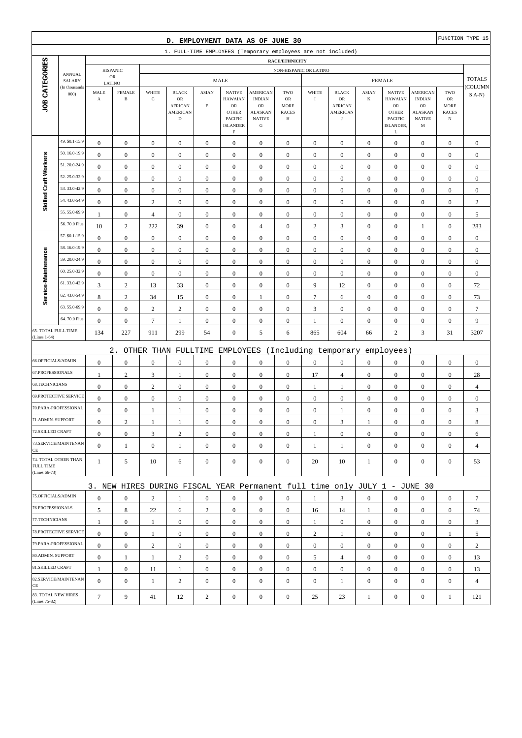| D. EMPLOYMENT DATA AS OF JUNE 30                              |                              |                                  |                                      |                                         |                                                                                 |                                         |                                                                                     |                                                                                        |                                                               |                                      |                                                                       | FUNCTION TYPE 15                     |                                                                                              |                                                                         |                                                         |                              |
|---------------------------------------------------------------|------------------------------|----------------------------------|--------------------------------------|-----------------------------------------|---------------------------------------------------------------------------------|-----------------------------------------|-------------------------------------------------------------------------------------|----------------------------------------------------------------------------------------|---------------------------------------------------------------|--------------------------------------|-----------------------------------------------------------------------|--------------------------------------|----------------------------------------------------------------------------------------------|-------------------------------------------------------------------------|---------------------------------------------------------|------------------------------|
| 1. FULL-TIME EMPLOYEES (Temporary employees are not included) |                              |                                  |                                      |                                         |                                                                                 |                                         |                                                                                     |                                                                                        |                                                               |                                      |                                                                       |                                      |                                                                                              |                                                                         |                                                         |                              |
|                                                               |                              |                                  |                                      |                                         |                                                                                 |                                         |                                                                                     |                                                                                        | <b>RACE/ETHNICITY</b>                                         |                                      |                                                                       |                                      |                                                                                              |                                                                         |                                                         |                              |
|                                                               | <b>ANNUAL</b>                |                                  | <b>HISPANIC</b><br>${\sf OR}$        | NON-HISPANIC OR LATINO<br><b>FEMALE</b> |                                                                                 |                                         |                                                                                     |                                                                                        |                                                               |                                      |                                                                       |                                      |                                                                                              | <b>TOTALS</b>                                                           |                                                         |                              |
| SALARY<br>(In thousands                                       |                              | LATINO                           |                                      | <b>MALE</b>                             |                                                                                 |                                         |                                                                                     |                                                                                        |                                                               |                                      |                                                                       |                                      |                                                                                              |                                                                         |                                                         | COLUMN                       |
| JOB CATEGORIES                                                | 000                          | MALE<br>$\boldsymbol{\rm{A}}$    | <b>FEMALE</b><br>$\, {\bf B}$        | WHITE<br>$\mathbf C$                    | <b>BLACK</b><br>$_{\rm OR}$<br><b>AFRICAN</b><br><b>AMERICAN</b><br>$\mathbf D$ | <b>ASIAN</b><br>$\mathop{\hbox{\bf E}}$ | <b>NATIVE</b><br><b>HAWAIAN</b><br>OR<br><b>OTHER</b><br>PACIFIC<br><b>ISLANDER</b> | <b>AMERICAN</b><br><b>INDIAN</b><br>OR<br><b>ALASKAN</b><br><b>NATIVE</b><br>${\bf G}$ | TWO<br><b>OR</b><br><b>MORE</b><br><b>RACES</b><br>$_{\rm H}$ | WHITE<br>$\rm I$                     | <b>BLACK</b><br>OR<br><b>AFRICAN</b><br><b>AMERICAN</b><br>$_{\rm J}$ | <b>ASIAN</b><br>$\bf K$              | <b>NATIVE</b><br><b>HAWAIAN</b><br>${\rm OR}$<br><b>OTHER</b><br><b>PACIFIC</b><br>ISLANDER. | <b>AMERICAN</b><br><b>INDIAN</b><br>OR<br>ALASKAN<br><b>NATIVE</b><br>M | TWO<br>${\rm OR}$<br>MORE<br><b>RACES</b><br>$_{\rm N}$ | $S$ A-N)                     |
|                                                               | 49. \$0.1-15.9               |                                  |                                      |                                         |                                                                                 |                                         | $\mathbf F$                                                                         |                                                                                        |                                                               |                                      |                                                                       |                                      | L                                                                                            |                                                                         |                                                         |                              |
|                                                               | 50.16.0-19.9                 | $\boldsymbol{0}$<br>$\mathbf{0}$ | $\mathbf{0}$                         | $\boldsymbol{0}$                        | $\boldsymbol{0}$                                                                | $\boldsymbol{0}$                        | $\boldsymbol{0}$                                                                    | $\boldsymbol{0}$                                                                       | $\boldsymbol{0}$                                              | $\boldsymbol{0}$                     | $\boldsymbol{0}$                                                      | $\mathbf{0}$                         | $\boldsymbol{0}$                                                                             | $\boldsymbol{0}$                                                        | $\boldsymbol{0}$                                        | $\boldsymbol{0}$             |
| Skilled Craft Workers                                         | 51.20.0-24.9                 | $\mathbf{0}$                     | $\boldsymbol{0}$<br>$\boldsymbol{0}$ | $\boldsymbol{0}$<br>$\boldsymbol{0}$    | $\boldsymbol{0}$<br>$\boldsymbol{0}$                                            | $\boldsymbol{0}$<br>$\mathbf{0}$        | $\boldsymbol{0}$<br>$\boldsymbol{0}$                                                | $\boldsymbol{0}$<br>$\boldsymbol{0}$                                                   | $\boldsymbol{0}$<br>$\mathbf{0}$                              | $\boldsymbol{0}$<br>$\boldsymbol{0}$ | $\boldsymbol{0}$<br>$\boldsymbol{0}$                                  | $\boldsymbol{0}$<br>$\boldsymbol{0}$ | $\boldsymbol{0}$<br>$\boldsymbol{0}$                                                         | $\boldsymbol{0}$<br>$\boldsymbol{0}$                                    | $\boldsymbol{0}$<br>$\boldsymbol{0}$                    | $\mathbf{0}$<br>$\mathbf{0}$ |
|                                                               | 52.25.0-32.9                 | $\bf{0}$                         | $\boldsymbol{0}$                     | $\boldsymbol{0}$                        | $\boldsymbol{0}$                                                                | $\boldsymbol{0}$                        | $\boldsymbol{0}$                                                                    | $\boldsymbol{0}$                                                                       | $\boldsymbol{0}$                                              | $\boldsymbol{0}$                     | $\boldsymbol{0}$                                                      | $\boldsymbol{0}$                     | $\boldsymbol{0}$                                                                             | $\boldsymbol{0}$                                                        | $\boldsymbol{0}$                                        | $\boldsymbol{0}$             |
|                                                               | 53.33.0-42.9                 | $\boldsymbol{0}$                 | $\boldsymbol{0}$                     | $\boldsymbol{0}$                        | $\boldsymbol{0}$                                                                | $\boldsymbol{0}$                        | $\boldsymbol{0}$                                                                    | $\boldsymbol{0}$                                                                       | $\boldsymbol{0}$                                              | $\boldsymbol{0}$                     | $\boldsymbol{0}$                                                      | $\boldsymbol{0}$                     | $\boldsymbol{0}$                                                                             | $\boldsymbol{0}$                                                        | $\boldsymbol{0}$                                        | $\boldsymbol{0}$             |
|                                                               | 54.43.0-54.9                 | $\boldsymbol{0}$                 | $\boldsymbol{0}$                     | $\sqrt{2}$                              | $\boldsymbol{0}$                                                                | $\boldsymbol{0}$                        | $\boldsymbol{0}$                                                                    | $\boldsymbol{0}$                                                                       | $\boldsymbol{0}$                                              | $\boldsymbol{0}$                     | $\boldsymbol{0}$                                                      | $\boldsymbol{0}$                     | $\boldsymbol{0}$                                                                             | $\boldsymbol{0}$                                                        | $\boldsymbol{0}$                                        | $\sqrt{2}$                   |
|                                                               | 55.55.0-69.9                 | 1                                | $\boldsymbol{0}$                     | $\overline{4}$                          | $\boldsymbol{0}$                                                                | $\boldsymbol{0}$                        | $\boldsymbol{0}$                                                                    | $\boldsymbol{0}$                                                                       | $\boldsymbol{0}$                                              | $\boldsymbol{0}$                     | $\boldsymbol{0}$                                                      | $\boldsymbol{0}$                     | $\boldsymbol{0}$                                                                             | $\boldsymbol{0}$                                                        | $\boldsymbol{0}$                                        | 5                            |
|                                                               | 56.70.0 Plus                 | 10                               | $\sqrt{2}$                           | 222                                     | 39                                                                              | $\boldsymbol{0}$                        | $\boldsymbol{0}$                                                                    | $\overline{4}$                                                                         | $\boldsymbol{0}$                                              | $\sqrt{2}$                           | $\mathfrak{Z}$                                                        | $\boldsymbol{0}$                     | $\boldsymbol{0}$                                                                             | 1                                                                       | $\boldsymbol{0}$                                        | 283                          |
|                                                               | 57. \$0.1-15.9               | $\boldsymbol{0}$                 | $\boldsymbol{0}$                     | $\boldsymbol{0}$                        | $\boldsymbol{0}$                                                                | $\boldsymbol{0}$                        | $\mathbf{0}$                                                                        | $\boldsymbol{0}$                                                                       |                                                               | $\boldsymbol{0}$                     | $\boldsymbol{0}$                                                      | $\boldsymbol{0}$                     | $\boldsymbol{0}$                                                                             |                                                                         | $\boldsymbol{0}$                                        | $\boldsymbol{0}$             |
| Service-Maintenance                                           | 58.16.0-19.9                 | $\boldsymbol{0}$                 | $\boldsymbol{0}$                     | $\boldsymbol{0}$                        | $\boldsymbol{0}$                                                                | $\boldsymbol{0}$                        | $\boldsymbol{0}$                                                                    | $\boldsymbol{0}$                                                                       | $\boldsymbol{0}$                                              | $\boldsymbol{0}$                     | $\boldsymbol{0}$                                                      | $\boldsymbol{0}$                     | $\boldsymbol{0}$                                                                             | $\boldsymbol{0}$<br>$\boldsymbol{0}$                                    | $\boldsymbol{0}$                                        | $\boldsymbol{0}$             |
|                                                               | 59.20.0-24.9                 | $\mathbf{0}$                     | $\boldsymbol{0}$                     | $\boldsymbol{0}$                        | $\boldsymbol{0}$                                                                | $\mathbf{0}$                            | $\boldsymbol{0}$                                                                    | $\mathbf{0}$                                                                           | $\boldsymbol{0}$<br>$\mathbf{0}$                              | $\boldsymbol{0}$                     | $\boldsymbol{0}$                                                      | $\boldsymbol{0}$                     | $\boldsymbol{0}$                                                                             | $\boldsymbol{0}$                                                        | $\boldsymbol{0}$                                        | $\mathbf{0}$                 |
|                                                               | 60.25.0-32.9                 | $\boldsymbol{0}$                 | $\boldsymbol{0}$                     | $\boldsymbol{0}$                        | $\boldsymbol{0}$                                                                | $\boldsymbol{0}$                        | $\boldsymbol{0}$                                                                    | $\boldsymbol{0}$                                                                       | $\boldsymbol{0}$                                              | $\boldsymbol{0}$                     | $\boldsymbol{0}$                                                      | $\boldsymbol{0}$                     | $\boldsymbol{0}$                                                                             | $\boldsymbol{0}$                                                        | $\boldsymbol{0}$                                        | $\boldsymbol{0}$             |
|                                                               | 61.33.0-42.9                 | 3                                | $\sqrt{2}$                           | 13                                      |                                                                                 | $\boldsymbol{0}$                        | $\mathbf{0}$                                                                        | $\boldsymbol{0}$                                                                       | $\boldsymbol{0}$                                              | 9                                    | 12                                                                    | $\mathbf{0}$                         | $\boldsymbol{0}$                                                                             | $\boldsymbol{0}$                                                        | $\boldsymbol{0}$                                        | 72                           |
|                                                               | 62.43.0-54.9                 | 8                                | $\sqrt{2}$                           | 34                                      | 33<br>15                                                                        | $\boldsymbol{0}$                        | $\boldsymbol{0}$                                                                    | 1                                                                                      | $\boldsymbol{0}$                                              | $\boldsymbol{7}$                     | 6                                                                     | $\boldsymbol{0}$                     | $\boldsymbol{0}$                                                                             | $\boldsymbol{0}$                                                        | $\boldsymbol{0}$                                        | 73                           |
|                                                               | 63.55.0-69.9                 | $\boldsymbol{0}$                 | $\boldsymbol{0}$                     | $\sqrt{2}$                              | $\mathbf{2}$                                                                    | $\mathbf{0}$                            | $\boldsymbol{0}$                                                                    | $\mathbf{0}$                                                                           | $\boldsymbol{0}$                                              | 3                                    | $\boldsymbol{0}$                                                      | $\boldsymbol{0}$                     | $\boldsymbol{0}$                                                                             | $\boldsymbol{0}$                                                        | $\boldsymbol{0}$                                        | $\overline{7}$               |
|                                                               | 64.70.0 Plus                 | $\boldsymbol{0}$                 | $\boldsymbol{0}$                     | $\boldsymbol{7}$                        | $\mathbf{1}$                                                                    | $\boldsymbol{0}$                        | $\boldsymbol{0}$                                                                    | $\boldsymbol{0}$                                                                       | $\boldsymbol{0}$                                              | $\mathbf{1}$                         | $\boldsymbol{0}$                                                      | $\boldsymbol{0}$                     | $\boldsymbol{0}$                                                                             | $\boldsymbol{0}$                                                        | $\boldsymbol{0}$                                        | 9                            |
|                                                               | 65. TOTAL FULL TIME          | 134                              | 227                                  | 911                                     | 299                                                                             | 54                                      | $\boldsymbol{0}$                                                                    | 5                                                                                      | 6                                                             | 865                                  | 604                                                                   | 66                                   | $\overline{c}$                                                                               | 3                                                                       | 31                                                      | 3207                         |
| (Lines 1-64)                                                  |                              |                                  |                                      |                                         |                                                                                 |                                         |                                                                                     |                                                                                        |                                                               |                                      |                                                                       |                                      |                                                                                              |                                                                         |                                                         |                              |
|                                                               |                              |                                  | $2$ .                                |                                         | OTHER THAN FULLTIME                                                             |                                         | EMPLOYEES                                                                           |                                                                                        |                                                               |                                      | (Including temporary                                                  |                                      | employees)                                                                                   |                                                                         |                                                         |                              |
|                                                               | 66.OFFICIALS/ADMIN           | $\boldsymbol{0}$                 | $\boldsymbol{0}$                     | $\boldsymbol{0}$                        | $\boldsymbol{0}$                                                                | $\boldsymbol{0}$                        | $\boldsymbol{0}$                                                                    | $\boldsymbol{0}$                                                                       | $\boldsymbol{0}$                                              | $\boldsymbol{0}$                     | $\boldsymbol{0}$                                                      | $\boldsymbol{0}$                     | $\boldsymbol{0}$                                                                             | $\boldsymbol{0}$                                                        | $\boldsymbol{0}$                                        | $\boldsymbol{0}$             |
| 67.PROFESSIONALS                                              |                              | 1                                | $\sqrt{2}$                           | $\mathfrak{Z}$                          | $\mathbf{1}$                                                                    | $\boldsymbol{0}$                        | $\boldsymbol{0}$                                                                    | $\boldsymbol{0}$                                                                       | $\boldsymbol{0}$                                              | 17                                   | $\overline{4}$                                                        | $\boldsymbol{0}$                     | $\boldsymbol{0}$                                                                             | $\boldsymbol{0}$                                                        | $\boldsymbol{0}$                                        | 28                           |
| 68.TECHNICIANS                                                |                              | $\boldsymbol{0}$                 | $\boldsymbol{0}$                     | $\sqrt{2}$                              | $\boldsymbol{0}$                                                                | $\boldsymbol{0}$                        | $\boldsymbol{0}$                                                                    | $\boldsymbol{0}$                                                                       | $\boldsymbol{0}$                                              | $\mathbf{1}$                         | 1                                                                     | $\boldsymbol{0}$                     | $\boldsymbol{0}$                                                                             | $\boldsymbol{0}$                                                        | $\boldsymbol{0}$                                        | $\overline{4}$               |
|                                                               | <b>69.PROTECTIVE SERVICE</b> | $\boldsymbol{0}$                 | $\mathbf{0}$                         | $\boldsymbol{0}$                        | $\boldsymbol{0}$                                                                | $\boldsymbol{0}$                        | $\boldsymbol{0}$                                                                    | $\mathbf{0}$                                                                           | $\mathbf{0}$                                                  | $\boldsymbol{0}$                     | $\boldsymbol{0}$                                                      | $\mathbf{0}$                         | $\mathbf{0}$                                                                                 | $\boldsymbol{0}$                                                        | $\boldsymbol{0}$                                        | $\mathbf{0}$                 |
|                                                               | 70.PARA-PROFESSIONAL         | $\boldsymbol{0}$                 | $\boldsymbol{0}$                     | 1                                       | 1                                                                               | $\boldsymbol{0}$                        | $\boldsymbol{0}$                                                                    | $\mathbf{0}$                                                                           | $\mathbf{0}$                                                  | $\boldsymbol{0}$                     | 1                                                                     | $\boldsymbol{0}$                     | $\boldsymbol{0}$                                                                             | $\boldsymbol{0}$                                                        | $\boldsymbol{0}$                                        | 3                            |
| 71.ADMIN. SUPPORT                                             |                              | $\boldsymbol{0}$                 | $\overline{c}$                       | 1                                       | 1                                                                               | $\mathbf{0}$                            | $\boldsymbol{0}$                                                                    | $\boldsymbol{0}$                                                                       | $\mathbf{0}$                                                  | $\boldsymbol{0}$                     | 3                                                                     | 1                                    | $\boldsymbol{0}$                                                                             | $\theta$                                                                | $\boldsymbol{0}$                                        | 8                            |
| 72.SKILLED CRAFT                                              |                              | $\mathbf{0}$                     | $\boldsymbol{0}$                     | 3                                       | $\sqrt{2}$                                                                      | $\boldsymbol{0}$                        | $\boldsymbol{0}$                                                                    | $\boldsymbol{0}$                                                                       | $\boldsymbol{0}$                                              | 1                                    | $\mathbf{0}$                                                          | $\mathbf{0}$                         | $\mathbf{0}$                                                                                 | $\mathbf{0}$                                                            | $\overline{0}$                                          | 6                            |
| CE                                                            | 73.SERVICE/MAINTENAN         | $\overline{0}$                   | $\mathbf{1}$                         | $\boldsymbol{0}$                        | $\mathbf{1}$                                                                    | $\mathbf{0}$                            | $\overline{0}$                                                                      | $\mathbf{0}$                                                                           | $\boldsymbol{0}$                                              | 1                                    | $\mathbf{1}$                                                          | $\mathbf{0}$                         | $\mathbf{0}$                                                                                 | $\overline{0}$                                                          | $\mathbf{0}$                                            | $\overline{4}$               |
| FULL TIME<br>(Lines 66-73)                                    | 74. TOTAL OTHER THAN         | $\mathbf{1}$                     | 5                                    | 10                                      | 6                                                                               | $\mathbf{0}$                            | $\mathbf{0}$                                                                        | $\boldsymbol{0}$                                                                       | $\overline{0}$                                                | 20                                   | 10                                                                    | $\mathbf{1}$                         | $\mathbf{0}$                                                                                 | $\overline{0}$                                                          | $\boldsymbol{0}$                                        | 53                           |
|                                                               |                              |                                  |                                      |                                         | 3. NEW HIRES DURING FISCAL YEAR Permanent full time only JULY 1 - JUNE 30       |                                         |                                                                                     |                                                                                        |                                                               |                                      |                                                                       |                                      |                                                                                              |                                                                         |                                                         |                              |
|                                                               | 75.OFFICIALS/ADMIN           | $\boldsymbol{0}$                 | $\mathbf{0}$                         | $\mathbf{2}$                            | $\mathbf{1}$                                                                    | $\mathbf{0}$                            | $\mathbf{0}$                                                                        | $\mathbf{0}$                                                                           | $\overline{0}$                                                | 1                                    | 3                                                                     | $\mathbf{0}$                         | $\mathbf{0}$                                                                                 | $\overline{0}$                                                          | $\mathbf{0}$                                            | $\tau$                       |
| 76.PROFESSIONALS                                              |                              | 5                                | $\,8$                                | 22                                      | 6                                                                               | $\overline{c}$                          | $\mathbf{0}$                                                                        | $\boldsymbol{0}$                                                                       | $\boldsymbol{0}$                                              | 16                                   | 14                                                                    | $\mathbf{1}$                         | $\mathbf{0}$                                                                                 | $\mathbf{0}$                                                            | $\mathbf{0}$                                            | 74                           |
| 77.TECHNICIANS                                                |                              | $\mathbf{1}$                     | $\boldsymbol{0}$                     | $\mathbf{1}$                            | $\boldsymbol{0}$                                                                | $\boldsymbol{0}$                        | $\boldsymbol{0}$                                                                    | $\boldsymbol{0}$                                                                       | $\boldsymbol{0}$                                              | $\mathbf{1}$                         | $\boldsymbol{0}$                                                      | $\overline{0}$                       | $\mathbf{0}$                                                                                 | $\boldsymbol{0}$                                                        | $\boldsymbol{0}$                                        | 3                            |
|                                                               | 78.PROTECTIVE SERVICE        | $\mathbf{0}$                     | $\mathbf{0}$                         | $\mathbf{1}$                            | $\mathbf{0}$                                                                    | $\boldsymbol{0}$                        | $\mathbf{0}$                                                                        | $\mathbf{0}$                                                                           | $\overline{0}$                                                | $\overline{c}$                       | $\mathbf{1}$                                                          | $\mathbf{0}$                         | $\mathbf{0}$                                                                                 | $\overline{0}$                                                          | $\mathbf{1}$                                            | 5                            |
|                                                               | 79.PARA-PROFESSIONAL         | $\overline{0}$                   | $\mathbf{0}$                         | $\mathbf{2}$                            | $\mathbf{0}$                                                                    | $\mathbf{0}$                            | $\boldsymbol{0}$                                                                    | $\mathbf{0}$                                                                           | $\overline{0}$                                                | $\mathbf{0}$                         | $\boldsymbol{0}$                                                      | $\overline{0}$                       | $\overline{0}$                                                                               | $\overline{0}$                                                          | $\mathbf{0}$                                            | $\overline{c}$               |
| 80.ADMIN. SUPPORT                                             |                              | $\mathbf{0}$                     | -1                                   | $\mathbf{1}$                            | $\sqrt{2}$                                                                      | $\mathbf{0}$                            | $\boldsymbol{0}$                                                                    | $\boldsymbol{0}$                                                                       | $\boldsymbol{0}$                                              | 5                                    | $\overline{4}$                                                        | $\mathbf{0}$                         | $\mathbf{0}$                                                                                 | $\boldsymbol{0}$                                                        | $\boldsymbol{0}$                                        | 13                           |
| 81.SKILLED CRAFT                                              |                              | 1                                | $\boldsymbol{0}$                     | 11                                      | $\mathbf{1}$                                                                    | $\boldsymbol{0}$                        | $\boldsymbol{0}$                                                                    | $\boldsymbol{0}$                                                                       | $\boldsymbol{0}$                                              | $\boldsymbol{0}$                     | $\boldsymbol{0}$                                                      | $\mathbf{0}$                         | $\mathbf{0}$                                                                                 | $\boldsymbol{0}$                                                        | $\boldsymbol{0}$                                        | 13                           |
|                                                               | 82.SERVICE/MAINTENAN         | $\overline{0}$                   | $\boldsymbol{0}$                     | $\mathbf{1}$                            | $\mathbf{2}$                                                                    | $\boldsymbol{0}$                        | $\boldsymbol{0}$                                                                    | $\boldsymbol{0}$                                                                       | $\mathbf{0}$                                                  | $\boldsymbol{0}$                     | $\mathbf{1}$                                                          | $\boldsymbol{0}$                     | $\mathbf{0}$                                                                                 | $\overline{0}$                                                          | $\mathbf{0}$                                            | $\overline{4}$               |
| CE<br>(Lines 75-82)                                           | 83. TOTAL NEW HIRES          | $\tau$                           | 9                                    | 41                                      | 12                                                                              | $\overline{2}$                          | $\boldsymbol{0}$                                                                    | $\boldsymbol{0}$                                                                       | $\boldsymbol{0}$                                              | 25                                   | 23                                                                    | $\mathbf{1}$                         | $\boldsymbol{0}$                                                                             | $\boldsymbol{0}$                                                        | $\mathbf{1}$                                            | 121                          |